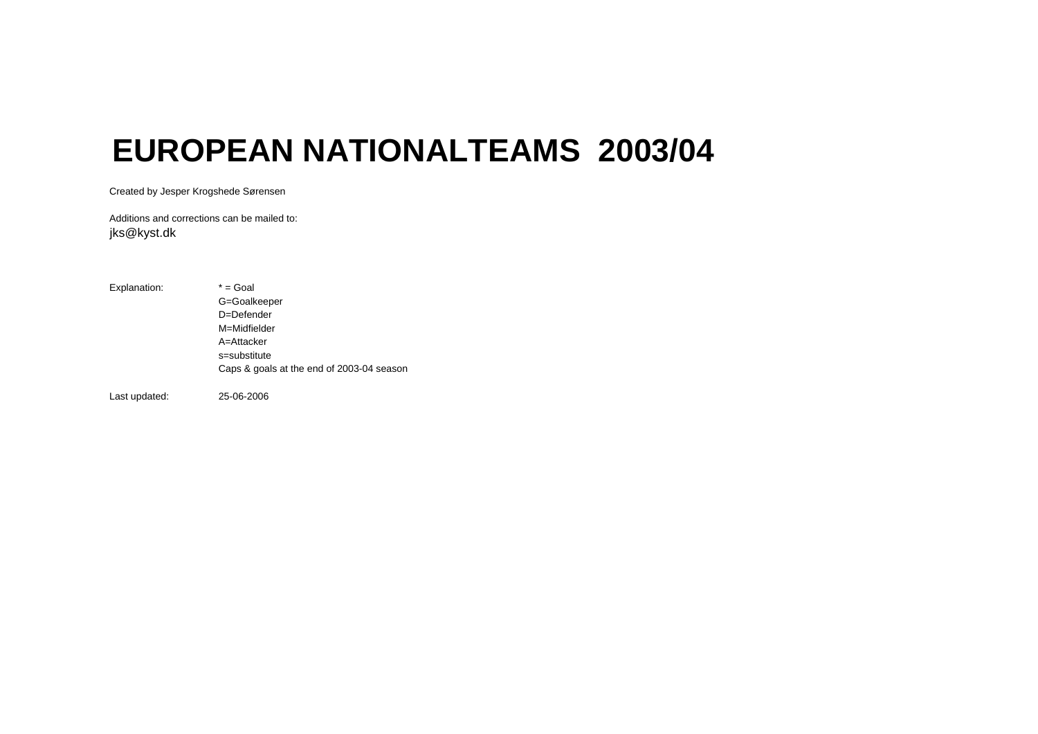## **EUROPEAN NATIONALTEAMS 2003/04**

Created by Jesper Krogshede Sørensen

Additions and corrections can be mailed to:jks@kyst.dk

Explanation:  $* =$  Goal G=Goalkeeper D=Defender M=MidfielderA=Attackers=substituteCaps & goals at the end of 2003-04 season

Last updated: 25-06-2006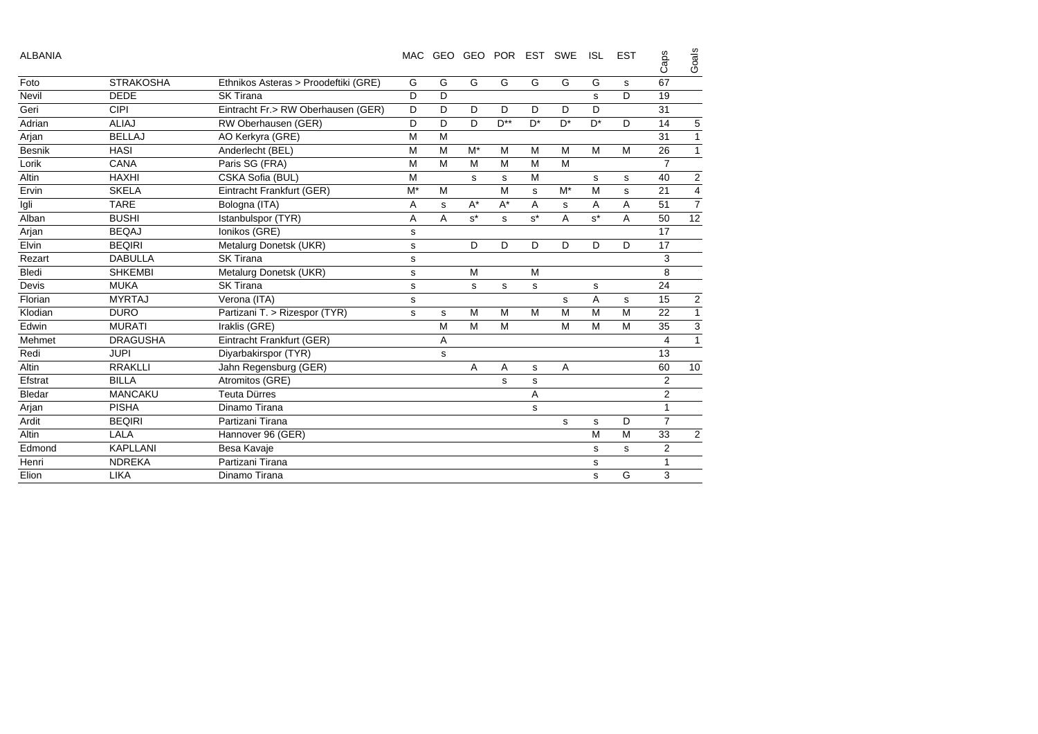| <b>ALBANIA</b> |                  |                                      | MAC   |   |       | GEO GEO POR |                      | EST SWE     | <b>ISL</b> | <b>EST</b> | Caps           | Goals                   |
|----------------|------------------|--------------------------------------|-------|---|-------|-------------|----------------------|-------------|------------|------------|----------------|-------------------------|
| Foto           | <b>STRAKOSHA</b> | Ethnikos Asteras > Proodeftiki (GRE) | G     | G | G     | G           | G                    | G           | G          | s          | 67             |                         |
| Nevil          | <b>DEDE</b>      | <b>SK Tirana</b>                     | D     | D |       |             |                      |             | s          | D          | 19             |                         |
| Geri           | CIPI             | Eintracht Fr.> RW Oberhausen (GER)   | D     | D | D     | D           | D                    | D           | D          |            | 31             |                         |
| Adrian         | <b>ALIAJ</b>     | RW Oberhausen (GER)                  | D     | D | D     | $D^{**}$    | $D^*$                | $D^*$       | $D^*$      | D          | 14             | 5                       |
| Arjan          | <b>BELLAJ</b>    | AO Kerkyra (GRE)                     | M     | M |       |             |                      |             |            |            | 31             | $\mathbf{1}$            |
| Besnik         | <b>HASI</b>      | Anderlecht (BEL)                     | M     | M | $M^*$ | M           | M                    | M           | M          | M          | 26             | $\mathbf{1}$            |
| Lorik          | CANA             | Paris SG (FRA)                       | M     | M | M     | M           | M                    | M           |            |            | $\overline{7}$ |                         |
| Altin          | <b>HAXHI</b>     | CSKA Sofia (BUL)                     | M     |   | s     | s           | M                    |             | s          | s          | 40             | $\overline{c}$          |
| Ervin          | <b>SKELA</b>     | Eintracht Frankfurt (GER)            | $M^*$ | M |       | M           | s                    | $M^*$       | M          | s          | 21             | $\overline{\mathbf{4}}$ |
| Igli           | <b>TARE</b>      | Bologna (ITA)                        | A     | s | $A^*$ | $A^*$       | A                    | $\mathbf s$ | A          | A          | 51             | $\overline{7}$          |
| Alban          | <b>BUSHI</b>     | Istanbulspor (TYR)                   | A     | A | $s^*$ | s           | $\texttt{s}^{\star}$ | A           | $s^*$      | A          | 50             | $\overline{12}$         |
| Arjan          | <b>BEQAJ</b>     | Ionikos (GRE)                        | s     |   |       |             |                      |             |            |            | 17             |                         |
| Elvin          | <b>BEQIRI</b>    | Metalurg Donetsk (UKR)               | S     |   | D     | D           | D                    | D           | D          | D          | 17             |                         |
| Rezart         | <b>DABULLA</b>   | <b>SK Tirana</b>                     | s     |   |       |             |                      |             |            |            | 3              |                         |
| Bledi          | <b>SHKEMBI</b>   | Metalurg Donetsk (UKR)               | s     |   | M     |             | M                    |             |            |            | 8              |                         |
| Devis          | <b>MUKA</b>      | <b>SK Tirana</b>                     | s     |   | s     | s           | s                    |             | s          |            | 24             |                         |
| Florian        | <b>MYRTAJ</b>    | Verona (ITA)                         | s     |   |       |             |                      | s           | A          | s          | 15             | $\overline{2}$          |
| Klodian        | <b>DURO</b>      | Partizani T. > Rizespor (TYR)        | s     | s | M     | M           | M                    | M           | M          | M          | 22             | $\mathbf{1}$            |
| Edwin          | <b>MURATI</b>    | Iraklis (GRE)                        |       | M | M     | M           |                      | M           | M          | M          | 35             | 3                       |
| Mehmet         | <b>DRAGUSHA</b>  | Eintracht Frankfurt (GER)            |       | Α |       |             |                      |             |            |            | 4              | $\mathbf{1}$            |
| Redi           | <b>JUPI</b>      | Diyarbakirspor (TYR)                 |       | s |       |             |                      |             |            |            | 13             |                         |
| Altin          | <b>RRAKLLI</b>   | Jahn Regensburg (GER)                |       |   | A     | A           | s                    | A           |            |            | 60             | 10                      |
| Efstrat        | <b>BILLA</b>     | Atromitos (GRE)                      |       |   |       | s           | s                    |             |            |            | $\overline{2}$ |                         |
| Bledar         | <b>MANCAKU</b>   | <b>Teuta Dürres</b>                  |       |   |       |             | A                    |             |            |            | $\overline{c}$ |                         |
| Arjan          | <b>PISHA</b>     | Dinamo Tirana                        |       |   |       |             | s                    |             |            |            | $\mathbf{1}$   |                         |
| Ardit          | <b>BEQIRI</b>    | Partizani Tirana                     |       |   |       |             |                      | s           | s          | D          | 7              |                         |
| Altin          | LALA             | Hannover 96 (GER)                    |       |   |       |             |                      |             | M          | M          | 33             | 2                       |
| Edmond         | <b>KAPLLANI</b>  | Besa Kavaje                          |       |   |       |             |                      |             | s          | s          | 2              |                         |
| Henri          | <b>NDREKA</b>    | Partizani Tirana                     |       |   |       |             |                      |             | s          |            | 1              |                         |
| Elion          | <b>LIKA</b>      | Dinamo Tirana                        |       |   |       |             |                      |             | s          | G          | 3              |                         |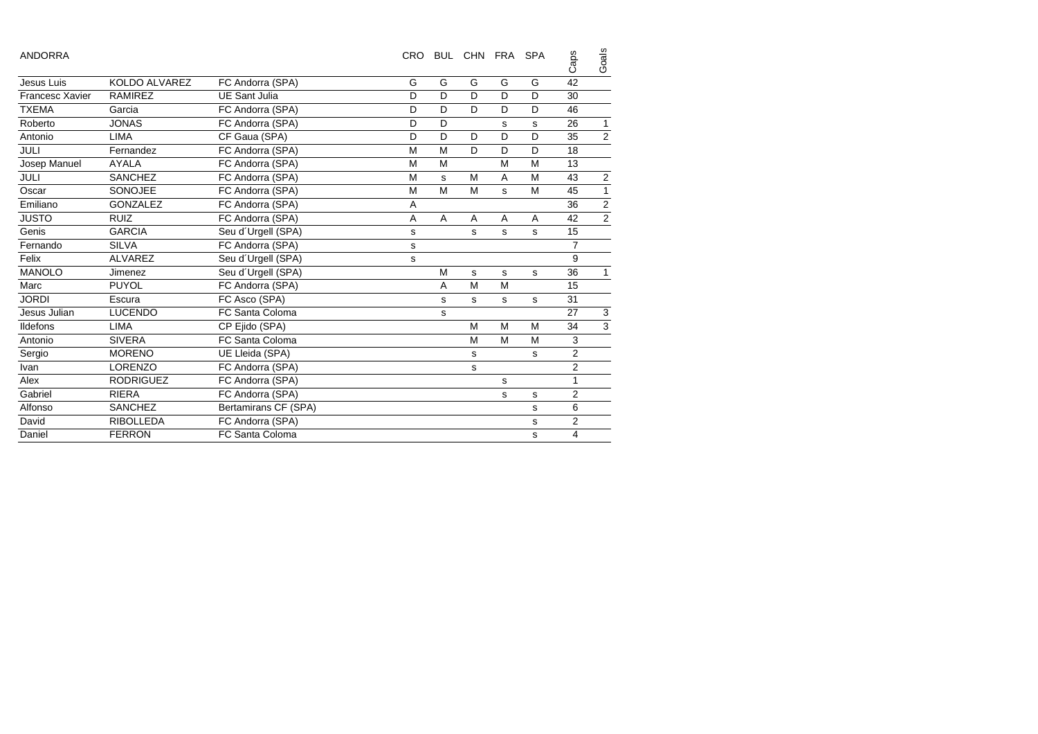| <b>ANDORRA</b>  |                  |                      | <b>CRO</b>     |   | BUL CHN FRA SPA |   |   | Caps         | Goals          |
|-----------------|------------------|----------------------|----------------|---|-----------------|---|---|--------------|----------------|
| Jesus Luis      | KOLDO ALVAREZ    | FC Andorra (SPA)     | G              | G | G               | G | G | 42           |                |
| Francesc Xavier | <b>RAMIREZ</b>   | <b>UE Sant Julia</b> | D              | D | D               | D | D | 30           |                |
| <b>TXEMA</b>    | Garcia           | FC Andorra (SPA)     | D              | D | D               | D | D | 46           |                |
| Roberto         | <b>JONAS</b>     | FC Andorra (SPA)     | D              | D |                 | s | s | 26           | $\mathbf{1}$   |
| Antonio         | <b>LIMA</b>      | CF Gaua (SPA)        | D              | D | D               | D | D | 35           | $\overline{c}$ |
| <b>JULI</b>     | Fernandez        | FC Andorra (SPA)     | M              | M | D               | D | D | 18           |                |
| Josep Manuel    | <b>AYALA</b>     | FC Andorra (SPA)     | M              | M |                 | M | M | 13           |                |
| JULI            | SANCHEZ          | FC Andorra (SPA)     | M              | S | M               | A | M | 43           | $\sqrt{2}$     |
| Oscar           | SONOJEE          | FC Andorra (SPA)     | M              | M | M               | s | M | 45           | $\mathbf{1}$   |
| Emiliano        | <b>GONZALEZ</b>  | FC Andorra (SPA)     | $\overline{A}$ |   |                 |   |   | 36           | $\overline{c}$ |
| <b>JUSTO</b>    | <b>RUIZ</b>      | FC Andorra (SPA)     | Α              | A | A               | A | A | 42           | $\overline{2}$ |
| Genis           | <b>GARCIA</b>    | Seu d'Urgell (SPA)   | s              |   | s               | s | s | 15           |                |
| Fernando        | <b>SILVA</b>     | FC Andorra (SPA)     | s              |   |                 |   |   | 7            |                |
| Felix           | <b>ALVAREZ</b>   | Seu d'Urgell (SPA)   | s              |   |                 |   |   | 9            |                |
| <b>MANOLO</b>   | Jimenez          | Seu d'Urgell (SPA)   |                | M | s               | s | s | 36           | 1              |
| Marc            | <b>PUYOL</b>     | FC Andorra (SPA)     |                | A | M               | M |   | 15           |                |
| <b>JORDI</b>    | Escura           | FC Asco (SPA)        |                | s | s               | s | s | 31           |                |
| Jesus Julian    | <b>LUCENDO</b>   | FC Santa Coloma      |                | s |                 |   |   | 27           | 3              |
| <b>Ildefons</b> | <b>LIMA</b>      | CP Ejido (SPA)       |                |   | M               | M | M | 34           | $\mathsf 3$    |
| Antonio         | <b>SIVERA</b>    | FC Santa Coloma      |                |   | M               | M | M | 3            |                |
| Sergio          | <b>MORENO</b>    | UE Lleida (SPA)      |                |   | s               |   | s | 2            |                |
| Ivan            | <b>LORENZO</b>   | FC Andorra (SPA)     |                |   | s               |   |   | 2            |                |
| Alex            | <b>RODRIGUEZ</b> | FC Andorra (SPA)     |                |   |                 | s |   | $\mathbf{1}$ |                |
| Gabriel         | <b>RIERA</b>     | FC Andorra (SPA)     |                |   |                 | s | s | 2            |                |
| Alfonso         | <b>SANCHEZ</b>   | Bertamirans CF (SPA) |                |   |                 |   | s | 6            |                |
| David           | <b>RIBOLLEDA</b> | FC Andorra (SPA)     |                |   |                 |   | s | 2            |                |
| Daniel          | <b>FERRON</b>    | FC Santa Coloma      |                |   |                 |   | s | 4            |                |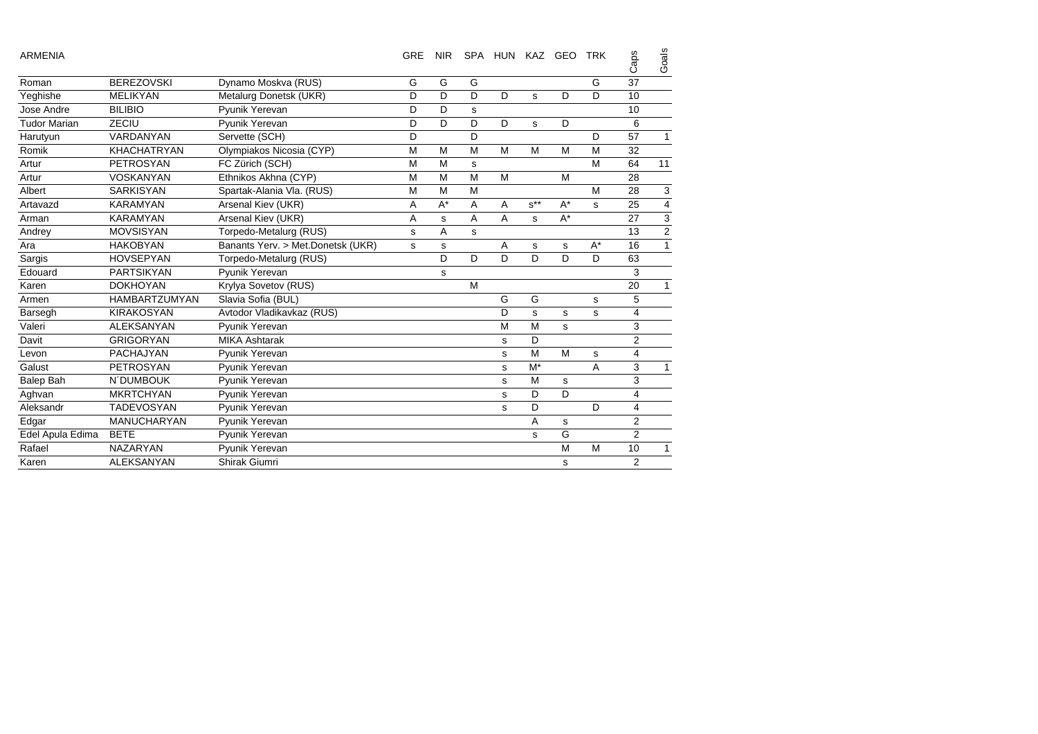| <b>ARMENIA</b>      |                      |                                   | <b>GRE</b> | <b>NIR</b> |             | SPA HUN KAZ GEO |          |       | <b>TRK</b> | Caps           | Goals          |
|---------------------|----------------------|-----------------------------------|------------|------------|-------------|-----------------|----------|-------|------------|----------------|----------------|
| Roman               | <b>BEREZOVSKI</b>    | Dynamo Moskva (RUS)               | G          | G          | G           |                 |          |       | G          | 37             |                |
| Yeghishe            | <b>MELIKYAN</b>      | Metalurg Donetsk (UKR)            | D          | D          | D           | D               | s        | D     | D          | 10             |                |
| Jose Andre          | <b>BILIBIO</b>       | Pyunik Yerevan                    | D          | D          | $\mathbf s$ |                 |          |       |            | 10             |                |
| <b>Tudor Marian</b> | ZECIU                | Pyunik Yerevan                    | D          | D          | D           | D               | s        | D     |            | 6              |                |
| Harutyun            | VARDANYAN            | Servette (SCH)                    | D          |            | D           |                 |          |       | D          | 57             | $\mathbf{1}$   |
| Romik               | <b>KHACHATRYAN</b>   | Olympiakos Nicosia (CYP)          | M          | M          | M           | M               | M        | M     | M          | 32             |                |
| Artur               | <b>PETROSYAN</b>     | FC Zürich (SCH)                   | M          | M          | s           |                 |          |       | M          | 64             | 11             |
| Artur               | <b>VOSKANYAN</b>     | Ethnikos Akhna (CYP)              | M          | M          | M           | M               |          | M     |            | 28             |                |
| Albert              | <b>SARKISYAN</b>     | Spartak-Alania Vla. (RUS)         | M          | M          | M           |                 |          |       | M          | 28             | 3              |
| Artavazd            | <b>KARAMYAN</b>      | Arsenal Kiev (UKR)                | A          | $A^*$      | A           | A               | $s^{**}$ | $A^*$ | s          | 25             | 4              |
| Arman               | <b>KARAMYAN</b>      | Arsenal Kiev (UKR)                | A          | s          | A           | A               | s        | $A^*$ |            | 27             | 3              |
| Andrey              | <b>MOVSISYAN</b>     | Torpedo-Metalurg (RUS)            | s          | A          | s           |                 |          |       |            | 13             | $\overline{2}$ |
| Ara                 | <b>HAKOBYAN</b>      | Banants Yerv. > Met.Donetsk (UKR) | s          | s          |             | Α               | s        | s     | A*         | 16             | $\mathbf{1}$   |
| Sargis              | <b>HOVSEPYAN</b>     | Torpedo-Metalurg (RUS)            |            | D          | D           | D               | D        | D     | D          | 63             |                |
| Edouard             | <b>PARTSIKYAN</b>    | Pyunik Yerevan                    |            | s          |             |                 |          |       |            | 3              |                |
| Karen               | <b>DOKHOYAN</b>      | Krylya Sovetov (RUS)              |            |            | M           |                 |          |       |            | 20             | 1              |
| Armen               | <b>HAMBARTZUMYAN</b> | Slavia Sofia (BUL)                |            |            |             | G               | G        |       | s          | 5              |                |
| Barsegh             | <b>KIRAKOSYAN</b>    | Avtodor Vladikavkaz (RUS)         |            |            |             | D               | s        | s     | s          | 4              |                |
| Valeri              | <b>ALEKSANYAN</b>    | Pyunik Yerevan                    |            |            |             | M               | M        | s     |            | 3              |                |
| Davit               | <b>GRIGORYAN</b>     | <b>MIKA Ashtarak</b>              |            |            |             | s               | D        |       |            | 2              |                |
| Levon               | <b>PACHAJYAN</b>     | Pyunik Yerevan                    |            |            |             | s               | M        | M     | s          | 4              |                |
| Galust              | <b>PETROSYAN</b>     | Pyunik Yerevan                    |            |            |             | s               | $M^*$    |       | A          | 3              | 1              |
| Balep Bah           | N'DUMBOUK            | Pyunik Yerevan                    |            |            |             | s               | M        | s     |            | 3              |                |
| Aghvan              | <b>MKRTCHYAN</b>     | Pyunik Yerevan                    |            |            |             | s               | D        | D     |            | 4              |                |
| Aleksandr           | <b>TADEVOSYAN</b>    | Pyunik Yerevan                    |            |            |             | s               | D        |       | D          | 4              |                |
| Edgar               | <b>MANUCHARYAN</b>   | Pyunik Yerevan                    |            |            |             |                 | A        | s     |            | 2              |                |
| Edel Apula Edima    | <b>BETE</b>          | Pyunik Yerevan                    |            |            |             |                 | s        | G     |            | $\overline{2}$ |                |
| Rafael              | <b>NAZARYAN</b>      | Pyunik Yerevan                    |            |            |             |                 |          | M     | M          | 10             | 1              |
| Karen               | <b>ALEKSANYAN</b>    | Shirak Giumri                     |            |            |             |                 |          | s     |            | 2              |                |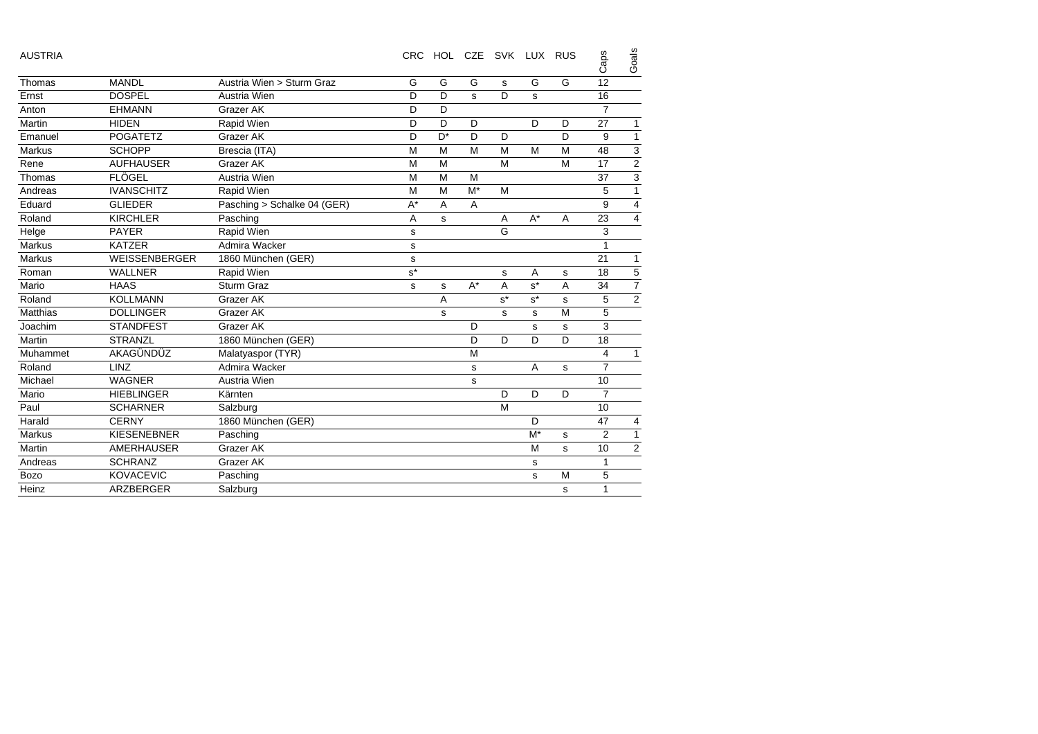| <b>AUSTRIA</b>  |                      |                             | <b>CRC</b>  |       |       | HOL CZE SVK LUX RUS |                |   | Caps           | Goals                       |
|-----------------|----------------------|-----------------------------|-------------|-------|-------|---------------------|----------------|---|----------------|-----------------------------|
| Thomas          | <b>MANDL</b>         | Austria Wien > Sturm Graz   | G           | G     | G     | s                   | G              | G | 12             |                             |
| Ernst           | <b>DOSPEL</b>        | Austria Wien                | D           | D     | s     | D                   | s              |   | 16             |                             |
| Anton           | <b>EHMANN</b>        | Grazer AK                   | D           | D     |       |                     |                |   | $\overline{7}$ |                             |
| Martin          | <b>HIDEN</b>         | Rapid Wien                  | D           | D     | D     |                     | D              | D | 27             | 1                           |
| Emanuel         | <b>POGATETZ</b>      | Grazer AK                   | D           | $D^*$ | D     | D                   |                | D | 9              | $\mathbf{1}$                |
| <b>Markus</b>   | <b>SCHOPP</b>        | Brescia (ITA)               | M           | M     | M     | M                   | M              | M | 48             |                             |
| Rene            | <b>AUFHAUSER</b>     | Grazer AK                   | M           | M     |       | M                   |                | M | 17             | $\frac{3}{2}$ $\frac{2}{3}$ |
| Thomas          | <b>FLÖGEL</b>        | Austria Wien                | M           | M     | M     |                     |                |   | 37             |                             |
| Andreas         | <b>IVANSCHITZ</b>    | Rapid Wien                  | M           | M     | $M^*$ | M                   |                |   | 5              | $\overline{1}$              |
| Eduard          | <b>GLIEDER</b>       | Pasching > Schalke 04 (GER) | $A^*$       | A     | A     |                     |                |   | 9              | $\overline{\mathbf{4}}$     |
| Roland          | <b>KIRCHLER</b>      | Pasching                    | A           | s     |       | A                   | $A^*$          | A | 23             | $\overline{\mathbf{4}}$     |
| Helge           | <b>PAYER</b>         | Rapid Wien                  | $\mathbf s$ |       |       | G                   |                |   | 3              |                             |
| <b>Markus</b>   | <b>KATZER</b>        | Admira Wacker               | s           |       |       |                     |                |   | $\mathbf{1}$   |                             |
| <b>Markus</b>   | <b>WEISSENBERGER</b> | 1860 München (GER)          | $\mathbf s$ |       |       |                     |                |   | 21             | $\mathbf{1}$                |
| Roman           | <b>WALLNER</b>       | Rapid Wien                  | $s^*$       |       |       | s                   | A              | s | 18             | $\overline{5}$              |
| Mario           | <b>HAAS</b>          | Sturm Graz                  | s           | s     | $A^*$ | A                   | $s^*$          | A | 34             | $\overline{7}$              |
| Roland          | <b>KOLLMANN</b>      | Grazer AK                   |             | A     |       | $s^*$               | $s^*$          | s | 5              | $\overline{2}$              |
| <b>Matthias</b> | <b>DOLLINGER</b>     | Grazer AK                   |             | s     |       | s                   | s              | M | 5              |                             |
| Joachim         | <b>STANDFEST</b>     | Grazer AK                   |             |       | D     |                     | s              | s | 3              |                             |
| Martin          | <b>STRANZL</b>       | 1860 München (GER)          |             |       | D     | D                   | D              | D | 18             |                             |
| Muhammet        | AKAGÜNDÜZ            | Malatyaspor (TYR)           |             |       | M     |                     |                |   | 4              | $\mathbf{1}$                |
| Roland          | <b>LINZ</b>          | Admira Wacker               |             |       | s     |                     | $\overline{A}$ | s | $\overline{7}$ |                             |
| Michael         | <b>WAGNER</b>        | Austria Wien                |             |       | s     |                     |                |   | 10             |                             |
| Mario           | <b>HIEBLINGER</b>    | Kärnten                     |             |       |       | D                   | D              | D | $\overline{7}$ |                             |
| Paul            | <b>SCHARNER</b>      | Salzburg                    |             |       |       | M                   |                |   | 10             |                             |
| Harald          | <b>CERNY</b>         | 1860 München (GER)          |             |       |       |                     | D              |   | 47             | 4                           |
| <b>Markus</b>   | <b>KIESENEBNER</b>   | Pasching                    |             |       |       |                     | $M^*$          | s | $\overline{2}$ | $\mathbf{1}$                |
| Martin          | <b>AMERHAUSER</b>    | Grazer AK                   |             |       |       |                     | M              | s | 10             | $\mathbf 2$                 |
| Andreas         | <b>SCHRANZ</b>       | Grazer AK                   |             |       |       |                     | s              |   | $\mathbf{1}$   |                             |
| <b>Bozo</b>     | <b>KOVACEVIC</b>     | Pasching                    |             |       |       |                     | s              | M | 5              |                             |
| Heinz           | ARZBERGER            | Salzburg                    |             |       |       |                     |                | s | 1              |                             |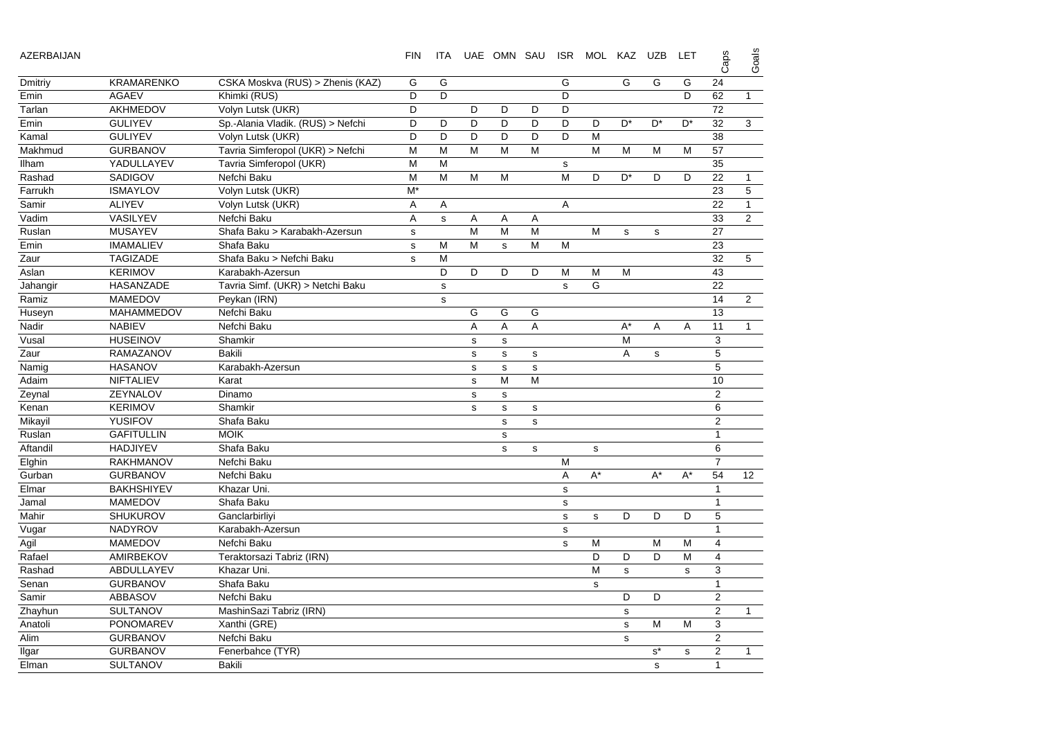| AZERBAIJAN |                   |                                   | <b>FIN</b> | ITA         |             | UAE OMN SAU  |             |             | ISR MOL KAZ UZB |             |                | LET            | Caps           | Goals            |
|------------|-------------------|-----------------------------------|------------|-------------|-------------|--------------|-------------|-------------|-----------------|-------------|----------------|----------------|----------------|------------------|
| Dmitriy    | <b>KRAMARENKO</b> | CSKA Moskva (RUS) > Zhenis (KAZ)  | G          | G           |             |              |             | G           |                 | G           | G              | G              | 24             |                  |
| Emin       | <b>AGAEV</b>      | Khimki (RUS)                      | D          | D           |             |              |             | D           |                 |             |                | D              | 62             | $\mathbf{1}$     |
| Tarlan     | AKHMEDOV          | Volyn Lutsk (UKR)                 | D          |             | D           | D            | D           | D           |                 |             |                |                | 72             |                  |
| Emin       | <b>GULIYEV</b>    | Sp.-Alania Vladik. (RUS) > Nefchi | D          | D           | D           | D            | D           | D           | D               | $D^*$       | D <sup>*</sup> | D <sup>*</sup> | 32             | 3                |
| Kamal      | <b>GULIYEV</b>    | Volyn Lutsk (UKR)                 | D          | D           | D           | D            | D           | D           | M               |             |                |                | 38             |                  |
| Makhmud    | <b>GURBANOV</b>   | Tavria Simferopol (UKR) > Nefchi  | М          | M           | M           | M            | M           |             | M               | M           | M              | м              | 57             |                  |
| llham      | YADULLAYEV        | Tavria Simferopol (UKR)           | M          | M           |             |              |             | s           |                 |             |                |                | 35             |                  |
| Rashad     | SADIGOV           | Nefchi Baku                       | M          | M           | M           | M            |             | M           | D               | $D^*$       | D              | D              | 22             | $\mathbf{1}$     |
| Farrukh    | <b>ISMAYLOV</b>   | Volyn Lutsk (UKR)                 | $M^*$      |             |             |              |             |             |                 |             |                |                | 23             | 5                |
| Samir      | <b>ALIYEV</b>     | Volyn Lutsk (UKR)                 | Α          | Α           |             |              |             | Α           |                 |             |                |                | 22             | $\mathbf{1}$     |
| Vadim      | VASILYEV          | Nefchi Baku                       | Α          | $\mathbf s$ | Α           | Α            | Α           |             |                 |             |                |                | 33             | $\overline{2}$   |
| Ruslan     | <b>MUSAYEV</b>    | Shafa Baku > Karabakh-Azersun     | ${\tt S}$  |             | M           | M            | M           |             | M               | $\mathbf s$ | $\mathbf s$    |                | 27             |                  |
| Emin       | <b>IMAMALIEV</b>  | Shafa Baku                        | s          | м           | M           | s            | M           | M           |                 |             |                |                | 23             |                  |
| Zaur       | <b>TAGIZADE</b>   | Shafa Baku > Nefchi Baku          | s          | M           |             |              |             |             |                 |             |                |                | 32             | 5                |
| Aslan      | <b>KERIMOV</b>    | Karabakh-Azersun                  |            | D           | D           | D            | D           | м           | M               | M           |                |                | 43             |                  |
| Jahangir   | <b>HASANZADE</b>  | Tavria Simf. (UKR) > Netchi Baku  |            | s           |             |              |             | s           | G               |             |                |                | 22             |                  |
| Ramiz      | <b>MAMEDOV</b>    | Peykan (IRN)                      |            | s           |             |              |             |             |                 |             |                |                | 14             | $\overline{c}$   |
| Huseyn     | <b>MAHAMMEDOV</b> | Nefchi Baku                       |            |             | G           | G            | G           |             |                 |             |                |                | 13             |                  |
| Nadir      | <b>NABIEV</b>     | Nefchi Baku                       |            |             | Α           | Α            | Α           |             |                 | $A^*$       | Α              | A              | 11             | $\mathbf{1}$     |
| Vusal      | <b>HUSEINOV</b>   | Shamkir                           |            |             | s           | $\mathbf s$  |             |             |                 | M           |                |                | 3              |                  |
| Zaur       | RAMAZANOV         | <b>Bakili</b>                     |            |             | s           | s            | s           |             |                 | Α           | s              |                | $\mathbf 5$    |                  |
| Namig      | <b>HASANOV</b>    | Karabakh-Azersun                  |            |             | $\mathbf s$ | s            | $\mathbf S$ |             |                 |             |                |                | 5              |                  |
| Adaim      | NIFTALIEV         | Karat                             |            |             | s           | M            | M           |             |                 |             |                |                | 10             |                  |
| Zeynal     | ZEYNALOV          | Dinamo                            |            |             | s           | $\mathsf{s}$ |             |             |                 |             |                |                | 2              |                  |
| Kenan      | <b>KERIMOV</b>    | Shamkir                           |            |             | s           | $\mathsf{s}$ | s           |             |                 |             |                |                | 6              |                  |
| Mikayil    | YUSIFOV           | Shafa Baku                        |            |             |             | s            | s           |             |                 |             |                |                | $\overline{2}$ |                  |
| Ruslan     | <b>GAFITULLIN</b> | <b>MOIK</b>                       |            |             |             | $\mathsf{s}$ |             |             |                 |             |                |                | $\mathbf{1}$   |                  |
| Aftandil   | <b>HADJIYEV</b>   | Shafa Baku                        |            |             |             | s            | s           |             | s               |             |                |                | 6              |                  |
| Elghin     | <b>RAKHMANOV</b>  | Nefchi Baku                       |            |             |             |              |             | м           |                 |             |                |                | $\overline{7}$ |                  |
| Gurban     | <b>GURBANOV</b>   | Nefchi Baku                       |            |             |             |              |             | A           | $A^*$           |             | $A^*$          | $A^*$          | 54             | 12 <sup>12</sup> |
| Elmar      | <b>BAKHSHIYEV</b> | Khazar Uni.                       |            |             |             |              |             | $\mathbf S$ |                 |             |                |                | $\mathbf{1}$   |                  |
| Jamal      | <b>MAMEDOV</b>    | Shafa Baku                        |            |             |             |              |             | $\mathbf S$ |                 |             |                |                | $\mathbf{1}$   |                  |
| Mahir      | SHUKUROV          | Ganclarbirliyi                    |            |             |             |              |             | $\mathbf s$ | $\mathbf s$     | D           | D              | D              | 5              |                  |
| Vugar      | <b>NADYROV</b>    | Karabakh-Azersun                  |            |             |             |              |             | s           |                 |             |                |                | $\mathbf{1}$   |                  |
| Agil       | <b>MAMEDOV</b>    | Nefchi Baku                       |            |             |             |              |             | $\mathbf s$ | M               |             | M              | м              | $\overline{4}$ |                  |
| Rafael     | AMIRBEKOV         | Teraktorsazi Tabriz (IRN)         |            |             |             |              |             |             | D               | D           | D              | M              | $\overline{4}$ |                  |
| Rashad     | ABDULLAYEV        | Khazar Uni.                       |            |             |             |              |             |             | M               | $\mathbf s$ |                | s              | 3              |                  |
| Senan      | <b>GURBANOV</b>   | Shafa Baku                        |            |             |             |              |             |             | s               |             |                |                | $\mathbf{1}$   |                  |
| Samir      | <b>ABBASOV</b>    | Nefchi Baku                       |            |             |             |              |             |             |                 | D           | D              |                | 2              |                  |
| Zhayhun    | <b>SULTANOV</b>   | MashinSazi Tabriz (IRN)           |            |             |             |              |             |             |                 | $\mathbf s$ |                |                | $\overline{2}$ | $\mathbf{1}$     |
| Anatoli    | <b>PONOMAREV</b>  | Xanthi (GRE)                      |            |             |             |              |             |             |                 | s           | M              | м              | 3              |                  |
| Alim       | <b>GURBANOV</b>   | Nefchi Baku                       |            |             |             |              |             |             |                 | ${\tt S}$   |                |                | 2              |                  |
| Ilgar      | <b>GURBANOV</b>   | Fenerbahce (TYR)                  |            |             |             |              |             |             |                 |             | $s^*$          | s              | $\overline{2}$ | $\mathbf{1}$     |
| Flman      | SUI TANOV         | <b>Bakili</b>                     |            |             |             |              |             |             |                 |             | S.             |                | $\mathbf{1}$   |                  |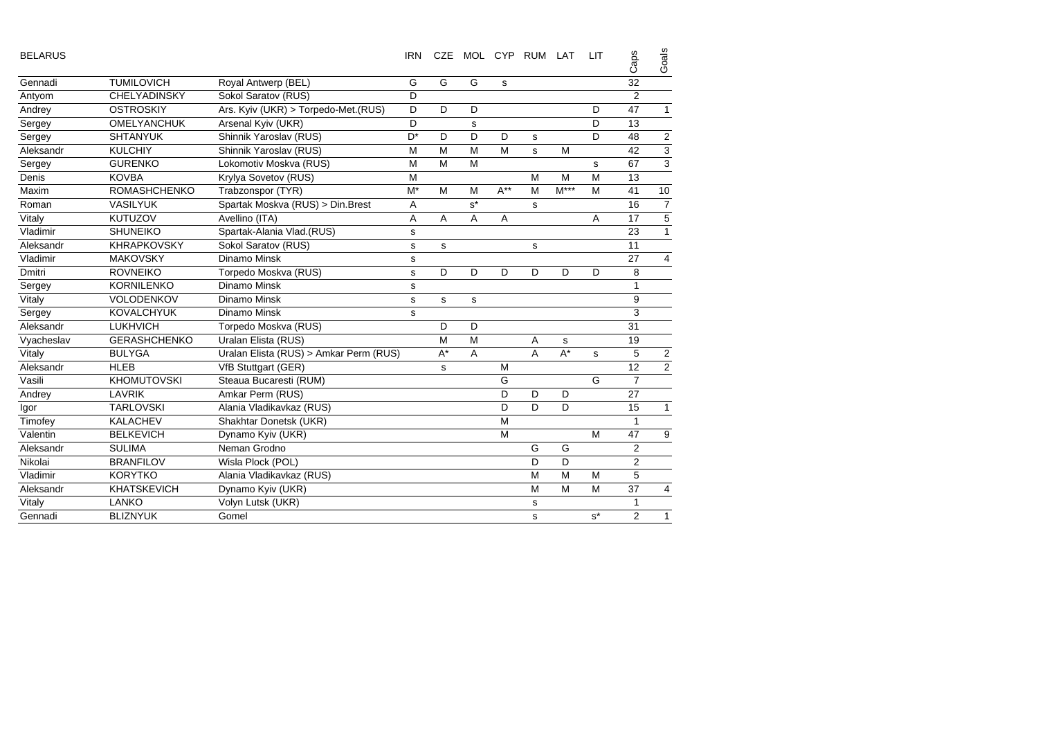| <b>BELARUS</b> |                     |                                        | <b>IRN</b> | <b>CZE</b> | MOL CYP RUM LAT |          |   |        | <b>LIT</b>  | Caps           | Goals          |
|----------------|---------------------|----------------------------------------|------------|------------|-----------------|----------|---|--------|-------------|----------------|----------------|
| Gennadi        | <b>TUMILOVICH</b>   | Royal Antwerp (BEL)                    | G          | G          | G               | S        |   |        |             | 32             |                |
| Antyom         | <b>CHELYADINSKY</b> | Sokol Saratov (RUS)                    | D          |            |                 |          |   |        |             | 2              |                |
| Andrey         | <b>OSTROSKIY</b>    | Ars. Kyiv (UKR) > Torpedo-Met. (RUS)   | D          | D          | D               |          |   |        | D           | 47             | $\mathbf{1}$   |
| Sergey         | OMELYANCHUK         | Arsenal Kyiv (UKR)                     | D          |            | s               |          |   |        | D           | 13             |                |
| Sergey         | <b>SHTANYUK</b>     | Shinnik Yaroslav (RUS)                 | $D^*$      | D          | D               | D        | s |        | D           | 48             | $\overline{2}$ |
| Aleksandr      | <b>KULCHIY</b>      | Shinnik Yaroslav (RUS)                 | M          | M          | M               | M        | s | M      |             | 42             | $\overline{3}$ |
| Sergey         | <b>GURENKO</b>      | Lokomotiv Moskva (RUS)                 | M          | M          | M               |          |   |        | s           | 67             | $\overline{3}$ |
| Denis          | <b>KOVBA</b>        | Krylya Sovetov (RUS)                   | M          |            |                 |          | M | M      | M           | 13             |                |
| Maxim          | <b>ROMASHCHENKO</b> | Trabzonspor (TYR)                      | $M^*$      | M          | M               | $A^{**}$ | M | $M***$ | M           | 41             | 10             |
| Roman          | <b>VASILYUK</b>     | Spartak Moskva (RUS) > Din.Brest       | A          |            | $s^*$           |          | s |        |             | 16             | $\overline{7}$ |
| Vitaly         | <b>KUTUZOV</b>      | Avellino (ITA)                         | Α          | A          | Α               | Α        |   |        | Α           | 17             | 5              |
| Vladimir       | <b>SHUNEIKO</b>     | Spartak-Alania Vlad.(RUS)              | s          |            |                 |          |   |        |             | 23             | $\mathbf{1}$   |
| Aleksandr      | <b>KHRAPKOVSKY</b>  | Sokol Saratov (RUS)                    | s          | s          |                 |          | s |        |             | 11             |                |
| Vladimir       | <b>MAKOVSKY</b>     | Dinamo Minsk                           | s          |            |                 |          |   |        |             | 27             | 4              |
| <b>Dmitri</b>  | <b>ROVNEIKO</b>     | Torpedo Moskva (RUS)                   | s          | D          | D               | D        | D | D      | D           | 8              |                |
| Sergey         | <b>KORNILENKO</b>   | Dinamo Minsk                           | s          |            |                 |          |   |        |             | $\mathbf{1}$   |                |
| Vitaly         | <b>VOLODENKOV</b>   | Dinamo Minsk                           | s          | s          | s               |          |   |        |             | 9              |                |
| Sergey         | <b>KOVALCHYUK</b>   | Dinamo Minsk                           | s          |            |                 |          |   |        |             | 3              |                |
| Aleksandr      | <b>LUKHVICH</b>     | Torpedo Moskva (RUS)                   |            | D          | D               |          |   |        |             | 31             |                |
| Vyacheslav     | <b>GERASHCHENKO</b> | Uralan Elista (RUS)                    |            | M          | M               |          | Α | s      |             | 19             |                |
| Vitaly         | <b>BULYGA</b>       | Uralan Elista (RUS) > Amkar Perm (RUS) |            | $A^*$      | Α               |          | A | $A^*$  | $\mathbf s$ | 5              | $\overline{c}$ |
| Aleksandr      | <b>HLEB</b>         | VfB Stuttgart (GER)                    |            | s          |                 | M        |   |        |             | 12             | $\overline{2}$ |
| Vasili         | <b>KHOMUTOVSKI</b>  | Steaua Bucaresti (RUM)                 |            |            |                 | G        |   |        | G           | $\overline{7}$ |                |
| Andrey         | <b>LAVRIK</b>       | Amkar Perm (RUS)                       |            |            |                 | D        | D | D      |             | 27             |                |
| Igor           | <b>TARLOVSKI</b>    | Alania Vladikavkaz (RUS)               |            |            |                 | D        | D | D      |             | 15             | $\mathbf{1}$   |
| Timofey        | <b>KALACHEV</b>     | Shakhtar Donetsk (UKR)                 |            |            |                 | M        |   |        |             | $\mathbf{1}$   |                |
| Valentin       | <b>BELKEVICH</b>    | Dynamo Kyiv (UKR)                      |            |            |                 | M        |   |        | M           | 47             | 9              |
| Aleksandr      | <b>SULIMA</b>       | Neman Grodno                           |            |            |                 |          | G | G      |             | 2              |                |
| Nikolai        | <b>BRANFILOV</b>    | Wisla Plock (POL)                      |            |            |                 |          | D | D      |             | $\overline{2}$ |                |
| Vladimir       | <b>KORYTKO</b>      | Alania Vladikavkaz (RUS)               |            |            |                 |          | M | M      | M           | 5              |                |
| Aleksandr      | <b>KHATSKEVICH</b>  | Dynamo Kyiv (UKR)                      |            |            |                 |          | M | M      | M           | 37             | 4              |
| Vitaly         | <b>LANKO</b>        | Volyn Lutsk (UKR)                      |            |            |                 |          | s |        |             | 1              |                |
| Gennadi        | <b>BLIZNYUK</b>     | Gomel                                  |            |            |                 |          | s |        | $s^*$       | $\overline{2}$ | $\mathbf{1}$   |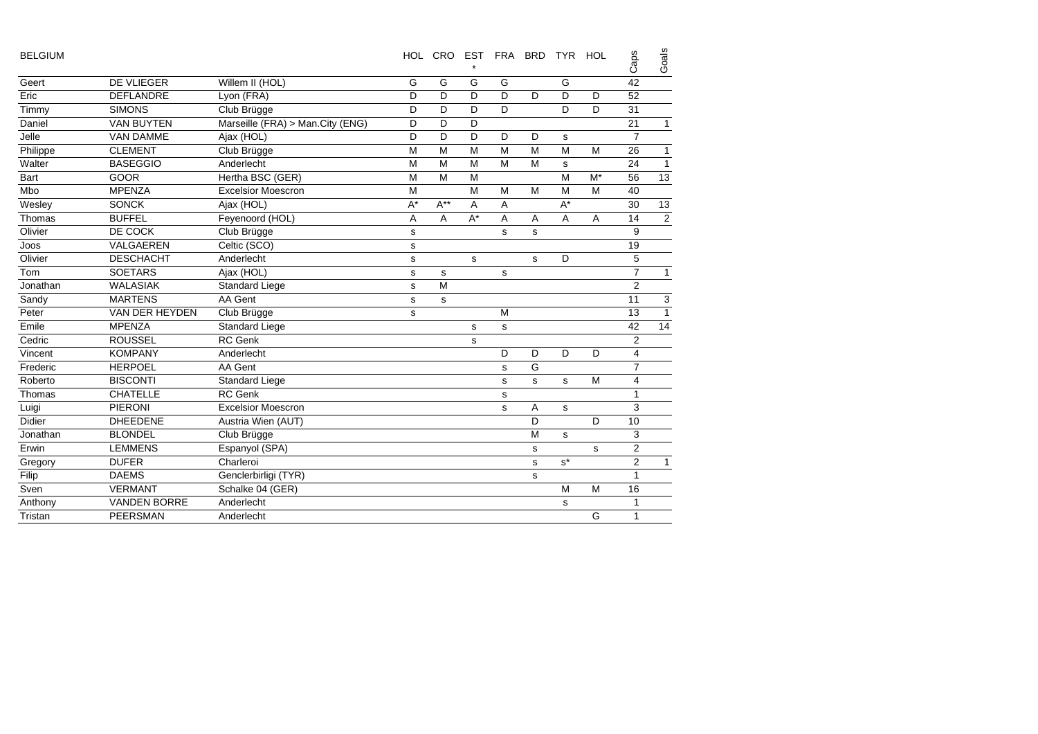| <b>BELGIUM</b> |                     |                                  | <b>HOL</b>  | CRO EST  |       | FRA BRD     |   | <b>TYR</b>  | HOL | Caps           | Goals          |
|----------------|---------------------|----------------------------------|-------------|----------|-------|-------------|---|-------------|-----|----------------|----------------|
| Geert          | DE VLIEGER          | Willem II (HOL)                  | G           | G        | G     | G           |   | G           |     | 42             |                |
| Eric           | <b>DEFLANDRE</b>    | Lyon (FRA)                       | D           | D        | D     | D           | D | D           | D   | 52             |                |
| Timmy          | <b>SIMONS</b>       | Club Brügge                      | D           | D        | D     | D           |   | D           | D   | 31             |                |
| Daniel         | <b>VAN BUYTEN</b>   | Marseille (FRA) > Man.City (ENG) | D           | D        | D     |             |   |             |     | 21             | $\mathbf{1}$   |
| Jelle          | <b>VAN DAMME</b>    | Ajax (HOL)                       | D           | D        | D     | D           | D | s           |     | $\overline{7}$ |                |
| Philippe       | <b>CLEMENT</b>      | Club Brügge                      | M           | M        | M     | M           | M | M           | M   | 26             | 1              |
| Walter         | <b>BASEGGIO</b>     | Anderlecht                       | M           | M        | M     | M           | M | $\mathbf s$ |     | 24             | $\mathbf{1}$   |
| Bart           | <b>GOOR</b>         | Hertha BSC (GER)                 | M           | M        | M     |             |   | M           | M*  | 56             | 13             |
| Mbo            | <b>MPENZA</b>       | <b>Excelsior Moescron</b>        | M           |          | M     | M           | M | M           | M   | 40             |                |
| Wesley         | <b>SONCK</b>        | Ajax (HOL)                       | $A^*$       | $A^{**}$ | Α     | Α           |   | $A^*$       |     | 30             | 13             |
| Thomas         | <b>BUFFEL</b>       | Feyenoord (HOL)                  | A           | A        | $A^*$ | A           | A | A           | A   | 14             | $\overline{2}$ |
| Olivier        | DE COCK             | Club Brügge                      | s           |          |       | S           | s |             |     | 9              |                |
| Joos           | VALGAEREN           | Celtic (SCO)                     | s           |          |       |             |   |             |     | 19             |                |
| Olivier        | <b>DESCHACHT</b>    | Anderlecht                       | $\mathbf s$ |          | s     |             | s | D           |     | 5              |                |
| Tom            | <b>SOETARS</b>      | Ajax (HOL)                       | s           | s        |       | s           |   |             |     | $\overline{7}$ | $\mathbf{1}$   |
| Jonathan       | <b>WALASIAK</b>     | Standard Liege                   | s           | M        |       |             |   |             |     | $\overline{2}$ |                |
| Sandy          | <b>MARTENS</b>      | AA Gent                          | s           | s        |       |             |   |             |     | 11             | 3              |
| Peter          | VAN DER HEYDEN      | Club Brügge                      | s           |          |       | M           |   |             |     | 13             | $\mathbf{1}$   |
| Emile          | <b>MPENZA</b>       | <b>Standard Liege</b>            |             |          | s     | $\mathbf s$ |   |             |     | 42             | 14             |
| Cedric         | <b>ROUSSEL</b>      | <b>RC</b> Genk                   |             |          | s     |             |   |             |     | $\overline{2}$ |                |
| Vincent        | <b>KOMPANY</b>      | Anderlecht                       |             |          |       | D           | D | D           | D   | 4              |                |
| Frederic       | <b>HERPOEL</b>      | AA Gent                          |             |          |       | s           | G |             |     | $\overline{7}$ |                |
| Roberto        | <b>BISCONTI</b>     | <b>Standard Liege</b>            |             |          |       | s           | s | s           | M   | 4              |                |
| Thomas         | <b>CHATELLE</b>     | <b>RC</b> Genk                   |             |          |       | $\mathbf s$ |   |             |     | 1              |                |
| Luigi          | <b>PIERONI</b>      | <b>Excelsior Moescron</b>        |             |          |       | s           | Α | $\mathbf s$ |     | 3              |                |
| Didier         | <b>DHEEDENE</b>     | Austria Wien (AUT)               |             |          |       |             | D |             | D   | 10             |                |
| Jonathan       | <b>BLONDEL</b>      | Club Brügge                      |             |          |       |             | M | s           |     | 3              |                |
| Erwin          | <b>LEMMENS</b>      | Espanyol (SPA)                   |             |          |       |             | s |             | s   | $\overline{2}$ |                |
| Gregory        | <b>DUFER</b>        | Charleroi                        |             |          |       |             | s | $s^*$       |     | $\overline{2}$ | $\mathbf{1}$   |
| Filip          | <b>DAEMS</b>        | Genclerbirligi (TYR)             |             |          |       |             | s |             |     | 1              |                |
| Sven           | <b>VERMANT</b>      | Schalke 04 (GER)                 |             |          |       |             |   | M           | M   | 16             |                |
| Anthony        | <b>VANDEN BORRE</b> | Anderlecht                       |             |          |       |             |   | s           |     | 1              |                |
| Tristan        | <b>PEERSMAN</b>     | Anderlecht                       |             |          |       |             |   |             | G   | $\mathbf{1}$   |                |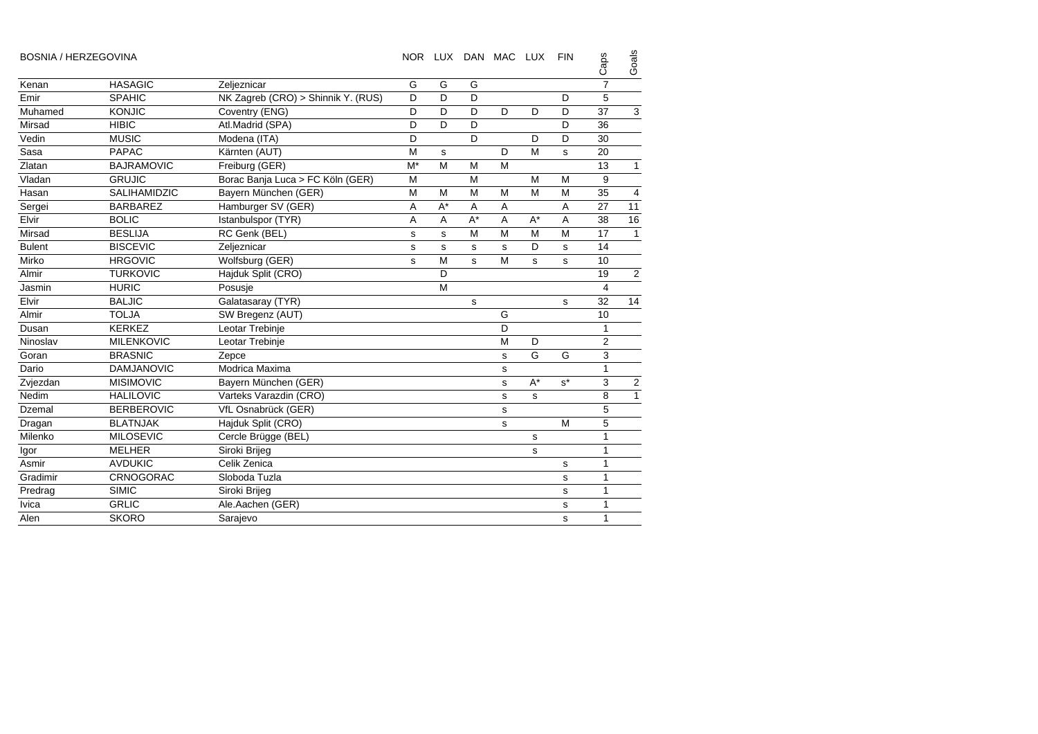| <b>BOSNIA / HERZEGOVINA</b> |                     |                                    |             |       |       | NOR LUX DAN MAC LUX |       | <b>FIN</b> | Caps                    | Goals          |
|-----------------------------|---------------------|------------------------------------|-------------|-------|-------|---------------------|-------|------------|-------------------------|----------------|
| Kenan                       | <b>HASAGIC</b>      | Zeljeznicar                        | G           | G     | G     |                     |       |            | $\overline{7}$          |                |
| Emir                        | <b>SPAHIC</b>       | NK Zagreb (CRO) > Shinnik Y. (RUS) | D           | D     | D     |                     |       | D          | 5                       |                |
| Muhamed                     | <b>KONJIC</b>       | Coventry (ENG)                     | D           | D     | D     | D                   | D     | D          | 37                      | $\sqrt{3}$     |
| Mirsad                      | <b>HIBIC</b>        | Atl.Madrid (SPA)                   | D           | D     | D     |                     |       | D          | 36                      |                |
| Vedin                       | <b>MUSIC</b>        | Modena (ITA)                       | D           |       | D     |                     | D     | D          | 30                      |                |
| Sasa                        | <b>PAPAC</b>        | Kärnten (AUT)                      | M           | s     |       | D                   | M     | s          | 20                      |                |
| Zlatan                      | <b>BAJRAMOVIC</b>   | Freiburg (GER)                     | $M^*$       | M     | M     | M                   |       |            | 13                      | $\mathbf{1}$   |
| Vladan                      | <b>GRUJIC</b>       | Borac Banja Luca > FC Köln (GER)   | M           |       | M     |                     | M     | M          | 9                       |                |
| Hasan                       | <b>SALIHAMIDZIC</b> | Bayern München (GER)               | M           | M     | M     | M                   | M     | M          | 35                      | 4              |
| Sergei                      | <b>BARBAREZ</b>     | Hamburger SV (GER)                 | A           | $A^*$ | A     | A                   |       | A          | 27                      | 11             |
| Elvir                       | <b>BOLIC</b>        | Istanbulspor (TYR)                 | Α           | A     | $A^*$ | A                   | $A^*$ | Α          | 38                      | 16             |
| Mirsad                      | <b>BESLIJA</b>      | RC Genk (BEL)                      | s           | s     | M     | M                   | M     | M          | 17                      | $\overline{1}$ |
| <b>Bulent</b>               | <b>BISCEVIC</b>     | Zeljeznicar                        | $\mathbf s$ | s     | s     | $\mathbf s$         | D     | s          | 14                      |                |
| Mirko                       | <b>HRGOVIC</b>      | Wolfsburg (GER)                    | s           | M     | s     | M                   | s     | s          | 10                      |                |
| Almir                       | <b>TURKOVIC</b>     | Hajduk Split (CRO)                 |             | D     |       |                     |       |            | 19                      | $\overline{2}$ |
| Jasmin                      | <b>HURIC</b>        | Posusje                            |             | M     |       |                     |       |            | $\overline{\mathbf{4}}$ |                |
| Elvir                       | <b>BALJIC</b>       | Galatasaray (TYR)                  |             |       | s     |                     |       | s          | 32                      | 14             |
| Almir                       | <b>TOLJA</b>        | SW Bregenz (AUT)                   |             |       |       | G                   |       |            | 10                      |                |
| Dusan                       | <b>KERKEZ</b>       | Leotar Trebinje                    |             |       |       | D                   |       |            | $\mathbf{1}$            |                |
| Ninoslav                    | <b>MILENKOVIC</b>   | Leotar Trebinje                    |             |       |       | M                   | D     |            | $\overline{2}$          |                |
| Goran                       | <b>BRASNIC</b>      | Zepce                              |             |       |       | s                   | G     | G          | 3                       |                |
| Dario                       | <b>DAMJANOVIC</b>   | Modrica Maxima                     |             |       |       | s                   |       |            | $\mathbf{1}$            |                |
| Zvjezdan                    | <b>MISIMOVIC</b>    | Bayern München (GER)               |             |       |       | s                   | $A^*$ | $s^*$      | 3                       | $\sqrt{2}$     |
| Nedim                       | <b>HALILOVIC</b>    | Varteks Varazdin (CRO)             |             |       |       | s                   | s     |            | 8                       | $\mathbf{1}$   |
| Dzemal                      | <b>BERBEROVIC</b>   | VfL Osnabrück (GER)                |             |       |       | $\mathbf s$         |       |            | 5                       |                |
| Dragan                      | <b>BLATNJAK</b>     | Hajduk Split (CRO)                 |             |       |       | s                   |       | M          | 5                       |                |
| Milenko                     | <b>MILOSEVIC</b>    | Cercle Brügge (BEL)                |             |       |       |                     | s     |            | 1                       |                |
| Igor                        | <b>MELHER</b>       | Siroki Brijeg                      |             |       |       |                     | s     |            | $\mathbf{1}$            |                |
| Asmir                       | <b>AVDUKIC</b>      | Celik Zenica                       |             |       |       |                     |       | s          | $\mathbf{1}$            |                |
| Gradimir                    | CRNOGORAC           | Sloboda Tuzla                      |             |       |       |                     |       | s          | $\mathbf{1}$            |                |
| Predrag                     | <b>SIMIC</b>        | Siroki Brijeg                      |             |       |       |                     |       | s          | $\mathbf{1}$            |                |
| <b>lvica</b>                | <b>GRLIC</b>        | Ale.Aachen (GER)                   |             |       |       |                     |       | s          | $\mathbf{1}$            |                |
| Alen                        | <b>SKORO</b>        | Sarajevo                           |             |       |       |                     |       | s          | $\mathbf{1}$            |                |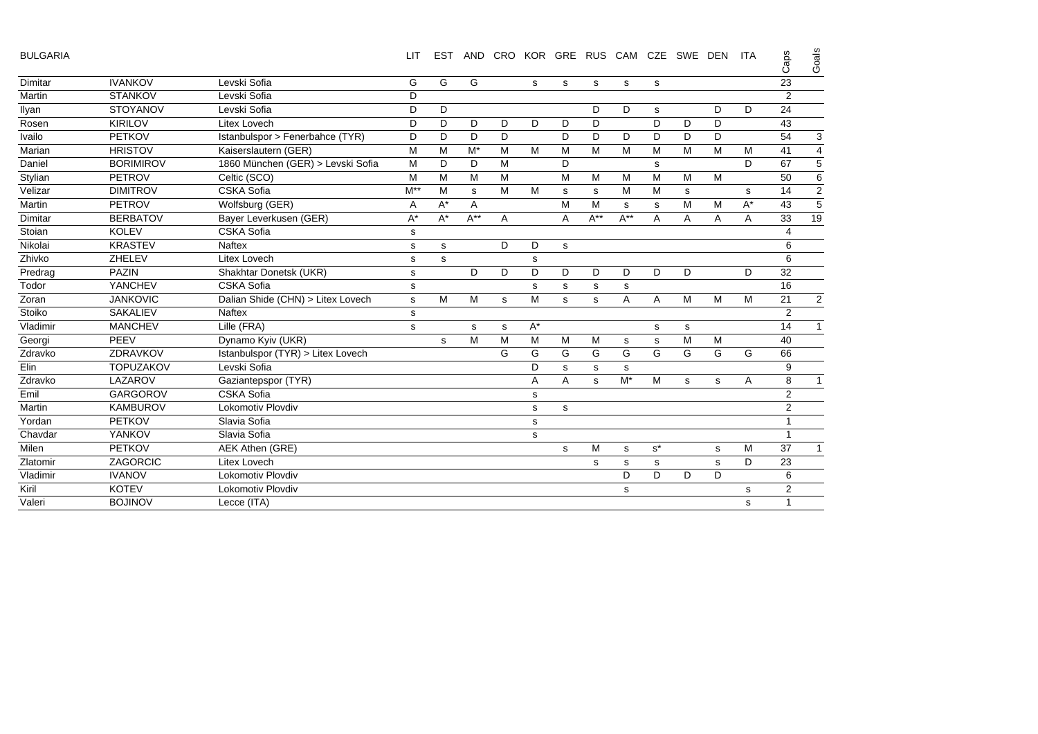| <b>BULGARIA</b> |  |
|-----------------|--|
|-----------------|--|

| -- |  |
|----|--|
| o  |  |
| π  |  |

| <b>BULGARIA</b> |                  |                                   | <b>LIT</b>           | <b>EST</b> |          | AND CRO |       | KOR GRE RUS |          | CAM         | <b>CZE</b>  | SWE DEN |   | <b>ITA</b> | Caps                    | Goals                     |
|-----------------|------------------|-----------------------------------|----------------------|------------|----------|---------|-------|-------------|----------|-------------|-------------|---------|---|------------|-------------------------|---------------------------|
| Dimitar         | <b>IVANKOV</b>   | Levski Sofia                      | G                    | G          | G        |         | s     | s           | s        | $\mathbf s$ | s           |         |   |            | 23                      |                           |
| Martin          | <b>STANKOV</b>   | Levski Sofia                      | D                    |            |          |         |       |             |          |             |             |         |   |            | $\overline{2}$          |                           |
| Ilyan           | <b>STOYANOV</b>  | Levski Sofia                      | D                    | D          |          |         |       |             | D        | D           | s           |         | D | D          | 24                      |                           |
| Rosen           | <b>KIRILOV</b>   | <b>Litex Lovech</b>               | D                    | D          | D        | D       | D     | D           | D        |             | D           | D       | D |            | 43                      |                           |
| Ivailo          | <b>PETKOV</b>    | Istanbulspor > Fenerbahce (TYR)   | D                    | D          | D        | D       |       | D           | D        | D           | D           | D       | D |            | 54                      | $\ensuremath{\mathsf{3}}$ |
| Marian          | <b>HRISTOV</b>   | Kaiserslautern (GER)              | M                    | M          | M*       | М       | M     | M           | M        | м           | м           | м       | м | M          | 41                      | $\overline{\mathbf{4}}$   |
| Daniel          | <b>BORIMIROV</b> | 1860 München (GER) > Levski Sofia | M                    | D          | D        | M       |       | D           |          |             | s           |         |   | D          | 67                      | 5                         |
| Stylian         | <b>PETROV</b>    | Celtic (SCO)                      | M                    | M          | M        | M       |       | M           | M        | M           | M           | M       | M |            | 50                      | 6                         |
| Velizar         | <b>DIMITROV</b>  | <b>CSKA Sofia</b>                 | $M^{**}$             | M          | s        | M       | M     | s           | s        | M           | M           | s       |   | s          | 14                      | $\overline{2}$            |
| Martin          | <b>PETROV</b>    | Wolfsburg (GER)                   | A                    | $A^*$      | A        |         |       | M           | M        | s           | s           | M       | M | $A^*$      | 43                      | $\overline{5}$            |
| Dimitar         | <b>BERBATOV</b>  | Bayer Leverkusen (GER)            | $\mathsf{A}^{\star}$ | $A^*$      | $A^{**}$ | A       |       | A           | $A^{**}$ | $A^{**}$    | A           | A       | A | A          | 33                      | 19                        |
| Stoian          | <b>KOLEV</b>     | <b>CSKA Sofia</b>                 | s                    |            |          |         |       |             |          |             |             |         |   |            | $\overline{\mathbf{4}}$ |                           |
| Nikolai         | <b>KRASTEV</b>   | <b>Naftex</b>                     | s                    | s          |          | D       | D     | s           |          |             |             |         |   |            | 6                       |                           |
| Zhivko          | ZHELEV           | <b>Litex Lovech</b>               | s                    | s          |          |         | s     |             |          |             |             |         |   |            | 6                       |                           |
| Predrag         | <b>PAZIN</b>     | Shakhtar Donetsk (UKR)            | $\mathbf s$          |            | D        | D       | D     | D           | D        | D           | D           | D       |   | D          | 32                      |                           |
| Todor           | YANCHEV          | <b>CSKA Sofia</b>                 | $\mathbf s$          |            |          |         | s     | s           | s        | s           |             |         |   |            | 16                      |                           |
| Zoran           | <b>JANKOVIC</b>  | Dalian Shide (CHN) > Litex Lovech | s                    | M          | M        | s       | M     | s           | s        | A           | A           | M       | M | M          | 21                      | $\overline{2}$            |
| Stoiko          | <b>SAKALIEV</b>  | <b>Naftex</b>                     | s                    |            |          |         |       |             |          |             |             |         |   |            | 2                       |                           |
| Vladimir        | <b>MANCHEV</b>   | Lille (FRA)                       | s                    |            | s        | s       | $A^*$ |             |          |             | s           | s       |   |            | 14                      | 1                         |
| Georgi          | PEEV             | Dynamo Kyiv (UKR)                 |                      | s          | M        | M       | M     | M           | M        | s           | $\mathbf s$ | M       | M |            | 40                      |                           |
| Zdravko         | ZDRAVKOV         | Istanbulspor (TYR) > Litex Lovech |                      |            |          | G       | G     | G           | G        | G           | G           | G       | G | G          | 66                      |                           |
| Elin            | <b>TOPUZAKOV</b> | Levski Sofia                      |                      |            |          |         | D     | s           | s        | s           |             |         |   |            | 9                       |                           |
| Zdravko         | LAZAROV          | Gaziantepspor (TYR)               |                      |            |          |         | A     | A           | s        | $M^*$       | M           | s       | s | Α          | 8                       | $\mathbf{1}$              |
| Emil            | <b>GARGOROV</b>  | <b>CSKA Sofia</b>                 |                      |            |          |         | s     |             |          |             |             |         |   |            | 2                       |                           |
| Martin          | <b>KAMBUROV</b>  | Lokomotiv Plovdiv                 |                      |            |          |         | s     | s           |          |             |             |         |   |            | $\overline{2}$          |                           |
| Yordan          | <b>PETKOV</b>    | Slavia Sofia                      |                      |            |          |         | s     |             |          |             |             |         |   |            |                         |                           |
| Chavdar         | YANKOV           | Slavia Sofia                      |                      |            |          |         | s     |             |          |             |             |         |   |            | 1                       |                           |
| Milen           | <b>PETKOV</b>    | AEK Athen (GRE)                   |                      |            |          |         |       | s           | M        | $\mathbf s$ | $s^*$       |         | s | M          | 37                      | $\mathbf{1}$              |
| Zlatomir        | <b>ZAGORCIC</b>  | Litex Lovech                      |                      |            |          |         |       |             | s        | s           | s           |         | s | D          | 23                      |                           |
| Vladimir        | <b>IVANOV</b>    | Lokomotiv Plovdiv                 |                      |            |          |         |       |             |          | D           | D           | D       | D |            | 6                       |                           |
| Kiril           | <b>KOTEV</b>     | Lokomotiv Plovdiv                 |                      |            |          |         |       |             |          | s           |             |         |   | s          | 2                       |                           |
| Valeri          | <b>BOJINOV</b>   | Lecce (ITA)                       |                      |            |          |         |       |             |          |             |             |         |   | s          | $\overline{1}$          |                           |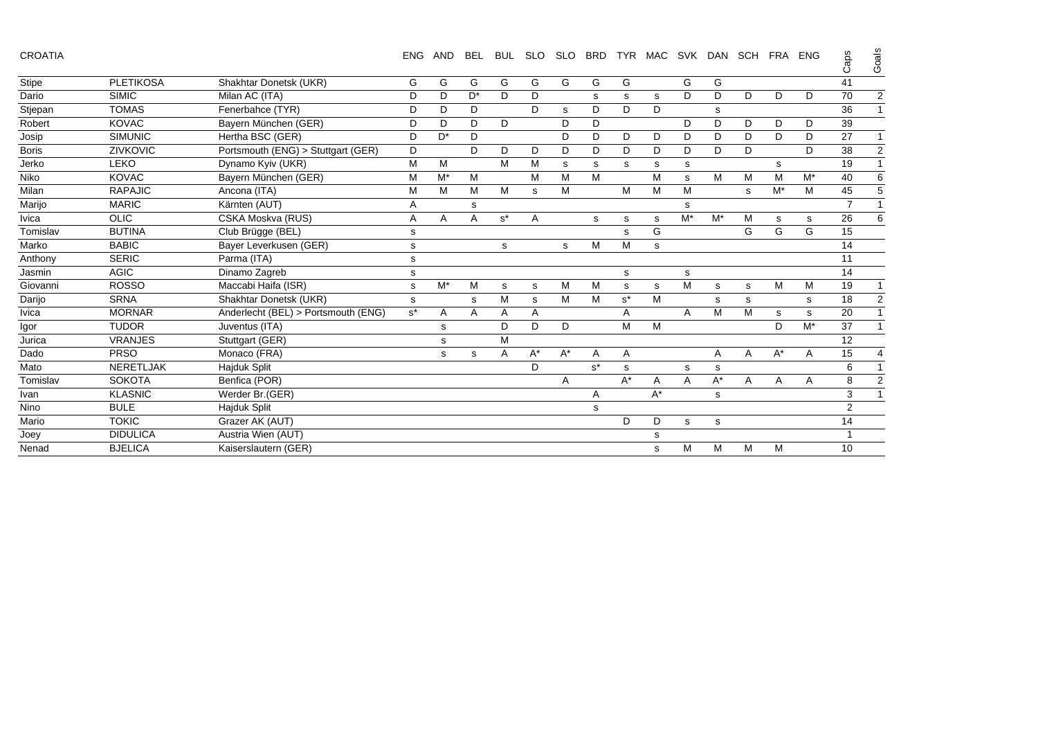| CROATIA |  |
|---------|--|
|---------|--|

| CROATIA      |                  |                                     | <b>ENG</b> | AND   | BEL            | <b>BUL</b> | <b>SLO</b> | SLO   | <b>BRD</b> |       | TYR MAC | SVK   | DAN   | SCH FRA ENG |       |       | Caps           | ၯ<br>Goai |
|--------------|------------------|-------------------------------------|------------|-------|----------------|------------|------------|-------|------------|-------|---------|-------|-------|-------------|-------|-------|----------------|-----------|
| <b>Stipe</b> | <b>PLETIKOSA</b> | Shakhtar Donetsk (UKR)              | G          | G     | G              | G          | G          | G     | G          | G     |         | G     | G     |             |       |       | 41             |           |
| Dario        | <b>SIMIC</b>     | Milan AC (ITA)                      | D          | D     | D <sup>*</sup> | D          | D          |       | s          | s     | s       | D     | D     | D           | D     | D     | 70             | 2         |
| Stjepan      | <b>TOMAS</b>     | Fenerbahce (TYR)                    | D          | D     | D              |            | D          | s     | D          | D     | D       |       | s     |             |       |       | 36             |           |
| Robert       | <b>KOVAC</b>     | Bayern München (GER)                | D          | D     | D              | D          |            | D     | D          |       |         | D     | D     | D           | D     | D     | 39             |           |
| Josip        | <b>SIMUNIC</b>   | Hertha BSC (GER)                    | D          | $D^*$ | D              |            |            | D     | D          | D     | D       | D     | D     | D           | D     | D     | 27             |           |
| <b>Boris</b> | ZIVKOVIC         | Portsmouth (ENG) > Stuttgart (GER)  | D          |       | D              | D          | D          | D     | D          | D     | D       | D     | D     | D           |       | D     | 38             |           |
| Jerko        | LEKO             | Dynamo Kyiv (UKR)                   | М          | M     |                | M          | M          | s     | s          | s     | s       | s     |       |             | s     |       | 19             |           |
| Niko         | <b>KOVAC</b>     | Bayern München (GER)                | М          | $M^*$ | м              |            | M          | M     | M          |       | M       | s     | м     | М           | M     | $M^*$ | 40             | 6         |
| Milan        | <b>RAPAJIC</b>   | Ancona (ITA)                        | М          | м     | M              | м          | s          | M     |            | M     | M       | M     |       | s           | $M^*$ | м     | 45             |           |
| Marijo       | <b>MARIC</b>     | Kärnten (AUT)                       | Α          |       | s              |            |            |       |            |       |         | s     |       |             |       |       | $\overline{7}$ |           |
| Ivica        | <b>OLIC</b>      | CSKA Moskva (RUS)                   | Α          | Α     | A              | $s^*$      | Α          |       | s          | s     | s       | $M^*$ | $M^*$ | М           | s     | s     | 26             | 6         |
| Tomislav     | <b>BUTINA</b>    | Club Brügge (BEL)                   | s          |       |                |            |            |       |            | s     | G       |       |       | G           | G     | G     | 15             |           |
| Marko        | <b>BABIC</b>     | Bayer Leverkusen (GER)              | s          |       |                | s          |            | s     | м          | M     | s       |       |       |             |       |       | 14             |           |
| Anthony      | <b>SERIC</b>     | Parma (ITA)                         | s          |       |                |            |            |       |            |       |         |       |       |             |       |       | 11             |           |
| Jasmin       | <b>AGIC</b>      | Dinamo Zagreb                       | s          |       |                |            |            |       |            | s     |         | s     |       |             |       |       | 14             |           |
| Giovanni     | <b>ROSSO</b>     | Maccabi Haifa (ISR)                 | s          | $M^*$ | M              | s          | s          | M     | M          | s     | s       | M     | s     | s           | M     | M     | 19             |           |
| Darijo       | <b>SRNA</b>      | Shakhtar Donetsk (UKR)              | s          |       | s              | M          | s          | M     | М          | $s^*$ | M       |       | s     | s           |       | s     | 18             | 2         |
| Ivica        | <b>MORNAR</b>    | Anderlecht (BEL) > Portsmouth (ENG) | $s^*$      | Α     | A              | Α          | A          |       |            | Α     |         | A     | M     | M           | s     | s     | 20             |           |
| lgor         | <b>TUDOR</b>     | Juventus (ITA)                      |            | s     |                | D          | D          | D     |            | M     | м       |       |       |             | D     | $M^*$ | 37             |           |
| Jurica       | <b>VRANJES</b>   | Stuttgart (GER)                     |            | s     |                | М          |            |       |            |       |         |       |       |             |       |       | 12             |           |
| Dado         | <b>PRSO</b>      | Monaco (FRA)                        |            | s     | s              | Α          | $A^*$      | $A^*$ | Α          | Α     |         |       | Α     | Α           | $A^*$ | A     | 15             |           |
| Mato         | <b>NERETLJAK</b> | <b>Hajduk Split</b>                 |            |       |                |            | D          |       | $s^*$      | s     |         | s     | s     |             |       |       | 6              |           |
| Tomislav     | <b>SOKOTA</b>    | Benfica (POR)                       |            |       |                |            |            | Α     |            | $A^*$ | Α       | Α     | $A^*$ | Α           | A     | Α     | 8              |           |
| Ivan         | <b>KLASNIC</b>   | Werder Br.(GER)                     |            |       |                |            |            |       | A          |       | $A^*$   |       | s     |             |       |       | 3              |           |
| Nino         | <b>BULE</b>      | Hajduk Split                        |            |       |                |            |            |       | s          |       |         |       |       |             |       |       | $\overline{2}$ |           |
| Mario        | <b>TOKIC</b>     | Grazer AK (AUT)                     |            |       |                |            |            |       |            | D     | D       | s     | s     |             |       |       | 14             |           |
| Joey         | <b>DIDULICA</b>  | Austria Wien (AUT)                  |            |       |                |            |            |       |            |       | s       |       |       |             |       |       |                |           |
| Nenad        | <b>BJELICA</b>   | Kaiserslautern (GER)                |            |       |                |            |            |       |            |       | s       | M     | M     | М           | M     |       | 10             |           |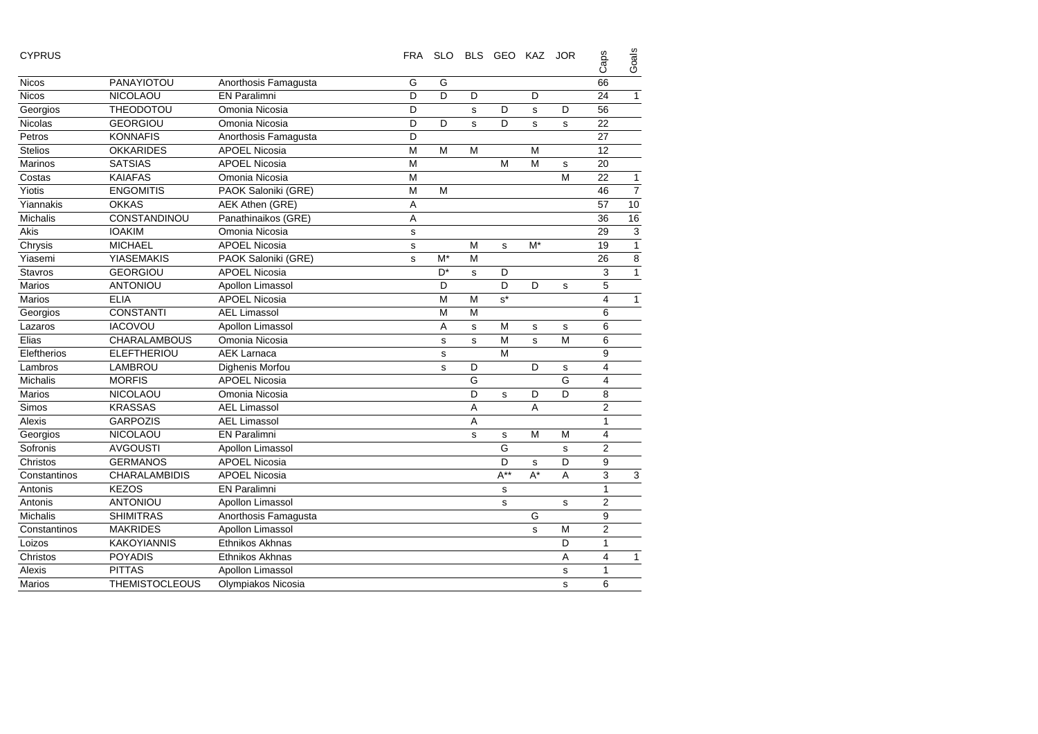| <b>CYPRUS</b>   |                       |                      | <b>FRA</b> |                |             | SLO BLS GEO KAZ |       | <b>JOR</b>  | Caps                    | Goals          |
|-----------------|-----------------------|----------------------|------------|----------------|-------------|-----------------|-------|-------------|-------------------------|----------------|
| <b>Nicos</b>    | PANAYIOTOU            | Anorthosis Famagusta | G          | G              |             |                 |       |             | 66                      |                |
| <b>Nicos</b>    | NICOLAOU              | <b>EN Paralimni</b>  | D          | D              | D           |                 | D     |             | 24                      | $\mathbf{1}$   |
| Georgios        | <b>THEODOTOU</b>      | Omonia Nicosia       | D          |                | s           | D               | s     | D           | 56                      |                |
| Nicolas         | <b>GEORGIOU</b>       | Omonia Nicosia       | D          | D              | s           | D               | s     | s           | 22                      |                |
| Petros          | <b>KONNAFIS</b>       | Anorthosis Famagusta | D          |                |             |                 |       |             | 27                      |                |
| <b>Stelios</b>  | <b>OKKARIDES</b>      | <b>APOEL Nicosia</b> | M          | M              | M           |                 | M     |             | 12                      |                |
| Marinos         | <b>SATSIAS</b>        | <b>APOEL Nicosia</b> | M          |                |             | M               | M     | $\mathbf s$ | 20                      |                |
| Costas          | <b>KAIAFAS</b>        | Omonia Nicosia       | M          |                |             |                 |       | M           | 22                      | $\mathbf{1}$   |
| Yiotis          | <b>ENGOMITIS</b>      | PAOK Saloniki (GRE)  | M          | M              |             |                 |       |             | 46                      | $\overline{7}$ |
| Yiannakis       | <b>OKKAS</b>          | AEK Athen (GRE)      | Α          |                |             |                 |       |             | 57                      | 10             |
| <b>Michalis</b> | CONSTANDINOU          | Panathinaikos (GRE)  | A          |                |             |                 |       |             | 36                      | 16             |
| Akis            | <b>IOAKIM</b>         | Omonia Nicosia       | s          |                |             |                 |       |             | 29                      | 3              |
| Chrysis         | <b>MICHAEL</b>        | <b>APOEL Nicosia</b> | s          |                | M           | s               | $M^*$ |             | 19                      | $\overline{1}$ |
| Yiasemi         | <b>YIASEMAKIS</b>     | PAOK Saloniki (GRE)  | s          | $M^*$          | M           |                 |       |             | 26                      | 8              |
| <b>Stavros</b>  | <b>GEORGIOU</b>       | <b>APOEL Nicosia</b> |            | D <sup>*</sup> | s           | D               |       |             | 3                       | $\overline{1}$ |
| <b>Marios</b>   | <b>ANTONIOU</b>       | Apollon Limassol     |            | D              |             | D               | D     | s           | 5                       |                |
| <b>Marios</b>   | <b>ELIA</b>           | <b>APOEL Nicosia</b> |            | M              | M           | $s^*$           |       |             | $\overline{4}$          | $\mathbf{1}$   |
| Georgios        | <b>CONSTANTI</b>      | <b>AEL Limassol</b>  |            | M              | M           |                 |       |             | 6                       |                |
| Lazaros         | <b>IACOVOU</b>        | Apollon Limassol     |            | A              | s           | M               | s     | $\mathbf s$ | 6                       |                |
| Elias           | <b>CHARALAMBOUS</b>   | Omonia Nicosia       |            | s              | s           | M               | s     | M           | 6                       |                |
| Eleftherios     | <b>ELEFTHERIOU</b>    | <b>AEK Larnaca</b>   |            | $\mathbf S$    |             | M               |       |             | 9                       |                |
| Lambros         | LAMBROU               | Dighenis Morfou      |            | s              | D           |                 | D     | $\mathbf s$ | $\overline{\mathbf{4}}$ |                |
| <b>Michalis</b> | <b>MORFIS</b>         | <b>APOEL Nicosia</b> |            |                | G           |                 |       | G           | $\overline{4}$          |                |
| Marios          | NICOLAOU              | Omonia Nicosia       |            |                | D           | s               | D     | D           | 8                       |                |
| Simos           | <b>KRASSAS</b>        | <b>AEL Limassol</b>  |            |                | A           |                 | A     |             | $\overline{2}$          |                |
| Alexis          | <b>GARPOZIS</b>       | <b>AEL Limassol</b>  |            |                | Α           |                 |       |             | $\mathbf{1}$            |                |
| Georgios        | NICOLAOU              | <b>EN Paralimni</b>  |            |                | $\mathbf s$ | s               | M     | M           | $\overline{4}$          |                |
| Sofronis        | <b>AVGOUSTI</b>       | Apollon Limassol     |            |                |             | G               |       | $\mathbf s$ | $\overline{2}$          |                |
| Christos        | <b>GERMANOS</b>       | <b>APOEL Nicosia</b> |            |                |             | D               | s     | D           | 9                       |                |
| Constantinos    | CHARALAMBIDIS         | <b>APOEL Nicosia</b> |            |                |             | $A^{**}$        | $A^*$ | A           | 3                       | 3              |
| Antonis         | <b>KEZOS</b>          | <b>EN Paralimni</b>  |            |                |             | s               |       |             | $\mathbf{1}$            |                |
| Antonis         | ANTONIOU              | Apollon Limassol     |            |                |             | s               |       | s           | $\overline{2}$          |                |
| <b>Michalis</b> | <b>SHIMITRAS</b>      | Anorthosis Famagusta |            |                |             |                 | G     |             | 9                       |                |
| Constantinos    | <b>MAKRIDES</b>       | Apollon Limassol     |            |                |             |                 | s     | M           | $\overline{2}$          |                |
| Loizos          | <b>KAKOYIANNIS</b>    | Ethnikos Akhnas      |            |                |             |                 |       | D           | 1                       |                |
| Christos        | <b>POYADIS</b>        | Ethnikos Akhnas      |            |                |             |                 |       | A           | $\overline{4}$          | $\mathbf{1}$   |
| Alexis          | <b>PITTAS</b>         | Apollon Limassol     |            |                |             |                 |       | s           | 1                       |                |
| <b>Marios</b>   | <b>THEMISTOCLEOUS</b> | Olympiakos Nicosia   |            |                |             |                 |       | s           | 6                       |                |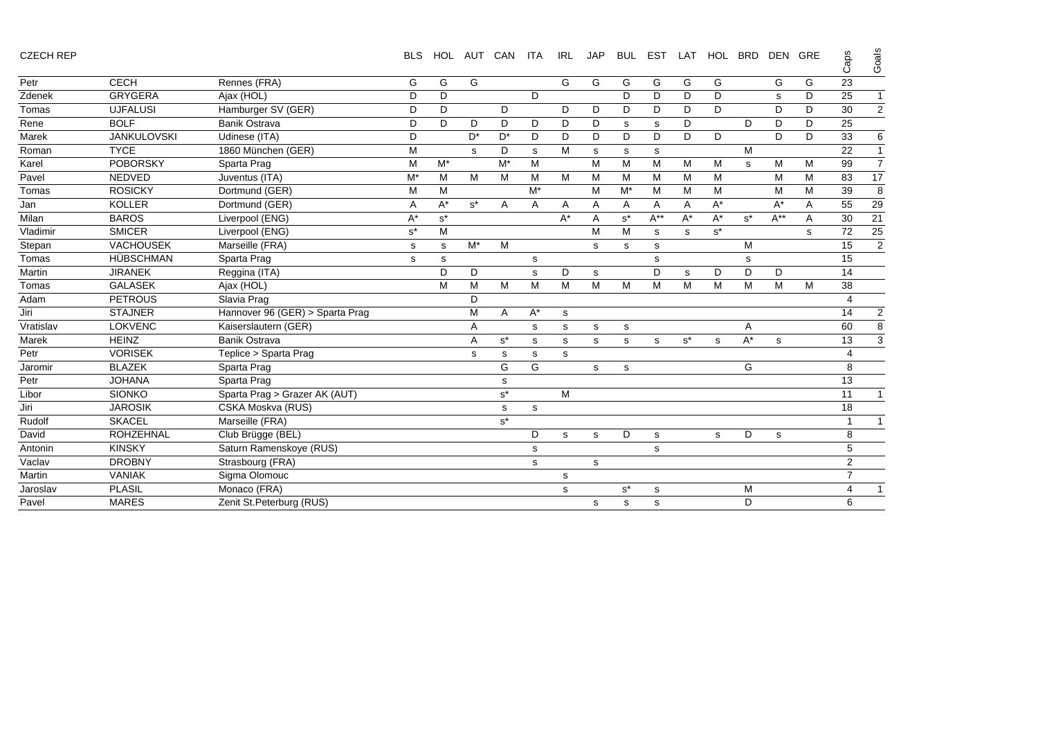| <b>CZECH REP</b> |  |
|------------------|--|
|------------------|--|

| <b>CZECH REP</b> |                    |                                 | <b>BLS</b>     | <b>HOL</b> |       | AUT CAN              | <b>ITA</b> | <b>IRL</b> | <b>JAP</b> | <b>BUL</b>  | <b>EST</b> | LAT   | <b>HOL</b>           | <b>BRD</b> | <b>DEN</b> | GRE | Caps           | Goals          |
|------------------|--------------------|---------------------------------|----------------|------------|-------|----------------------|------------|------------|------------|-------------|------------|-------|----------------------|------------|------------|-----|----------------|----------------|
| Petr             | <b>CECH</b>        | Rennes (FRA)                    | G              | G          | G     |                      |            | G          | G          | G           | G          | G     | G                    |            | G          | G   | 23             |                |
| Zdenek           | <b>GRYGERA</b>     | Ajax (HOL)                      | D              | D          |       |                      | D          |            |            | D           | D          | D     | D                    |            | s          | D   | 25             | $\mathbf{1}$   |
| Tomas            | <b>UJFALUSI</b>    | Hamburger SV (GER)              | D              | D          |       | D                    |            | D          | D          | D           | D          | D     | D                    |            | D          | D   | 30             | $\mathbf{2}$   |
| Rene             | <b>BOLF</b>        | <b>Banik Ostrava</b>            | D              | D          | D     | D                    | D          | D          | D          | s           | s          | D     |                      | D          | D          | D   | 25             |                |
| Marek            | <b>JANKULOVSKI</b> | Udinese (ITA)                   | D              |            | D*    | D*                   | D          | D          | D          | D           | D          | D     | D                    |            | D          | D   | 33             | 6              |
| Roman            | <b>TYCE</b>        | 1860 München (GER)              | м              |            | s     | D                    | s          | M          | s          | s           | s          |       |                      | M          |            |     | 22             | $\mathbf{1}$   |
| Karel            | <b>POBORSKY</b>    | Sparta Prag                     | м              | $M^*$      |       | M*                   | M          |            | M          | м           | M          | М     | M                    | s          | M          | М   | 99             | $\overline{7}$ |
| Pavel            | <b>NEDVED</b>      | Juventus (ITA)                  | M*             | M          | M     | M                    | M          | M          | M          | м           | M          | M     | M                    |            | м          | M   | 83             | 17             |
| Tomas            | <b>ROSICKY</b>     | Dortmund (GER)                  | M              | M          |       |                      | $M^*$      |            | M          | $M^*$       | м          | M     | M                    |            | M          | M   | 39             | 8              |
| Jan              | <b>KOLLER</b>      | Dortmund (GER)                  | A              | $A^*$      | $s^*$ | A                    | Α          | A          | A          | Α           | A          | A     | $A^*$                |            | A*         | Α   | 55             | 29             |
| Milan            | <b>BAROS</b>       | Liverpool (ENG)                 | A*             | $s^*$      |       |                      |            | $A^*$      | A          | $s^*$       | $A^{**}$   | A*    | $\mathsf{A}^{\star}$ | $s^*$      | $A^{**}$   | A   | 30             | 21             |
| Vladimir         | <b>SMICER</b>      | Liverpool (ENG)                 | $\mathsf{s}^*$ | M          |       |                      |            |            | M          | M           | s          | s     | $s^*$                |            |            | s   | 72             | 25             |
| Stepan           | VACHOUSEK          | Marseille (FRA)                 | s              | s          | $M^*$ | M                    |            |            | s          | s           | s          |       |                      | M          |            |     | 15             | $\overline{2}$ |
| Tomas            | HÜBSCHMAN          | Sparta Prag                     | s              | s          |       |                      | s          |            |            |             | s          |       |                      | s          |            |     | 15             |                |
| Martin           | <b>JIRANEK</b>     | Reggina (ITA)                   |                | D          | D     |                      | s          | D          | s          |             | D          | s     | D                    | D          | D          |     | 14             |                |
| Tomas            | <b>GALASEK</b>     | Ajax (HOL)                      |                | M          | M     | М                    | M          | M          | M          | M           | M          | M     | M                    | M          | M          | M   | 38             |                |
| Adam             | <b>PETROUS</b>     | Slavia Prag                     |                |            | D     |                      |            |            |            |             |            |       |                      |            |            |     | $\overline{4}$ |                |
| Jiri             | <b>STAJNER</b>     | Hannover 96 (GER) > Sparta Prag |                |            | M     | A                    | $A^*$      | s          |            |             |            |       |                      |            |            |     | 14             | $\overline{2}$ |
| Vratislav        | <b>LOKVENC</b>     | Kaiserslautern (GER)            |                |            | A     |                      | s          | s          | s          | s           |            |       |                      | Α          |            |     | 60             | $\overline{8}$ |
| Marek            | <b>HEINZ</b>       | <b>Banik Ostrava</b>            |                |            | A     | $s^*$                | s          | s          | s          | s           | s          | $s^*$ | s                    | $A^*$      | s          |     | 13             | $\mathbf{3}$   |
| Petr             | <b>VORISEK</b>     | Teplice > Sparta Prag           |                |            | s     | s                    | s          | s          |            |             |            |       |                      |            |            |     | $\overline{4}$ |                |
| Jaromir          | <b>BLAZEK</b>      | Sparta Prag                     |                |            |       | G                    | G          |            | s          | s           |            |       |                      | G          |            |     | 8              |                |
| Petr             | <b>JOHANA</b>      | Sparta Prag                     |                |            |       | s                    |            |            |            |             |            |       |                      |            |            |     | 13             |                |
| Libor            | <b>SIONKO</b>      | Sparta Prag > Grazer AK (AUT)   |                |            |       | $\texttt{s}^{\star}$ |            | M          |            |             |            |       |                      |            |            |     | 11             | $\mathbf{1}$   |
| Jiri             | <b>JAROSIK</b>     | CSKA Moskva (RUS)               |                |            |       | $\mathbf s$          | s          |            |            |             |            |       |                      |            |            |     | 18             |                |
| Rudolf           | <b>SKACEL</b>      | Marseille (FRA)                 |                |            |       | $s^*$                |            |            |            |             |            |       |                      |            |            |     | $\overline{1}$ | $\mathbf{1}$   |
| David            | <b>ROHZEHNAL</b>   | Club Brügge (BEL)               |                |            |       |                      | D          | s          | s          | D           | s          |       | s                    | D          | s          |     | 8              |                |
| Antonin          | <b>KINSKY</b>      | Saturn Ramenskoye (RUS)         |                |            |       |                      | s          |            |            |             | s          |       |                      |            |            |     | 5              |                |
| Vaclav           | <b>DROBNY</b>      | Strasbourg (FRA)                |                |            |       |                      | s          |            | s          |             |            |       |                      |            |            |     | $\overline{2}$ |                |
| Martin           | <b>VANIAK</b>      | Sigma Olomouc                   |                |            |       |                      |            | s          |            |             |            |       |                      |            |            |     | $\overline{7}$ |                |
| Jaroslav         | <b>PLASIL</b>      | Monaco (FRA)                    |                |            |       |                      |            | s          |            | $s^{\star}$ | s          |       |                      | M          |            |     | $\overline{4}$ | $\mathbf{1}$   |
| Pavel            | <b>MARES</b>       | Zenit St.Peterburg (RUS)        |                |            |       |                      |            |            | s          | s           | s          |       |                      | D          |            |     | 6              |                |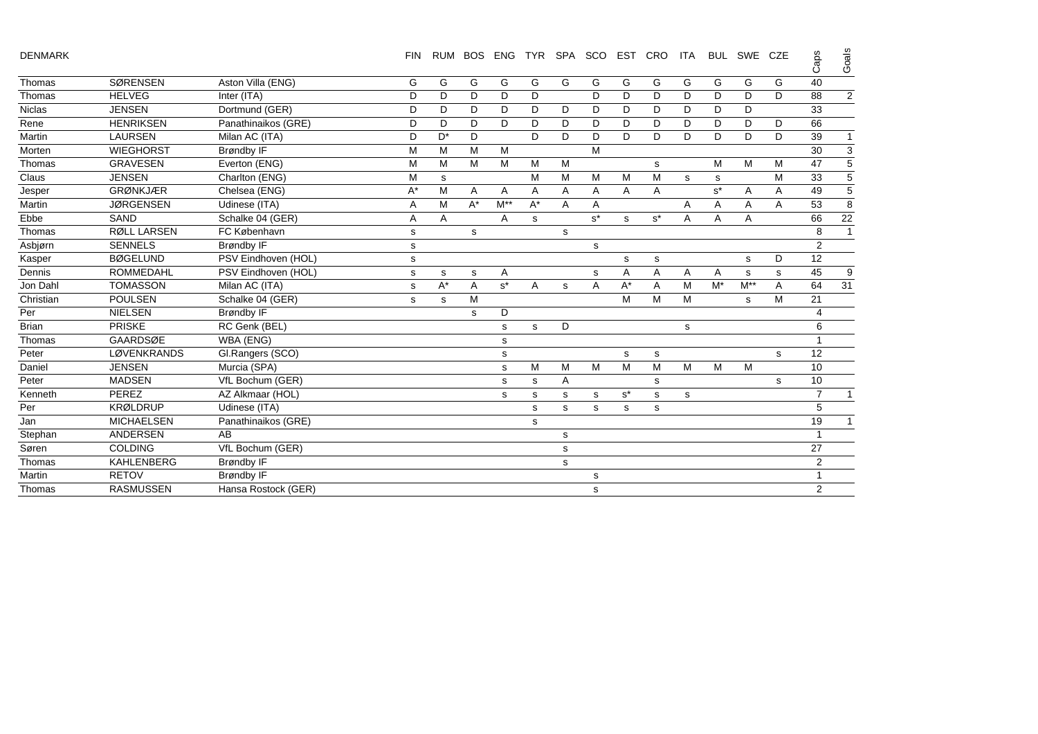|  |  | <b>DENMARK</b> |  |
|--|--|----------------|--|
|--|--|----------------|--|

DENMARK FIN RUM BOS ENG TYR SPA SCO EST CRO ITA BUL SWE CZE Caps Goals

|               |                    |                     |       |       |       |          |       |   |       |       |       |   |       |       |    | ◡              | ల                         |
|---------------|--------------------|---------------------|-------|-------|-------|----------|-------|---|-------|-------|-------|---|-------|-------|----|----------------|---------------------------|
| Thomas        | <b>SØRENSEN</b>    | Aston Villa (ENG)   | G     | G     | G     | G        | G     | G | G     | G     | G     | G | G     | G     | G  | 40             |                           |
| Thomas        | <b>HELVEG</b>      | Inter (ITA)         | D     | D     | D     | D        | D     |   | D     | D     | D     | D | D     | D     | D. | 88             | $\overline{2}$            |
| <b>Niclas</b> | <b>JENSEN</b>      | Dortmund (GER)      | D     | D     | D     | D        | D     | D | D     | D     | D     | D | D     | D     |    | 33             |                           |
| Rene          | <b>HENRIKSEN</b>   | Panathinaikos (GRE) | D     | D     | D     | D        | D     | D | D     | D     | D     | D | D     | D     | D  | 66             |                           |
| Martin        | <b>LAURSEN</b>     | Milan AC (ITA)      | D     | $D^*$ | D     |          | D     | D | D     | D     | D     | D | D     | D     | D  | 39             | $\mathbf{1}$              |
| Morten        | <b>WIEGHORST</b>   | <b>Brøndby IF</b>   | M     | M     | M     | M        |       |   | M     |       |       |   |       |       |    | 30             | $\ensuremath{\mathsf{3}}$ |
| Thomas        | <b>GRAVESEN</b>    | Everton (ENG)       | M     | M     | M     | M        | M     | M |       |       | s     |   | M     | M     | М  | 47             | $\overline{5}$            |
| Claus         | <b>JENSEN</b>      | Charlton (ENG)      | M     | s     |       |          | м     | M | M     | M     | M     | s | s     |       | M  | 33             | $\sqrt{5}$                |
| Jesper        | <b>GRØNKJÆR</b>    | Chelsea (ENG)       | $A^*$ | м     | A     | A        | A     | A | Α     | A     | A     |   | $s^*$ | A     | A  | 49             | $\sqrt{5}$                |
| Martin        | <b>JØRGENSEN</b>   | Udinese (ITA)       | Α     | M     | $A^*$ | $M^{**}$ | $A^*$ | Α | Α     |       |       | Α | Α     | Α     | Α  | 53             | 8                         |
| Ebbe          | <b>SAND</b>        | Schalke 04 (GER)    | Α     | Α     |       | Α        | s     |   | $s^*$ | s     | $s^*$ | A | A     | A     |    | 66             | 22                        |
| Thomas        | <b>RØLL LARSEN</b> | FC København        | s     |       | s     |          |       | s |       |       |       |   |       |       |    | 8              | $\mathbf{1}$              |
| Asbjørn       | <b>SENNELS</b>     | <b>Brøndby IF</b>   | s     |       |       |          |       |   | s     |       |       |   |       |       |    | $\overline{2}$ |                           |
| Kasper        | <b>BØGELUND</b>    | PSV Eindhoven (HOL) | s     |       |       |          |       |   |       | s     | s     |   |       | s     | D  | 12             |                           |
| Dennis        | <b>ROMMEDAHL</b>   | PSV Eindhoven (HOL) | s     | s     | s     | Α        |       |   | s     | A     | A     | Α | A     | s     | s  | 45             | 9                         |
| Jon Dahl      | <b>TOMASSON</b>    | Milan AC (ITA)      | s     | $A^*$ | Α     | $s^*$    | A     | s | Α     | $A^*$ | A     | M | $M^*$ | $M^*$ | A  | 64             | 31                        |
| Christian     | <b>POULSEN</b>     | Schalke 04 (GER)    | s     | s     | M     |          |       |   |       | M     | M     | M |       | s     | M  | 21             |                           |
| Per           | <b>NIELSEN</b>     | <b>Brøndby IF</b>   |       |       | s     | D        |       |   |       |       |       |   |       |       |    |                |                           |
| <b>Brian</b>  | <b>PRISKE</b>      | RC Genk (BEL)       |       |       |       | s        | s     | D |       |       |       | s |       |       |    | 6              |                           |
| Thomas        | <b>GAARDSØE</b>    | WBA (ENG)           |       |       |       | s        |       |   |       |       |       |   |       |       |    |                |                           |
| Peter         | LØVENKRANDS        | Gl.Rangers (SCO)    |       |       |       | s        |       |   |       | s     | s     |   |       |       | s  | 12             |                           |
| Daniel        | <b>JENSEN</b>      | Murcia (SPA)        |       |       |       | s        | M     | M | M     | M     | M     | M | M     | M     |    | 10             |                           |
| Peter         | <b>MADSEN</b>      | VfL Bochum (GER)    |       |       |       | s        | s     | A |       |       | s     |   |       |       | s  | 10             |                           |
| Kenneth       | PEREZ              | AZ Alkmaar (HOL)    |       |       |       | s        | s     | s | s     | $s^*$ | s     | s |       |       |    | $\overline{7}$ | 1                         |
| Per           | <b>KRØLDRUP</b>    | Udinese (ITA)       |       |       |       |          | s     | s | s     | s     | s     |   |       |       |    | 5              |                           |
| Jan           | <b>MICHAELSEN</b>  | Panathinaikos (GRE) |       |       |       |          | s     |   |       |       |       |   |       |       |    | 19             | 1                         |
| Stephan       | <b>ANDERSEN</b>    | AB                  |       |       |       |          |       | s |       |       |       |   |       |       |    | $\mathbf 1$    |                           |
| Søren         | <b>COLDING</b>     | VfL Bochum (GER)    |       |       |       |          |       | s |       |       |       |   |       |       |    | 27             |                           |
| Thomas        | <b>KAHLENBERG</b>  | <b>Brøndby IF</b>   |       |       |       |          |       | s |       |       |       |   |       |       |    | 2              |                           |
| Martin        | <b>RETOV</b>       | <b>Brøndby IF</b>   |       |       |       |          |       |   | s     |       |       |   |       |       |    |                |                           |
| Thomas        | <b>RASMUSSEN</b>   | Hansa Rostock (GER) |       |       |       |          |       |   | s     |       |       |   |       |       |    | $\overline{2}$ |                           |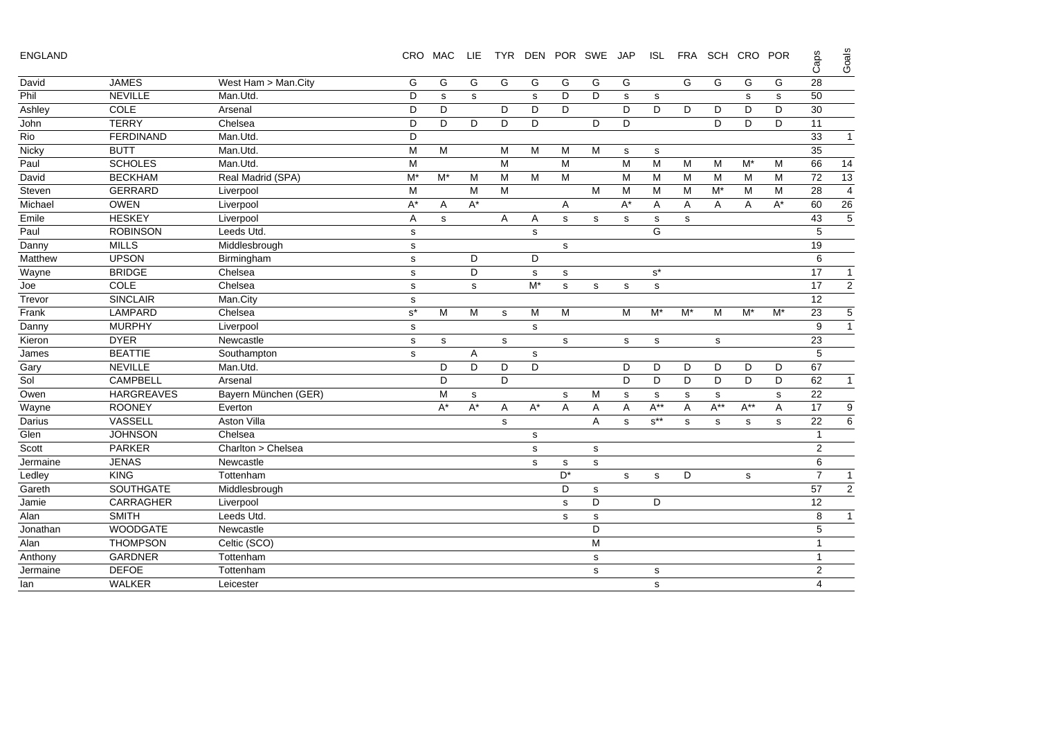| ENGLAND |  |
|---------|--|
|---------|--|

| <b>ENGLAND</b> |                   |                      |                      | CRO MAC | <b>LIE</b> |   | TYR DEN POR SWE JAP |                |                |       |                      |       | ISL FRA SCH CRO POR |          |       | Caps            | Goals                    |
|----------------|-------------------|----------------------|----------------------|---------|------------|---|---------------------|----------------|----------------|-------|----------------------|-------|---------------------|----------|-------|-----------------|--------------------------|
| David          | <b>JAMES</b>      | West Ham > Man.City  | G                    | G       | G          | G | G                   | G              | G              | G     |                      | G     | G                   | G        | G     | 28              |                          |
| Phil           | <b>NEVILLE</b>    | Man.Utd.             | D                    | s       | s          |   | s                   | D              | D              | s     | s                    |       |                     | s        | s     | 50              |                          |
| Ashley         | COLE              | Arsenal              | D                    | D       |            | D | D                   | D              |                | D     | D                    | D     | D                   | D        | D     | 30              |                          |
| John           | <b>TERRY</b>      | Chelsea              | D                    | D       | D          | D | D                   |                | D              | D     |                      |       | D                   | D        | D     | 11              |                          |
| Rio            | <b>FERDINAND</b>  | Man.Utd.             | D                    |         |            |   |                     |                |                |       |                      |       |                     |          |       | 33              | $\mathbf{1}$             |
| Nicky          | <b>BUTT</b>       | Man.Utd.             | M                    | M       |            | м | M                   | M              | M              | s     | s                    |       |                     |          |       | 35              |                          |
| Paul           | <b>SCHOLES</b>    | Man.Utd.             | M                    |         |            | M |                     | M              |                | M     | M                    | M     | M                   | $M^*$    | М     | 66              | 14                       |
| David          | <b>BECKHAM</b>    | Real Madrid (SPA)    | $M^*$                | $M^*$   | M          | M | M                   | M              |                | M     | M                    | M     | M                   | M        | M     | 72              | 13                       |
| Steven         | <b>GERRARD</b>    | Liverpool            | M                    |         | M          | M |                     |                | M              | M     | M                    | M     | $M^*$               | M        | M     | 28              | $\overline{\mathcal{A}}$ |
| Michael        | <b>OWEN</b>       | Liverpool            | $A^*$                | Α       | $A^*$      |   |                     | A              |                | $A^*$ | Α                    | A     | A                   | A        | $A^*$ | 60              | 26                       |
| Emile          | <b>HESKEY</b>     | Liverpool            | A                    | s       |            | Α | A                   | s              | s              | s     | s                    | s     |                     |          |       | 43              | $\overline{5}$           |
| Paul           | <b>ROBINSON</b>   | Leeds Utd.           | s                    |         |            |   | s                   |                |                |       | G                    |       |                     |          |       | 5               |                          |
| Danny          | <b>MILLS</b>      | Middlesbrough        | s                    |         |            |   |                     | s              |                |       |                      |       |                     |          |       | 19              |                          |
| Matthew        | <b>UPSON</b>      | Birmingham           | $\mathbf s$          |         | D          |   | D                   |                |                |       |                      |       |                     |          |       | 6               |                          |
| Wayne          | <b>BRIDGE</b>     | Chelsea              | $\mathbf s$          |         | D          |   | s                   | s              |                |       | $\texttt{s}^{\star}$ |       |                     |          |       | $\overline{17}$ | $\overline{1}$           |
| Joe            | COLE              | Chelsea              | $\mathbf s$          |         | s          |   | $M^*$               | s              | s              | s     | $\mathsf{s}$         |       |                     |          |       | $\overline{17}$ | $\overline{2}$           |
| Trevor         | <b>SINCLAIR</b>   | Man.City             | $\mathbf S$          |         |            |   |                     |                |                |       |                      |       |                     |          |       | $\overline{12}$ |                          |
| Frank          | <b>LAMPARD</b>    | Chelsea              | $\texttt{s}^{\star}$ | M       | M          | s | M                   | M              |                | M     | $M^*$                | $M^*$ | M                   | $M^*$    | $M^*$ | 23              | 5                        |
| Danny          | <b>MURPHY</b>     | Liverpool            | s                    |         |            |   | s                   |                |                |       |                      |       |                     |          |       | 9               | $\mathbf{1}$             |
| Kieron         | <b>DYER</b>       | Newcastle            | s                    | s       |            | s |                     | s              |                | s     | s                    |       | s                   |          |       | 23              |                          |
| James          | <b>BEATTIE</b>    | Southampton          | $\mathbf s$          |         | A          |   | $\mathbf s$         |                |                |       |                      |       |                     |          |       | 5               |                          |
| Gary           | <b>NEVILLE</b>    | Man.Utd.             |                      | D       | D          | D | D                   |                |                | D     | D                    | D     | D                   | D        | D     | 67              |                          |
| Sol            | <b>CAMPBELL</b>   | Arsenal              |                      | D       |            | D |                     |                |                | D     | D                    | D     | D                   | D        | D     | 62              | $\mathbf{1}$             |
| Owen           | <b>HARGREAVES</b> | Bayern München (GER) |                      | М       | s          |   |                     | s              | м              | s     | s                    | s     | s                   |          | s     | 22              |                          |
| Wayne          | <b>ROONEY</b>     | Everton              |                      | $A^*$   | $A^*$      | Α | $A^*$               | A              | Α              | Α     | $A^{**}$             | Α     | $A^{**}$            | $A^{**}$ | Α     | 17              | 9                        |
| Darius         | VASSELL           | <b>Aston Villa</b>   |                      |         |            | s |                     |                | $\overline{A}$ | s     | $s^{**}$             | s     | s                   | s        | s     | 22              | 6                        |
| Glen           | <b>JOHNSON</b>    | Chelsea              |                      |         |            |   | $\mathbf s$         |                |                |       |                      |       |                     |          |       | $\overline{1}$  |                          |
| Scott          | <b>PARKER</b>     | Charlton > Chelsea   |                      |         |            |   | s                   |                | s              |       |                      |       |                     |          |       | $\overline{2}$  |                          |
| Jermaine       | <b>JENAS</b>      | Newcastle            |                      |         |            |   | $\mathbf s$         | s              | s              |       |                      |       |                     |          |       | 6               |                          |
| Ledley         | <b>KING</b>       | Tottenham            |                      |         |            |   |                     | D <sup>*</sup> |                | s     | s                    | D     |                     | s        |       | $\overline{7}$  | $\mathbf{1}$             |
| Gareth         | SOUTHGATE         | Middlesbrough        |                      |         |            |   |                     | D              | s              |       |                      |       |                     |          |       | 57              | $\overline{2}$           |
| Jamie          | CARRAGHER         | Liverpool            |                      |         |            |   |                     | s              | D              |       | D                    |       |                     |          |       | 12              |                          |
| Alan           | <b>SMITH</b>      | Leeds Utd.           |                      |         |            |   |                     | s              | $\mathbf S$    |       |                      |       |                     |          |       | 8               | $\mathbf{1}$             |
| Jonathan       | <b>WOODGATE</b>   | Newcastle            |                      |         |            |   |                     |                | D              |       |                      |       |                     |          |       | $\mathbf 5$     |                          |
| Alan           | <b>THOMPSON</b>   | Celtic (SCO)         |                      |         |            |   |                     |                | M              |       |                      |       |                     |          |       | $\overline{1}$  |                          |
| Anthony        | <b>GARDNER</b>    | Tottenham            |                      |         |            |   |                     |                | $\mathsf{s}$   |       |                      |       |                     |          |       | $\overline{1}$  |                          |
| Jermaine       | <b>DEFOE</b>      | Tottenham            |                      |         |            |   |                     |                | s              |       | s                    |       |                     |          |       | $\overline{2}$  |                          |
| lan            | <b>WALKER</b>     | Leicester            |                      |         |            |   |                     |                |                |       | $\mathbf s$          |       |                     |          |       | $\overline{4}$  |                          |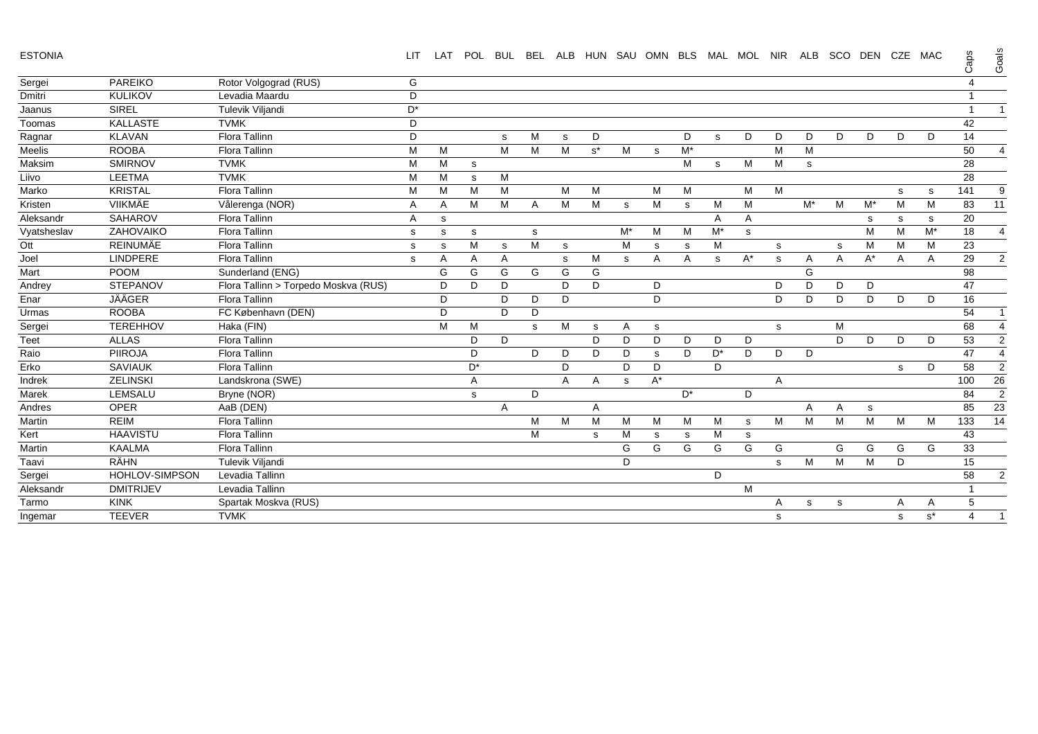ESTONIA

| <b>ESTONIA</b> |                  |                                      | <b>LIT</b> | LAT | POL          | <b>BUL</b> | <b>BEL</b> |   |       |    | ALB HUN SAU OMN BLS MAL MOL NIR |       |       |       |   | ALB   | SCO | DEN CZE MAC |             |                    | Caps         | Goals           |
|----------------|------------------|--------------------------------------|------------|-----|--------------|------------|------------|---|-------|----|---------------------------------|-------|-------|-------|---|-------|-----|-------------|-------------|--------------------|--------------|-----------------|
| Sergei         | <b>PAREIKO</b>   | Rotor Volgograd (RUS)                | G          |     |              |            |            |   |       |    |                                 |       |       |       |   |       |     |             |             |                    | 4            |                 |
| Dmitri         | <b>KULIKOV</b>   | Levadia Maardu                       | D          |     |              |            |            |   |       |    |                                 |       |       |       |   |       |     |             |             |                    | 1            |                 |
| Jaanus         | <b>SIREL</b>     | Tulevik Viljandi                     | $D^*$      |     |              |            |            |   |       |    |                                 |       |       |       |   |       |     |             |             |                    | $\mathbf{1}$ |                 |
| Toomas         | <b>KALLASTE</b>  | <b>TVMK</b>                          | D          |     |              |            |            |   |       |    |                                 |       |       |       |   |       |     |             |             |                    | 42           |                 |
| Ragnar         | <b>KLAVAN</b>    | Flora Tallinn                        | D          |     |              | s          | М          | s | D     |    |                                 | D     | s     | D     | D | D     | D   | D           | D           | D                  | 14           |                 |
| Meelis         | <b>ROOBA</b>     | Flora Tallinn                        | M          | м   |              | M          | M          | M | $s^*$ | M  | s                               | $M^*$ |       |       | M | M     |     |             |             |                    | 50           | 4               |
| Maksim         | <b>SMIRNOV</b>   | <b>TVMK</b>                          | M          | М   | s            |            |            |   |       |    |                                 | M     | s     | M     | M | s     |     |             |             |                    | 28           |                 |
| Liivo          | <b>LEETMA</b>    | <b>TVMK</b>                          | M          | М   | s            | M          |            |   |       |    |                                 |       |       |       |   |       |     |             |             |                    | 28           |                 |
| Marko          | <b>KRISTAL</b>   | <b>Flora Tallinn</b>                 | M          | м   | M            | M          |            | M | M     |    | M                               | M     |       | M     | M |       |     |             | s           | s                  | 141          | 9               |
| Kristen        | VIIKMÄE          | Vålerenga (NOR)                      | A          | Α   | M            | M          | Α          | M | M     | s  | M                               | s     | M     | М     |   | $M^*$ | М   | $M^*$       | M           | M                  | 83           | 11              |
| Aleksandr      | <b>SAHAROV</b>   | <b>Flora Tallinn</b>                 | Α          | s   |              |            |            |   |       |    |                                 |       | A     | Α     |   |       |     | s           | s           | s                  | 20           |                 |
| Vyatsheslav    | ZAHOVAIKO        | Flora Tallinn                        | s          | s   | s            |            | s          |   |       | M* | M                               | М     | $M^*$ | s.    |   |       |     | M           | M           | $\mathsf{M}^\star$ | 18           | $\overline{4}$  |
| Ott            | <b>REINUMÄE</b>  | <b>Flora Tallinn</b>                 | s          | s   | M            | s          | M          | s |       | M  | s                               | s     | M     |       | s |       | s   | M           | M           | M                  | 23           |                 |
| Joel           | LINDPERE         | Flora Tallinn                        | s          | A   | A            | A          |            | s | M     | s  | A                               | Α     | s     | $A^*$ | s | Α     | A   | $A^*$       | A           | A                  | 29           | $\overline{2}$  |
| Mart           | <b>POOM</b>      | Sunderland (ENG)                     |            | G   | G            | G          | G          | G | G     |    |                                 |       |       |       |   | G     |     |             |             |                    | 98           |                 |
| Andrey         | <b>STEPANOV</b>  | Flora Tallinn > Torpedo Moskva (RUS) |            | D   | D            | D          |            | D | D     |    | D                               |       |       |       | D | D     | D   | D           |             |                    | 47           |                 |
| Enar           | <b>JÄÄGER</b>    | Flora Tallinn                        |            | D   |              | D          | D          | D |       |    | D                               |       |       |       | D | D     | D   | D           | D           | D                  | 16           |                 |
| Urmas          | <b>ROOBA</b>     | FC København (DEN)                   |            | D   |              | D          | D          |   |       |    |                                 |       |       |       |   |       |     |             |             |                    | 54           | -1              |
| Sergei         | <b>TEREHHOV</b>  | Haka (FIN)                           |            | M   | M            |            | s          | M | s     | Α  | s                               |       |       |       | s |       | М   |             |             |                    | 68           | $\overline{4}$  |
| <b>Teet</b>    | <b>ALLAS</b>     | Flora Tallinn                        |            |     | D            | D          |            |   | D     | D  | D                               | D     | D     | D     |   |       | D   | D           | D           | D                  | 53           | $\overline{2}$  |
| Raio           | <b>PIIROJA</b>   | Flora Tallinn                        |            |     | D            |            | D          | D | D     | D  | s                               | D     | $D^*$ | D     | D | D     |     |             |             |                    | 47           | $\overline{4}$  |
| Erko           | <b>SAVIAUK</b>   | Flora Tallinn                        |            |     | D*           |            |            | D |       | D  | D                               |       | D     |       |   |       |     |             | s           | D                  | 58           | $\overline{2}$  |
| Indrek         | <b>ZELINSKI</b>  | Landskrona (SWE)                     |            |     | Α            |            |            | A | A     | s  | $A^*$                           |       |       |       | Α |       |     |             |             |                    | 100          | 26              |
| Marek          | LEMSALU          | Bryne (NOR)                          |            |     | $\mathbf{s}$ |            | D          |   |       |    |                                 | $D^*$ |       | D     |   |       |     |             |             |                    | 84           | $\overline{c}$  |
| Andres         | OPER             | AaB (DEN)                            |            |     |              | A          |            |   | A     |    |                                 |       |       |       |   | Α     | A   | s           |             |                    | 85           | 23              |
| Martin         | <b>REIM</b>      | Flora Tallinn                        |            |     |              |            | M          | M | M     | M  | M                               | M     | M     | s     | M | M     | M   | M           | M           | M                  | 133          | $\overline{14}$ |
| Kert           | <b>HAAVISTU</b>  | <b>Flora Tallinn</b>                 |            |     |              |            | M          |   | s     | M  | s                               | s     | M     | s     |   |       |     |             |             |                    | 43           |                 |
| Martin         | <b>KAALMA</b>    | Flora Tallinn                        |            |     |              |            |            |   |       | G  | G                               | G     | G     | G     | G |       | G   | G           | G           | G                  | 33           |                 |
| Taavi          | RÄHN             | Tulevik Viljandi                     |            |     |              |            |            |   |       | D  |                                 |       |       |       | s | M     | M   | M           | D           |                    | 15           |                 |
| Sergei         | HOHLOV-SIMPSON   | Levadia Tallinn                      |            |     |              |            |            |   |       |    |                                 |       | D     |       |   |       |     |             |             |                    | 58           | $\overline{2}$  |
| Aleksandr      | <b>DMITRIJEV</b> | Levadia Tallinn                      |            |     |              |            |            |   |       |    |                                 |       |       | M     |   |       |     |             |             |                    |              |                 |
| Tarmo          | <b>KINK</b>      | Spartak Moskva (RUS)                 |            |     |              |            |            |   |       |    |                                 |       |       |       | Α | s     | s   |             | A           | A                  | 5            |                 |
| Ingemar        | <b>TEEVER</b>    | <b>TVMK</b>                          |            |     |              |            |            |   |       |    |                                 |       |       |       | s |       |     |             | $\mathbf s$ | $s^*$              | 4            | $\overline{1}$  |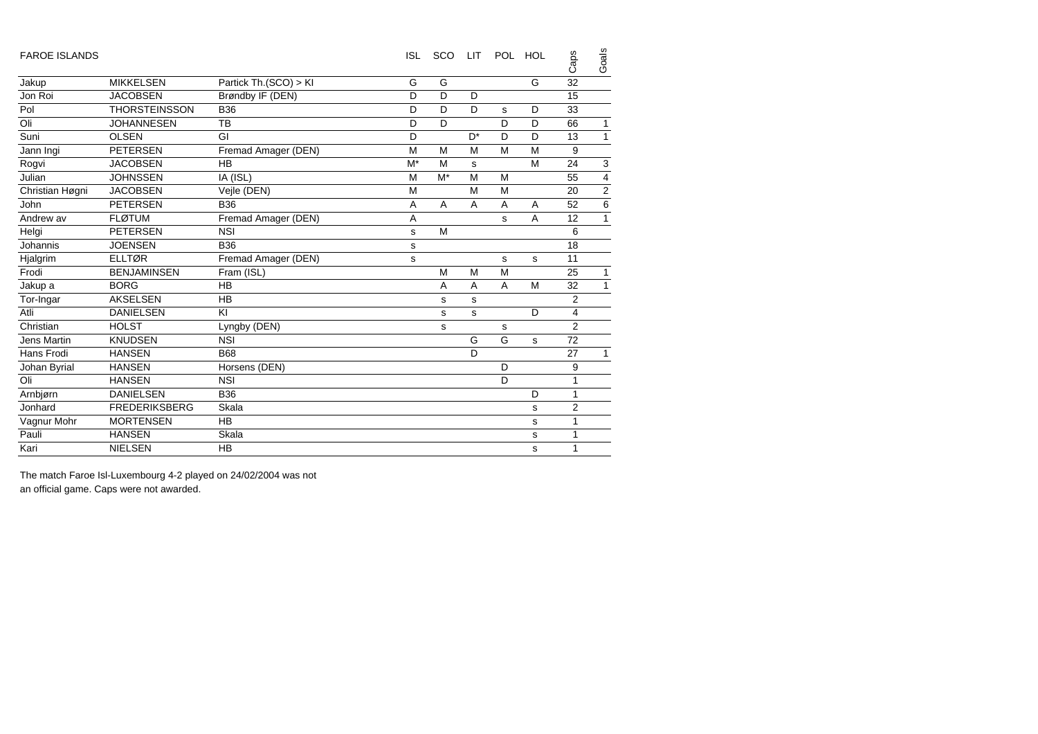| <b>FAROE ISLANDS</b> |                      |                       | <b>ISL</b> | <b>SCO</b> | LIT            | POL. | HOL | Caps           | Goals                   |
|----------------------|----------------------|-----------------------|------------|------------|----------------|------|-----|----------------|-------------------------|
| Jakup                | <b>MIKKELSEN</b>     | Partick Th.(SCO) > KI | G          | G          |                |      | G   | 32             |                         |
| Jon Roi              | <b>JACOBSEN</b>      | Brøndby IF (DEN)      | D          | D          | D              |      |     | 15             |                         |
| Pol                  | <b>THORSTEINSSON</b> | <b>B36</b>            | D          | D          | D              | s    | D   | 33             |                         |
| Oli                  | <b>JOHANNESEN</b>    | TB                    | D          | D          |                | D    | D   | 66             | $\mathbf{1}$            |
| Suni                 | <b>OLSEN</b>         | GI                    | D          |            | D <sup>*</sup> | D    | D   | 13             | $\mathbf{1}$            |
| Jann Ingi            | <b>PETERSEN</b>      | Fremad Amager (DEN)   | M          | M          | M              | M    | M   | 9              |                         |
| Rogvi                | <b>JACOBSEN</b>      | <b>HB</b>             | $M^*$      | M          | s              |      | M   | 24             | $\mathsf 3$             |
| Julian               | <b>JOHNSSEN</b>      | IA (ISL)              | M          | $M^*$      | M              | M    |     | 55             | $\overline{\mathbf{4}}$ |
| Christian Høgni      | <b>JACOBSEN</b>      | Vejle (DEN)           | M          |            | M              | M    |     | 20             | $\mathbf 2$             |
| John                 | <b>PETERSEN</b>      | <b>B36</b>            | A          | A          | A              | A    | A   | 52             | 6                       |
| Andrew av            | <b>FLØTUM</b>        | Fremad Amager (DEN)   | A          |            |                | s    | A   | 12             | $\mathbf{1}$            |
| Helgi                | <b>PETERSEN</b>      | <b>NSI</b>            | s          | M          |                |      |     | 6              |                         |
| Johannis             | <b>JOENSEN</b>       | <b>B36</b>            | s          |            |                |      |     | 18             |                         |
| Hjalgrim             | <b>ELLTØR</b>        | Fremad Amager (DEN)   | s          |            |                | s    | s   | 11             |                         |
| Frodi                | <b>BENJAMINSEN</b>   | Fram (ISL)            |            | M          | M              | M    |     | 25             | $\mathbf{1}$            |
| Jakup a              | <b>BORG</b>          | <b>HB</b>             |            | A          | A              | A    | M   | 32             | $\mathbf{1}$            |
| Tor-Ingar            | <b>AKSELSEN</b>      | HB                    |            | s          | s              |      |     | $\overline{2}$ |                         |
| Atli                 | <b>DANIELSEN</b>     | KI                    |            | s          | s              |      | D   | $\overline{4}$ |                         |
| Christian            | <b>HOLST</b>         | Lyngby (DEN)          |            | s          |                | s    |     | $\overline{2}$ |                         |
| Jens Martin          | <b>KNUDSEN</b>       | <b>NSI</b>            |            |            | G              | G    | s   | 72             |                         |
| Hans Frodi           | <b>HANSEN</b>        | <b>B68</b>            |            |            | D              |      |     | 27             | $\mathbf{1}$            |
| Johan Byrial         | <b>HANSEN</b>        | Horsens (DEN)         |            |            |                | D    |     | 9              |                         |
| Oli                  | <b>HANSEN</b>        | <b>NSI</b>            |            |            |                | D    |     | 1              |                         |
| Arnbjørn             | <b>DANIELSEN</b>     | <b>B36</b>            |            |            |                |      | D   | 1              |                         |
| Jonhard              | <b>FREDERIKSBERG</b> | Skala                 |            |            |                |      | s   | $\overline{2}$ |                         |
| Vagnur Mohr          | <b>MORTENSEN</b>     | <b>HB</b>             |            |            |                |      | s   | 1              |                         |
| Pauli                | <b>HANSEN</b>        | Skala                 |            |            |                |      | s   | 1              |                         |
| Kari                 | <b>NIELSEN</b>       | <b>HB</b>             |            |            |                |      | s   | 1              |                         |

The match Faroe Isl-Luxembourg 4-2 played on 24/02/2004 was not an official game. Caps were not awarded.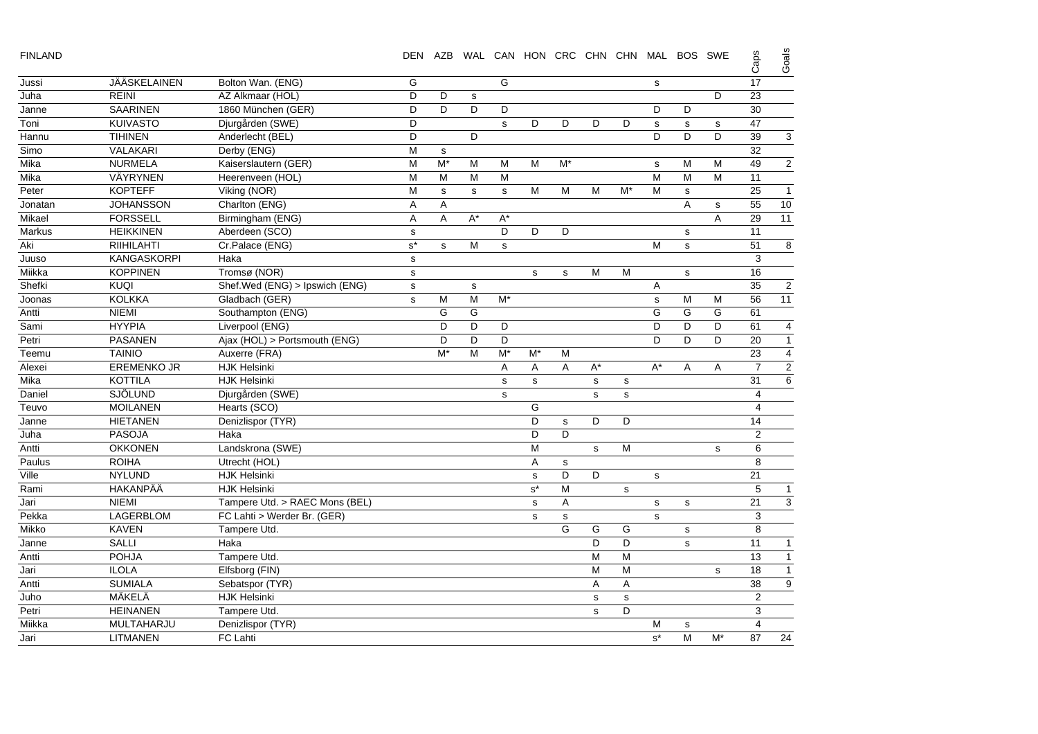| г<br>×. |  |
|---------|--|
|         |  |

| <b>FINLAND</b> |                    |                                | DEN                  | AZB         |              |             | WAL CAN HON CRC CHN CHN MAL BOS SWE |    |    |             |             |              |    | Caps            | Goals            |
|----------------|--------------------|--------------------------------|----------------------|-------------|--------------|-------------|-------------------------------------|----|----|-------------|-------------|--------------|----|-----------------|------------------|
| Jussi          | JÄÄSKELAINEN       | Bolton Wan. (ENG)              | G                    |             |              | G           |                                     |    |    |             | s           |              |    | 17              |                  |
| Juha           | <b>REINI</b>       | AZ Alkmaar (HOL)               | D                    | D           | s            |             |                                     |    |    |             |             |              | D  | 23              |                  |
| Janne          | <b>SAARINEN</b>    | 1860 München (GER)             | D                    | D           | D            | D           |                                     |    |    |             | D           | D            |    | 30              |                  |
| Toni           | <b>KUIVASTO</b>    | Djurgården (SWE)               | D                    |             |              | s           | D                                   | D  | D  | D           | s           | $\mathbf s$  | s  | 47              |                  |
| Hannu          | <b>TIHINEN</b>     | Anderlecht (BEL)               | D                    |             | D            |             |                                     |    |    |             | D           | D            | D  | 39              | 3                |
| Simo           | VALAKARI           | Derby (ENG)                    | $\overline{M}$       | s           |              |             |                                     |    |    |             |             |              |    | 32              |                  |
| Mika           | <b>NURMELA</b>     | Kaiserslautern (GER)           | M                    | $M^*$       | м            | M           | M                                   | M* |    |             | $\mathbf s$ | M            | M  | 49              | 2                |
| Mika           | VÄYRYNEN           | Heerenveen (HOL)               | M                    | M           | M            | M           |                                     |    |    |             | M           | M            | M  | 11              |                  |
| Peter          | <b>KOPTEFF</b>     | Viking (NOR)                   | M                    | $\mathbf s$ | $\mathbf{s}$ | $\mathbf s$ | M                                   | M  | M  | M*          | M           | $\mathbf s$  |    | 25              | $\overline{1}$   |
| Jonatan        | <b>JOHANSSON</b>   | Charlton (ENG)                 | Α                    | Α           |              |             |                                     |    |    |             |             | A            | s  | 55              | 10               |
| Mikael         | <b>FORSSELL</b>    | Birmingham (ENG)               | Α                    | A           | A*           | $A^*$       |                                     |    |    |             |             |              | Α  | 29              | 11               |
| <b>Markus</b>  | <b>HEIKKINEN</b>   | Aberdeen (SCO)                 | $\mathbf s$          |             |              | D           | D                                   | D  |    |             |             | $\mathbf s$  |    | 11              |                  |
| Aki            | RIIHILAHTI         | Cr.Palace (ENG)                | $\texttt{s}^{\star}$ | s           | M            | s           |                                     |    |    |             | M           | $\sf s$      |    | 51              | 8                |
| Juuso          | <b>KANGASKORPI</b> | Haka                           | ${\tt S}$            |             |              |             |                                     |    |    |             |             |              |    | 3               |                  |
| Miikka         | <b>KOPPINEN</b>    | Tromsø (NOR)                   | $\mathbf s$          |             |              |             | s                                   | s  | M  | M           |             | $\mathbf s$  |    | 16              |                  |
| Shefki         | <b>KUQI</b>        | Shef.Wed (ENG) > Ipswich (ENG) | $\mathbf s$          |             | $\mathbf s$  |             |                                     |    |    |             | Α           |              |    | 35              | $\overline{2}$   |
| Joonas         | <b>KOLKKA</b>      | Gladbach (GER)                 | s                    | M           | M            | $M^*$       |                                     |    |    |             | s           | M            | M  | 56              | 11               |
| Antti          | <b>NIEMI</b>       | Southampton (ENG)              |                      | G           | G            |             |                                     |    |    |             | G           | G            | G  | 61              |                  |
| Sami           | <b>HYYPIA</b>      | Liverpool (ENG)                |                      | D           | D            | D           |                                     |    |    |             | D           | D            | D  | 61              | $\overline{4}$   |
| Petri          | <b>PASANEN</b>     | Ajax (HOL) > Portsmouth (ENG)  |                      | D           | D            | D           |                                     |    |    |             | D           | D            | D  | 20              | $\mathbf{1}$     |
| Teemu          | <b>TAINIO</b>      | Auxerre (FRA)                  |                      | M*          | M            | M*          | $M^*$                               | м  |    |             |             |              |    | 23              | $\overline{4}$   |
| Alexei         | <b>EREMENKO JR</b> | <b>HJK Helsinki</b>            |                      |             |              | Α           | A                                   | A  | A* |             | $A^*$       | Α            | A  | $\overline{7}$  | $\overline{2}$   |
| Mika           | <b>KOTTILA</b>     | <b>HJK Helsinki</b>            |                      |             |              | s           | s                                   |    | s  | s           |             |              |    | 31              | 6                |
| Daniel         | <b>SJÖLUND</b>     | Djurgården (SWE)               |                      |             |              | s           |                                     |    | s  | $\mathbf s$ |             |              |    | $\overline{4}$  |                  |
| Teuvo          | <b>MOILANEN</b>    | Hearts (SCO)                   |                      |             |              |             | G                                   |    |    |             |             |              |    | $\overline{4}$  |                  |
| Janne          | <b>HIETANEN</b>    | Denizlispor (TYR)              |                      |             |              |             | D                                   | s  | D  | D           |             |              |    | 14              |                  |
| Juha           | <b>PASOJA</b>      | Haka                           |                      |             |              |             | D                                   | D  |    |             |             |              |    | $\sqrt{2}$      |                  |
| Antti          | <b>OKKONEN</b>     | Landskrona (SWE)               |                      |             |              |             | M                                   |    | s  | M           |             |              | s  | 6               |                  |
| Paulus         | <b>ROIHA</b>       | Utrecht (HOL)                  |                      |             |              |             | A                                   | s  |    |             |             |              |    | 8               |                  |
| Ville          | <b>NYLUND</b>      | <b>HJK Helsinki</b>            |                      |             |              |             | s                                   | D  | D  |             | s           |              |    | 21              |                  |
| Rami           | HAKANPÄÄ           | <b>HJK Helsinki</b>            |                      |             |              |             | $s^*$                               | M  |    | $\mathbf s$ |             |              |    | $\sqrt{5}$      | $\mathbf{1}$     |
| Jari           | <b>NIEMI</b>       | Tampere Utd. > RAEC Mons (BEL) |                      |             |              |             | $\mathbf s$                         | Α  |    |             | s           | $\mathbf s$  |    | $\overline{21}$ | 3                |
| Pekka          | LAGERBLOM          | FC Lahti > Werder Br. (GER)    |                      |             |              |             | s                                   | s  |    |             | s           |              |    | 3               |                  |
| Mikko          | <b>KAVEN</b>       | Tampere Utd.                   |                      |             |              |             |                                     | G  | G  | G           |             | $\mathbf S$  |    | 8               |                  |
| Janne          | <b>SALLI</b>       | Haka                           |                      |             |              |             |                                     |    | D  | D           |             | $\mathsf{s}$ |    | 11              | $\mathbf{1}$     |
| Antti          | POHJA              | Tampere Utd.                   |                      |             |              |             |                                     |    | M  | M           |             |              |    | $\overline{13}$ | $\overline{1}$   |
| Jari           | <b>ILOLA</b>       | Elfsborg (FIN)                 |                      |             |              |             |                                     |    | M  | M           |             |              | s  | 18              | $\mathbf{1}$     |
| Antti          | <b>SUMIALA</b>     | Sebatspor (TYR)                |                      |             |              |             |                                     |    | Α  | A           |             |              |    | 38              | $\boldsymbol{9}$ |
| Juho           | MÄKELÄ             | <b>HJK Helsinki</b>            |                      |             |              |             |                                     |    | s  | s           |             |              |    | $\overline{2}$  |                  |
| Petri          | <b>HEINANEN</b>    | Tampere Utd.                   |                      |             |              |             |                                     |    | s  | D           |             |              |    | 3               |                  |
| Miikka         | MULTAHARJU         | Denizlispor (TYR)              |                      |             |              |             |                                     |    |    |             | м           | ${\tt s}$    |    | $\overline{4}$  |                  |
| Jari           | LITMANEN           | FC Lahti                       |                      |             |              |             |                                     |    |    |             | $s^*$       | M            | M* | 87              | 24               |
|                |                    |                                |                      |             |              |             |                                     |    |    |             |             |              |    |                 |                  |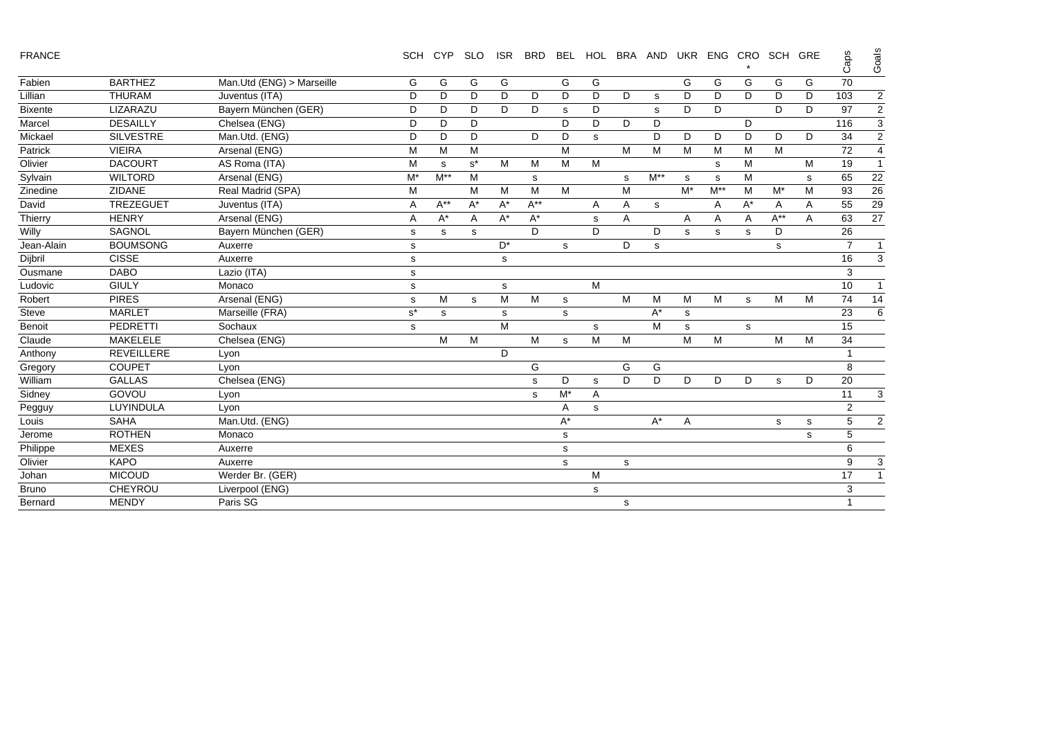|  |  | <b>FRANCE</b> |  |
|--|--|---------------|--|
|  |  |               |  |

| <b>FRANCE</b>  |                   |                           | <b>SCH</b> | <b>CYP</b> | <b>SLO</b> | <b>ISR</b> | <b>BRD</b> | <b>BEL</b> | <b>HOL</b> |   | BRA AND  | UKR   |                | ENG CRO     | SCH GRE  |           | Caps           | Goai           |
|----------------|-------------------|---------------------------|------------|------------|------------|------------|------------|------------|------------|---|----------|-------|----------------|-------------|----------|-----------|----------------|----------------|
| Fabien         | <b>BARTHEZ</b>    | Man.Utd (ENG) > Marseille | G          | G          | G          | G          |            | G          | G          |   |          | G     | G              | G           | G        | G         | 70             |                |
| Lillian        | <b>THURAM</b>     | Juventus (ITA)            | D          | D          | D          | D          | D          | D          | D          | D | s        | D     | D              | D.          | D        | D         | 103            | $\overline{a}$ |
| <b>Bixente</b> | LIZARAZU          | Bayern München (GER)      | D          | D          | D          | D          | D          | s          | D          |   | s        | D     | D              |             | D        | D         | 97             | $\overline{a}$ |
| Marcel         | <b>DESAILLY</b>   | Chelsea (ENG)             | D          | D          | D          |            |            | D          | D          | D | D        |       |                | D           |          |           | 116            | 3              |
| Mickael        | <b>SILVESTRE</b>  | Man.Utd. (ENG)            | D          | D          | D          |            | D          | D          | s          |   | D        | D     | D              | D           | D        | D         | 34             | $\overline{a}$ |
| Patrick        | <b>VIEIRA</b>     | Arsenal (ENG)             | М          | М          | м          |            |            | M          |            | M | M        | М     | M              | М           | M        |           | 72             | 4              |
| Olivier        | <b>DACOURT</b>    | AS Roma (ITA)             | М          | s          | $s^*$      | M          | M          | M          | M          |   |          |       | s              | M           |          | M         | 19             | 1              |
| Sylvain        | <b>WILTORD</b>    | Arsenal (ENG)             | M*         | $M^{**}$   | м          |            | s          |            |            | s | $M^{**}$ | s     | s              | М           |          | s         | 65             | 22             |
| Zinedine       | <b>ZIDANE</b>     | Real Madrid (SPA)         | M          |            | M          | М          | M          | M          |            | M |          | $M^*$ | $M^{\ast\ast}$ | М           | $M^*$    | M         | 93             | 26             |
| David          | TREZEGUET         | Juventus (ITA)            | A          | $A^{**}$   | A*         | $A^*$      | $A^{**}$   |            | A          | A | s        |       | A              | A*          | A        | A         | 55             | 29             |
| Thierry        | <b>HENRY</b>      | Arsenal (ENG)             | Α          | $A^*$      | A          | $A^*$      | $A^*$      |            | s          | A |          | A     | A              | A           | $A^{**}$ | A         | 63             | 27             |
| Willy          | SAGNOL            | Bayern München (GER)      | s          | s          | s          |            | D          |            | D          |   | D        | s     | s              | s           | D        |           | 26             |                |
| Jean-Alain     | <b>BOUMSONG</b>   | Auxerre                   | s          |            |            | $D^*$      |            | s          |            | D | s        |       |                |             | s        |           | $\overline{7}$ |                |
| Dijbril        | <b>CISSE</b>      | Auxerre                   | s          |            |            | s          |            |            |            |   |          |       |                |             |          |           | 16             | 3              |
| Ousmane        | <b>DABO</b>       | Lazio (ITA)               | s          |            |            |            |            |            |            |   |          |       |                |             |          |           | 3              |                |
| Ludovic        | <b>GIULY</b>      | Monaco                    | s          |            |            | s          |            |            | M          |   |          |       |                |             |          |           | 10             | 1              |
| Robert         | <b>PIRES</b>      | Arsenal (ENG)             | s          | М          | s          | M          | M          | s          |            | M | м        | M     | M              | $\mathbf s$ | M        | M         | 74             | 14             |
| Steve          | <b>MARLET</b>     | Marseille (FRA)           | $s^*$      | s          |            | s          |            | s          |            |   | $A^*$    | s     |                |             |          |           | 23             | 6              |
| Benoit         | <b>PEDRETTI</b>   | Sochaux                   | s          |            |            | м          |            |            | s          |   | м        | s     |                | s           |          |           | 15             |                |
| Claude         | MAKELELE          | Chelsea (ENG)             |            | M          | M          |            | M          | s          | M          | M |          | M     | M              |             | M        | M         | 34             |                |
| Anthony        | <b>REVEILLERE</b> | Lyon                      |            |            |            | D          |            |            |            |   |          |       |                |             |          |           |                |                |
| Gregory        | <b>COUPET</b>     | Lyon                      |            |            |            |            | G          |            |            | G | G        |       |                |             |          |           | 8              |                |
| William        | <b>GALLAS</b>     | Chelsea (ENG)             |            |            |            |            | s          | D          | s          | D | D        | D     | D              | D           | s        | D         | 20             |                |
| Sidney         | GOVOU             | Lyon                      |            |            |            |            | s          | M*         | Α          |   |          |       |                |             |          |           | 11             | 3              |
| Pegguy         | LUYINDULA         | Lyon                      |            |            |            |            |            | A          | s          |   |          |       |                |             |          |           | 2              |                |
| Louis          | <b>SAHA</b>       | Man.Utd. (ENG)            |            |            |            |            |            | A*         |            |   | $A^*$    | Α     |                |             | s        | ${\bf s}$ | 5              | 2              |
| Jerome         | <b>ROTHEN</b>     | Monaco                    |            |            |            |            |            | s          |            |   |          |       |                |             |          | s         | 5              |                |
| Philippe       | <b>MEXES</b>      | Auxerre                   |            |            |            |            |            | s          |            |   |          |       |                |             |          |           | 6              |                |
| Olivier        | <b>KAPO</b>       | Auxerre                   |            |            |            |            |            | s          |            | s |          |       |                |             |          |           | 9              | 3              |
| Johan          | <b>MICOUD</b>     | Werder Br. (GER)          |            |            |            |            |            |            | M          |   |          |       |                |             |          |           | 17             |                |
| Bruno          | <b>CHEYROU</b>    | Liverpool (ENG)           |            |            |            |            |            |            | s          |   |          |       |                |             |          |           | 3              |                |
| Bernard        | <b>MENDY</b>      | Paris SG                  |            |            |            |            |            |            |            | s |          |       |                |             |          |           |                |                |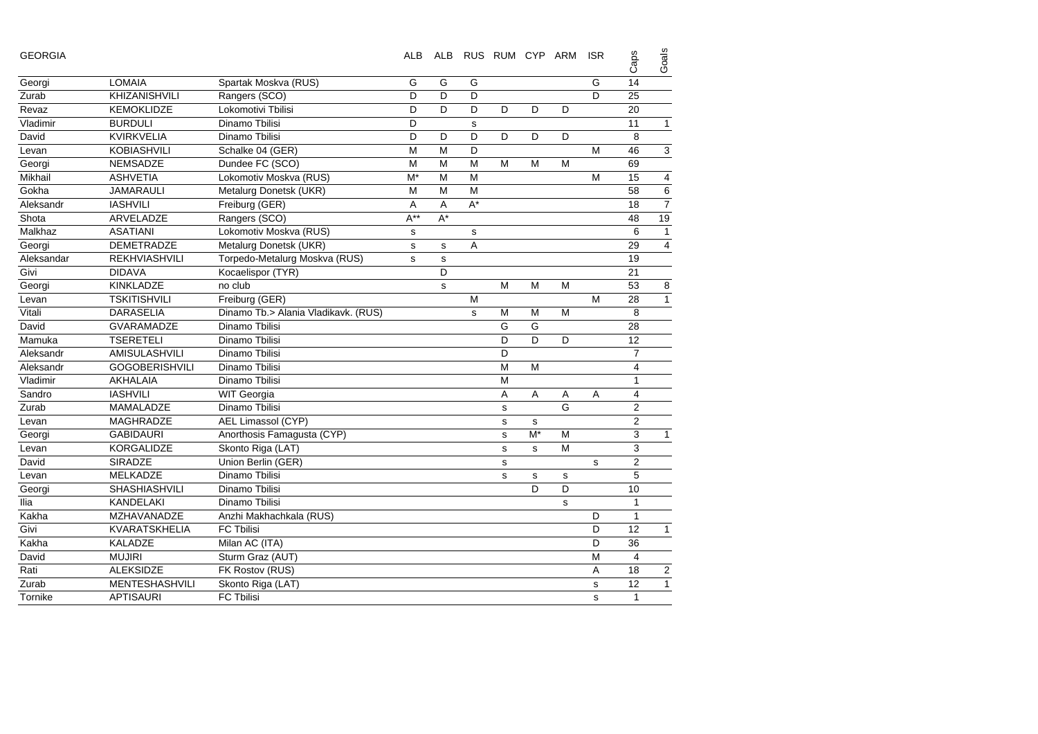| <b>GEORGIA</b> |                       |                                     |             |       | ALB ALB RUS RUM CYP ARM |             |    |   | <b>ISR</b>  | Caps           | Goals          |
|----------------|-----------------------|-------------------------------------|-------------|-------|-------------------------|-------------|----|---|-------------|----------------|----------------|
| Georgi         | <b>LOMAIA</b>         | Spartak Moskva (RUS)                | G           | G     | G                       |             |    |   | G           | 14             |                |
| Zurab          | <b>KHIZANISHVILI</b>  | Rangers (SCO)                       | D           | D     | D                       |             |    |   | D           | 25             |                |
| Revaz          | <b>KEMOKLIDZE</b>     | Lokomotivi Tbilisi                  | D           | D     | D                       | D           | D  | D |             | 20             |                |
| Vladimir       | <b>BURDULI</b>        | Dinamo Tbilisi                      | D           |       | s                       |             |    |   |             | 11             | $\mathbf{1}$   |
| David          | <b>KVIRKVELIA</b>     | Dinamo Tbilisi                      | D           | D     | D                       | D           | D  | D |             | 8              |                |
| Levan          | KOBIASHVILI           | Schalke 04 (GER)                    | M           | M     | D                       |             |    |   | M           | 46             | 3              |
| Georgi         | NEMSADZE              | Dundee FC (SCO)                     | M           | M     | М                       | М           | M  | M |             | 69             |                |
| Mikhail        | <b>ASHVETIA</b>       | Lokomotiv Moskva (RUS)              | M*          | М     | М                       |             |    |   | M           | 15             | 4              |
| Gokha          | <b>JAMARAULI</b>      | Metalurg Donetsk (UKR)              | M           | М     | M                       |             |    |   |             | 58             | 6              |
| Aleksandr      | <b>IASHVILI</b>       | Freiburg (GER)                      | Α           | Α     | $A^*$                   |             |    |   |             | 18             | $\overline{7}$ |
| Shota          | ARVELADZE             | Rangers (SCO)                       | $A^{**}$    | $A^*$ |                         |             |    |   |             | 48             | 19             |
| Malkhaz        | <b>ASATIANI</b>       | Lokomotiv Moskva (RUS)              | $\mathbf s$ |       | $\mathbf s$             |             |    |   |             | 6              | $\mathbf{1}$   |
| Georgi         | <b>DEMETRADZE</b>     | Metalurg Donetsk (UKR)              | s           | s     | A                       |             |    |   |             | 29             | $\overline{4}$ |
| Aleksandar     | <b>REKHVIASHVILI</b>  | Torpedo-Metalurg Moskva (RUS)       | s           | s     |                         |             |    |   |             | 19             |                |
| Givi           | <b>DIDAVA</b>         | Kocaelispor (TYR)                   |             | D     |                         |             |    |   |             | 21             |                |
| Georgi         | <b>KINKLADZE</b>      | no club                             |             | s     |                         | M           | M  | M |             | 53             | 8              |
| Levan          | <b>TSKITISHVILI</b>   | Freiburg (GER)                      |             |       | М                       |             |    |   | M           | 28             | $\mathbf{1}$   |
| Vitali         | <b>DARASELIA</b>      | Dinamo Tb.> Alania Vladikavk. (RUS) |             |       | s                       | M           | M  | M |             | 8              |                |
| David          | GVARAMADZE            | Dinamo Tbilisi                      |             |       |                         | G           | G  |   |             | 28             |                |
| Mamuka         | <b>TSERETELI</b>      | Dinamo Tbilisi                      |             |       |                         | D           | D  | D |             | 12             |                |
| Aleksandr      | AMISULASHVILI         | Dinamo Tbilisi                      |             |       |                         | D           |    |   |             | 7              |                |
| Aleksandr      | <b>GOGOBERISHVILI</b> | Dinamo Tbilisi                      |             |       |                         | M           | M  |   |             | 4              |                |
| Vladimir       | AKHALAIA              | Dinamo Tbilisi                      |             |       |                         | M           |    |   |             | $\mathbf{1}$   |                |
| Sandro         | <b>IASHVILI</b>       | <b>WIT Georgia</b>                  |             |       |                         | A           | A  | Α | Α           | 4              |                |
| Zurab          | MAMALADZE             | Dinamo Tbilisi                      |             |       |                         | s           |    | G |             | 2              |                |
| Levan          | MAGHRADZE             | AEL Limassol (CYP)                  |             |       |                         | $\mathbf s$ | s  |   |             | 2              |                |
| Georgi         | <b>GABIDAURI</b>      | Anorthosis Famagusta (CYP)          |             |       |                         | $\mathbf s$ | M* | M |             | 3              | 1              |
| Levan          | KORGALIDZE            | Skonto Riga (LAT)                   |             |       |                         | s           | s  | M |             | 3              |                |
| David          | SIRADZE               | Union Berlin (GER)                  |             |       |                         | $\mathbf s$ |    |   | $\mathbf s$ | 2              |                |
| Levan          | MELKADZE              | Dinamo Tbilisi                      |             |       |                         | s           | s  | s |             | 5              |                |
| Georgi         | <b>SHASHIASHVILI</b>  | Dinamo Tbilisi                      |             |       |                         |             | D  | D |             | 10             |                |
| llia           | KANDELAKI             | Dinamo Tbilisi                      |             |       |                         |             |    | s |             | $\mathbf{1}$   |                |
| Kakha          | <b>MZHAVANADZE</b>    | Anzhi Makhachkala (RUS)             |             |       |                         |             |    |   | D           | $\mathbf{1}$   |                |
| Givi           | <b>KVARATSKHELIA</b>  | <b>FC Tbilisi</b>                   |             |       |                         |             |    |   | D           | 12             | $\mathbf{1}$   |
| Kakha          | <b>KALADZE</b>        | Milan AC (ITA)                      |             |       |                         |             |    |   | D           | 36             |                |
| David          | <b>MUJIRI</b>         | Sturm Graz (AUT)                    |             |       |                         |             |    |   | M           | $\overline{4}$ |                |
| Rati           | <b>ALEKSIDZE</b>      | FK Rostov (RUS)                     |             |       |                         |             |    |   | Α           | 18             | $\overline{2}$ |
| Zurab          | <b>MENTESHASHVILI</b> | Skonto Riga (LAT)                   |             |       |                         |             |    |   | s           | 12             | $\mathbf{1}$   |
| Tornike        | <b>APTISAURI</b>      | FC Tbilisi                          |             |       |                         |             |    |   | s           | $\mathbf{1}$   |                |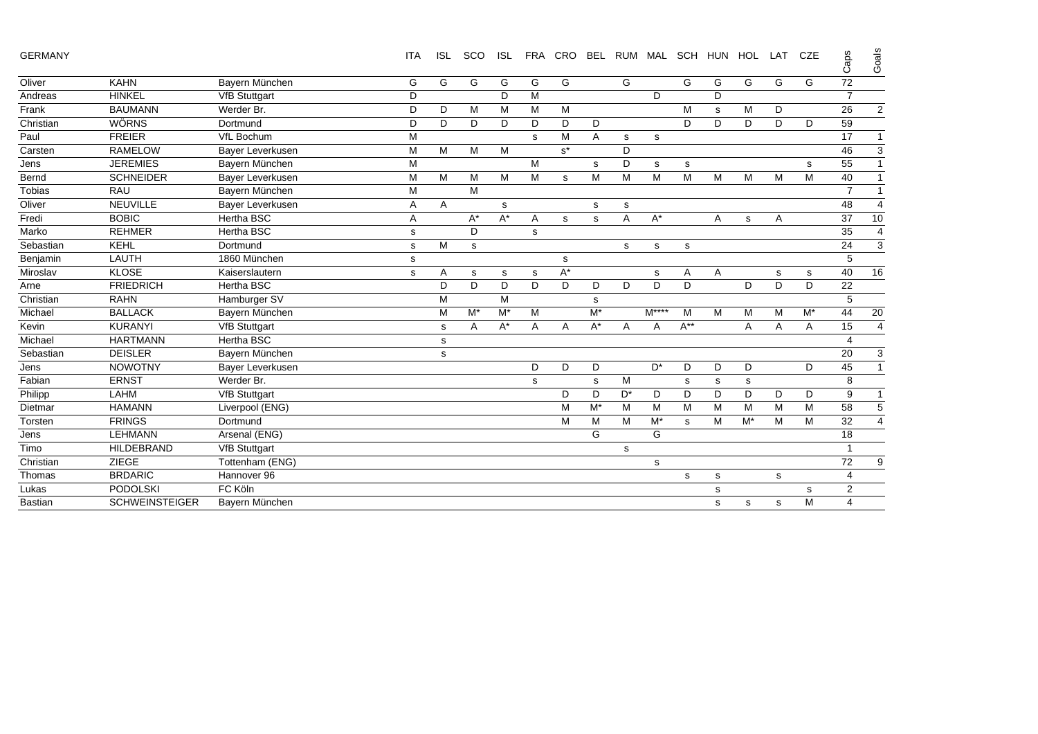| <b>GERMANY</b> |  |
|----------------|--|
|----------------|--|

GERMANY ITA ISL SCO ISL FRA CRO BEL RUM MAL SCH HUN HOL LAT CZE Caps Goals

|                |                       |                      |   |   |       |       |   |                      |       |       |        |          |   |       |   |           | Ő                       | ల              |
|----------------|-----------------------|----------------------|---|---|-------|-------|---|----------------------|-------|-------|--------|----------|---|-------|---|-----------|-------------------------|----------------|
| Oliver         | <b>KAHN</b>           | Bayern München       | G | G | G     | G     | G | G                    |       | G     |        | G        | G | G     | G | G         | 72                      |                |
| Andreas        | <b>HINKEL</b>         | <b>VfB Stuttgart</b> | D |   |       | D     | M |                      |       |       | D      |          | D |       |   |           | $\overline{7}$          |                |
| Frank          | <b>BAUMANN</b>        | Werder Br.           | D | D | M     | M     | M | M                    |       |       |        | М        | s | M     | D |           | 26                      | $\overline{2}$ |
| Christian      | <b>WÖRNS</b>          | Dortmund             | D | D | D     | D     | D | D                    | D     |       |        | D        | D | D     | D | D         | 59                      |                |
| Paul           | <b>FREIER</b>         | VfL Bochum           | М |   |       |       | s | M                    | Α     | s     | s      |          |   |       |   |           | 17                      | $\mathbf{1}$   |
| Carsten        | <b>RAMELOW</b>        | Bayer Leverkusen     | М | M | M     | M     |   | $s^*$                |       | D     |        |          |   |       |   |           | 46                      | 3              |
| Jens           | <b>JEREMIES</b>       | Bayern München       | M |   |       |       | M |                      | s     | D     | s      | s        |   |       |   | s         | 55                      | $\overline{1}$ |
| Bernd          | <b>SCHNEIDER</b>      | Bayer Leverkusen     | М | M | M     | M     | M | s                    | M     | M     | M      | M        | M | M     | M | M         | 40                      | $\mathbf{1}$   |
| Tobias         | <b>RAU</b>            | Bayern München       | M |   | M     |       |   |                      |       |       |        |          |   |       |   |           | $\overline{7}$          | $\mathbf{1}$   |
| Oliver         | <b>NEUVILLE</b>       | Bayer Leverkusen     | Α | Α |       | s     |   |                      | s     | s     |        |          |   |       |   |           | 48                      | $\overline{4}$ |
| Fredi          | <b>BOBIC</b>          | <b>Hertha BSC</b>    | Α |   | $A^*$ | $A^*$ | Α | s                    | s     | A     | $A^*$  |          | A | s     | Α |           | 37                      | 10             |
| Marko          | <b>REHMER</b>         | <b>Hertha BSC</b>    | s |   | D     |       | s |                      |       |       |        |          |   |       |   |           | 35                      | $\overline{4}$ |
| Sebastian      | <b>KEHL</b>           | Dortmund             | s | M | s     |       |   |                      |       | s     | s      | s        |   |       |   |           | 24                      | 3              |
| Benjamin       | LAUTH                 | 1860 München         | s |   |       |       |   | s                    |       |       |        |          |   |       |   |           | 5                       |                |
| Miroslav       | <b>KLOSE</b>          | Kaiserslautern       | s | Α | s     | s     | s | $\mathsf{A}^{\star}$ |       |       | s      | Α        | A |       | s | s         | 40                      | 16             |
| Arne           | <b>FRIEDRICH</b>      | <b>Hertha BSC</b>    |   | D | D     | D     | D | D                    | D     | D     | D      | D        |   | D     | D | D         | 22                      |                |
| Christian      | <b>RAHN</b>           | Hamburger SV         |   | M |       | M     |   |                      | s     |       |        |          |   |       |   |           | 5                       |                |
| Michael        | <b>BALLACK</b>        | Bayern München       |   | M | $M^*$ | $M^*$ | M |                      | $M^*$ |       | $M***$ | M        | M | M     | M | $M^*$     | 44                      | 20             |
| Kevin          | <b>KURANYI</b>        | <b>VfB Stuttgart</b> |   | s | Α     | $A^*$ | Α | Α                    | A*    | A     | Α      | $A^{**}$ |   | Α     | Α | Α         | 15                      | $\overline{4}$ |
| Michael        | <b>HARTMANN</b>       | <b>Hertha BSC</b>    |   | s |       |       |   |                      |       |       |        |          |   |       |   |           | $\overline{4}$          |                |
| Sebastian      | <b>DEISLER</b>        | Bayern München       |   | s |       |       |   |                      |       |       |        |          |   |       |   |           | 20                      | 3              |
| Jens           | <b>NOWOTNY</b>        | Bayer Leverkusen     |   |   |       |       | D | D                    | D     |       | $D^*$  | D        | D | D     |   | D         | 45                      | $\mathbf{1}$   |
| Fabian         | <b>ERNST</b>          | Werder Br.           |   |   |       |       | s |                      | s     | M     |        | s        | s | s     |   |           | 8                       |                |
| Philipp        | LAHM                  | <b>VfB Stuttgart</b> |   |   |       |       |   | D                    | D     | $D^*$ | D      | D        | D | D     | D | D         | 9                       | $\mathbf{1}$   |
| Dietmar        | <b>HAMANN</b>         | Liverpool (ENG)      |   |   |       |       |   | M                    | $M^*$ | M     | M      | M        | M | м     | M | M         | 58                      | 5              |
| Torsten        | <b>FRINGS</b>         | Dortmund             |   |   |       |       |   | M                    | M     | M     | $M^*$  | s        | M | $M^*$ | M | M         | 32                      | $\overline{4}$ |
| Jens           | <b>LEHMANN</b>        | Arsenal (ENG)        |   |   |       |       |   |                      | G     |       | G      |          |   |       |   |           | 18                      |                |
| Timo           | <b>HILDEBRAND</b>     | <b>VfB Stuttgart</b> |   |   |       |       |   |                      |       | s     |        |          |   |       |   |           | $\overline{\mathbf{1}}$ |                |
| Christian      | <b>ZIEGE</b>          | Tottenham (ENG)      |   |   |       |       |   |                      |       |       | s      |          |   |       |   |           | 72                      | 9              |
| Thomas         | <b>BRDARIC</b>        | Hannover 96          |   |   |       |       |   |                      |       |       |        | s        | s |       | s |           | 4                       |                |
| Lukas          | <b>PODOLSKI</b>       | FC Köln              |   |   |       |       |   |                      |       |       |        |          | s |       |   | ${\bf s}$ | 2                       |                |
| <b>Bastian</b> | <b>SCHWEINSTEIGER</b> | Bayern München       |   |   |       |       |   |                      |       |       |        |          | s | s     | s | M         | $\overline{4}$          |                |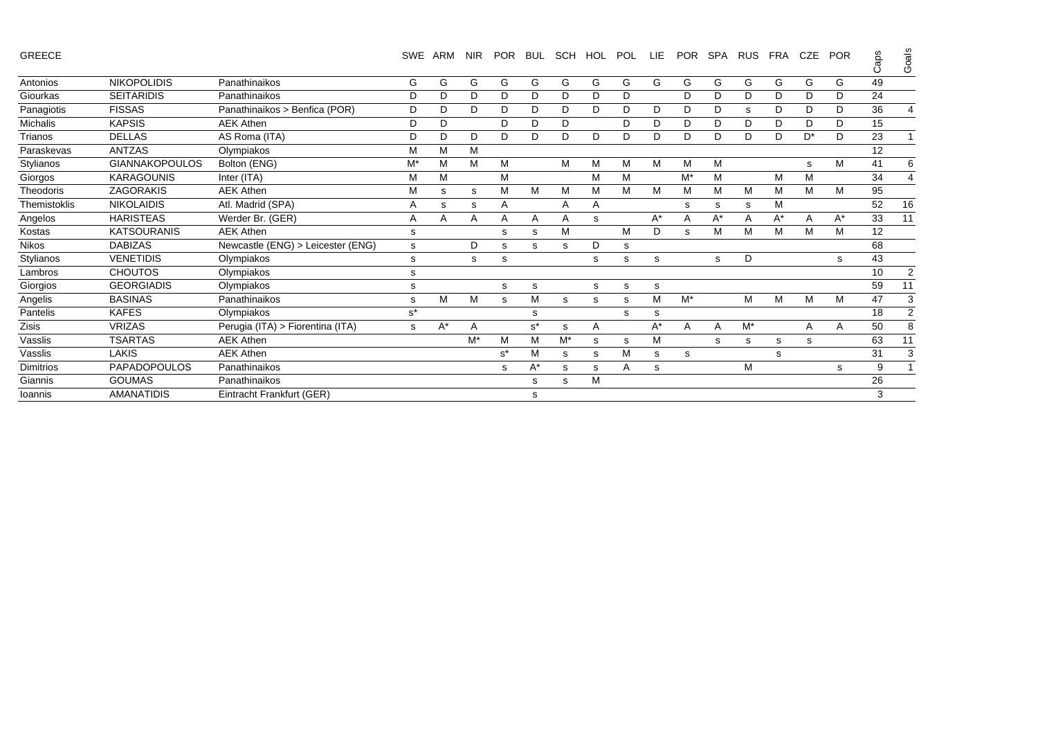| GREECE |  |  |
|--------|--|--|

GREECE SWE ARM NIR POR BUL SCH HOL POL LIE POR SPA RUS FRA CZE POR Caps Goals

|                  |                       |                                   |       |       |    |       |       |       |   |   |       |       |    |       |    |    |    | $\circ$ | ౻              |
|------------------|-----------------------|-----------------------------------|-------|-------|----|-------|-------|-------|---|---|-------|-------|----|-------|----|----|----|---------|----------------|
| Antonios         | <b>NIKOPOLIDIS</b>    | Panathinaikos                     | G     | G     | G  | G     | G     | G     | G | G | G     | G     | G  | G     | G  | G  | G  | 49      |                |
| Giourkas         | <b>SEITARIDIS</b>     | Panathinaikos                     | D     | D     | D  | D     | D     | D     | D | D |       | D     | D  | D     | D  | D  | D  | 24      |                |
| Panagiotis       | <b>FISSAS</b>         | Panathinaikos > Benfica (POR)     | D     | D     | D  | D     | D.    | D     | D | D | D     | D     | D  | s     | D  | D  | D  | 36      | $\overline{4}$ |
| <b>Michalis</b>  | <b>KAPSIS</b>         | <b>AEK Athen</b>                  | D     | D     |    | D     | D     | D     |   | D | D     | D     | D  | D     | D  | D  | D  | 15      |                |
| Trianos          | <b>DELLAS</b>         | AS Roma (ITA)                     | D     | D     | D  | D     | D.    | D     | D | D | D     | D     | D  | D     | D  | D* | D  | 23      | -1             |
| Paraskevas       | <b>ANTZAS</b>         | Olympiakos                        | M     | M     | м  |       |       |       |   |   |       |       |    |       |    |    |    | 12      |                |
| Stylianos        | <b>GIANNAKOPOULOS</b> | Bolton (ENG)                      | M*    | M     | М  | M     |       | M     | M | M | м     | M     | М  |       |    | s  | M  | 41      | 6              |
| Giorgos          | <b>KARAGOUNIS</b>     | Inter (ITA)                       | M     | M     |    | М     |       |       | M | M |       | $M^*$ | M  |       | М  | м  |    | 34      | $\overline{4}$ |
| Theodoris        | ZAGORAKIS             | <b>AEK Athen</b>                  | M     | s     | s  | М     | м     | M     | M | M | M     | M     | М  | Μ     | М  | M  | M  | 95      |                |
| Themistoklis     | <b>NIKOLAIDIS</b>     | Atl. Madrid (SPA)                 | Α     | s     | s  | A     |       | A     | Α |   |       | s     | s  | s     | М  |    |    | 52      | 16             |
| Angelos          | <b>HARISTEAS</b>      | Werder Br. (GER)                  | Α     | A     | A  | A     | A     | A     | s |   | $A^*$ | Α     | A* | А     | A* | A  | A* | 33      | 11             |
| Kostas           | <b>KATSOURANIS</b>    | <b>AEK Athen</b>                  | s     |       |    | s     | s     | M     |   | M | D     | s     | М  | М     | M  | M  | М  | 12      |                |
| <b>Nikos</b>     | <b>DABIZAS</b>        | Newcastle (ENG) > Leicester (ENG) | s     |       | D  | s     | s     | s     | D | s |       |       |    |       |    |    |    | 68      |                |
| Stylianos        | <b>VENETIDIS</b>      | Olympiakos                        | s     |       | s  | s     |       |       | s | s | s     |       | s  | D     |    |    | s  | 43      |                |
| Lambros          | <b>CHOUTOS</b>        | Olympiakos                        | s     |       |    |       |       |       |   |   |       |       |    |       |    |    |    | 10      | 2              |
| Giorgios         | <b>GEORGIADIS</b>     | Olympiakos                        | s     |       |    | s     | s     |       | s | s | s     |       |    |       |    |    |    | 59      | 11             |
| Angelis          | <b>BASINAS</b>        | Panathinaikos                     | s     | M     | м  | s     | м     | s     | s | s | M     | $M^*$ |    | M     | М  | M  | M  | 47      | 3              |
| Pantelis         | <b>KAFES</b>          | Olympiakos                        | $s^*$ |       |    |       | s     |       |   | s | s     |       |    |       |    |    |    | 18      | 2              |
| Zisis            | <b>VRIZAS</b>         | Perugia (ITA) > Fiorentina (ITA)  | s     | $A^*$ | A  |       | $s^*$ | s     | Α |   | $A^*$ | Α     | A  | $M^*$ |    | Α  | A  | 50      | 8              |
| Vasslis          | <b>TSARTAS</b>        | <b>AEK Athen</b>                  |       |       | M* | M     | м     | $M^*$ | s | s | м     |       | s  | s     | s  | s  |    | 63      | 11             |
| Vasslis          | <b>LAKIS</b>          | <b>AEK Athen</b>                  |       |       |    | $s^*$ | м     | s     | s | M | s     | s     |    |       | s  |    |    | 31      | 3              |
| <b>Dimitrios</b> | <b>PAPADOPOULOS</b>   | Panathinaikos                     |       |       |    | s     | A*    | s     | s | A | s     |       |    | м     |    |    | s  | 9       |                |
| Giannis          | <b>GOUMAS</b>         | Panathinaikos                     |       |       |    |       | s     | s     | M |   |       |       |    |       |    |    |    | 26      |                |
| Ioannis          | <b>AMANATIDIS</b>     | Eintracht Frankfurt (GER)         |       |       |    |       | s     |       |   |   |       |       |    |       |    |    |    | 3       |                |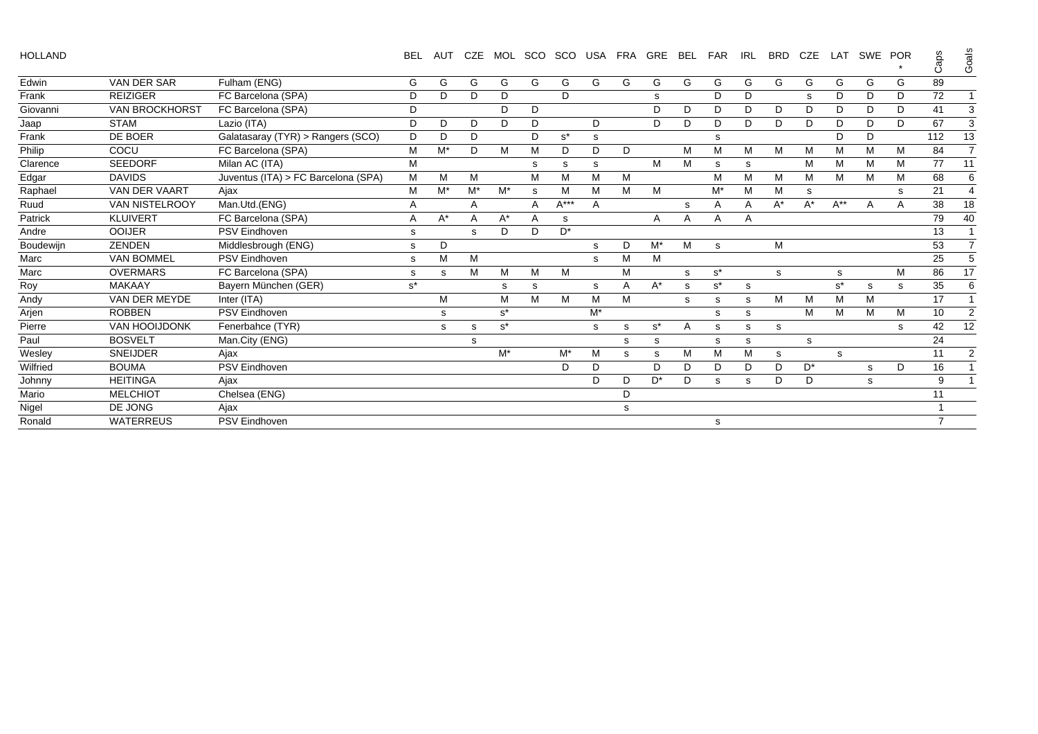| <b>HOLLAND</b> |                       |                                     | <b>BEL</b>     | <b>AUT</b> | <b>CZE</b>     | MOL   | SCO |        | SCO USA FRA |   | <b>GRE</b>     | <b>BEL</b> | <b>FAR</b>     | <b>IRL</b> | <b>BRD</b> | <b>CZE</b> | LAT      |   | SWE POR | Caps           | Goals                 |
|----------------|-----------------------|-------------------------------------|----------------|------------|----------------|-------|-----|--------|-------------|---|----------------|------------|----------------|------------|------------|------------|----------|---|---------|----------------|-----------------------|
| Edwin          | <b>VAN DER SAR</b>    | Fulham (ENG)                        | G              | G          | G              | G     | G   | G      | G           | G | G              | G          | G              | G          | G          | G          | G        | G | G       | 89             |                       |
| Frank          | <b>REIZIGER</b>       | FC Barcelona (SPA)                  | D              | D.         | D              | D     |     | D      |             |   | s              |            | D              | D          |            | S          | D        | D | D       | 72             |                       |
| Giovanni       | <b>VAN BROCKHORST</b> | FC Barcelona (SPA)                  | D              |            |                | D     | D   |        |             |   | D              | D          | D              | D          | D          | D          | D        | D | D       | 41             | 3                     |
| Jaap           | <b>STAM</b>           | Lazio (ITA)                         | D              | D          | D              | D     | D   |        | D           |   | D              | D          | D              | D          | D          | D          | D        | D | D       | 67             | 3                     |
| Frank          | DE BOER               | Galatasaray (TYR) > Rangers (SCO)   | D              | D          | D              |       | D   | $s^*$  | s           |   |                |            | s              |            |            |            | D        | D |         | 112            | 13                    |
| Philip         | COCU                  | FC Barcelona (SPA)                  | M              | M*         | D              | м     | M   | D      | D           | D |                | М          | M              | M          | M          | M          | м        | м | M       | 84             | $\overline{7}$        |
| Clarence       | <b>SEEDORF</b>        | Milan AC (ITA)                      | M              |            |                |       | s   | s      | s           |   | M              | M          | s              | s          |            | M          | M        | M | м       | 77             | 11                    |
| Edgar          | <b>DAVIDS</b>         | Juventus (ITA) > FC Barcelona (SPA) | M              | M          | M              |       | M   | M      | M           | M |                |            | M              | M          | M          | M          | M        | M | м       | 68             | 6                     |
| Raphael        | <b>VAN DER VAART</b>  | Ajax                                | М              | M*         | M*             | $M^*$ | s   | M      | М           | M | M              |            | $M^*$          | м          | M          | s          |          |   | s       | 21             | $\boldsymbol{\Delta}$ |
| Ruud           | <b>VAN NISTELROOY</b> | Man.Utd.(ENG)                       | $\overline{A}$ |            | A              |       | A   | $A***$ | A           |   |                | s          | $\overline{A}$ | Α          | $A^*$      | $A^*$      | $A^{**}$ | A | A       | 38             | 18                    |
| Patrick        | KLUIVERT              | FC Barcelona (SPA)                  | $\overline{A}$ | $A^*$      | $\overline{A}$ | $A^*$ | A   | s      |             |   | A              | A          | A              | A          |            |            |          |   |         | 79             | 40                    |
| Andre          | <b>OOIJER</b>         | <b>PSV Eindhoven</b>                | s              |            | s              | D     | D   | $D^*$  |             |   |                |            |                |            |            |            |          |   |         | 13             |                       |
| Boudewijn      | <b>ZENDEN</b>         | Middlesbrough (ENG)                 | s              | D          |                |       |     |        | s           | D | $M^*$          | M          | s.             |            | M          |            |          |   |         | 53             | $\overline{7}$        |
| Marc           | <b>VAN BOMMEL</b>     | <b>PSV Eindhoven</b>                | s              | M          | М              |       |     |        | s           | M | M              |            |                |            |            |            |          |   |         | 25             | 5                     |
| Marc           | <b>OVERMARS</b>       | FC Barcelona (SPA)                  | s              | s          | м              | M     | M   | M      |             | M |                | s          | $s^*$          |            | s          |            | s        |   | M       | 86             | 17                    |
| Roy            | <b>MAKAAY</b>         | Bayern München (GER)                | $s^*$          |            |                | s     | s   |        | s           | Α | $A^*$          | s          | $s^*$          | s          |            |            | $s^*$    | s | s       | 35             | 6                     |
| Andy           | VAN DER MEYDE         | Inter (ITA)                         |                | М          |                | M     | M   | M      | M           | M |                | s          | s              | S          | м          | M          | M        | м |         | 17             |                       |
| Arjen          | <b>ROBBEN</b>         | <b>PSV Eindhoven</b>                |                | s          |                | $s^*$ |     |        | $M^*$       |   |                |            | s              | s          |            | M          | м        | M | м       | 10             | $\overline{2}$        |
| Pierre         | <b>VAN HOOIJDONK</b>  | Fenerbahce (TYR)                    |                | s          | s              | $s^*$ |     |        | s           | s | $s^*$          | Α          | s              | s          | s          |            |          |   | s       | 42             | 12                    |
| Paul           | <b>BOSVELT</b>        | Man.City (ENG)                      |                |            | s              |       |     |        |             | s | s              |            | s              | s          |            | s          |          |   |         | 24             |                       |
| Wesley         | <b>SNEIJDER</b>       | Ajax                                |                |            |                | $M^*$ |     | $M^*$  | M           | s | s              | М          | M              | М          | s          |            | s        |   |         | 11             | 2                     |
| Wilfried       | <b>BOUMA</b>          | PSV Eindhoven                       |                |            |                |       |     | D      | D           |   | D              | D          | D              | D          | D          | $D^*$      |          | s | D       | 16             |                       |
| Johnny         | <b>HEITINGA</b>       | Ajax                                |                |            |                |       |     |        | D           | D | D <sup>*</sup> | D          | S              | s          | D          | D          |          | s |         | 9              |                       |
| Mario          | <b>MELCHIOT</b>       | Chelsea (ENG)                       |                |            |                |       |     |        |             | D |                |            |                |            |            |            |          |   |         | 11             |                       |
| Nigel          | DE JONG               | Ajax                                |                |            |                |       |     |        |             | s |                |            |                |            |            |            |          |   |         |                |                       |
| Ronald         | <b>WATERREUS</b>      | <b>PSV Eindhoven</b>                |                |            |                |       |     |        |             |   |                |            | s              |            |            |            |          |   |         | $\overline{7}$ |                       |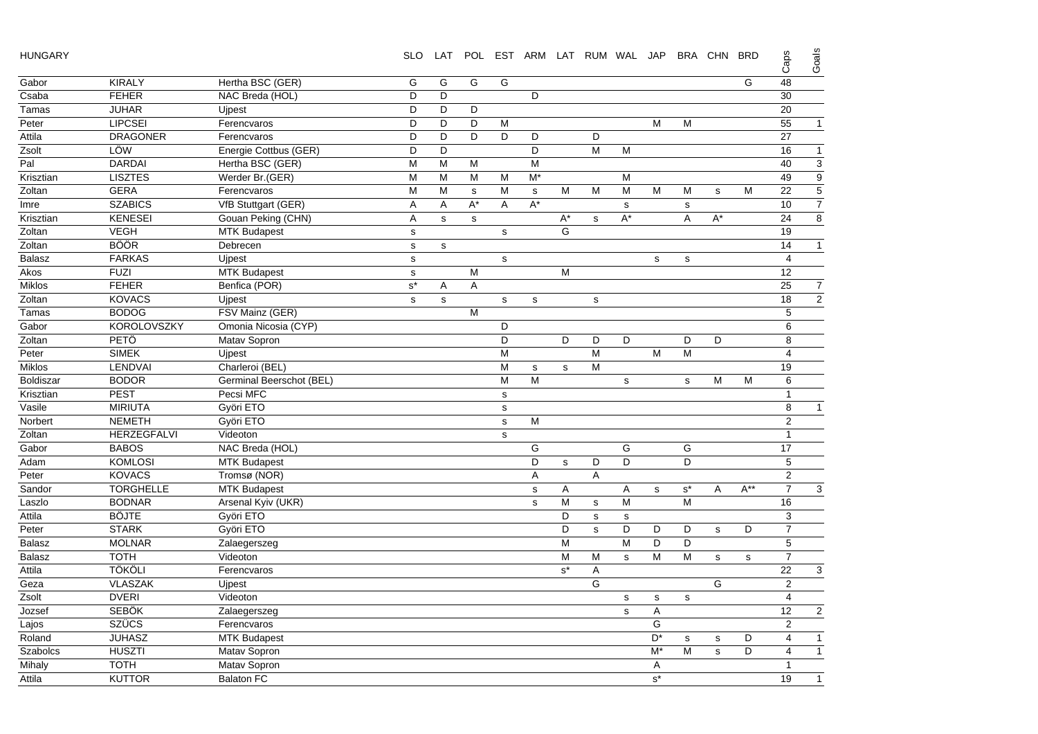| <b>HUNGARY</b> |  |
|----------------|--|
|----------------|--|

| <b>HUNGARY</b>   |                    |                          | <b>SLO</b>           | LAT          |             |              |              |              | POL EST ARM LAT RUM WAL JAP |             |             |                      | BRA CHN | <b>BRD</b>  | Caps            | Goals          |
|------------------|--------------------|--------------------------|----------------------|--------------|-------------|--------------|--------------|--------------|-----------------------------|-------------|-------------|----------------------|---------|-------------|-----------------|----------------|
| Gabor            | <b>KIRALY</b>      | Hertha BSC (GER)         | G                    | G            | G           | G            |              |              |                             |             |             |                      |         | G           | 48              |                |
| Csaba            | <b>FEHER</b>       | NAC Breda (HOL)          | D                    | D            |             |              | D            |              |                             |             |             |                      |         |             | 30              |                |
| Tamas            | <b>JUHAR</b>       | <b>Uipest</b>            | D                    | D            | D           |              |              |              |                             |             |             |                      |         |             | 20              |                |
| Peter            | <b>LIPCSEI</b>     | Ferencvaros              | D                    | D            | D           | M            |              |              |                             |             | M           | м                    |         |             | 55              | $\overline{1}$ |
| Attila           | <b>DRAGONER</b>    | Ferencvaros              | D                    | D            | D           | D            | D            |              | D                           |             |             |                      |         |             | 27              |                |
| Zsolt            | LÖW                | Energie Cottbus (GER)    | D                    | D            |             |              | D            |              | M                           | M           |             |                      |         |             | 16              | 1              |
| Pal              | <b>DARDAI</b>      | Hertha BSC (GER)         | M                    | M            | м           |              | M            |              |                             |             |             |                      |         |             | 40              | $\overline{3}$ |
| Krisztian        | <b>LISZTES</b>     | Werder Br.(GER)          | M                    | M            | M           | M            | M*           |              |                             | M           |             |                      |         |             | 49              | g              |
| Zoltan           | <b>GERA</b>        | Ferencvaros              | M                    | M            | $\mathbf s$ | M            | $\mathbf s$  | M            | M                           | M           | M           | M                    | s       | M           | 22              | 5              |
| Imre             | <b>SZABICS</b>     | VfB Stuttgart (GER)      | A                    | Α            | $A^*$       | A            | $A^*$        |              |                             | ${\sf s}$   |             | $\mathbf s$          |         |             | 10              |                |
| Krisztian        | <b>KENESEI</b>     | Gouan Peking (CHN)       | Α                    | $\mathbf s$  | $\mathbf S$ |              |              | $A^*$        | s                           | $A^*$       |             | A                    | $A^*$   |             | 24              | $\overline{8}$ |
| Zoltan           | <b>VEGH</b>        | <b>MTK Budapest</b>      | $\mathbf s$          |              |             | $\mathbf{s}$ |              | G            |                             |             |             |                      |         |             | 19              |                |
| Zoltan           | <b>BÖÖR</b>        | Debrecen                 | $\mathbf S$          | $\mathbf S$  |             |              |              |              |                             |             |             |                      |         |             | 14              | 1              |
| <b>Balasz</b>    | <b>FARKAS</b>      | Ujpest                   | $\mathbf s$          |              |             | s            |              |              |                             |             | $\mathbf s$ | $\mathbf s$          |         |             | $\overline{4}$  |                |
| Akos             | <b>FUZI</b>        | <b>MTK Budapest</b>      | $\mathbf s$          |              | M           |              |              | M            |                             |             |             |                      |         |             | 12              |                |
| <b>Miklos</b>    | <b>FEHER</b>       | Benfica (POR)            | $\texttt{s}^{\star}$ | Α            | A           |              |              |              |                             |             |             |                      |         |             | 25              | 7              |
| Zoltan           | <b>KOVACS</b>      | <b>Uipest</b>            | $\mathbf s$          | $\mathbf{s}$ |             | s            | s            |              | s                           |             |             |                      |         |             | 18              | $\overline{2}$ |
| Tamas            | <b>BODOG</b>       | FSV Mainz (GER)          |                      |              | M           |              |              |              |                             |             |             |                      |         |             | 5               |                |
| Gabor            | <b>KOROLOVSZKY</b> | Omonia Nicosia (CYP)     |                      |              |             | D            |              |              |                             |             |             |                      |         |             | $\,6$           |                |
| Zoltan           | PETÖ               | Matav Sopron             |                      |              |             | D            |              | D            | D                           | D           |             | D                    | D       |             | 8               |                |
| Peter            | <b>SIMEK</b>       | Ujpest                   |                      |              |             | M            |              |              | $\overline{M}$              |             | M           | M                    |         |             | $\overline{4}$  |                |
| <b>Miklos</b>    | LENDVAI            | Charleroi (BEL)          |                      |              |             | M            | $\mathbf{s}$ | $\mathbf{s}$ | M                           |             |             |                      |         |             | 19              |                |
| <b>Boldiszar</b> | <b>BODOR</b>       | Germinal Beerschot (BEL) |                      |              |             | M            | M            |              |                             | $\mathbf s$ |             | s                    | M       | M           | 6               |                |
| Krisztian        | <b>PEST</b>        | Pecsi MFC                |                      |              |             | $\mathbf s$  |              |              |                             |             |             |                      |         |             | $\mathbf{1}$    |                |
| Vasile           | <b>MIRIUTA</b>     | Györi ETO                |                      |              |             | $\mathbf s$  |              |              |                             |             |             |                      |         |             | 8               | 1              |
| Norbert          | <b>NEMETH</b>      | Györi ETO                |                      |              |             | $\mathbf s$  | M            |              |                             |             |             |                      |         |             | $\overline{2}$  |                |
| Zoltan           | HERZEGFALVI        | Videoton                 |                      |              |             | s            |              |              |                             |             |             |                      |         |             | $\overline{1}$  |                |
| Gabor            | <b>BABOS</b>       | NAC Breda (HOL)          |                      |              |             |              | G            |              |                             | G           |             | G                    |         |             | $\overline{17}$ |                |
| Adam             | <b>KOMLOSI</b>     | <b>MTK Budapest</b>      |                      |              |             |              | D            | $\mathbf s$  | D                           | D           |             | D                    |         |             | $\overline{5}$  |                |
| Peter            | <b>KOVACS</b>      | Tromsø (NOR)             |                      |              |             |              | A            |              | A                           |             |             |                      |         |             | $\overline{2}$  |                |
| Sandor           | <b>TORGHELLE</b>   | <b>MTK Budapest</b>      |                      |              |             |              | $\mathbf s$  | Α            |                             | Α           | s           | $\texttt{s}^{\star}$ | Α       | $A^{**}$    | $\overline{7}$  | 3              |
| Laszlo           | <b>BODNAR</b>      | Arsenal Kyiv (UKR)       |                      |              |             |              | s            | M            | s                           | M           |             | M                    |         |             | 16              |                |
| Attila           | <b>BÖJTE</b>       | Györi ETO                |                      |              |             |              |              | D            | $\mathbf s$                 | $\mathbf s$ |             |                      |         |             | 3               |                |
| Peter            | <b>STARK</b>       | Györi ETO                |                      |              |             |              |              | D            | s                           | D           | D           | D                    | s       | D           | $\overline{7}$  |                |
| <b>Balasz</b>    | <b>MOLNAR</b>      | Zalaegerszeg             |                      |              |             |              |              | M            |                             | M           | D           | D                    |         |             | $\sqrt{5}$      |                |
| <b>Balasz</b>    | <b>TOTH</b>        | Videoton                 |                      |              |             |              |              | M            | M                           | $\mathbf s$ | M           | M                    | s       | $\mathbf s$ | $\overline{7}$  |                |
| Attila           | <b>TÖKÖLI</b>      | Ferencvaros              |                      |              |             |              |              | $s^*$        | A                           |             |             |                      |         |             | 22              | 3              |
| Geza             | <b>VLASZAK</b>     | Ujpest                   |                      |              |             |              |              |              | G                           |             |             |                      | G       |             | $\overline{2}$  |                |
| Zsolt            | <b>DVERI</b>       | Videoton                 |                      |              |             |              |              |              |                             | s           | s           | s                    |         |             | $\overline{4}$  |                |
| Jozsef           | <b>SEBÖK</b>       | Zalaegerszeg             |                      |              |             |              |              |              |                             | s           | Α           |                      |         |             | 12              | $\overline{a}$ |
| Lajos            | <b>SZÜCS</b>       | Ferencvaros              |                      |              |             |              |              |              |                             |             | G           |                      |         |             | $\overline{2}$  |                |
| Roland           | <b>JUHASZ</b>      | <b>MTK Budapest</b>      |                      |              |             |              |              |              |                             |             | $D^*$       | $\mathbf s$          | s       | D           | 4               | $\mathbf{1}$   |
| Szabolcs         | <b>HUSZTI</b>      | Matav Sopron             |                      |              |             |              |              |              |                             |             | $M^*$       | M                    | s       | D           | 4               | 1              |
| Mihaly           | <b>TOTH</b>        | Matav Sopron             |                      |              |             |              |              |              |                             |             | Α           |                      |         |             | $\mathbf{1}$    |                |
| Attila           | <b>KUTTOR</b>      | <b>Balaton FC</b>        |                      |              |             |              |              |              |                             |             | $s^*$       |                      |         |             | 19              | 1              |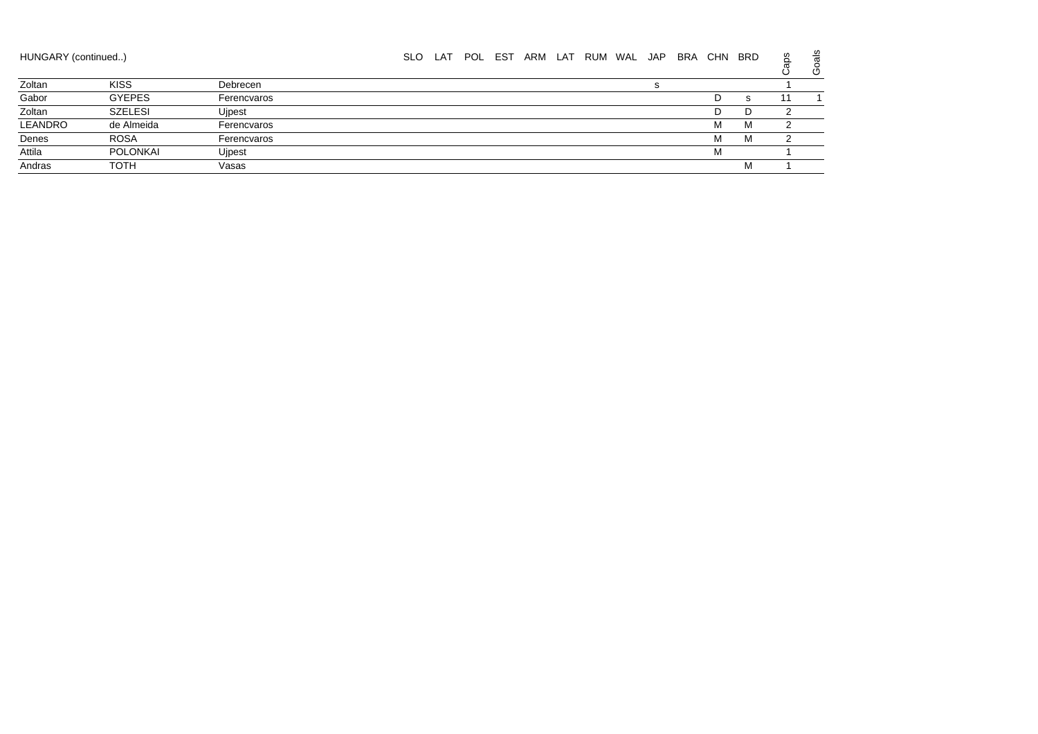| HUNGARY (continued) |                 |             | <b>SLO</b> | LAT | POL EST | ARM | LAT RUM WAL JAP |  | BRA | CHN | <b>BRD</b> | š | Goals |
|---------------------|-----------------|-------------|------------|-----|---------|-----|-----------------|--|-----|-----|------------|---|-------|
| Zoltan              | <b>KISS</b>     | Debrecen    |            |     |         |     |                 |  |     |     |            |   |       |
| Gabor               | <b>GYEPES</b>   | Ferencvaros |            |     |         |     |                 |  |     | D   | s          |   |       |
| Zoltan              | <b>SZELESI</b>  | Ujpest      |            |     |         |     |                 |  |     | D   | D          |   |       |
| LEANDRO             | de Almeida      | Ferencvaros |            |     |         |     |                 |  |     | м   | м          |   |       |
| Denes               | <b>ROSA</b>     | Ferencvaros |            |     |         |     |                 |  |     | м   | M          |   |       |
| Attila              | <b>POLONKAI</b> | Uipest      |            |     |         |     |                 |  |     | M   |            |   |       |
| Andras              | <b>TOTH</b>     | Vasas       |            |     |         |     |                 |  |     |     | м          |   |       |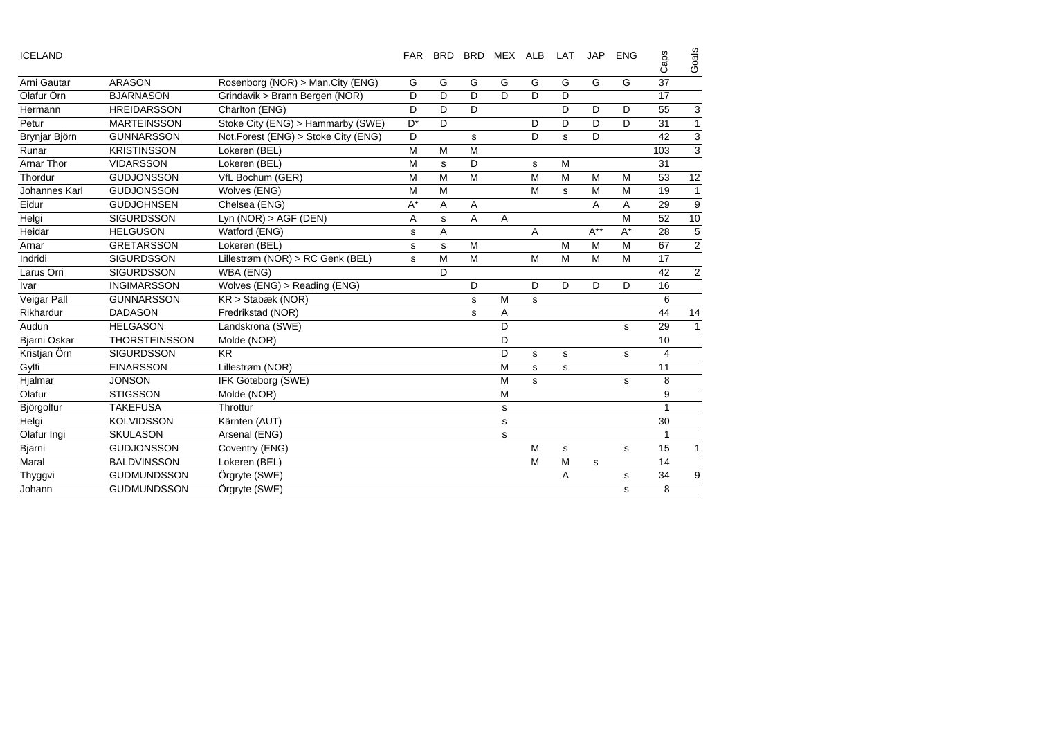| <b>ICELAND</b> |                      |                                     | <b>FAR</b> | <b>BRD</b>  | <b>BRD</b> | MEX ALB |   | LAT | <b>JAP</b> | <b>ENG</b> | Caps | Goals        |
|----------------|----------------------|-------------------------------------|------------|-------------|------------|---------|---|-----|------------|------------|------|--------------|
| Arni Gautar    | <b>ARASON</b>        | Rosenborg (NOR) > Man.City (ENG)    | G          | G           | G          | G       | G | G   | G          | G          | 37   |              |
| Olafur Örn     | <b>BJARNASON</b>     | Grindavik > Brann Bergen (NOR)      | D          | D           | D          | D       | D | D   |            |            | 17   |              |
| Hermann        | <b>HREIDARSSON</b>   | Charlton (ENG)                      | D          | D           | D          |         |   | D   | D          | D          | 55   | 3            |
| Petur          | <b>MARTEINSSON</b>   | Stoke City (ENG) > Hammarby (SWE)   | $D^*$      | D           |            |         | D | D   | D          | D          | 31   |              |
| Brynjar Björn  | <b>GUNNARSSON</b>    | Not.Forest (ENG) > Stoke City (ENG) | D          |             | s          |         | D | s.  | D          |            | 42   | 3            |
| Runar          | <b>KRISTINSSON</b>   | Lokeren (BEL)                       | М          | M           | M          |         |   |     |            |            | 103  | 3            |
| Arnar Thor     | <b>VIDARSSON</b>     | Lokeren (BEL)                       | М          | $\mathbf s$ | D          |         | s | M   |            |            | 31   |              |
| Thordur        | <b>GUDJONSSON</b>    | VfL Bochum (GER)                    | M          | M           | M          |         | M | M   | M          | M          | 53   | 12           |
| Johannes Karl  | <b>GUDJONSSON</b>    | Wolves (ENG)                        | M          | M           |            |         | M | s   | M          | M          | 19   |              |
| Eidur          | <b>GUDJOHNSEN</b>    | Chelsea (ENG)                       | $A^*$      | A           | Α          |         |   |     | A          | A          | 29   | 9            |
| Helgi          | <b>SIGURDSSON</b>    | Lyn $(NOR) > AGF$ (DEN)             | Α          | s           | Α          | Α       |   |     |            | M          | 52   | 10           |
| Heidar         | <b>HELGUSON</b>      | Watford (ENG)                       | s          | A           |            |         | A |     | $A^{**}$   | $A^*$      | 28   | 5            |
| Arnar          | <b>GRETARSSON</b>    | Lokeren (BEL)                       | s          | s           | M          |         |   | M   | M          | M          | 67   | $\mathbf{2}$ |
| Indridi        | <b>SIGURDSSON</b>    | Lillestrøm (NOR) > RC Genk (BEL)    | s          | M           | M          |         | M | M   | M          | M          | 17   |              |
| Larus Orri     | <b>SIGURDSSON</b>    | WBA (ENG)                           |            | D           |            |         |   |     |            |            | 42   | 2            |
| Ivar           | <b>INGIMARSSON</b>   | Wolves (ENG) > Reading (ENG)        |            |             | D          |         | D | D   | D          | D          | 16   |              |
| Veigar Pall    | <b>GUNNARSSON</b>    | $KR >$ Stabæk (NOR)                 |            |             | s          | M       | s |     |            |            | 6    |              |
| Rikhardur      | <b>DADASON</b>       | Fredrikstad (NOR)                   |            |             | s          | Α       |   |     |            |            | 44   | 14           |
| Audun          | <b>HELGASON</b>      | Landskrona (SWE)                    |            |             |            | D       |   |     |            | s          | 29   |              |
| Bjarni Oskar   | <b>THORSTEINSSON</b> | Molde (NOR)                         |            |             |            | D       |   |     |            |            | 10   |              |
| Kristjan Örn   | <b>SIGURDSSON</b>    | <b>KR</b>                           |            |             |            | D       | s | s   |            | s          | 4    |              |
| Gylfi          | <b>EINARSSON</b>     | Lillestrøm (NOR)                    |            |             |            | M       | s | s   |            |            | 11   |              |
| Hjalmar        | <b>JONSON</b>        | IFK Göteborg (SWE)                  |            |             |            | M       | s |     |            | s          | 8    |              |
| Olafur         | <b>STIGSSON</b>      | Molde (NOR)                         |            |             |            | M       |   |     |            |            | 9    |              |
| Björgolfur     | <b>TAKEFUSA</b>      | Throttur                            |            |             |            | s       |   |     |            |            | 1    |              |
| Helgi          | <b>KOLVIDSSON</b>    | Kärnten (AUT)                       |            |             |            | s       |   |     |            |            | 30   |              |
| Olafur Ingi    | <b>SKULASON</b>      | Arsenal (ENG)                       |            |             |            | s       |   |     |            |            | 1    |              |
| Bjarni         | <b>GUDJONSSON</b>    | Coventry (ENG)                      |            |             |            |         | M | s   |            | s          | 15   |              |
| Maral          | <b>BALDVINSSON</b>   | Lokeren (BEL)                       |            |             |            |         | M | M   | s          |            | 14   |              |
| Thyggvi        | <b>GUDMUNDSSON</b>   | Örgryte (SWE)                       |            |             |            |         |   | Α   |            | s          | 34   | 9            |
| Johann         | <b>GUDMUNDSSON</b>   | Örgryte (SWE)                       |            |             |            |         |   |     |            | s          | 8    |              |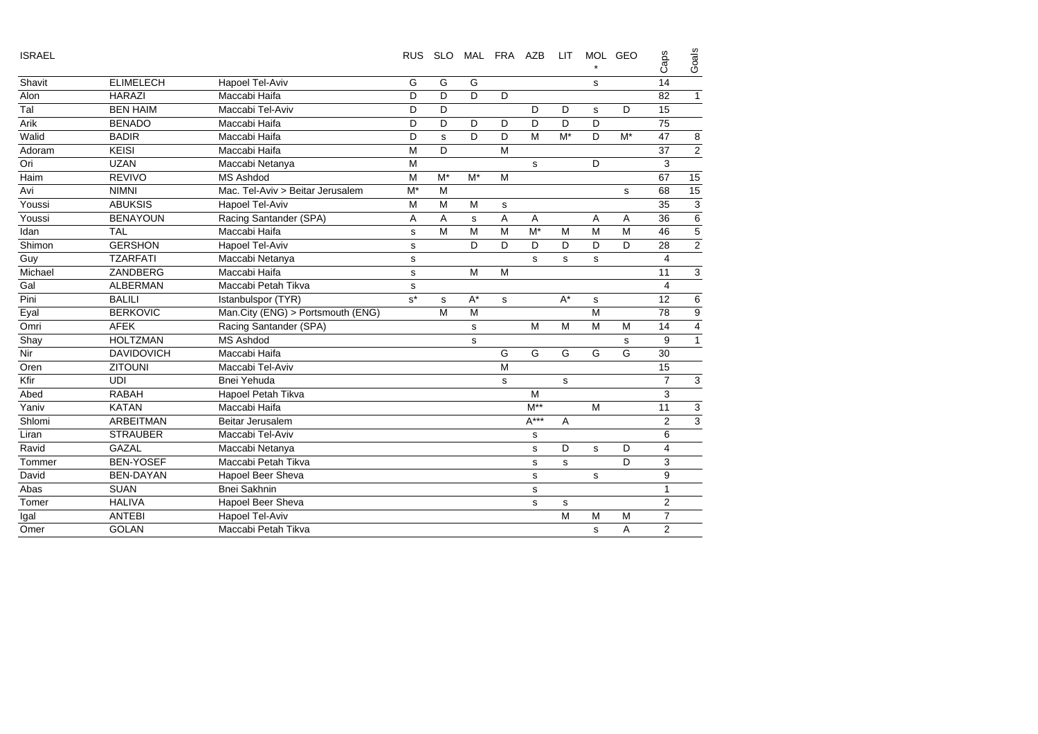| <b>ISRAEL</b> |                   |                                   | <b>RUS</b>  | <b>SLO</b> |       | MAL FRA AZB |             | <b>LIT</b> |             | MOL GEO | Caps                    | Goals          |
|---------------|-------------------|-----------------------------------|-------------|------------|-------|-------------|-------------|------------|-------------|---------|-------------------------|----------------|
| Shavit        | <b>ELIMELECH</b>  | Hapoel Tel-Aviv                   | G           | G          | G     |             |             |            | s           |         | 14                      |                |
| Alon          | HARAZI            | Maccabi Haifa                     | D           | D          | D     | D           |             |            |             |         | 82                      | 1              |
| Tal           | <b>BEN HAIM</b>   | Maccabi Tel-Aviv                  | D           | D          |       |             | D           | D          | s           | D       | 15                      |                |
| Arik          | <b>BENADO</b>     | Maccabi Haifa                     | D           | D          | D     | D           | D           | D          | D           |         | 75                      |                |
| Walid         | <b>BADIR</b>      | Maccabi Haifa                     | D           | s          | D     | D           | M           | $M^*$      | D           | $M^*$   | 47                      | 8              |
| Adoram        | <b>KEISI</b>      | Maccabi Haifa                     | M           | D          |       | M           |             |            |             |         | 37                      | $\overline{2}$ |
| Ori           | <b>UZAN</b>       | Maccabi Netanya                   | M           |            |       |             | s           |            | D           |         | 3                       |                |
| Haim          | <b>REVIVO</b>     | <b>MS Ashdod</b>                  | M           | $M^*$      | $M^*$ | M           |             |            |             |         | 67                      | 15             |
| Avi           | <b>NIMNI</b>      | Mac. Tel-Aviv > Beitar Jerusalem  | $M^*$       | M          |       |             |             |            |             | s       | 68                      | 15             |
| Youssi        | <b>ABUKSIS</b>    | Hapoel Tel-Aviv                   | M           | M          | M     | s           |             |            |             |         | 35                      | 3              |
| Youssi        | <b>BENAYOUN</b>   | Racing Santander (SPA)            | Α           | A          | s     | A           | Α           |            | Α           | Α       | 36                      | 6              |
| Idan          | <b>TAL</b>        | Maccabi Haifa                     | s           | M          | M     | M           | $M^*$       | M          | M           | M       | 46                      | 5              |
| Shimon        | <b>GERSHON</b>    | Hapoel Tel-Aviv                   | $\mathbf s$ |            | D     | D           | D           | D          | D           | D       | 28                      | 2              |
| Guy           | <b>TZARFATI</b>   | Maccabi Netanya                   | $\mathbf s$ |            |       |             | s           | s          | $\mathbf s$ |         | 4                       |                |
| Michael       | ZANDBERG          | Maccabi Haifa                     | s           |            | M     | M           |             |            |             |         | 11                      | 3              |
| Gal           | <b>ALBERMAN</b>   | Maccabi Petah Tikva               | s           |            |       |             |             |            |             |         | $\overline{\mathbf{4}}$ |                |
| Pini          | <b>BALILI</b>     | Istanbulspor (TYR)                | $s^*$       | s          | $A^*$ | s           |             | $A^*$      | $\mathbf s$ |         | 12                      | 6              |
| Eyal          | <b>BERKOVIC</b>   | Man.City (ENG) > Portsmouth (ENG) |             | M          | M     |             |             |            | M           |         | 78                      | 9              |
| Omri          | <b>AFEK</b>       | Racing Santander (SPA)            |             |            | s     |             | M           | M          | M           | M       | 14                      |                |
| Shay          | <b>HOLTZMAN</b>   | <b>MS Ashdod</b>                  |             |            | s     |             |             |            |             | s       | 9                       |                |
| Nir           | <b>DAVIDOVICH</b> | Maccabi Haifa                     |             |            |       | G           | G           | G          | G           | G       | 30                      |                |
| Oren          | <b>ZITOUNI</b>    | Maccabi Tel-Aviv                  |             |            |       | M           |             |            |             |         | 15                      |                |
| Kfir          | <b>UDI</b>        | Bnei Yehuda                       |             |            |       | s           |             | s          |             |         | $\overline{7}$          | 3              |
| Abed          | <b>RABAH</b>      | Hapoel Petah Tikva                |             |            |       |             | M           |            |             |         | 3                       |                |
| Yaniv         | <b>KATAN</b>      | Maccabi Haifa                     |             |            |       |             | $M^{**}$    |            | M           |         | 11                      | 3              |
| Shlomi        | <b>ARBEITMAN</b>  | Beitar Jerusalem                  |             |            |       |             | $A***$      | A          |             |         | $\overline{2}$          | 3              |
| Liran         | <b>STRAUBER</b>   | Maccabi Tel-Aviv                  |             |            |       |             | s           |            |             |         | 6                       |                |
| Ravid         | <b>GAZAL</b>      | Maccabi Netanya                   |             |            |       |             | s           | D          | s           | D       | 4                       |                |
| Tommer        | <b>BEN-YOSEF</b>  | Maccabi Petah Tikva               |             |            |       |             | $\mathbf s$ | s          |             | D       | 3                       |                |
| David         | <b>BEN-DAYAN</b>  | Hapoel Beer Sheva                 |             |            |       |             | s           |            | s           |         | 9                       |                |
| Abas          | <b>SUAN</b>       | <b>Bnei Sakhnin</b>               |             |            |       |             | s           |            |             |         | $\mathbf{1}$            |                |
| Tomer         | <b>HALIVA</b>     | Hapoel Beer Sheva                 |             |            |       |             | $\mathbf s$ | s          |             |         | $\overline{2}$          |                |
| Igal          | <b>ANTEBI</b>     | Hapoel Tel-Aviv                   |             |            |       |             |             | M          | M           | M       | $\overline{7}$          |                |
| Omer          | <b>GOLAN</b>      | Maccabi Petah Tikva               |             |            |       |             |             |            | s           | A       | $\overline{2}$          |                |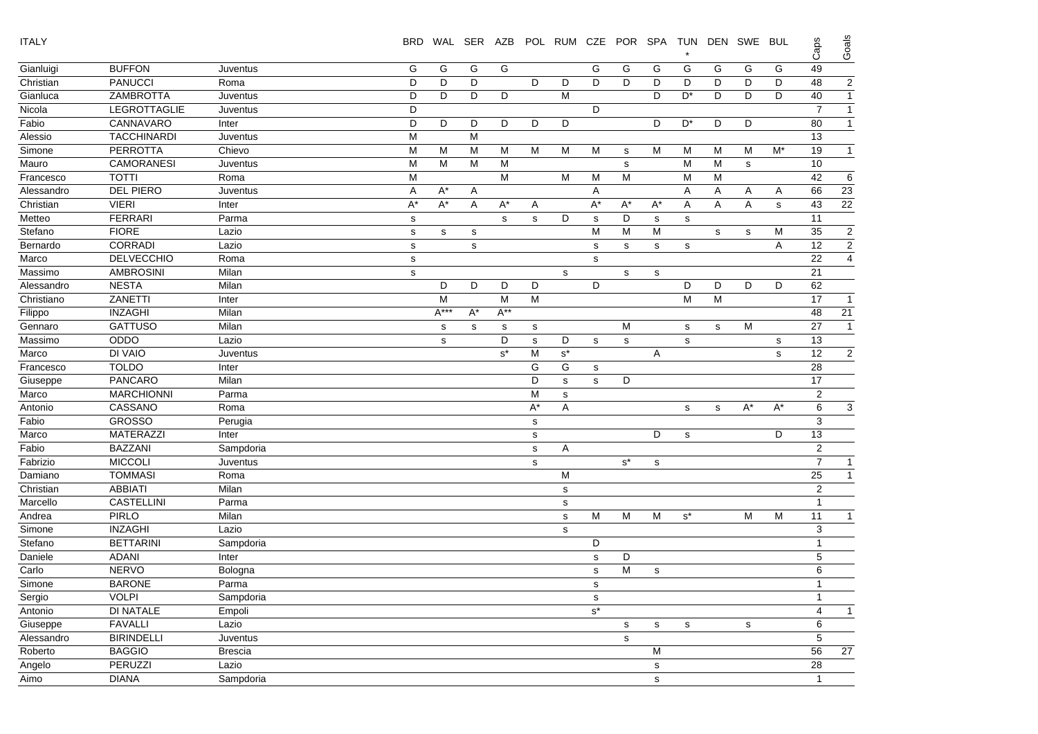| <b>ITALY</b> |                    |                | <b>BRD</b>  |             |       |              |             | WAL SER AZB POL RUM CZE |             | POR SPA TUN |              |             |   | DEN SWE     | <b>BUL</b> | Caps           | Goals          |
|--------------|--------------------|----------------|-------------|-------------|-------|--------------|-------------|-------------------------|-------------|-------------|--------------|-------------|---|-------------|------------|----------------|----------------|
| Gianluigi    | <b>BUFFON</b>      | Juventus       | G           | G           | G     | G            |             |                         | G           | G           | G            | G           | G | G           | G          | 49             |                |
| Christian    | <b>PANUCCI</b>     | Roma           | D           | D           | D     |              | D           | D                       | D           | D           | D            | D           | D | D           | D          | 48             | $\sqrt{2}$     |
| Gianluca     | ZAMBROTTA          | Juventus       | D           | D           | D     | D            |             | M                       |             |             | D            | D*          | D | D           | D          | 40             | $\mathbf{1}$   |
| Nicola       | LEGROTTAGLIE       | Juventus       | D           |             |       |              |             |                         | D           |             |              |             |   |             |            | $\overline{7}$ | $\mathbf{1}$   |
| Fabio        | CANNAVARO          | Inter          | D           | D           | D     | D            | D           | D                       |             |             | D            | D*          | D | D           |            | 80             | $\overline{1}$ |
| Alessio      | <b>TACCHINARDI</b> | Juventus       | M           |             | M     |              |             |                         |             |             |              |             |   |             |            | 13             |                |
| Simone       | <b>PERROTTA</b>    | Chievo         | M           | M           | M     | M            | M           | M                       | M           | s           | M            | М           | М | M           | $M^*$      | 19             | $\overline{1}$ |
| Mauro        | <b>CAMORANESI</b>  | Juventus       | м           | M           | M     | М            |             |                         |             | s           |              | М           | м | s           |            | 10             |                |
| Francesco    | <b>TOTTI</b>       | Roma           | M           |             |       | M            |             | M                       | M           | M           |              | M           | M |             |            | 42             | 6              |
| Alessandro   | <b>DEL PIERO</b>   | Juventus       | A           | $A^*$       | A     |              |             |                         | Α           |             |              | Α           | Α | A           | A          | 66             | 23             |
| Christian    | <b>VIERI</b>       | Inter          | $A^*$       | $A^*$       | Α     | $A^*$        | Α           |                         | A*          | $A^*$       | $A^*$        | Α           | Α | Α           | s          | 43             | 22             |
| Metteo       | <b>FERRARI</b>     | Parma          | s           |             |       | $\mathsf{s}$ | $\mathbf s$ | D                       | $\mathbf s$ | D           | $\mathbf S$  | $\mathbf s$ |   |             |            | 11             |                |
| Stefano      | <b>FIORE</b>       | Lazio          | $\mathbf S$ | s           | s     |              |             |                         | M           | M           | M            |             | s | s           | м          | 35             | $\overline{a}$ |
| Bernardo     | <b>CORRADI</b>     | Lazio          | s           |             | s     |              |             |                         | s           | s           | s            | s           |   |             | A          | 12             | $\overline{2}$ |
| Marco        | <b>DELVECCHIO</b>  | Roma           | s           |             |       |              |             |                         | $\mathbf s$ |             |              |             |   |             |            | 22             | $\overline{4}$ |
| Massimo      | <b>AMBROSINI</b>   | Milan          | s           |             |       |              |             | s                       |             | s           | $\mathsf{s}$ |             |   |             |            | 21             |                |
| Alessandro   | <b>NESTA</b>       | Milan          |             | D           | D     | D            | D           |                         | D           |             |              | D           | D | D           | D          | 62             |                |
| Christiano   | ZANETTI            | Inter          |             | M           |       | M            | M           |                         |             |             |              | M           | M |             |            | 17             | $\overline{1}$ |
| Filippo      | <b>INZAGHI</b>     | Milan          |             | $A***$      | $A^*$ | $A^{**}$     |             |                         |             |             |              |             |   |             |            | 48             | 21             |
| Gennaro      | <b>GATTUSO</b>     | Milan          |             | s           | s     | s            | s           |                         |             | M           |              | s           | s | M           |            | 27             | $\overline{1}$ |
| Massimo      | ODDO               | Lazio          |             | $\mathbf s$ |       | D            | s           | D                       | $\mathbf s$ | s           |              | s           |   |             | ${\tt S}$  | 13             |                |
| Marco        | DI VAIO            | Juventus       |             |             |       | $s^*$        | M           | $\texttt{s}^{\star}$    |             |             | Α            |             |   |             | ${\tt S}$  | 12             | $\mathbf{2}$   |
| Francesco    | <b>TOLDO</b>       | Inter          |             |             |       |              | G           | G                       | $\mathbf s$ |             |              |             |   |             |            | 28             |                |
| Giuseppe     | PANCARO            | Milan          |             |             |       |              | D           | s                       | s           | D           |              |             |   |             |            | 17             |                |
| Marco        | <b>MARCHIONNI</b>  | Parma          |             |             |       |              | M           | s                       |             |             |              |             |   |             |            | 2              |                |
| Antonio      | CASSANO            | Roma           |             |             |       |              | A*          | Α                       |             |             |              | s           | s | $A^*$       | $A^*$      | 6              | 3              |
| Fabio        | <b>GROSSO</b>      | Perugia        |             |             |       |              | $\mathbf S$ |                         |             |             |              |             |   |             |            | 3              |                |
| Marco        | MATERAZZI          | Inter          |             |             |       |              | $\mathbf S$ |                         |             |             | D            | s           |   |             | D          | 13             |                |
| Fabio        | <b>BAZZANI</b>     | Sampdoria      |             |             |       |              | $\mathbf S$ | A                       |             |             |              |             |   |             |            | 2              |                |
| Fabrizio     | <b>MICCOLI</b>     | Juventus       |             |             |       |              | $\mathbf S$ |                         |             | $s^*$       | $\mathsf{s}$ |             |   |             |            | $\overline{7}$ | $\mathbf{1}$   |
| Damiano      | <b>TOMMASI</b>     | Roma           |             |             |       |              |             | M                       |             |             |              |             |   |             |            | 25             | $\overline{1}$ |
| Christian    | <b>ABBIATI</b>     | Milan          |             |             |       |              |             | s                       |             |             |              |             |   |             |            | 2              |                |
| Marcello     | <b>CASTELLINI</b>  | Parma          |             |             |       |              |             | ${\bf s}$               |             |             |              |             |   |             |            | $\mathbf{1}$   |                |
| Andrea       | <b>PIRLO</b>       | Milan          |             |             |       |              |             | $\mathbf s$             | M           | M           | M            | $s^*$       |   | M           | M          | 11             | $\mathbf{1}$   |
| Simone       | <b>INZAGHI</b>     | Lazio          |             |             |       |              |             | $\mathbf s$             |             |             |              |             |   |             |            | 3              |                |
| Stefano      | <b>BETTARINI</b>   | Sampdoria      |             |             |       |              |             |                         | D           |             |              |             |   |             |            | -1             |                |
| Daniele      | <b>ADANI</b>       | Inter          |             |             |       |              |             |                         | s           | D           |              |             |   |             |            | 5              |                |
| Carlo        | <b>NERVO</b>       | Bologna        |             |             |       |              |             |                         | s           | M           | s            |             |   |             |            | 6              |                |
| Simone       | <b>BARONE</b>      | Parma          |             |             |       |              |             |                         | s           |             |              |             |   |             |            | $\mathbf{1}$   |                |
| Sergio       | <b>VOLPI</b>       | Sampdoria      |             |             |       |              |             |                         | s           |             |              |             |   |             |            | $\mathbf{1}$   |                |
| Antonio      | DI NATALE          | Empoli         |             |             |       |              |             |                         | $s^*$       |             |              |             |   |             |            | $\overline{4}$ | $\mathbf{1}$   |
| Giuseppe     | <b>FAVALLI</b>     | Lazio          |             |             |       |              |             |                         |             | $\mathbf s$ | ${\tt S}$    | $\mathbf s$ |   | $\mathbf s$ |            | 6              |                |
| Alessandro   | <b>BIRINDELLI</b>  | Juventus       |             |             |       |              |             |                         |             | $\mathbf s$ |              |             |   |             |            | 5              |                |
| Roberto      | <b>BAGGIO</b>      | <b>Brescia</b> |             |             |       |              |             |                         |             |             | M            |             |   |             |            | 56             | 27             |
| Angelo       | <b>PERUZZI</b>     | Lazio          |             |             |       |              |             |                         |             |             | s            |             |   |             |            | 28             |                |
| Aimo         | <b>DIANA</b>       | Sampdoria      |             |             |       |              |             |                         |             |             | $\mathsf{s}$ |             |   |             |            | $\overline{1}$ |                |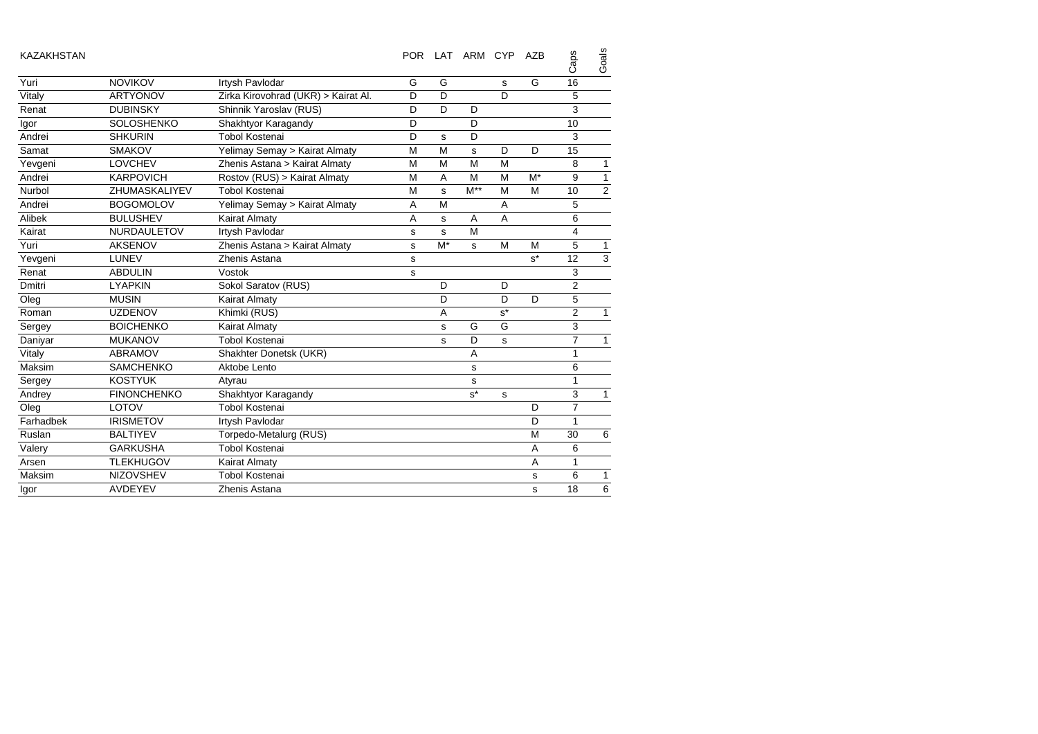| <b>KAZAKHSTAN</b> |                    |                                     | <b>POR</b> |             | LAT ARM CYP |       | AZB   | Caps           | Goals        |
|-------------------|--------------------|-------------------------------------|------------|-------------|-------------|-------|-------|----------------|--------------|
| Yuri              | <b>NOVIKOV</b>     | Irtysh Pavlodar                     | G          | G           |             | S     | G     | 16             |              |
| Vitaly            | <b>ARTYONOV</b>    | Zirka Kirovohrad (UKR) > Kairat Al. | D          | D           |             | D     |       | 5              |              |
| Renat             | <b>DUBINSKY</b>    | Shinnik Yaroslav (RUS)              | D          | D           | D           |       |       | 3              |              |
| Igor              | <b>SOLOSHENKO</b>  | Shakhtyor Karagandy                 | D          |             | D           |       |       | 10             |              |
| Andrei            | <b>SHKURIN</b>     | <b>Tobol Kostenai</b>               | D          | s           | D           |       |       | 3              |              |
| Samat             | <b>SMAKOV</b>      | Yelimay Semay > Kairat Almaty       | M          | M           | s           | D     | D     | 15             |              |
| Yevgeni           | <b>LOVCHEV</b>     | Zhenis Astana > Kairat Almaty       | M          | M           | M           | M     |       | 8              | 1            |
| Andrei            | <b>KARPOVICH</b>   | Rostov (RUS) > Kairat Almaty        | M          | A           | M           | M     | $M^*$ | 9              | $\mathbf{1}$ |
| Nurbol            | ZHUMASKALIYEV      | <b>Tobol Kostenai</b>               | M          | s           | $M^*$       | M     | M     | 10             | $\mathbf 2$  |
| Andrei            | <b>BOGOMOLOV</b>   | Yelimay Semay > Kairat Almaty       | Α          | M           |             | A     |       | 5              |              |
| Alibek            | <b>BULUSHEV</b>    | Kairat Almaty                       | A          | s           | A           | A     |       | 6              |              |
| Kairat            | <b>NURDAULETOV</b> | Irtysh Pavlodar                     | s          | $\mathbf s$ | M           |       |       | 4              |              |
| Yuri              | <b>AKSENOV</b>     | Zhenis Astana > Kairat Almaty       | s          | $M^*$       | s           | M     | M     | 5              | 1            |
| Yevgeni           | LUNEV              | Zhenis Astana                       | s          |             |             |       | $s^*$ | 12             | 3            |
| Renat             | <b>ABDULIN</b>     | Vostok                              | s          |             |             |       |       | 3              |              |
| Dmitri            | <b>LYAPKIN</b>     | Sokol Saratov (RUS)                 |            | D           |             | D     |       | $\overline{2}$ |              |
| Oleg              | <b>MUSIN</b>       | <b>Kairat Almaty</b>                |            | D           |             | D     | D     | 5              |              |
| Roman             | <b>UZDENOV</b>     | Khimki (RUS)                        |            | A           |             | $s^*$ |       | $\overline{2}$ | $\mathbf{1}$ |
| Sergey            | <b>BOICHENKO</b>   | <b>Kairat Almaty</b>                |            | s           | G           | G     |       | 3              |              |
| Daniyar           | <b>MUKANOV</b>     | <b>Tobol Kostenai</b>               |            | s           | D           | s     |       | $\overline{7}$ | $\mathbf{1}$ |
| Vitaly            | <b>ABRAMOV</b>     | Shakhter Donetsk (UKR)              |            |             | A           |       |       | 1              |              |
| Maksim            | <b>SAMCHENKO</b>   | Aktobe Lento                        |            |             | s           |       |       | 6              |              |
| Sergey            | <b>KOSTYUK</b>     | Atyrau                              |            |             | s           |       |       | $\mathbf{1}$   |              |
| Andrey            | <b>FINONCHENKO</b> | Shakhtyor Karagandy                 |            |             | $s^*$       | s     |       | 3              | $\mathbf{1}$ |
| Oleg              | LOTOV              | <b>Tobol Kostenai</b>               |            |             |             |       | D     | $\overline{7}$ |              |
| Farhadbek         | <b>IRISMETOV</b>   | Irtysh Pavlodar                     |            |             |             |       | D     | $\mathbf{1}$   |              |
| Ruslan            | <b>BALTIYEV</b>    | Torpedo-Metalurg (RUS)              |            |             |             |       | M     | 30             | 6            |
| Valery            | <b>GARKUSHA</b>    | <b>Tobol Kostenai</b>               |            |             |             |       | A     | 6              |              |
| Arsen             | <b>TLEKHUGOV</b>   | Kairat Almaty                       |            |             |             |       | A     | 1              |              |
| Maksim            | <b>NIZOVSHEV</b>   | <b>Tobol Kostenai</b>               |            |             |             |       | s     | 6              | 1            |
| Igor              | <b>AVDEYEV</b>     | Zhenis Astana                       |            |             |             |       | s     | 18             | 6            |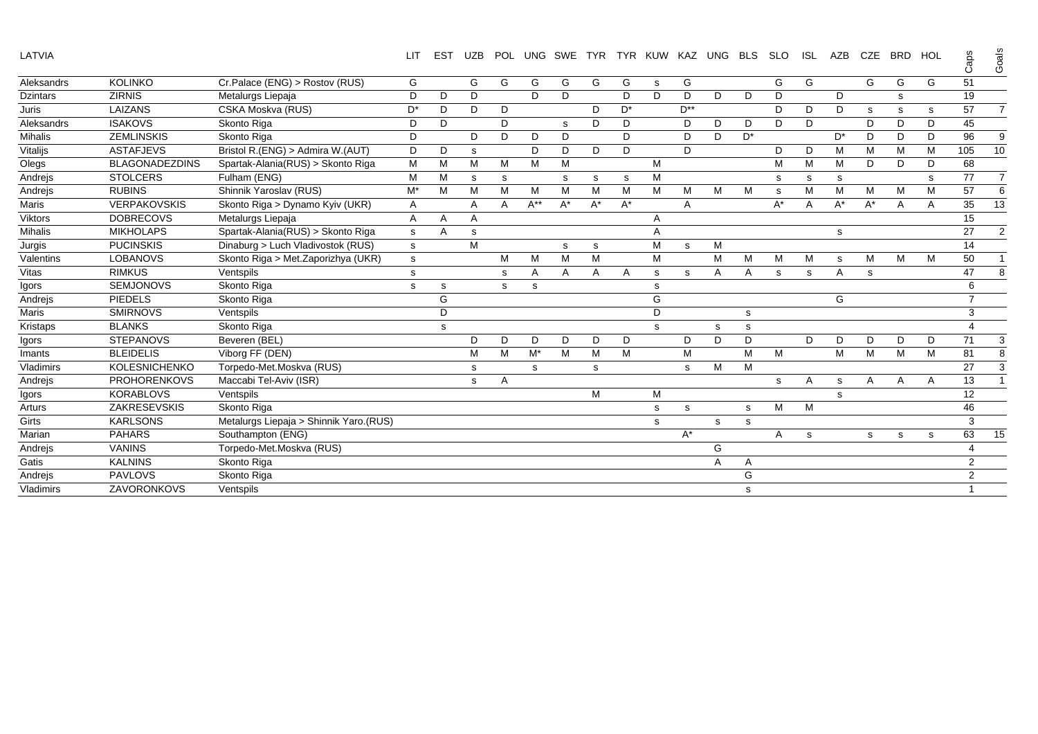LATVIA LIT EST UZB POL UNG SWE TYR TYR KUW KAZ UNG BLS SLO ISL AZB CZE BRD HOL g<br>G

Goals

|                  |                       |                                        |                |   |   |   |          |       |       |       |   |          |   |       |       |   |       |       |   |              | ٽ              | ŏ              |
|------------------|-----------------------|----------------------------------------|----------------|---|---|---|----------|-------|-------|-------|---|----------|---|-------|-------|---|-------|-------|---|--------------|----------------|----------------|
| Aleksandrs       | <b>KOLINKO</b>        | Cr.Palace (ENG) > Rostov (RUS)         | G              |   | G | G | G        | G     | G     | G     | s | G        |   |       | G     | G |       | G     | G | G            | 51             |                |
| <b>Dzintars</b>  | <b>ZIRNIS</b>         | Metalurgs Liepaja                      | D              | D | D |   | D        | D     |       | D     | D | D        | D | D     | D     |   | D     |       | s |              | 19             |                |
| Juris            | LAIZANS               | CSKA Moskva (RUS)                      | D*             | D | D | D |          |       | D     | $D^*$ |   | $D^{**}$ |   |       | D     | D | D     | s     | s | s            | 57             | $\overline{7}$ |
| Aleksandrs       | <b>ISAKOVS</b>        | Skonto Riga                            | D              | D |   | D |          | s     | D     | D     |   | D        | D | D     | D     | D |       | D     | D | D            | 45             |                |
| <b>Mihalis</b>   | <b>ZEMLINSKIS</b>     | Skonto Riga                            | D              |   | D | D | D        | D     |       | D     |   | D        | D | $D^*$ |       |   | D*    | D     | D | D            | 96             | 9              |
| Vitalijs         | <b>ASTAFJEVS</b>      | Bristol R.(ENG) > Admira W.(AUT)       | D              | D | s |   | D        | D     | D     | D     |   | D        |   |       | D     | D | м     | M     | M | м            | 105            | 10             |
| Olegs            | <b>BLAGONADEZDINS</b> | Spartak-Alania(RUS) > Skonto Riga      | M              | M | M | M | M        | M     |       |       | М |          |   |       | м     | м | M     | D     | D | D            | 68             |                |
| Andrejs          | <b>STOLCERS</b>       | Fulham (ENG)                           | M              | M | S | s |          | s     | s     | S     | M |          |   |       | s     | s | s     |       |   | s            | 77             | $\overline{7}$ |
| Andrejs          | <b>RUBINS</b>         | Shinnik Yaroslav (RUS)                 | M*             | M | M | M | M        | M     | M     | М     | M | M        | M | M     | s     | м | M     | M     | M | M            | 57             | 6              |
| Maris            | <b>VERPAKOVSKIS</b>   | Skonto Riga > Dynamo Kyiv (UKR)        | Α              |   | Α | A | $A^{**}$ | $A^*$ | $A^*$ | $A^*$ |   | A        |   |       | $A^*$ | A | $A^*$ | $A^*$ | A | $\mathsf{A}$ | 35             | 13             |
| <b>Viktors</b>   | <b>DOBRECOVS</b>      | Metalurgs Liepaja                      | $\overline{A}$ | Α | Α |   |          |       |       |       | Α |          |   |       |       |   |       |       |   |              | 15             |                |
| <b>Mihalis</b>   | <b>MIKHOLAPS</b>      | Spartak-Alania(RUS) > Skonto Riga      | s              | Α | s |   |          |       |       |       | A |          |   |       |       |   | s     |       |   |              | 27             | 2              |
| Jurgis           | <b>PUCINSKIS</b>      | Dinaburg > Luch Vladivostok (RUS)      | s              |   | M |   |          | s     | s     |       | М | s        | M |       |       |   |       |       |   |              | 14             |                |
| Valentins        | <b>LOBANOVS</b>       | Skonto Riga > Met. Zaporizhya (UKR)    | s              |   |   | M | M        | M     | M     |       | M |          | M | M     | M     | м | s     | M     | M | M            | 50             | $\mathbf{1}$   |
| Vitas            | <b>RIMKUS</b>         | Ventspils                              | s              |   |   | s | Α        | Α     | Α     | Α     | s | s        | Α | Α     | s     | s | Α     | s     |   |              | 47             | 8              |
| Igors            | <b>SEMJONOVS</b>      | Skonto Riga                            | s              | s |   | s | s        |       |       |       | s |          |   |       |       |   |       |       |   |              | 6              |                |
| Andrejs          | <b>PIEDELS</b>        | Skonto Riga                            |                | G |   |   |          |       |       |       | G |          |   |       |       |   | G     |       |   |              | $\overline{7}$ |                |
| Maris            | <b>SMIRNOVS</b>       | Ventspils                              |                | D |   |   |          |       |       |       | D |          |   | s     |       |   |       |       |   |              | 3              |                |
| Kristaps         | <b>BLANKS</b>         | Skonto Riga                            |                | s |   |   |          |       |       |       | s |          | s | s     |       |   |       |       |   |              | 4              |                |
| Igors            | <b>STEPANOVS</b>      | Beveren (BEL)                          |                |   | D | D | D.       | D     | D     | D     |   | D        | D | D     |       | D | D     | D     | D | D            | 71             | 3              |
| Imants           | <b>BLEIDELIS</b>      | Viborg FF (DEN)                        |                |   | M | M | M*       | M     | M     | М     |   | М        |   | M     | M     |   | М     | M     | M | M            | 81             | 8              |
| Vladimirs        | <b>KOLESNICHENKO</b>  | Torpedo-Met.Moskva (RUS)               |                |   | s |   | s        |       | s     |       |   | s        | M | M     |       |   |       |       |   |              | 27             | 3              |
| Andrejs          | <b>PROHORENKOVS</b>   | Maccabi Tel-Aviv (ISR)                 |                |   | s | A |          |       |       |       |   |          |   |       | s     | A | s     | A     | A | $\mathsf{A}$ | 13             | -1             |
| Igors            | <b>KORABLOVS</b>      | Ventspils                              |                |   |   |   |          |       | M     |       | M |          |   |       |       |   | s     |       |   |              | 12             |                |
| Arturs           | <b>ZAKRESEVSKIS</b>   | Skonto Riga                            |                |   |   |   |          |       |       |       | s | s        |   | s     | M     | M |       |       |   |              | 46             |                |
| Girts            | <b>KARLSONS</b>       | Metalurgs Liepaja > Shinnik Yaro.(RUS) |                |   |   |   |          |       |       |       | s |          | s | s     |       |   |       |       |   |              | 3              |                |
| Marian           | <b>PAHARS</b>         | Southampton (ENG)                      |                |   |   |   |          |       |       |       |   | $A^*$    |   |       | Α     | s |       | s     | s | s            | 63             | 15             |
| Andrejs          | <b>VANINS</b>         | Torpedo-Met.Moskva (RUS)               |                |   |   |   |          |       |       |       |   |          | G |       |       |   |       |       |   |              | 4              |                |
| Gatis            | <b>KALNINS</b>        | Skonto Riga                            |                |   |   |   |          |       |       |       |   |          | Α | Α     |       |   |       |       |   |              | 2              |                |
| Andrejs          | <b>PAVLOVS</b>        | Skonto Riga                            |                |   |   |   |          |       |       |       |   |          |   | G     |       |   |       |       |   |              | $\overline{2}$ |                |
| <b>Vladimirs</b> | <b>ZAVORONKOVS</b>    | Ventspils                              |                |   |   |   |          |       |       |       |   |          |   | S     |       |   |       |       |   |              |                |                |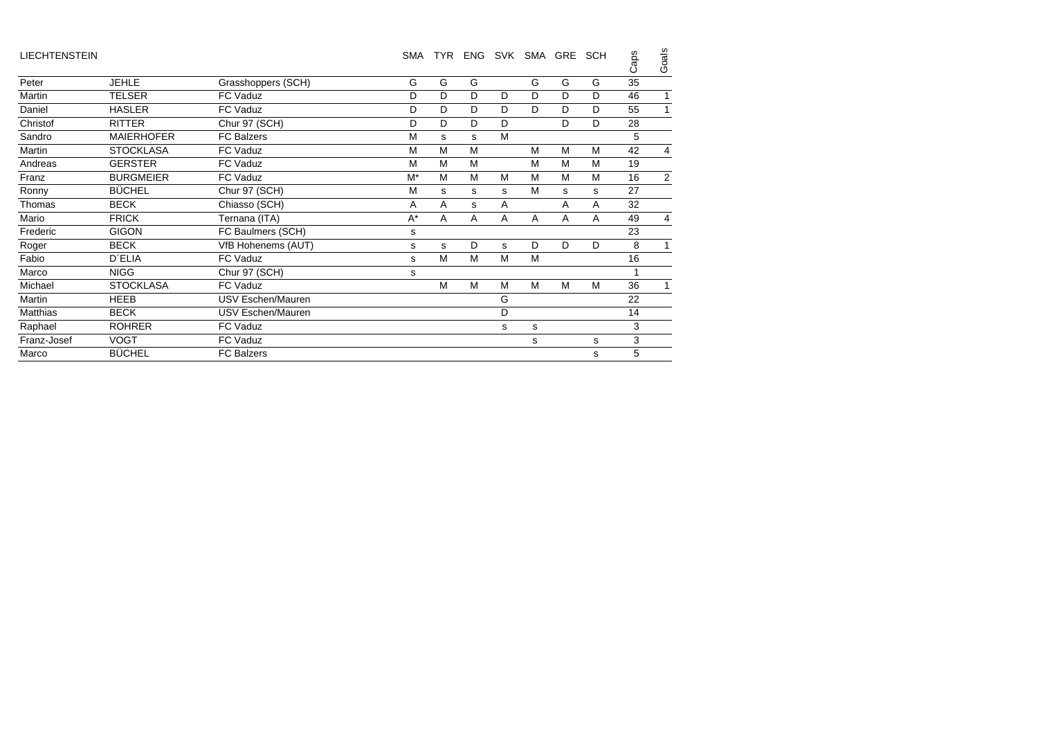| <b>LIECHTENSTEIN</b> |                   |                           | <b>SMA</b> | <b>TYR</b> | <b>ENG</b> |   | SVK SMA | GRE | <b>SCH</b> | Caps | Goals          |
|----------------------|-------------------|---------------------------|------------|------------|------------|---|---------|-----|------------|------|----------------|
| Peter                | <b>JEHLE</b>      | Grasshoppers (SCH)        | G          | G          | G          |   | G       | G   | G          | 35   |                |
| Martin               | <b>TELSER</b>     | FC Vaduz                  | D          | D          | D          | D | D       | D   | D          | 46   | $\mathbf{1}$   |
| Daniel               | <b>HASLER</b>     | FC Vaduz                  | D          | D          | D          | D | D       | D   | D          | 55   | $\mathbf{1}$   |
| Christof             | <b>RITTER</b>     | Chur 97 (SCH)             | D          | D          | D          | D |         | D   | D          | 28   |                |
| Sandro               | <b>MAIERHOFER</b> | <b>FC Balzers</b>         | M          | s          | s          | M |         |     |            | 5    |                |
| Martin               | <b>STOCKLASA</b>  | FC Vaduz                  | M          | M          | M          |   | M       | M   | M          | 42   | $\overline{4}$ |
| Andreas              | <b>GERSTER</b>    | FC Vaduz                  | M          | M          | M          |   | M       | M   | M          | 19   |                |
| Franz                | <b>BURGMEIER</b>  | FC Vaduz                  | $M^*$      | M          | M          | M | м       | M   | M          | 16   | 2              |
| Ronny                | <b>BÜCHEL</b>     | Chur 97 (SCH)             | M          | s          | s          | s | м       | s   | s          | 27   |                |
| Thomas               | <b>BECK</b>       | Chiasso (SCH)             | A          | A          | s          | A |         | A   | A          | 32   |                |
| Mario                | <b>FRICK</b>      | Ternana (ITA)             | $A^*$      | A          | A          | A | A       | A   | A          | 49   | $\overline{4}$ |
| Frederic             | <b>GIGON</b>      | FC Baulmers (SCH)         | s          |            |            |   |         |     |            | 23   |                |
| Roger                | <b>BECK</b>       | <b>VfB Hohenems (AUT)</b> | s          | s          | D          | s | D       | D   | D          | 8    | $\mathbf{1}$   |
| Fabio                | <b>D'ELIA</b>     | FC Vaduz                  | s          | M          | M          | M | M       |     |            | 16   |                |
| Marco                | <b>NIGG</b>       | Chur 97 (SCH)             | s          |            |            |   |         |     |            |      |                |
| Michael              | <b>STOCKLASA</b>  | FC Vaduz                  |            | M          | M          | M | M       | M   | M          | 36   | 1              |
| Martin               | <b>HEEB</b>       | USV Eschen/Mauren         |            |            |            | G |         |     |            | 22   |                |
| Matthias             | <b>BECK</b>       | USV Eschen/Mauren         |            |            |            | D |         |     |            | 14   |                |
| Raphael              | <b>ROHRER</b>     | FC Vaduz                  |            |            |            | s | s       |     |            | 3    |                |
| Franz-Josef          | <b>VOGT</b>       | FC Vaduz                  |            |            |            |   | s       |     | s          | 3    |                |
| Marco                | <b>BÜCHEL</b>     | <b>FC Balzers</b>         |            |            |            |   |         |     | s          | 5    |                |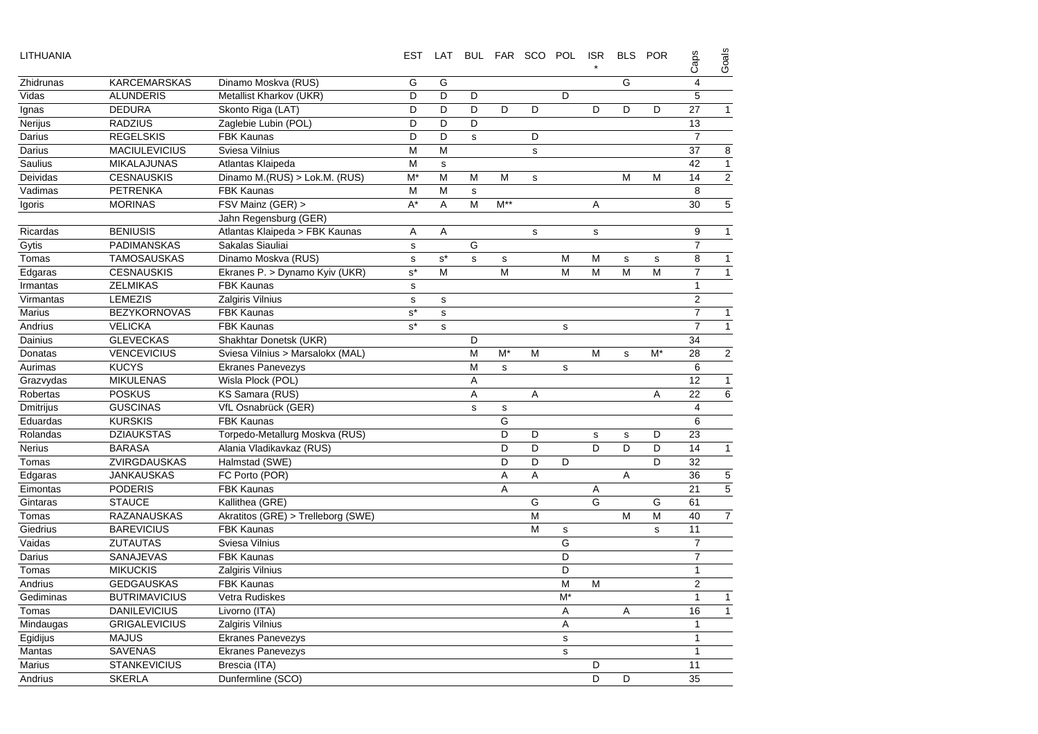| LITHUANIA        |                      |                                    | <b>EST</b>  | LAT         |             |              | BUL FAR SCO POL |             | <b>ISR</b>  | <b>BLS</b>  | <b>POR</b>  | Caps           | Goals          |
|------------------|----------------------|------------------------------------|-------------|-------------|-------------|--------------|-----------------|-------------|-------------|-------------|-------------|----------------|----------------|
| Zhidrunas        | <b>KARCEMARSKAS</b>  | Dinamo Moskva (RUS)                | G           | G           |             |              |                 |             |             | G           |             | $\overline{4}$ |                |
| Vidas            | <b>ALUNDERIS</b>     | Metallist Kharkov (UKR)            | D           | D           | D           |              |                 | D           |             |             |             | 5              |                |
| lgnas            | <b>DEDURA</b>        | Skonto Riga (LAT)                  | D           | D           | D           | D            | D               |             | D           | D           | D           | 27             | $\mathbf{1}$   |
| Nerijus          | <b>RADZIUS</b>       | Zaglebie Lubin (POL)               | D           | D           | D           |              |                 |             |             |             |             | 13             |                |
| Darius           | <b>REGELSKIS</b>     | <b>FBK Kaunas</b>                  | D           | D           | $\mathbf s$ |              | D               |             |             |             |             | $\overline{7}$ |                |
| Darius           | <b>MACIULEVICIUS</b> | Sviesa Vilnius                     | M           | M           |             |              | s               |             |             |             |             | 37             | 8              |
| Saulius          | <b>MIKALAJUNAS</b>   | Atlantas Klaipeda                  | M           | $\mathbf s$ |             |              |                 |             |             |             |             | 42             | $\mathbf{1}$   |
| Deividas         | <b>CESNAUSKIS</b>    | Dinamo M.(RUS) > Lok.M. (RUS)      | M*          | M           | М           | M            | s               |             |             | M           | M           | 14             | $\sqrt{2}$     |
| Vadimas          | <b>PETRENKA</b>      | <b>FBK Kaunas</b>                  | M           | M           | s           |              |                 |             |             |             |             | 8              |                |
| Igoris           | <b>MORINAS</b>       | FSV Mainz (GER) >                  | $A^*$       | $\mathsf A$ | M           | $M^{**}$     |                 |             | Α           |             |             | 30             | $\mathbf 5$    |
|                  |                      | Jahn Regensburg (GER)              |             |             |             |              |                 |             |             |             |             |                |                |
| Ricardas         | <b>BENIUSIS</b>      | Atlantas Klaipeda > FBK Kaunas     | A           | Α           |             |              | s               |             | s           |             |             | 9              | $\mathbf{1}$   |
| Gytis            | PADIMANSKAS          | Sakalas Siauliai                   | $\mathbf s$ |             | G           |              |                 |             |             |             |             | $\overline{7}$ |                |
| Tomas            | <b>TAMOSAUSKAS</b>   | Dinamo Moskva (RUS)                | $\mathbf s$ | $s^*$       | s           | $\mathbf s$  |                 | M           | М           | $\mathbf s$ | $\mathbf s$ | 8              | $\mathbf{1}$   |
| Edgaras          | <b>CESNAUSKIS</b>    | Ekranes P. > Dynamo Kyiv (UKR)     | $s^*$       | M           |             | M            |                 | M           | M           | M           | M           | $\overline{7}$ | $\mathbf{1}$   |
| Irmantas         | <b>ZELMIKAS</b>      | <b>FBK Kaunas</b>                  | $\sf s$     |             |             |              |                 |             |             |             |             | $\mathbf{1}$   |                |
| Virmantas        | <b>LEMEZIS</b>       | Zalgiris Vilnius                   | $\mathbf s$ | s           |             |              |                 |             |             |             |             | 2              |                |
| <b>Marius</b>    | <b>BEZYKORNOVAS</b>  | <b>FBK Kaunas</b>                  | $s^*$       | s           |             |              |                 |             |             |             |             | $\overline{7}$ | $\mathbf{1}$   |
| Andrius          | <b>VELICKA</b>       | <b>FBK Kaunas</b>                  | $s^*$       | s           |             |              |                 | s           |             |             |             | $\overline{7}$ | $\overline{1}$ |
| Dainius          | <b>GLEVECKAS</b>     | Shakhtar Donetsk (UKR)             |             |             | D           |              |                 |             |             |             |             | 34             |                |
| Donatas          | <b>VENCEVICIUS</b>   | Sviesa Vilnius > Marsalokx (MAL)   |             |             | M           | M*           | M               |             | M           | s           | M*          | 28             | $\sqrt{2}$     |
| Aurimas          | <b>KUCYS</b>         | <b>Ekranes Panevezys</b>           |             |             | M           | $\mathbf{s}$ |                 | s           |             |             |             | 6              |                |
| Grazvydas        | <b>MIKULENAS</b>     | Wisla Plock (POL)                  |             |             | A           |              |                 |             |             |             |             | 12             | $\mathbf{1}$   |
| Robertas         | <b>POSKUS</b>        | KS Samara (RUS)                    |             |             | A           |              | A               |             |             |             | Α           | 22             | $\,6$          |
| <b>Dmitrijus</b> | <b>GUSCINAS</b>      | VfL Osnabrück (GER)                |             |             | $\mathbf s$ | $\mathbf s$  |                 |             |             |             |             | $\overline{4}$ |                |
| Eduardas         | <b>KURSKIS</b>       | <b>FBK Kaunas</b>                  |             |             |             | G            |                 |             |             |             |             | 6              |                |
| Rolandas         | <b>DZIAUKSTAS</b>    | Torpedo-Metallurg Moskva (RUS)     |             |             |             | D            | D               |             | $\mathbf s$ | $\mathbf s$ | D           | 23             |                |
| <b>Nerius</b>    | <b>BARASA</b>        | Alania Vladikavkaz (RUS)           |             |             |             | D            | D               |             | D           | D           | D           | 14             | $\mathbf{1}$   |
| Tomas            | ZVIRGDAUSKAS         | Halmstad (SWE)                     |             |             |             | D            | D               | D           |             |             | D           | 32             |                |
| Edgaras          | <b>JANKAUSKAS</b>    | FC Porto (POR)                     |             |             |             | Α            | Α               |             |             | A           |             | 36             | 5              |
| Eimontas         | <b>PODERIS</b>       | <b>FBK Kaunas</b>                  |             |             |             | A            |                 |             | Α           |             |             | 21             | 5              |
| Gintaras         | <b>STAUCE</b>        | Kallithea (GRE)                    |             |             |             |              | G               |             | G           |             | G           | 61             |                |
| Tomas            | <b>RAZANAUSKAS</b>   | Akratitos (GRE) > Trelleborg (SWE) |             |             |             |              | M               |             |             | M           | M           | 40             | $\overline{7}$ |
| Giedrius         | <b>BAREVICIUS</b>    | <b>FBK Kaunas</b>                  |             |             |             |              | M               | $\mathbf s$ |             |             | s           | 11             |                |
| Vaidas           | <b>ZUTAUTAS</b>      | Sviesa Vilnius                     |             |             |             |              |                 | G           |             |             |             | $\overline{7}$ |                |
| Darius           | SANAJEVAS            | <b>FBK Kaunas</b>                  |             |             |             |              |                 | D           |             |             |             | $\overline{7}$ |                |
| Tomas            | <b>MIKUCKIS</b>      | Zalgiris Vilnius                   |             |             |             |              |                 | D           |             |             |             | $\mathbf{1}$   |                |
| Andrius          | <b>GEDGAUSKAS</b>    | <b>FBK Kaunas</b>                  |             |             |             |              |                 | M           | M           |             |             | $\overline{2}$ |                |
| Gediminas        | <b>BUTRIMAVICIUS</b> | Vetra Rudiskes                     |             |             |             |              |                 | $M^*$       |             |             |             | $\mathbf{1}$   | $\mathbf{1}$   |
| Tomas            | <b>DANILEVICIUS</b>  | Livorno (ITA)                      |             |             |             |              |                 | Α           |             | Α           |             | 16             | $\mathbf{1}$   |
| Mindaugas        | <b>GRIGALEVICIUS</b> | Zalgiris Vilnius                   |             |             |             |              |                 | A           |             |             |             | $\mathbf{1}$   |                |
| Egidijus         | <b>MAJUS</b>         | Ekranes Panevezys                  |             |             |             |              |                 | $\mathbf s$ |             |             |             | $\mathbf{1}$   |                |
| Mantas           | <b>SAVENAS</b>       | <b>Ekranes Panevezys</b>           |             |             |             |              |                 | s           |             |             |             | $\mathbf{1}$   |                |
| <b>Marius</b>    | <b>STANKEVICIUS</b>  | Brescia (ITA)                      |             |             |             |              |                 |             | D           |             |             | 11             |                |
| Andrius          | <b>SKERLA</b>        | Dunfermline (SCO)                  |             |             |             |              |                 |             | D           | D           |             | 35             |                |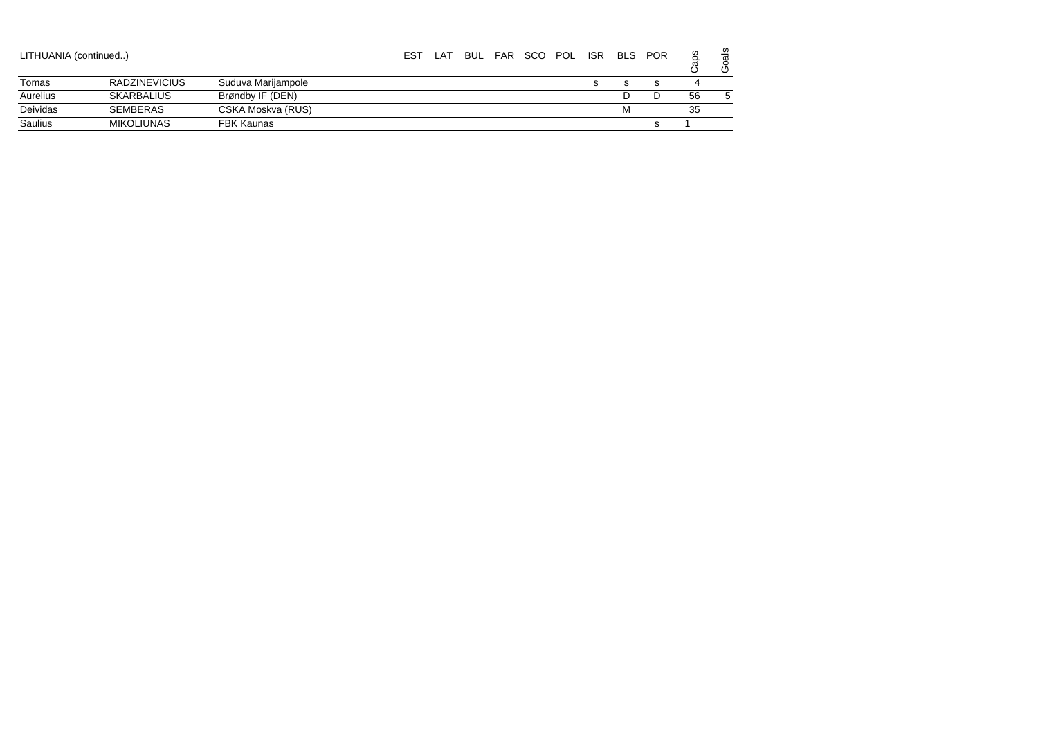| LITHUANIA (continued) |                      |                    | <b>EST</b> | . AT |  | BUL FAR SCO POL | <b>ISR</b> | <b>BLS</b> | <b>POR</b> |    | als<br>٥<br>৩ |
|-----------------------|----------------------|--------------------|------------|------|--|-----------------|------------|------------|------------|----|---------------|
| Tomas                 | <b>RADZINEVICIUS</b> | Suduva Marijampole |            |      |  |                 |            |            |            |    |               |
| Aurelius              | <b>SKARBALIUS</b>    | Brøndby IF (DEN)   |            |      |  |                 |            |            |            | 56 |               |
| Deividas              | <b>SEMBERAS</b>      | CSKA Moskva (RUS)  |            |      |  |                 |            | М          |            | 35 |               |
| Saulius               | <b>MIKOLIUNAS</b>    | <b>FBK Kaunas</b>  |            |      |  |                 |            |            |            |    |               |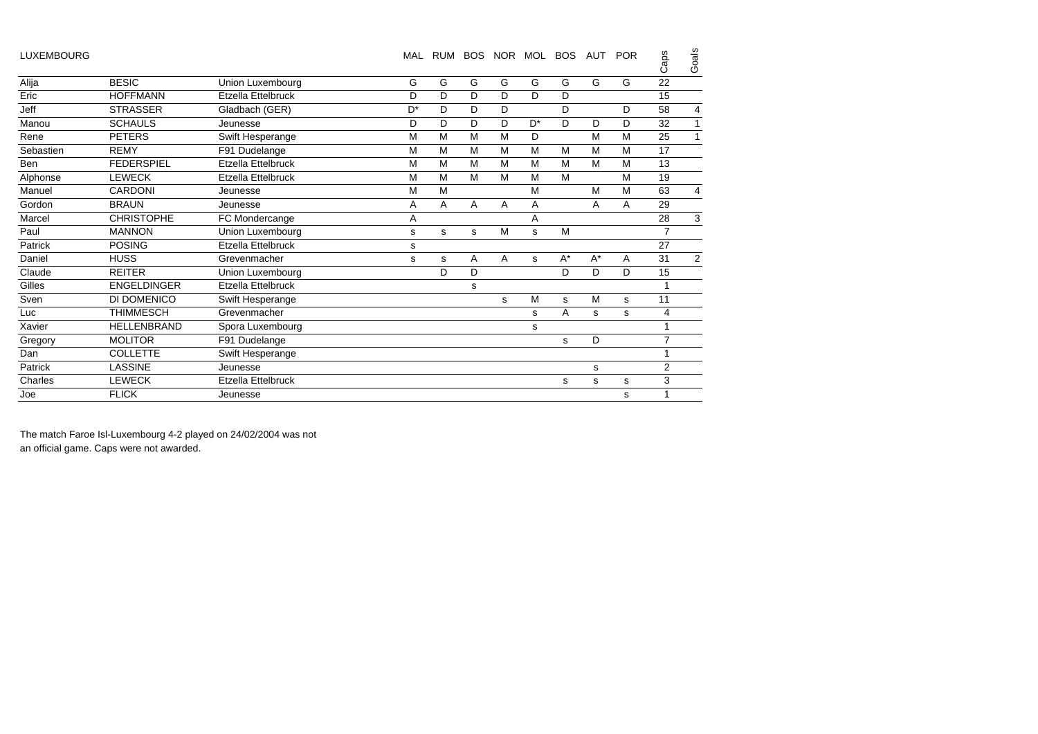| <b>BESIC</b><br>G<br>G<br>G<br>G<br>G<br>G<br>G<br>G<br>Alija<br>Union Luxembourg<br>Eric<br>D<br>D<br><b>HOFFMANN</b><br>D<br>D<br>D<br>D<br>Etzella Ettelbruck<br>Jeff<br><b>STRASSER</b><br>$D^*$<br>D<br>D<br>D<br>Gladbach (GER)<br>D<br>D<br>D<br>D<br>D<br>D<br>$D^*$<br>D<br>D<br>D<br>Manou<br><b>SCHAULS</b><br>Jeunesse<br>M<br>Rene<br><b>PETERS</b><br>Swift Hesperange<br>M<br>M<br>M<br>D<br>M<br>M<br>Sebastien<br>F91 Dudelange<br>M<br>M<br>M<br>M<br>M<br>M<br>M<br>M<br>17<br><b>REMY</b><br><b>FEDERSPIEL</b><br>Etzella Ettelbruck<br>M<br>M<br>M<br>M<br>M<br>M<br><b>Ben</b><br>M<br>M<br><b>LEWECK</b><br>Alphonse<br>Etzella Ettelbruck<br>M<br>M<br>M<br>M<br>M<br>M<br>M<br>M<br><b>CARDONI</b><br>M<br>M<br>M<br>Manuel<br>M<br>Jeunesse<br>Gordon<br><b>BRAUN</b><br>A<br>A<br>A<br>A<br>A<br>A<br>A<br>Jeunesse<br><b>CHRISTOPHE</b><br>Marcel<br>A<br>FC Mondercange<br>A<br>M<br>Paul<br><b>MANNON</b><br>M<br>Union Luxembourg<br>s<br>s<br>s<br>s<br>Patrick<br><b>POSING</b><br>27<br>Etzella Ettelbruck<br>s<br>$A^*$<br>$A^*$<br>31<br>Daniel<br><b>HUSS</b><br>A<br>A<br>Grevenmacher<br>A<br>s<br>s<br>s<br>D<br>D<br>Claude<br><b>REITER</b><br>Union Luxembourg<br>D<br>D<br>D<br><b>ENGELDINGER</b><br>Etzella Ettelbruck<br>Gilles<br>s<br>Sven<br>DI DOMENICO<br>M<br>M<br>11<br>Swift Hesperange<br>s<br>s<br>s<br><b>THIMMESCH</b><br>Grevenmacher<br>A<br>Luc<br>s<br>s<br>s<br>Xavier<br>HELLENBRAND<br>Spora Luxembourg<br>s<br><b>MOLITOR</b><br>Gregory<br>F91 Dudelange<br>D<br>s<br>Dan<br><b>COLLETTE</b><br>Swift Hesperange<br><b>LASSINE</b><br>Patrick<br>Jeunesse<br>s<br><b>LEWECK</b><br>Charles<br>Etzella Ettelbruck<br>s<br>s<br>s | Goals<br>Caps      | <b>POR</b> | AUT |  | BOS NOR MOL BOS | RUM | MAL |  | <b>LUXEMBOURG</b> |
|-----------------------------------------------------------------------------------------------------------------------------------------------------------------------------------------------------------------------------------------------------------------------------------------------------------------------------------------------------------------------------------------------------------------------------------------------------------------------------------------------------------------------------------------------------------------------------------------------------------------------------------------------------------------------------------------------------------------------------------------------------------------------------------------------------------------------------------------------------------------------------------------------------------------------------------------------------------------------------------------------------------------------------------------------------------------------------------------------------------------------------------------------------------------------------------------------------------------------------------------------------------------------------------------------------------------------------------------------------------------------------------------------------------------------------------------------------------------------------------------------------------------------------------------------------------------------------------------------------------------------------------------------------------------------------------------------------|--------------------|------------|-----|--|-----------------|-----|-----|--|-------------------|
|                                                                                                                                                                                                                                                                                                                                                                                                                                                                                                                                                                                                                                                                                                                                                                                                                                                                                                                                                                                                                                                                                                                                                                                                                                                                                                                                                                                                                                                                                                                                                                                                                                                                                                     | 22                 |            |     |  |                 |     |     |  |                   |
|                                                                                                                                                                                                                                                                                                                                                                                                                                                                                                                                                                                                                                                                                                                                                                                                                                                                                                                                                                                                                                                                                                                                                                                                                                                                                                                                                                                                                                                                                                                                                                                                                                                                                                     | 15                 |            |     |  |                 |     |     |  |                   |
|                                                                                                                                                                                                                                                                                                                                                                                                                                                                                                                                                                                                                                                                                                                                                                                                                                                                                                                                                                                                                                                                                                                                                                                                                                                                                                                                                                                                                                                                                                                                                                                                                                                                                                     | 58<br>4            |            |     |  |                 |     |     |  |                   |
|                                                                                                                                                                                                                                                                                                                                                                                                                                                                                                                                                                                                                                                                                                                                                                                                                                                                                                                                                                                                                                                                                                                                                                                                                                                                                                                                                                                                                                                                                                                                                                                                                                                                                                     | 32<br>$\mathbf{1}$ |            |     |  |                 |     |     |  |                   |
|                                                                                                                                                                                                                                                                                                                                                                                                                                                                                                                                                                                                                                                                                                                                                                                                                                                                                                                                                                                                                                                                                                                                                                                                                                                                                                                                                                                                                                                                                                                                                                                                                                                                                                     | 25<br>$\mathbf{1}$ |            |     |  |                 |     |     |  |                   |
|                                                                                                                                                                                                                                                                                                                                                                                                                                                                                                                                                                                                                                                                                                                                                                                                                                                                                                                                                                                                                                                                                                                                                                                                                                                                                                                                                                                                                                                                                                                                                                                                                                                                                                     |                    |            |     |  |                 |     |     |  |                   |
|                                                                                                                                                                                                                                                                                                                                                                                                                                                                                                                                                                                                                                                                                                                                                                                                                                                                                                                                                                                                                                                                                                                                                                                                                                                                                                                                                                                                                                                                                                                                                                                                                                                                                                     | 13                 |            |     |  |                 |     |     |  |                   |
|                                                                                                                                                                                                                                                                                                                                                                                                                                                                                                                                                                                                                                                                                                                                                                                                                                                                                                                                                                                                                                                                                                                                                                                                                                                                                                                                                                                                                                                                                                                                                                                                                                                                                                     | 19                 |            |     |  |                 |     |     |  |                   |
|                                                                                                                                                                                                                                                                                                                                                                                                                                                                                                                                                                                                                                                                                                                                                                                                                                                                                                                                                                                                                                                                                                                                                                                                                                                                                                                                                                                                                                                                                                                                                                                                                                                                                                     | 63<br>4            |            |     |  |                 |     |     |  |                   |
|                                                                                                                                                                                                                                                                                                                                                                                                                                                                                                                                                                                                                                                                                                                                                                                                                                                                                                                                                                                                                                                                                                                                                                                                                                                                                                                                                                                                                                                                                                                                                                                                                                                                                                     | 29                 |            |     |  |                 |     |     |  |                   |
|                                                                                                                                                                                                                                                                                                                                                                                                                                                                                                                                                                                                                                                                                                                                                                                                                                                                                                                                                                                                                                                                                                                                                                                                                                                                                                                                                                                                                                                                                                                                                                                                                                                                                                     | 3<br>28            |            |     |  |                 |     |     |  |                   |
|                                                                                                                                                                                                                                                                                                                                                                                                                                                                                                                                                                                                                                                                                                                                                                                                                                                                                                                                                                                                                                                                                                                                                                                                                                                                                                                                                                                                                                                                                                                                                                                                                                                                                                     | $\overline{7}$     |            |     |  |                 |     |     |  |                   |
|                                                                                                                                                                                                                                                                                                                                                                                                                                                                                                                                                                                                                                                                                                                                                                                                                                                                                                                                                                                                                                                                                                                                                                                                                                                                                                                                                                                                                                                                                                                                                                                                                                                                                                     |                    |            |     |  |                 |     |     |  |                   |
|                                                                                                                                                                                                                                                                                                                                                                                                                                                                                                                                                                                                                                                                                                                                                                                                                                                                                                                                                                                                                                                                                                                                                                                                                                                                                                                                                                                                                                                                                                                                                                                                                                                                                                     | 2                  |            |     |  |                 |     |     |  |                   |
|                                                                                                                                                                                                                                                                                                                                                                                                                                                                                                                                                                                                                                                                                                                                                                                                                                                                                                                                                                                                                                                                                                                                                                                                                                                                                                                                                                                                                                                                                                                                                                                                                                                                                                     | 15                 |            |     |  |                 |     |     |  |                   |
|                                                                                                                                                                                                                                                                                                                                                                                                                                                                                                                                                                                                                                                                                                                                                                                                                                                                                                                                                                                                                                                                                                                                                                                                                                                                                                                                                                                                                                                                                                                                                                                                                                                                                                     |                    |            |     |  |                 |     |     |  |                   |
|                                                                                                                                                                                                                                                                                                                                                                                                                                                                                                                                                                                                                                                                                                                                                                                                                                                                                                                                                                                                                                                                                                                                                                                                                                                                                                                                                                                                                                                                                                                                                                                                                                                                                                     |                    |            |     |  |                 |     |     |  |                   |
|                                                                                                                                                                                                                                                                                                                                                                                                                                                                                                                                                                                                                                                                                                                                                                                                                                                                                                                                                                                                                                                                                                                                                                                                                                                                                                                                                                                                                                                                                                                                                                                                                                                                                                     | 4                  |            |     |  |                 |     |     |  |                   |
|                                                                                                                                                                                                                                                                                                                                                                                                                                                                                                                                                                                                                                                                                                                                                                                                                                                                                                                                                                                                                                                                                                                                                                                                                                                                                                                                                                                                                                                                                                                                                                                                                                                                                                     |                    |            |     |  |                 |     |     |  |                   |
|                                                                                                                                                                                                                                                                                                                                                                                                                                                                                                                                                                                                                                                                                                                                                                                                                                                                                                                                                                                                                                                                                                                                                                                                                                                                                                                                                                                                                                                                                                                                                                                                                                                                                                     | $\overline{7}$     |            |     |  |                 |     |     |  |                   |
|                                                                                                                                                                                                                                                                                                                                                                                                                                                                                                                                                                                                                                                                                                                                                                                                                                                                                                                                                                                                                                                                                                                                                                                                                                                                                                                                                                                                                                                                                                                                                                                                                                                                                                     |                    |            |     |  |                 |     |     |  |                   |
|                                                                                                                                                                                                                                                                                                                                                                                                                                                                                                                                                                                                                                                                                                                                                                                                                                                                                                                                                                                                                                                                                                                                                                                                                                                                                                                                                                                                                                                                                                                                                                                                                                                                                                     | $\overline{2}$     |            |     |  |                 |     |     |  |                   |
|                                                                                                                                                                                                                                                                                                                                                                                                                                                                                                                                                                                                                                                                                                                                                                                                                                                                                                                                                                                                                                                                                                                                                                                                                                                                                                                                                                                                                                                                                                                                                                                                                                                                                                     | 3                  |            |     |  |                 |     |     |  |                   |
| <b>FLICK</b><br>Joe<br>Jeunesse<br>s                                                                                                                                                                                                                                                                                                                                                                                                                                                                                                                                                                                                                                                                                                                                                                                                                                                                                                                                                                                                                                                                                                                                                                                                                                                                                                                                                                                                                                                                                                                                                                                                                                                                |                    |            |     |  |                 |     |     |  |                   |

The match Faroe Isl-Luxembourg 4-2 played on 24/02/2004 was not an official game. Caps were not awarded.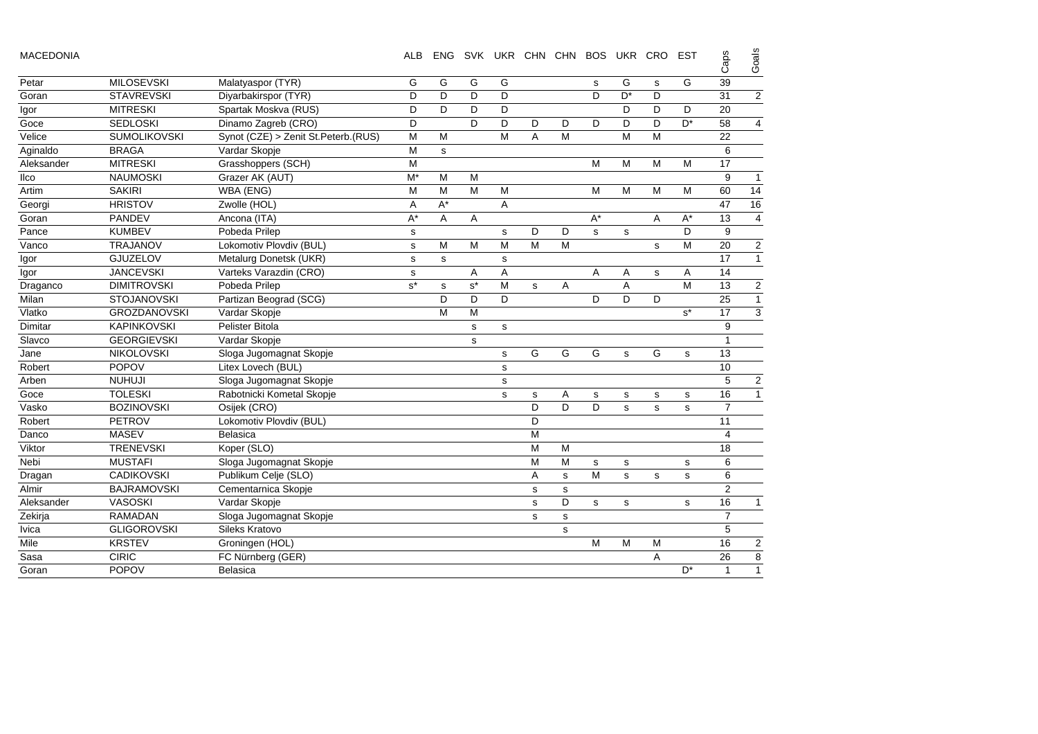| <b>MACEDONIA</b> |
|------------------|
|------------------|

| <b>MACEDONIA</b> |                     |                                     | <b>ALB</b> | <b>ENG</b>  |       |                | SVK UKR CHN CHN BOS UKR CRO |             |             |             |             | <b>EST</b>     | Caps           | Goals          |
|------------------|---------------------|-------------------------------------|------------|-------------|-------|----------------|-----------------------------|-------------|-------------|-------------|-------------|----------------|----------------|----------------|
| Petar            | <b>MILOSEVSKI</b>   | Malatyaspor (TYR)                   | G          | G           | G     | G              |                             |             | s           | G           | s           | G              | 39             |                |
| Goran            | <b>STAVREVSKI</b>   | Diyarbakirspor (TYR)                | D          | D           | D     | D              |                             |             | D           | $D^*$       | D           |                | 31             | $\overline{2}$ |
| Igor             | <b>MITRESKI</b>     | Spartak Moskva (RUS)                | D          | D           | D     | D              |                             |             |             | D           | D           | D              | 20             |                |
| Goce             | <b>SEDLOSKI</b>     | Dinamo Zagreb (CRO)                 | D          |             | D     | D              | D                           | D           | D           | D           | D           | $D^*$          | 58             | $\overline{4}$ |
| Velice           | <b>SUMOLIKOVSKI</b> | Synot (CZE) > Zenit St.Peterb.(RUS) | M          | M           |       | M              | A                           | M           |             | M           | M           |                | 22             |                |
| Aginaldo         | <b>BRAGA</b>        | Vardar Skopje                       | M          | s           |       |                |                             |             |             |             |             |                | 6              |                |
| Aleksander       | <b>MITRESKI</b>     | Grasshoppers (SCH)                  | M          |             |       |                |                             |             | M           | M           | M           | м              | 17             |                |
| Ilco             | <b>NAUMOSKI</b>     | Grazer AK (AUT)                     | $M^*$      | M           | M     |                |                             |             |             |             |             |                | 9              | $\mathbf{1}$   |
| Artim            | <b>SAKIRI</b>       | WBA (ENG)                           | M          | M           | M     | M              |                             |             | M           | M           | M           | M              | 60             | 14             |
| Georgi           | <b>HRISTOV</b>      | Zwolle (HOL)                        | A          | $A^*$       |       | $\overline{A}$ |                             |             |             |             |             |                | 47             | 16             |
| Goran            | PANDEV              | Ancona (ITA)                        | $A^*$      | Α           | Α     |                |                             |             | $A^*$       |             | Α           | $A^*$          | 13             | $\overline{4}$ |
| Pance            | <b>KUMBEV</b>       | Pobeda Prilep                       | s          |             |       | $\mathbf s$    | D                           | D           | s           | s           |             | D              | 9              |                |
| Vanco            | <b>TRAJANOV</b>     | Lokomotiv Plovdiv (BUL)             | s          | M           | M     | M              | M                           | M           |             |             | s           | M              | 20             | $\sqrt{2}$     |
| Igor             | <b>GJUZELOV</b>     | Metalurg Donetsk (UKR)              | s          | $\mathbf s$ |       | $\mathbf s$    |                             |             |             |             |             |                | 17             | $\overline{1}$ |
| Igor             | <b>JANCEVSKI</b>    | Varteks Varazdin (CRO)              | s          |             | Α     | A              |                             |             | A           | Α           | $\mathbf s$ | Α              | 14             |                |
| Draganco         | <b>DIMITROVSKI</b>  | Pobeda Prilep                       | $s^*$      | s           | $s^*$ | M              | s                           | Α           |             | A           |             | M              | 13             | $\sqrt{2}$     |
| Milan            | <b>STOJANOVSKI</b>  | Partizan Beograd (SCG)              |            | D           | D     | D              |                             |             | D           | D           | D           |                | 25             | $\mathbf{1}$   |
| Vlatko           | <b>GROZDANOVSKI</b> | Vardar Skopje                       |            | M           | M     |                |                             |             |             |             |             | $s^*$          | 17             | $\overline{3}$ |
| Dimitar          | <b>KAPINKOVSKI</b>  | Pelister Bitola                     |            |             | s     | s              |                             |             |             |             |             |                | 9              |                |
| Slavco           | <b>GEORGIEVSKI</b>  | Vardar Skopje                       |            |             | s     |                |                             |             |             |             |             |                | $\mathbf{1}$   |                |
| Jane             | <b>NIKOLOVSKI</b>   | Sloga Jugomagnat Skopje             |            |             |       | s              | G                           | G           | G           | s           | G           | s              | 13             |                |
| Robert           | <b>POPOV</b>        | Litex Lovech (BUL)                  |            |             |       | s              |                             |             |             |             |             |                | 10             |                |
| Arben            | <b>NUHUJI</b>       | Sloga Jugomagnat Skopje             |            |             |       | $\mathbf s$    |                             |             |             |             |             |                | 5              | $\overline{c}$ |
| Goce             | <b>TOLESKI</b>      | Rabotnicki Kometal Skopje           |            |             |       | s              | s                           | Α           | s           | s           | s           | s              | 16             | $\mathbf{1}$   |
| Vasko            | <b>BOZINOVSKI</b>   | Osijek (CRO)                        |            |             |       |                | D                           | D           | D           | s           | s           | s              | $\overline{7}$ |                |
| Robert           | <b>PETROV</b>       | Lokomotiv Plovdiv (BUL)             |            |             |       |                | D                           |             |             |             |             |                | 11             |                |
| Danco            | <b>MASEV</b>        | <b>Belasica</b>                     |            |             |       |                | M                           |             |             |             |             |                | $\overline{4}$ |                |
| Viktor           | <b>TRENEVSKI</b>    | Koper (SLO)                         |            |             |       |                | M                           | M           |             |             |             |                | 18             |                |
| <b>Nebi</b>      | <b>MUSTAFI</b>      | Sloga Jugomagnat Skopje             |            |             |       |                | M                           | M           | s           | s           |             | $\mathbf s$    | 6              |                |
| Dragan           | <b>CADIKOVSKI</b>   | Publikum Celje (SLO)                |            |             |       |                | Α                           | s           | M           | s           | s           | s              | 6              |                |
| Almir            | <b>BAJRAMOVSKI</b>  | Cementarnica Skopje                 |            |             |       |                | s                           | s           |             |             |             |                | $\overline{2}$ |                |
| Aleksander       | <b>VASOSKI</b>      | Vardar Skopje                       |            |             |       |                | s                           | D           | $\mathbf s$ | $\mathbf s$ |             | s              | 16             | $\mathbf{1}$   |
| Zekirja          | <b>RAMADAN</b>      | Sloga Jugomagnat Skopje             |            |             |       |                | s                           | $\mathbf s$ |             |             |             |                | $\overline{7}$ |                |
| <b>Ivica</b>     | <b>GLIGOROVSKI</b>  | Sileks Kratovo                      |            |             |       |                |                             | s           |             |             |             |                | 5              |                |
| Mile             | <b>KRSTEV</b>       | Groningen (HOL)                     |            |             |       |                |                             |             | M           | M           | M           |                | 16             | $\overline{c}$ |
| Sasa             | <b>CIRIC</b>        | FC Nürnberg (GER)                   |            |             |       |                |                             |             |             |             | A           |                | 26             | $\bf 8$        |
| Goran            | <b>POPOV</b>        | <b>Belasica</b>                     |            |             |       |                |                             |             |             |             |             | D <sup>*</sup> | 1              | $\mathbf{1}$   |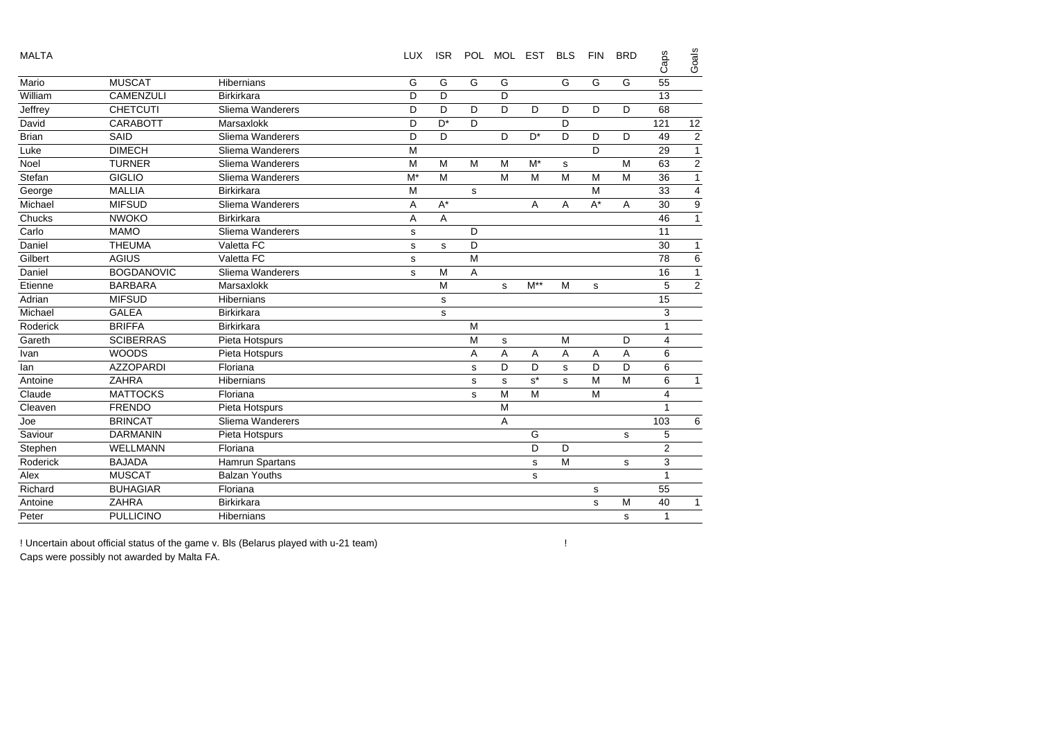| <b>MALTA</b> |                   |                      | <b>LUX</b>  | <b>ISR</b> |                | POL MOL EST |                | <b>BLS</b> | <b>FIN</b>  | <b>BRD</b> | Caps           | Goals                   |
|--------------|-------------------|----------------------|-------------|------------|----------------|-------------|----------------|------------|-------------|------------|----------------|-------------------------|
| Mario        | <b>MUSCAT</b>     | Hibernians           | G           | G          | G              | G           |                | G          | G           | G          | 55             |                         |
| William      | <b>CAMENZULI</b>  | <b>Birkirkara</b>    | D           | D          |                | D           |                |            |             |            | 13             |                         |
| Jeffrey      | <b>CHETCUTI</b>   | Sliema Wanderers     | D           | D          | D              | D           | D              | D          | D           | D          | 68             |                         |
| David        | <b>CARABOTT</b>   | Marsaxlokk           | D           | $D^*$      | D              |             |                | D          |             |            | 121            | 12                      |
| <b>Brian</b> | SAID              | Sliema Wanderers     | D           | D          |                | D           | $D^*$          | D          | D           | D          | 49             | $\overline{2}$          |
| Luke         | <b>DIMECH</b>     | Sliema Wanderers     | M           |            |                |             |                |            | D           |            | 29             | $\overline{1}$          |
| Noel         | <b>TURNER</b>     | Sliema Wanderers     | M           | M          | M              | M           | M*             | s          |             | M          | 63             | $\overline{c}$          |
| Stefan       | <b>GIGLIO</b>     | Sliema Wanderers     | $M^*$       | M          |                | M           | M              | M          | M           | M          | 36             | $\overline{1}$          |
| George       | <b>MALLIA</b>     | <b>Birkirkara</b>    | M           |            | s              |             |                |            | M           |            | 33             | $\overline{\mathbf{4}}$ |
| Michael      | <b>MIFSUD</b>     | Sliema Wanderers     | A           | $A^*$      |                |             | A              | A          | $A^*$       | A          | 30             | $\boldsymbol{9}$        |
| Chucks       | <b>NWOKO</b>      | Birkirkara           | A           | A          |                |             |                |            |             |            | 46             | $\overline{1}$          |
| Carlo        | <b>MAMO</b>       | Sliema Wanderers     | $\mathbf s$ |            | D              |             |                |            |             |            | 11             |                         |
| Daniel       | <b>THEUMA</b>     | Valetta FC           | s           | s          | D              |             |                |            |             |            | 30             | $\mathbf{1}$            |
| Gilbert      | <b>AGIUS</b>      | Valetta FC           | $\mathbf s$ |            | M              |             |                |            |             |            | 78             | $\overline{6}$          |
| Daniel       | <b>BOGDANOVIC</b> | Sliema Wanderers     | s           | M          | $\overline{A}$ |             |                |            |             |            | 16             | $\overline{1}$          |
| Etienne      | <b>BARBARA</b>    | Marsaxlokk           |             | M          |                | s           | $M^{\ast\ast}$ | M          | s           |            | 5              | $\overline{2}$          |
| Adrian       | <b>MIFSUD</b>     | Hibernians           |             | s          |                |             |                |            |             |            | 15             |                         |
| Michael      | <b>GALEA</b>      | Birkirkara           |             | s          |                |             |                |            |             |            | 3              |                         |
| Roderick     | <b>BRIFFA</b>     | <b>Birkirkara</b>    |             |            | M              |             |                |            |             |            | $\mathbf{1}$   |                         |
| Gareth       | <b>SCIBERRAS</b>  | Pieta Hotspurs       |             |            | M              | $\mathbf s$ |                | M          |             | D          | 4              |                         |
| Ivan         | <b>WOODS</b>      | Pieta Hotspurs       |             |            | A              | A           | A              | A          | A           | A          | 6              |                         |
| lan          | <b>AZZOPARDI</b>  | Floriana             |             |            | s              | D           | D              | s          | D           | D          | $\,6\,$        |                         |
| Antoine      | <b>ZAHRA</b>      | <b>Hibernians</b>    |             |            | s              | s           | $s^*$          | s          | M           | M          | 6              | $\mathbf{1}$            |
| Claude       | <b>MATTOCKS</b>   | Floriana             |             |            | s              | M           | M              |            | M           |            | 4              |                         |
| Cleaven      | <b>FRENDO</b>     | Pieta Hotspurs       |             |            |                | M           |                |            |             |            | 1              |                         |
| Joe          | <b>BRINCAT</b>    | Sliema Wanderers     |             |            |                | A           |                |            |             |            | 103            | 6                       |
| Saviour      | <b>DARMANIN</b>   | Pieta Hotspurs       |             |            |                |             | G              |            |             | s          | 5              |                         |
| Stephen      | <b>WELLMANN</b>   | Floriana             |             |            |                |             | D              | D          |             |            | $\overline{2}$ |                         |
| Roderick     | <b>BAJADA</b>     | Hamrun Spartans      |             |            |                |             | s              | M          |             | s          | 3              |                         |
| Alex         | <b>MUSCAT</b>     | <b>Balzan Youths</b> |             |            |                |             | s              |            |             |            | $\mathbf{1}$   |                         |
| Richard      | <b>BUHAGIAR</b>   | Floriana             |             |            |                |             |                |            | $\mathbf s$ |            | 55             |                         |
| Antoine      | <b>ZAHRA</b>      | <b>Birkirkara</b>    |             |            |                |             |                |            | s           | M          | 40             | $\mathbf{1}$            |
| Peter        | <b>PULLICINO</b>  | <b>Hibernians</b>    |             |            |                |             |                |            |             | s          | $\mathbf{1}$   |                         |

! Uncertain about official status of the game v. Bls (Belarus played with u-21 team) Caps were possibly not awarded by Malta FA.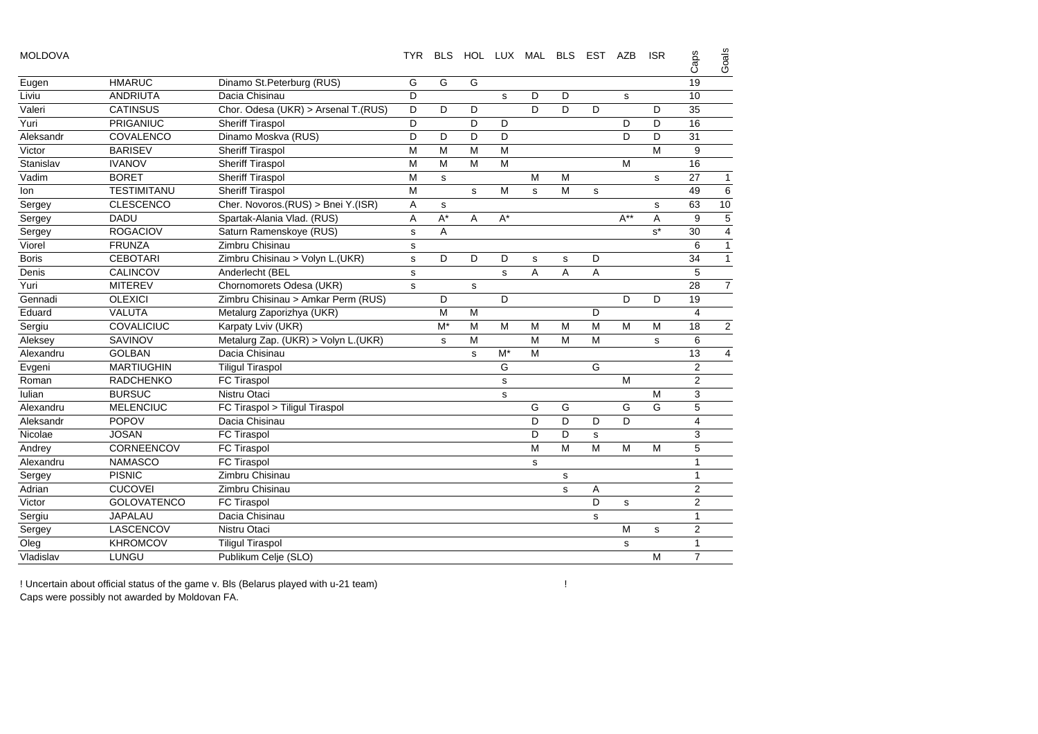| <b>MOLDOVA</b> |                    |                                     | TYR.        | <b>BLS</b>  |             |             | HOL LUX MAL BLS |             | EST | AZB         | <b>ISR</b> | Caps           | Goals          |
|----------------|--------------------|-------------------------------------|-------------|-------------|-------------|-------------|-----------------|-------------|-----|-------------|------------|----------------|----------------|
| Eugen          | <b>HMARUC</b>      | Dinamo St.Peterburg (RUS)           | G           | G           | G           |             |                 |             |     |             |            | 19             |                |
| Liviu          | <b>ANDRIUTA</b>    | Dacia Chisinau                      | D           |             |             | s           | D               | D           |     | s           |            | 10             |                |
| Valeri         | <b>CATINSUS</b>    | Chor. Odesa (UKR) > Arsenal T.(RUS) | D           | D           | D           |             | D               | D           | D   |             | D          | 35             |                |
| Yuri           | PRIGANIUC          | <b>Sheriff Tiraspol</b>             | D           |             | D           | D           |                 |             |     | D           | D          | 16             |                |
| Aleksandr      | COVALENCO          | Dinamo Moskva (RUS)                 | D           | D           | D           | D           |                 |             |     | D           | D          | 31             |                |
| Victor         | <b>BARISEV</b>     | Sheriff Tiraspol                    | M           | M           | M           | M           |                 |             |     |             | M          | 9              |                |
| Stanislav      | <b>IVANOV</b>      | Sheriff Tiraspol                    | M           | M           | M           | M           |                 |             |     | M           |            | 16             |                |
| Vadim          | <b>BORET</b>       | <b>Sheriff Tiraspol</b>             | M           | s           |             |             | M               | M           |     |             | s          | 27             | $\mathbf{1}$   |
| lon            | <b>TESTIMITANU</b> | <b>Sheriff Tiraspol</b>             | M           |             | s           | M           | s               | M           | s   |             |            | 49             | 6              |
| Sergey         | <b>CLESCENCO</b>   | Cher. Novoros.(RUS) > Bnei Y.(ISR)  | Α           | s           |             |             |                 |             |     |             | s          | 63             | 10             |
| Sergey         | <b>DADU</b>        | Spartak-Alania Vlad. (RUS)          | Α           | $A^*$       | A           | $A^*$       |                 |             |     | $A^{**}$    | A          | 9              | $\overline{5}$ |
| Sergey         | <b>ROGACIOV</b>    | Saturn Ramenskoye (RUS)             | s           | Α           |             |             |                 |             |     |             | $s^*$      | 30             | $\overline{4}$ |
| Viorel         | <b>FRUNZA</b>      | Zimbru Chisinau                     | s           |             |             |             |                 |             |     |             |            | 6              | $\mathbf{1}$   |
| <b>Boris</b>   | <b>CEBOTARI</b>    | Zimbru Chisinau > Volyn L.(UKR)     | $\mathbf s$ | D           | D           | D           | s               | s           | D   |             |            | 34             | $\overline{1}$ |
| Denis          | CALINCOV           | Anderlecht (BEL                     | s           |             |             | s.          | A               | A           | A   |             |            | 5              |                |
| Yuri           | <b>MITEREV</b>     | Chornomorets Odesa (UKR)            | s           |             | $\mathbf s$ |             |                 |             |     |             |            | 28             | $\overline{7}$ |
| Gennadi        | <b>OLEXICI</b>     | Zimbru Chisinau > Amkar Perm (RUS)  |             | D           |             | D           |                 |             |     | D           | D          | 19             |                |
| Eduard         | <b>VALUTA</b>      | Metalurg Zaporizhya (UKR)           |             | M           | м           |             |                 |             | D   |             |            | $\overline{4}$ |                |
| Sergiu         | COVALICIUC         | Karpaty Lviv (UKR)                  |             | $M^*$       | M           | M           | M               | M           | M   | M           | M          | 18             | $\overline{2}$ |
| Aleksey        | SAVINOV            | Metalurg Zap. (UKR) > Volyn L.(UKR) |             | $\mathbf s$ | M           |             | M               | M           | M   |             | s          | 6              |                |
| Alexandru      | <b>GOLBAN</b>      | Dacia Chisinau                      |             |             | s           | $M^*$       | M               |             |     |             |            | 13             | 4              |
| Evgeni         | <b>MARTIUGHIN</b>  | <b>Tiligul Tiraspol</b>             |             |             |             | G           |                 |             | G   |             |            | $\overline{2}$ |                |
| Roman          | <b>RADCHENKO</b>   | FC Tiraspol                         |             |             |             | s           |                 |             |     | M           |            | $\overline{2}$ |                |
| lulian         | <b>BURSUC</b>      | Nistru Otaci                        |             |             |             | $\mathbf s$ |                 |             |     |             | M          | 3              |                |
| Alexandru      | <b>MELENCIUC</b>   | FC Tiraspol > Tiligul Tiraspol      |             |             |             |             | G               | G           |     | G           | G          | 5              |                |
| Aleksandr      | <b>POPOV</b>       | Dacia Chisinau                      |             |             |             |             | D               | D           | D   | D           |            | 4              |                |
| Nicolae        | <b>JOSAN</b>       | FC Tiraspol                         |             |             |             |             | D               | D           | s   |             |            | 3              |                |
| Andrey         | CORNEENCOV         | FC Tiraspol                         |             |             |             |             | M               | M           | M   | M           | M          | 5              |                |
| Alexandru      | <b>NAMASCO</b>     | FC Tiraspol                         |             |             |             |             | s               |             |     |             |            | 1              |                |
| Sergey         | <b>PISNIC</b>      | Zimbru Chisinau                     |             |             |             |             |                 | s           |     |             |            | 1              |                |
| Adrian         | <b>CUCOVEI</b>     | Zimbru Chisinau                     |             |             |             |             |                 | $\mathbf s$ | Α   |             |            | $\overline{2}$ |                |
| Victor         | <b>GOLOVATENCO</b> | FC Tiraspol                         |             |             |             |             |                 |             | D   | $\mathbf s$ |            | $\overline{2}$ |                |
| Sergiu         | <b>JAPALAU</b>     | Dacia Chisinau                      |             |             |             |             |                 |             | s   |             |            | 1              |                |
| Sergey         | LASCENCOV          | Nistru Otaci                        |             |             |             |             |                 |             |     | M           | s          | $\overline{2}$ |                |
| Oleg           | <b>KHROMCOV</b>    | <b>Tiligul Tiraspol</b>             |             |             |             |             |                 |             |     | s           |            | $\mathbf{1}$   |                |
| Vladislav      | <b>LUNGU</b>       | Publikum Celje (SLO)                |             |             |             |             |                 |             |     |             | M          | $\overline{7}$ |                |

! Uncertain about official status of the game v. Bls (Belarus played with u-21 team) ! Caps were possibly not awarded by Moldovan FA.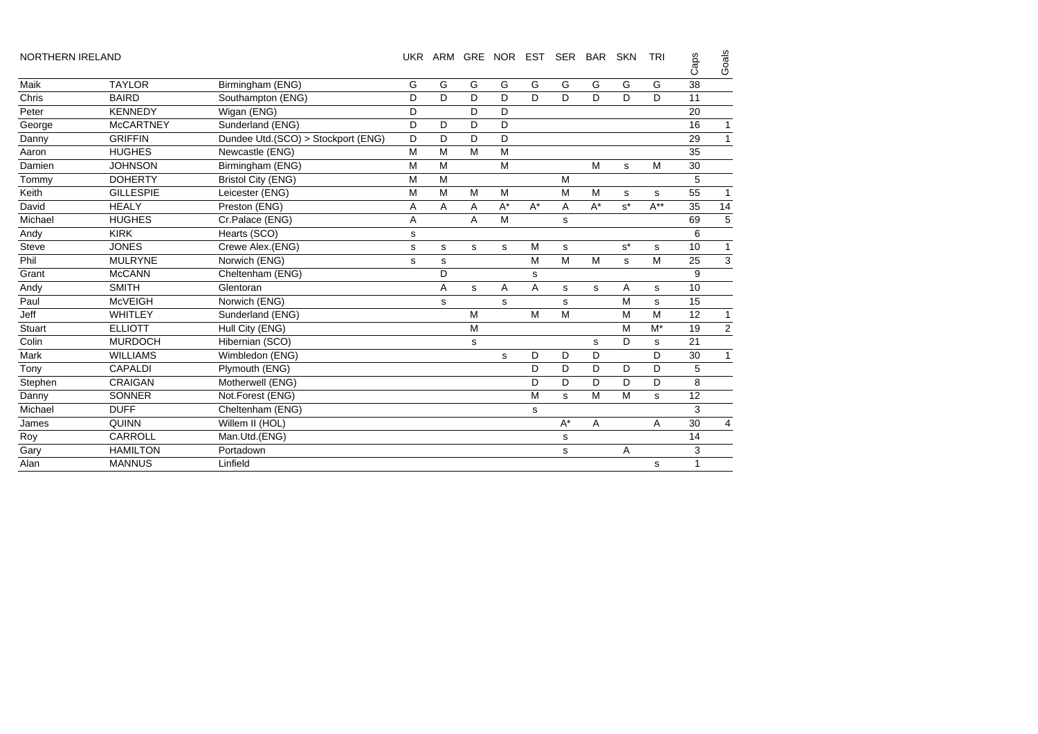| <b>NORTHERN IRELAND</b> |                  |                                    | <b>UKR</b> | ARM |   | GRE NOR EST |       | <b>SER</b> | <b>BAR</b> | <b>SKN</b> | <b>TRI</b> | Caps | Goals          |
|-------------------------|------------------|------------------------------------|------------|-----|---|-------------|-------|------------|------------|------------|------------|------|----------------|
| Maik                    | <b>TAYLOR</b>    | Birmingham (ENG)                   | G          | G   | G | G           | G     | G          | G          | G          | G          | 38   |                |
| Chris                   | <b>BAIRD</b>     | Southampton (ENG)                  | D          | D   | D | D           | D.    | D          | D          | D          | D.         | 11   |                |
| Peter                   | <b>KENNEDY</b>   | Wigan (ENG)                        | D          |     | D | D           |       |            |            |            |            | 20   |                |
| George                  | <b>McCARTNEY</b> | Sunderland (ENG)                   | D          | D   | D | D           |       |            |            |            |            | 16   | 1              |
| Danny                   | <b>GRIFFIN</b>   | Dundee Utd.(SCO) > Stockport (ENG) | D          | D   | D | D           |       |            |            |            |            | 29   | 1              |
| Aaron                   | <b>HUGHES</b>    | Newcastle (ENG)                    | M          | M   | M | M           |       |            |            |            |            | 35   |                |
| Damien                  | <b>JOHNSON</b>   | Birmingham (ENG)                   | M          | M   |   | M           |       |            | M          | s          | M          | 30   |                |
| Tommy                   | <b>DOHERTY</b>   | <b>Bristol City (ENG)</b>          | M          | M   |   |             |       | M          |            |            |            | 5    |                |
| Keith                   | <b>GILLESPIE</b> | Leicester (ENG)                    | M          | M   | M | M           |       | M          | M          | s          | s          | 55   | 1              |
| David                   | <b>HEALY</b>     | Preston (ENG)                      | Α          | A   | A | $A^*$       | $A^*$ | A          | $A^*$      | $s^*$      | $A^{**}$   | 35   | 14             |
| Michael                 | <b>HUGHES</b>    | Cr.Palace (ENG)                    | Α          |     | Α | M           |       | s          |            |            |            | 69   | 5              |
| Andy                    | <b>KIRK</b>      | Hearts (SCO)                       | s          |     |   |             |       |            |            |            |            | 6    |                |
| <b>Steve</b>            | <b>JONES</b>     | Crewe Alex.(ENG)                   | s          | s   | s | s           | M     | s          |            | $s^*$      | s          | 10   | 1              |
| Phil                    | <b>MULRYNE</b>   | Norwich (ENG)                      | ${\tt s}$  | s   |   |             | М     | M          | M          | s          | M          | 25   | 3              |
| Grant                   | <b>McCANN</b>    | Cheltenham (ENG)                   |            | D   |   |             | s     |            |            |            |            | 9    |                |
| Andy                    | <b>SMITH</b>     | Glentoran                          |            | Α   | s | Α           | Α     | s          | s          | Α          | s          | 10   |                |
| Paul                    | <b>McVEIGH</b>   | Norwich (ENG)                      |            | s   |   | s           |       | s          |            | M          | s          | 15   |                |
| Jeff                    | WHITLEY          | Sunderland (ENG)                   |            |     | M |             | M     | M          |            | M          | M          | 12   | 1              |
| Stuart                  | <b>ELLIOTT</b>   | Hull City (ENG)                    |            |     | M |             |       |            |            | M          | $M^*$      | 19   | $\overline{2}$ |
| Colin                   | <b>MURDOCH</b>   | Hibernian (SCO)                    |            |     | s |             |       |            | s          | D          | s          | 21   |                |
| Mark                    | <b>WILLIAMS</b>  | Wimbledon (ENG)                    |            |     |   | s           | D     | D          | D          |            | D          | 30   | 1              |
| Tony                    | <b>CAPALDI</b>   | Plymouth (ENG)                     |            |     |   |             | D     | D          | D          | D          | D          | 5    |                |
| Stephen                 | <b>CRAIGAN</b>   | Motherwell (ENG)                   |            |     |   |             | D     | D          | D          | D          | D          | 8    |                |
| Danny                   | SONNER           | Not.Forest (ENG)                   |            |     |   |             | M     | s          | M          | M          | s          | 12   |                |
| Michael                 | <b>DUFF</b>      | Cheltenham (ENG)                   |            |     |   |             | s     |            |            |            |            | 3    |                |
| James                   | <b>QUINN</b>     | Willem II (HOL)                    |            |     |   |             |       | $A^*$      | A          |            | A          | 30   | $\overline{4}$ |
| Roy                     | CARROLL          | Man.Utd.(ENG)                      |            |     |   |             |       | s          |            |            |            | 14   |                |
| Gary                    | <b>HAMILTON</b>  | Portadown                          |            |     |   |             |       | s          |            | Α          |            | 3    |                |
| Alan                    | <b>MANNUS</b>    | Linfield                           |            |     |   |             |       |            |            |            | s          | 1    |                |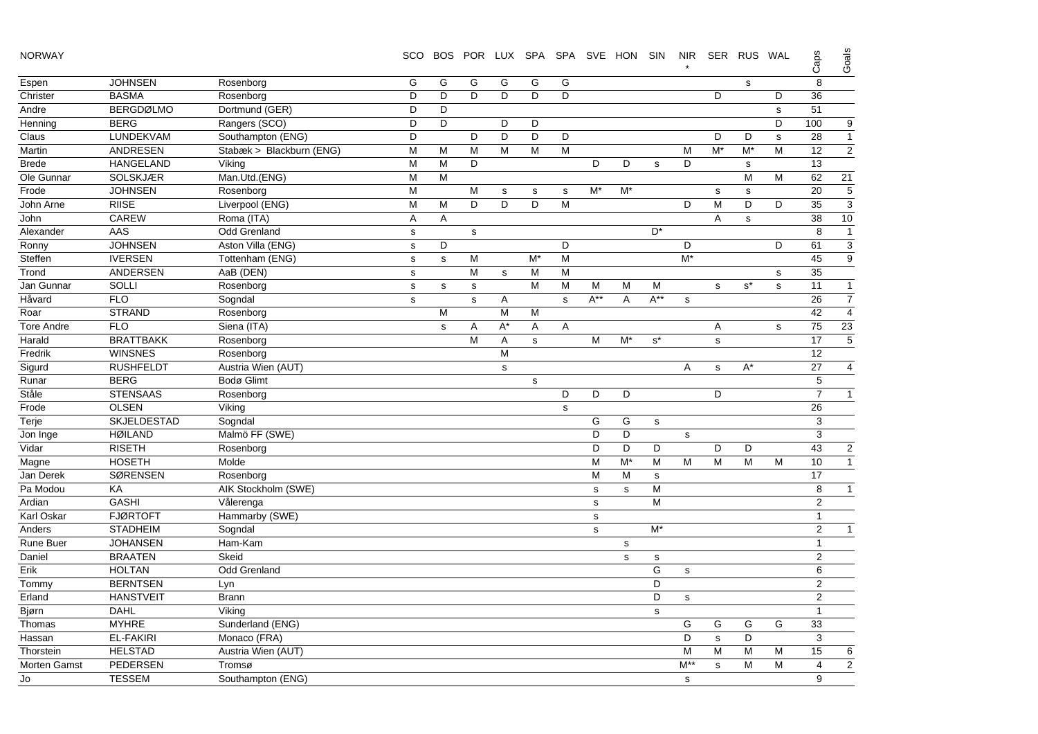| <b>NORWAY</b> |  |  |  |
|---------------|--|--|--|
|---------------|--|--|--|

 SCO BOS POR LUX SPA SPA SVE HON SIN NIR SER RUS WAL \*Espen JOHNSEN Rosenborg GGGGGG <sup>s</sup> 8 Christer BASMA Rosenborg D D D D D D D D 36 Andre BERGDØLMO Dortmund (GER) D D D S 51 Caps Goal s

| Henning           | <b>BERG</b>        | Rangers (SCO)            | D            | D            |             | D           | D           |              |              |             |                      |             |             |                      | D           | 100            | 9                        |
|-------------------|--------------------|--------------------------|--------------|--------------|-------------|-------------|-------------|--------------|--------------|-------------|----------------------|-------------|-------------|----------------------|-------------|----------------|--------------------------|
| Claus             | LUNDEKVAM          | Southampton (ENG)        | D            |              | D           | D           | D           | D            |              |             |                      |             | D           | D                    | $\mathbf s$ | 28             | $\mathbf{1}$             |
| Martin            | ANDRESEN           | Stabæk > Blackburn (ENG) | M            | M            | M           | M           | M           | M            |              |             |                      | M           | $M^*$       | $M^*$                | M           | 12             | $\overline{2}$           |
| <b>Brede</b>      | <b>HANGELAND</b>   | Viking                   | M            | M            | D           |             |             |              | D            | D           | $\mathbf s$          | D           |             | s                    |             | 13             |                          |
| Ole Gunnar        | <b>SOLSKJÆR</b>    | Man.Utd.(ENG)            | M            | M            |             |             |             |              |              |             |                      |             |             | M                    | M           | 62             | 21                       |
| Frode             | <b>JOHNSEN</b>     | Rosenborg                | M            |              | M           | s           | $\mathbf s$ | s            | $M^*$        | $M^*$       |                      |             | s           | s                    |             | 20             | 5                        |
| John Arne         | <b>RIISE</b>       | Liverpool (ENG)          | M            | M            | D           | D           | D           | M            |              |             |                      | D           | M           | D                    | D           | 35             | 3                        |
| John              | CAREW              | Roma (ITA)               | Α            | A            |             |             |             |              |              |             |                      |             | Α           | s                    |             | 38             | 10                       |
| Alexander         | AAS                | Odd Grenland             | s            |              | s           |             |             |              |              |             | $D^*$                |             |             |                      |             | 8              | $\overline{1}$           |
| Ronny             | <b>JOHNSEN</b>     | Aston Villa (ENG)        | $\mathbf s$  | D            |             |             |             | D            |              |             |                      | D           |             |                      | D           | 61             | $\overline{3}$           |
| Steffen           | <b>IVERSEN</b>     | Tottenham (ENG)          | s            | $\mathbf s$  | M           |             | $M^*$       | M            |              |             |                      | $M^*$       |             |                      |             | 45             | $\overline{9}$           |
| Trond             | ANDERSEN           | AaB (DEN)                | $\mathbf s$  |              | M           | $\mathbf s$ | M           | M            |              |             |                      |             |             |                      | s           | 35             |                          |
| Jan Gunnar        | <b>SOLLI</b>       | Rosenborg                | $\mathbf s$  | s            | $\mathbf S$ |             | M           | M            | M            | M           | M                    |             | s           | $\texttt{s}^{\star}$ | ${\tt S}$   | 11             | $\mathbf{1}$             |
| Håvard            | <b>FLO</b>         | Sogndal                  | $\mathbf{s}$ |              | s           | Α           |             | $\mathbf{s}$ | $A^{**}$     | A           | $A^{**}$             | $\mathbf s$ |             |                      |             | 26             | $\overline{7}$           |
| Roar              | <b>STRAND</b>      | Rosenborg                |              | M            |             | M           | M           |              |              |             |                      |             |             |                      |             | 42             | $\overline{4}$           |
| <b>Tore Andre</b> | <b>FLO</b>         | Siena (ITA)              |              | $\mathbf{s}$ | Α           | $A^*$       | Α           | A            |              |             |                      |             | Α           |                      | s           | 75             | 23                       |
| Harald            | <b>BRATTBAKK</b>   | Rosenborg                |              |              | M           | Α           | s           |              | M            | $M^*$       | $\texttt{s}^{\star}$ |             | s           |                      |             | 17             | 5                        |
| Fredrik           | <b>WINSNES</b>     | Rosenborg                |              |              |             | M           |             |              |              |             |                      |             |             |                      |             | 12             |                          |
| Sigurd            | <b>RUSHFELDT</b>   | Austria Wien (AUT)       |              |              |             | s           |             |              |              |             |                      | A           | s           | $A^*$                |             | 27             | $\overline{\mathcal{L}}$ |
| Runar             | <b>BERG</b>        | Bodø Glimt               |              |              |             |             | $\mathbf s$ |              |              |             |                      |             |             |                      |             | $\sqrt{5}$     |                          |
| Ståle             | <b>STENSAAS</b>    | Rosenborg                |              |              |             |             |             | D            | D            | D           |                      |             | D           |                      |             | $\overline{7}$ | $\mathbf{1}$             |
| Frode             | <b>OLSEN</b>       | Viking                   |              |              |             |             |             | $\mathbf s$  |              |             |                      |             |             |                      |             | 26             |                          |
| Terje             | <b>SKJELDESTAD</b> | Sogndal                  |              |              |             |             |             |              | G            | G           | $\mathbf s$          |             |             |                      |             | 3              |                          |
| Jon Inge          | <b>HØILAND</b>     | Malmö FF (SWE)           |              |              |             |             |             |              | D            | D           |                      | s           |             |                      |             | 3              |                          |
| Vidar             | <b>RISETH</b>      | Rosenborg                |              |              |             |             |             |              | D            | D           | D                    |             | D           | D                    |             | 43             | $\overline{\mathbf{c}}$  |
| Magne             | <b>HOSETH</b>      | Molde                    |              |              |             |             |             |              | M            | $M^*$       | M                    | M           | M           | M                    | M           | 10             | $\mathbf{1}$             |
| Jan Derek         | <b>SØRENSEN</b>    | Rosenborg                |              |              |             |             |             |              | M            | M           | s                    |             |             |                      |             | 17             |                          |
| Pa Modou          | KA                 | AIK Stockholm (SWE)      |              |              |             |             |             |              | $\mathbf s$  | s           | M                    |             |             |                      |             | 8              | $\mathbf{1}$             |
| Ardian            | <b>GASHI</b>       | Vålerenga                |              |              |             |             |             |              | s            |             | M                    |             |             |                      |             | 2              |                          |
| Karl Oskar        | <b>FJØRTOFT</b>    | Hammarby (SWE)           |              |              |             |             |             |              | $\mathsf{s}$ |             |                      |             |             |                      |             | $\mathbf{1}$   |                          |
| Anders            | <b>STADHEIM</b>    | Sogndal                  |              |              |             |             |             |              | $\mathbf s$  |             | $M^*$                |             |             |                      |             | 2              | $\mathbf{1}$             |
| Rune Buer         | <b>JOHANSEN</b>    | Ham-Kam                  |              |              |             |             |             |              |              | s           |                      |             |             |                      |             | $\mathbf{1}$   |                          |
| Daniel            | <b>BRAATEN</b>     | Skeid                    |              |              |             |             |             |              |              | $\mathbf s$ | s                    |             |             |                      |             | 2              |                          |
| Erik              | <b>HOLTAN</b>      | <b>Odd Grenland</b>      |              |              |             |             |             |              |              |             | G                    | s           |             |                      |             | 6              |                          |
| Tommy             | <b>BERNTSEN</b>    | Lyn                      |              |              |             |             |             |              |              |             | D                    |             |             |                      |             | 2              |                          |
| Erland            | <b>HANSTVEIT</b>   | <b>Brann</b>             |              |              |             |             |             |              |              |             | D                    | $\mathbf s$ |             |                      |             | 2              |                          |
| Bjørn             | <b>DAHL</b>        | Viking                   |              |              |             |             |             |              |              |             | $\mathbf s$          |             |             |                      |             | $\mathbf{1}$   |                          |
| Thomas            | <b>MYHRE</b>       | Sunderland (ENG)         |              |              |             |             |             |              |              |             |                      | G           | G           | G                    | G           | 33             |                          |
| Hassan            | <b>EL-FAKIRI</b>   | Monaco (FRA)             |              |              |             |             |             |              |              |             |                      | D           | $\mathbf s$ | D                    |             | 3              |                          |
| Thorstein         | <b>HELSTAD</b>     | Austria Wien (AUT)       |              |              |             |             |             |              |              |             |                      | M           | M           | M                    | M           | 15             | 6                        |
| Morten Gamst      | PEDERSEN           | Tromsø                   |              |              |             |             |             |              |              |             |                      | $M^*$       | s           | M                    | M           | 4              | $\overline{c}$           |
| Jo                | <b>TESSEM</b>      | Southampton (ENG)        |              |              |             |             |             |              |              |             |                      | s           |             |                      |             | 9              |                          |
|                   |                    |                          |              |              |             |             |             |              |              |             |                      |             |             |                      |             |                |                          |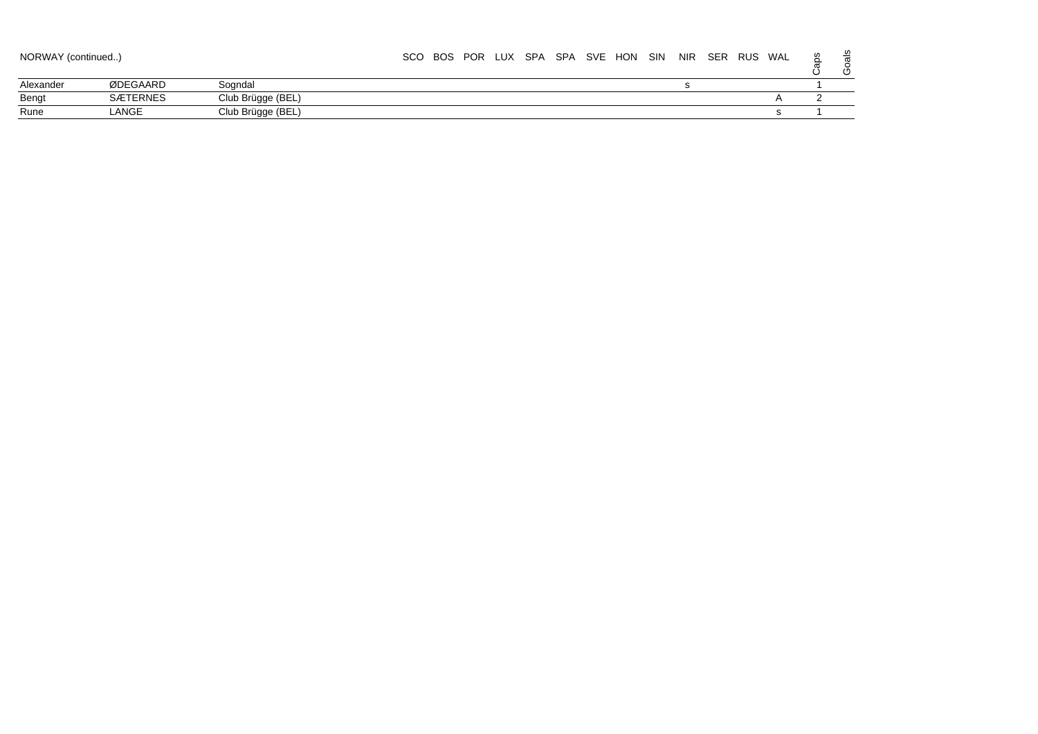| NORWAY (continued) |                 |                   | <b>SCO</b> | <b>BOS</b> |  | POR LUX SPA |  | SPA SVE HON SIN | NIR | <b>SER</b> | RUS | WAL | ⊻<br>$\sqrt{2}$ |
|--------------------|-----------------|-------------------|------------|------------|--|-------------|--|-----------------|-----|------------|-----|-----|-----------------|
| Alexander          | ØDEGAARD        | Soandal           |            |            |  |             |  |                 |     |            |     |     |                 |
| Bengt              | <b>SÆTERNES</b> | Club Brügge (BEL) |            |            |  |             |  |                 |     |            |     |     |                 |
| Rune               | LANGE           | Club Brügge (BEL) |            |            |  |             |  |                 |     |            |     |     |                 |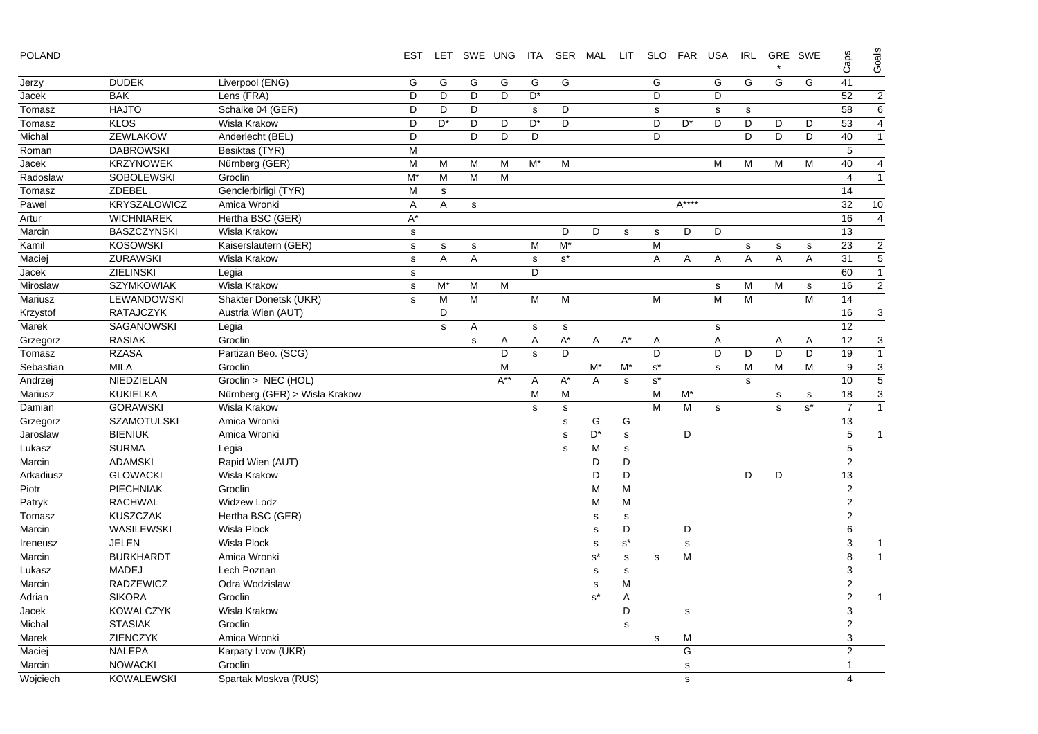|  | <b>POLAND</b> |
|--|---------------|
|--|---------------|

| <b>POLAND</b> |                     |                               |             |                |             |          |    |       | EST LET SWE UNG ITA SER MAL LIT |             |                      | SLO FAR USA |   | <b>IRL</b> |   | GRE SWE   | Caps           | Goals                    |
|---------------|---------------------|-------------------------------|-------------|----------------|-------------|----------|----|-------|---------------------------------|-------------|----------------------|-------------|---|------------|---|-----------|----------------|--------------------------|
| Jerzy         | <b>DUDEK</b>        | Liverpool (ENG)               | G           | G              | G           | G        | G  | G     |                                 |             | G                    |             | G | G          | G | G         | 41             |                          |
| Jacek         | <b>BAK</b>          | Lens (FRA)                    | D           | D              | D           | D        | D* |       |                                 |             | D                    |             | D |            |   |           | 52             | $\overline{\mathbf{c}}$  |
| Tomasz        | <b>HAJTO</b>        | Schalke 04 (GER)              | D           | D              | D           |          | s  | D     |                                 |             | $\mathbf S$          |             | s | s          |   |           | 58             | 6                        |
| Tomasz        | <b>KLOS</b>         | Wisla Krakow                  | D           | D <sup>*</sup> | D           | D        | D* | D     |                                 |             | D                    | D*          | D | D          | D | D         | 53             | 4                        |
| Michal        | <b>ZEWLAKOW</b>     | Anderlecht (BEL)              | D           |                | D           | D        | D  |       |                                 |             | D                    |             |   | D          | D | D         | 40             | $\mathbf{1}$             |
| Roman         | <b>DABROWSKI</b>    | Besiktas (TYR)                | М           |                |             |          |    |       |                                 |             |                      |             |   |            |   |           | 5              |                          |
| Jacek         | <b>KRZYNOWEK</b>    | Nürnberg (GER)                | М           | м              | м           | м        | M* | M     |                                 |             |                      |             | М | м          | м | М         | 40             | 4                        |
| Radoslaw      | <b>SOBOLEWSKI</b>   | Groclin                       | M*          | М              | м           | M        |    |       |                                 |             |                      |             |   |            |   |           | $\overline{4}$ | $\mathbf{1}$             |
| Tomasz        | ZDEBEL              | Genclerbirligi (TYR)          | M           | $\mathbf s$    |             |          |    |       |                                 |             |                      |             |   |            |   |           | 14             |                          |
| Pawel         | <b>KRYSZALOWICZ</b> | Amica Wronki                  | Α           | Α              | s           |          |    |       |                                 |             |                      | $A***$      |   |            |   |           | 32             | 10                       |
| Artur         | <b>WICHNIAREK</b>   | Hertha BSC (GER)              | $A^*$       |                |             |          |    |       |                                 |             |                      |             |   |            |   |           | 16             | $\overline{\mathcal{A}}$ |
| Marcin        | <b>BASZCZYNSKI</b>  | Wisla Krakow                  | ${\tt S}$   |                |             |          |    | D     | D                               | s           | s                    | D           | D |            |   |           | 13             |                          |
| Kamil         | <b>KOSOWSKI</b>     | Kaiserslautern (GER)          | ${\tt S}$   | s              | $\mathbf S$ |          | M  | M*    |                                 |             | M                    |             |   | s          | s | ${\tt S}$ | 23             | $\overline{\mathbf{c}}$  |
| Maciej        | <b>ZURAWSKI</b>     | Wisla Krakow                  | $\mathbf s$ | Α              | Α           |          | s  | $s^*$ |                                 |             | Α                    | A           | Α | Α          | Α | A         | 31             | 5                        |
| Jacek         | <b>ZIELINSKI</b>    | Legia                         | $\mathbf s$ |                |             |          | D  |       |                                 |             |                      |             |   |            |   |           | 60             | $\overline{1}$           |
| Miroslaw      | <b>SZYMKOWIAK</b>   | Wisla Krakow                  | $\mathbf s$ | $M^*$          | M           | M        |    |       |                                 |             |                      |             | s | м          | М | s         | 16             | $\overline{2}$           |
| Mariusz       | LEWANDOWSKI         | Shakter Donetsk (UKR)         | s           | M              | М           |          | M  | M     |                                 |             | M                    |             | M | М          |   | M         | 14             |                          |
| Krzystof      | RATAJCZYK           | Austria Wien (AUT)            |             | D              |             |          |    |       |                                 |             |                      |             |   |            |   |           | 16             | 3                        |
| Marek         | <b>SAGANOWSKI</b>   | Legia                         |             | $\mathbf s$    | Α           |          | s  | s     |                                 |             |                      |             | s |            |   |           | 12             |                          |
| Grzegorz      | <b>RASIAK</b>       | Groclin                       |             |                | s           | A        | Α  | $A^*$ | A                               | $A^*$       | Α                    |             | Α |            | Α | A         | 12             | 3                        |
| Tomasz        | <b>RZASA</b>        | Partizan Beo. (SCG)           |             |                |             | D        | s  | D     |                                 |             | D                    |             | D | D          | D | D         | 19             | $\mathbf{1}$             |
| Sebastian     | <b>MILA</b>         | Groclin                       |             |                |             | M        |    |       | M*                              | M*          | $\texttt{s}^{\star}$ |             | s | M          | M | M         | 9              | 3                        |
| Andrzej       | NIEDZIELAN          | Groclin > NEC (HOL)           |             |                |             | $A^{**}$ | A  | $A^*$ | A                               | $\mathbf S$ | $\texttt{s}^{\star}$ |             |   | s          |   |           | 10             | 5                        |
| Mariusz       | <b>KUKIELKA</b>     | Nürnberg (GER) > Wisla Krakow |             |                |             |          | M  | M     |                                 |             | M                    | M*          |   |            | s | s         | 18             | 3                        |
| Damian        | <b>GORAWSKI</b>     | Wisla Krakow                  |             |                |             |          | s  | s     |                                 |             | м                    | M           | s |            | s | $s^*$     | $\overline{7}$ | $\overline{1}$           |
| Grzegorz      | <b>SZAMOTULSKI</b>  | Amica Wronki                  |             |                |             |          |    | s     | G                               | G           |                      |             |   |            |   |           | 13             |                          |
| Jaroslaw      | <b>BIENIUK</b>      | Amica Wronki                  |             |                |             |          |    | s     | D*                              | s           |                      | D           |   |            |   |           | 5              | $\mathbf{1}$             |
| Lukasz        | <b>SURMA</b>        | Legia                         |             |                |             |          |    | s     | М                               | s           |                      |             |   |            |   |           | 5              |                          |
| Marcin        | <b>ADAMSKI</b>      | Rapid Wien (AUT)              |             |                |             |          |    |       | D                               | D           |                      |             |   |            |   |           | 2              |                          |
| Arkadiusz     | <b>GLOWACKI</b>     | Wisla Krakow                  |             |                |             |          |    |       | D                               | D           |                      |             |   | D          | D |           | 13             |                          |
| Piotr         | <b>PIECHNIAK</b>    | Groclin                       |             |                |             |          |    |       | M                               | M           |                      |             |   |            |   |           | $\overline{2}$ |                          |
| Patryk        | <b>RACHWAL</b>      | <b>Widzew Lodz</b>            |             |                |             |          |    |       | M                               | M           |                      |             |   |            |   |           | 2              |                          |
| Tomasz        | <b>KUSZCZAK</b>     | Hertha BSC (GER)              |             |                |             |          |    |       | $\mathbf s$                     | $\mathbf S$ |                      |             |   |            |   |           | $\overline{2}$ |                          |
| Marcin        | WASILEWSKI          | Wisla Plock                   |             |                |             |          |    |       | s                               | D           |                      | D           |   |            |   |           | 6              |                          |
| Ireneusz      | <b>JELEN</b>        | <b>Wisla Plock</b>            |             |                |             |          |    |       | s                               | $s^*$       |                      | ${\tt S}$   |   |            |   |           | 3              | $\overline{1}$           |
| Marcin        | <b>BURKHARDT</b>    | Amica Wronki                  |             |                |             |          |    |       | $s^*$                           | s           | $\mathbf s$          | M           |   |            |   |           | 8              | $\mathbf{1}$             |
| Lukasz        | <b>MADEJ</b>        | Lech Poznan                   |             |                |             |          |    |       | $\mathbf s$                     | s           |                      |             |   |            |   |           | 3              |                          |
| Marcin        | <b>RADZEWICZ</b>    | Odra Wodzislaw                |             |                |             |          |    |       | s                               | M           |                      |             |   |            |   |           | $\overline{2}$ |                          |
| Adrian        | <b>SIKORA</b>       | Groclin                       |             |                |             |          |    |       | $s^*$                           | Α           |                      |             |   |            |   |           | $\overline{2}$ | $\overline{1}$           |
| Jacek         | <b>KOWALCZYK</b>    | Wisla Krakow                  |             |                |             |          |    |       |                                 | D           |                      | $\mathbf s$ |   |            |   |           | 3              |                          |
| Michal        | <b>STASIAK</b>      | Groclin                       |             |                |             |          |    |       |                                 | $\mathbf s$ |                      |             |   |            |   |           | $\overline{2}$ |                          |
| Marek         | <b>ZIENCZYK</b>     | Amica Wronki                  |             |                |             |          |    |       |                                 |             | s                    | M           |   |            |   |           | 3              |                          |
| Maciej        | <b>NALEPA</b>       | Karpaty Lvov (UKR)            |             |                |             |          |    |       |                                 |             |                      | G           |   |            |   |           | $\overline{2}$ |                          |
| Marcin        | <b>NOWACKI</b>      | Groclin                       |             |                |             |          |    |       |                                 |             |                      | $\mathbf s$ |   |            |   |           | $\mathbf{1}$   |                          |
| Wojciech      | <b>KOWALEWSKI</b>   | Spartak Moskva (RUS)          |             |                |             |          |    |       |                                 |             |                      | s           |   |            |   |           | $\overline{4}$ |                          |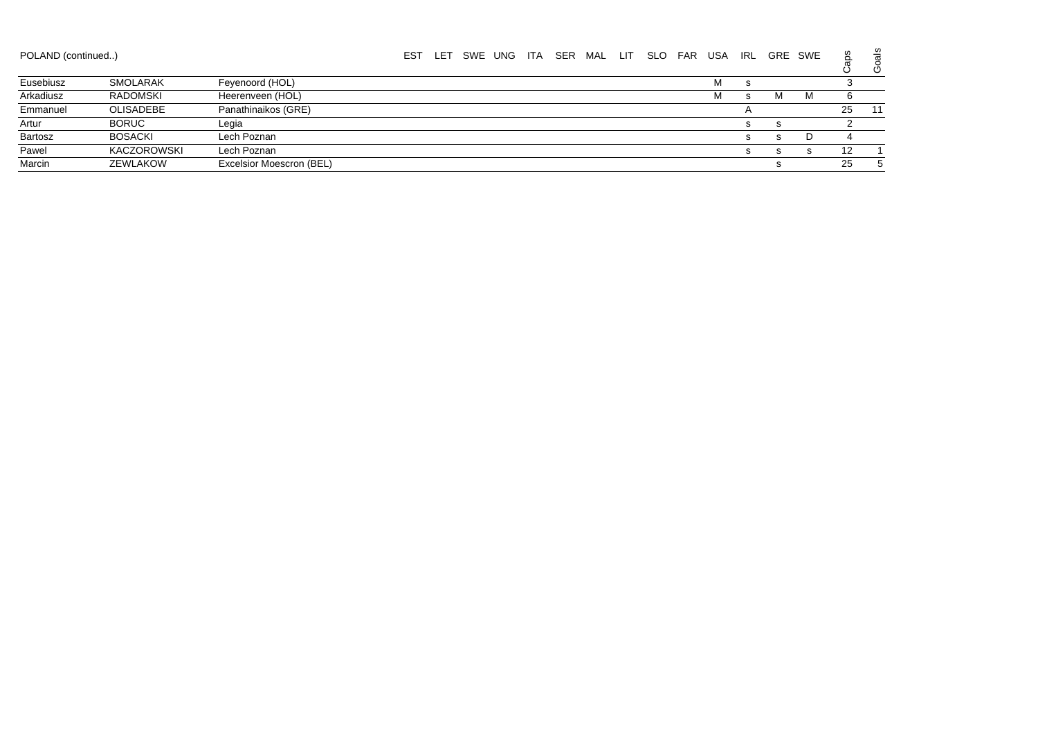| POLAND (continued) |                 |                          | ES1 | LET | SWE UNG | ITA | SER | MAL | - LIT | <b>SLO</b> | <b>FAR</b> | <b>USA</b> | IRL |   | GRE SWE | aps | ၯ<br>යි |
|--------------------|-----------------|--------------------------|-----|-----|---------|-----|-----|-----|-------|------------|------------|------------|-----|---|---------|-----|---------|
| Eusebiusz          | <b>SMOLARAK</b> | Feyenoord (HOL)          |     |     |         |     |     |     |       |            |            | м          |     |   |         |     |         |
| Arkadiusz          | <b>RADOMSKI</b> | Heerenveen (HOL)         |     |     |         |     |     |     |       |            |            | М          | Ð   | M | м       |     |         |
| Emmanuel           | OLISADEBE       | Panathinaikos (GRE)      |     |     |         |     |     |     |       |            |            |            |     |   |         | 25  | -11     |
| Artur              | <b>BORUC</b>    | Legia                    |     |     |         |     |     |     |       |            |            |            | 5   | s |         |     |         |
| Bartosz            | <b>BOSACKI</b>  | Lech Poznan              |     |     |         |     |     |     |       |            |            |            |     | s | D       |     |         |
| Pawel              | KACZOROWSKI     | Lech Poznan              |     |     |         |     |     |     |       |            |            |            |     | s | s       | 12  |         |
| Marcin             | ZEWLAKOW        | Excelsior Moescron (BEL) |     |     |         |     |     |     |       |            |            |            |     | s |         | 25  |         |
|                    |                 |                          |     |     |         |     |     |     |       |            |            |            |     |   |         |     |         |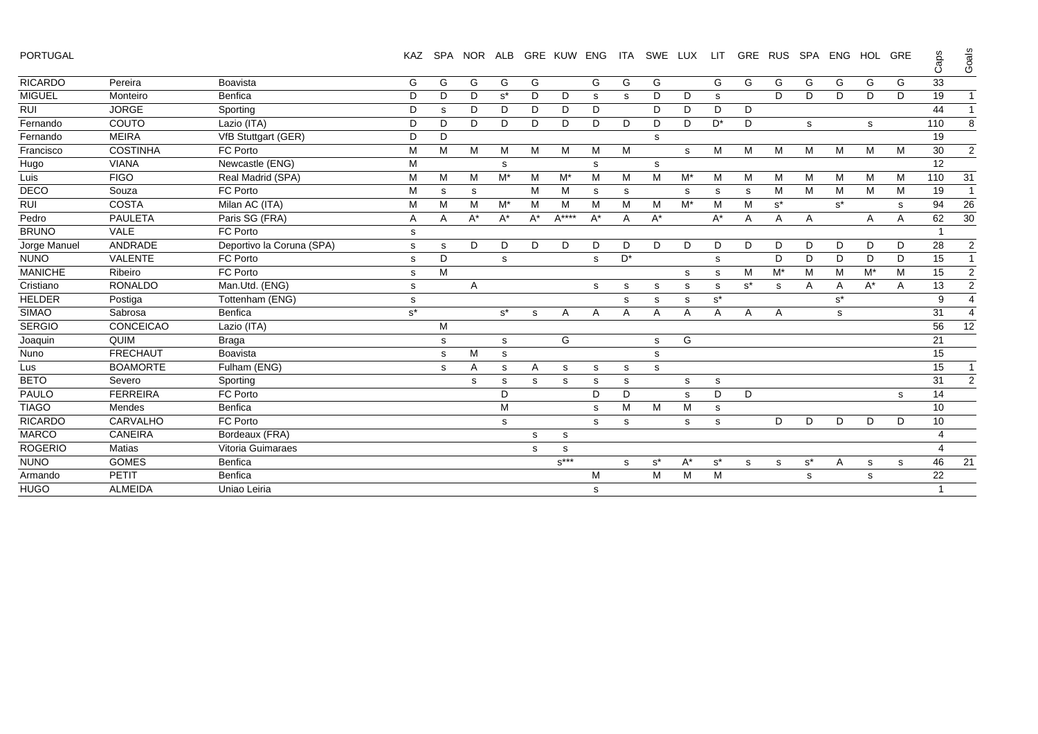PORTUGAL KAZ SPA NOR ALB GRE KUW ENG ITA SWE LUX LIT GRE RUS SPA ENG HOL GRE

| <b>PORTUGAL</b> |                  |                           | <b>KAZ</b>  |   | SPA NOR ALB |       |       | <b>GRE KUW ENG</b>             |       | <b>ITA</b> | SWE   | LUX   | <b>LIT</b> | <b>GRE</b> | <b>RUS</b>           | <b>SPA</b> |                      | ENG HOL GRE |    | Caps | Goals          |
|-----------------|------------------|---------------------------|-------------|---|-------------|-------|-------|--------------------------------|-------|------------|-------|-------|------------|------------|----------------------|------------|----------------------|-------------|----|------|----------------|
| <b>RICARDO</b>  | Pereira          | Boavista                  | G           | G | G           | G     | G     |                                | G     | G          | G     |       | G          | G          | G                    | G          | G                    | G           | G  | 33   |                |
| <b>MIGUEL</b>   | Monteiro         | Benfica                   | D           | D | D           | $s^*$ | D     | D                              | s     | s          | D     | D     | s          |            | D                    | D          | D                    | D           | D  | 19   | $\mathbf{1}$   |
| <b>RUI</b>      | <b>JORGE</b>     | Sporting                  | D           | s | D           | D     | D     | D                              | D     |            | D     | D     | D          | D          |                      |            |                      |             |    | 44   | $\mathbf{1}$   |
| Fernando        | COUTO            | Lazio (ITA)               | D           | D | D           | D     | D     | D                              | D     | D          | D     | D     | $D^*$      | D          |                      | s          |                      | s           |    | 110  | 8              |
| Fernando        | <b>MEIRA</b>     | VfB Stuttgart (GER)       | D           | D |             |       |       |                                |       |            | s     |       |            |            |                      |            |                      |             |    | 19   |                |
| Francisco       | <b>COSTINHA</b>  | FC Porto                  | M           | M | M           | M     | M     | M                              | M     | M          |       | s     | M          | м          | M                    | M          | м                    | M           | M  | 30   | 2              |
| Hugo            | <b>VIANA</b>     | Newcastle (ENG)           | M           |   |             | s     |       |                                | s     |            | s     |       |            |            |                      |            |                      |             |    | 12   |                |
| Luis            | <b>FIGO</b>      | Real Madrid (SPA)         | M           | M | M           | $M^*$ | M     | M*                             | M     | M          | М     | $M^*$ | M          | м          | M                    | M          | м                    | M           | M  | 110  | 31             |
| <b>DECO</b>     | Souza            | FC Porto                  | M           | s | s           |       | Μ     | M                              | s     | s          |       | s     | s          | s          | M                    | M          | M                    | м           | M  | 19   | $\mathbf{1}$   |
| <b>RUI</b>      | <b>COSTA</b>     | Milan AC (ITA)            | M           | M | M           | $M^*$ | M     | M                              | M     | M          | М     | $M^*$ | M          | M          | $\texttt{s}^{\star}$ |            | $\texttt{s}^{\star}$ |             | s  | 94   | 26             |
| Pedro           | <b>PAULETA</b>   | Paris SG (FRA)            | A           | Α | A*          | $A^*$ | $A^*$ | $A***$                         | $A^*$ | A          | $A^*$ |       | $A^*$      | Α          | $\overline{A}$       | Α          |                      | A           | A  | 62   | 30             |
| <b>BRUNO</b>    | VALE             | FC Porto                  | s           |   |             |       |       |                                |       |            |       |       |            |            |                      |            |                      |             |    |      |                |
| Jorge Manuel    | ANDRADE          | Deportivo la Coruna (SPA) | s           | s | D           | D     | D     | D                              | D     | D          | D     | D     | D          | D          | D                    | D          | D                    | D           | D  | 28   | $\overline{2}$ |
| <b>NUNO</b>     | <b>VALENTE</b>   | FC Porto                  | s           | D |             | s     |       |                                | s     | D*         |       |       | s          |            | D                    | D          | D                    | D           | D  | 15   | $\mathbf{1}$   |
| <b>MANICHE</b>  | Ribeiro          | FC Porto                  | s           | M |             |       |       |                                |       |            |       | s     | s          | м          | $M^*$                | M          | M                    | M*          | M  | 15   | $\overline{2}$ |
| Cristiano       | <b>RONALDO</b>   | Man.Utd. (ENG)            | $\mathbf s$ |   | Α           |       |       |                                | s     | s          | s     | s     | s          | $s^*$      | s                    | A          | Α                    | $A^*$       | Α  | 13   | $\overline{2}$ |
| <b>HELDER</b>   | Postiga          | Tottenham (ENG)           | $\mathbf s$ |   |             |       |       |                                |       | s          | s     | s     | $s^*$      |            |                      |            | $s^*$                |             |    | 9    | $\overline{4}$ |
| <b>SIMAO</b>    | Sabrosa          | Benfica                   | $s^\star$   |   |             | $s^*$ | s     | Α                              | A     | Α          | Α     | Α     | Α          | Α          | Α                    |            | s                    |             |    | 31   | 4              |
| <b>SERGIO</b>   | <b>CONCEICAO</b> | Lazio (ITA)               |             | M |             |       |       |                                |       |            |       |       |            |            |                      |            |                      |             |    | 56   | 12             |
| Joaquin         | QUIM             | <b>Braga</b>              |             | s |             | s     |       | G                              |       |            | s     | G     |            |            |                      |            |                      |             |    | 21   |                |
| Nuno            | <b>FRECHAUT</b>  | Boavista                  |             | s | М           | s     |       |                                |       |            | s     |       |            |            |                      |            |                      |             |    | 15   |                |
| Lus             | <b>BOAMORTE</b>  | Fulham (ENG)              |             | s | A           | s     | A     | s                              | s     | s          | s     |       |            |            |                      |            |                      |             |    | 15   | $\mathbf{1}$   |
| <b>BETO</b>     | Severo           | Sporting                  |             |   | s           | s     | s     | s                              | s     | s          |       | s     | s          |            |                      |            |                      |             |    | 31   | $\overline{2}$ |
| PAULO           | <b>FERREIRA</b>  | FC Porto                  |             |   |             | D     |       |                                | D     | D          |       | s     | D          | D          |                      |            |                      |             | s. | 14   |                |
| <b>TIAGO</b>    | Mendes           | Benfica                   |             |   |             | M     |       |                                | s     | M          | M     | М     | s          |            |                      |            |                      |             |    | 10   |                |
| <b>RICARDO</b>  | <b>CARVALHO</b>  | FC Porto                  |             |   |             | s     |       |                                | s     | s          |       | s     | s          |            | D                    | D          | D                    | D           | D  | 10   |                |
| <b>MARCO</b>    | <b>CANEIRA</b>   | Bordeaux (FRA)            |             |   |             |       | s     | s                              |       |            |       |       |            |            |                      |            |                      |             |    |      |                |
| <b>ROGERIO</b>  | <b>Matias</b>    | Vitoria Guimaraes         |             |   |             |       | s     | s                              |       |            |       |       |            |            |                      |            |                      |             |    |      |                |
| <b>NUNO</b>     | <b>GOMES</b>     | Benfica                   |             |   |             |       |       | $\texttt{s}^{\star\star\star}$ |       | s          | $s^*$ | $A^*$ | $s^*$      | s          | s                    | $s^*$      | Α                    | s           | s  | 46   | 21             |
| Armando         | PETIT            | Benfica                   |             |   |             |       |       |                                | М     |            | М     | M     | M          |            |                      | s          |                      | s           |    | 22   |                |
| <b>HUGO</b>     | <b>ALMEIDA</b>   | Uniao Leiria              |             |   |             |       |       |                                | s     |            |       |       |            |            |                      |            |                      |             |    |      |                |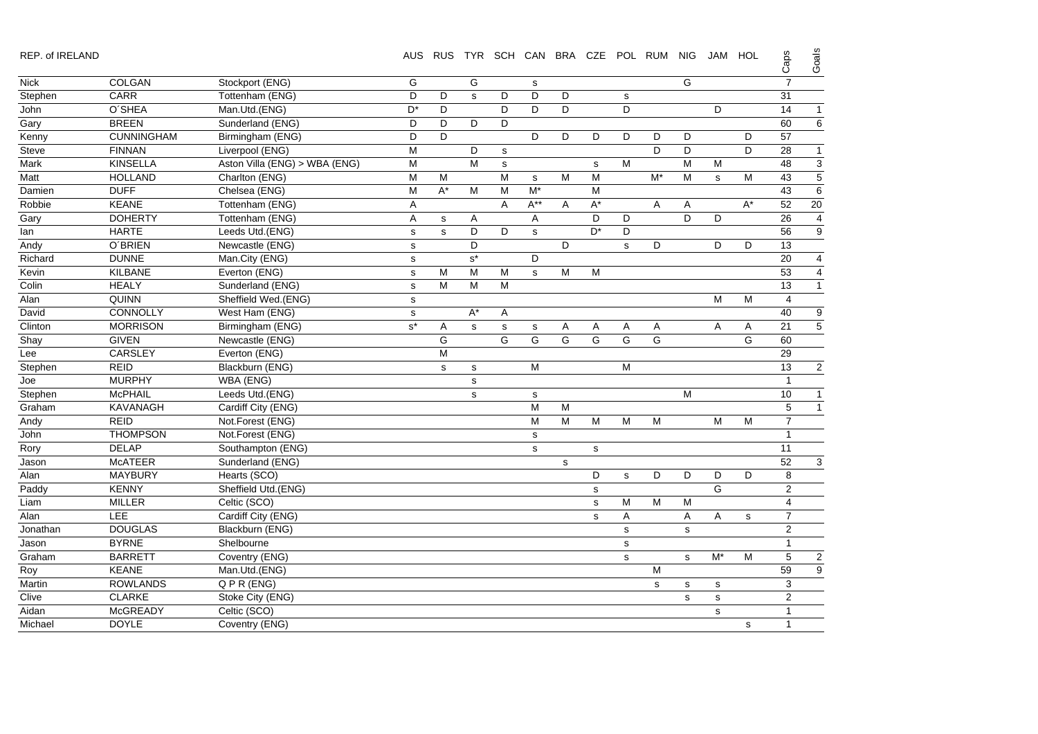| REP. of IRELAND |  |  |
|-----------------|--|--|
|                 |  |  |

REP. of IRELAND AUS RUS TYR SCH CAN BRA CZE POL RUM NIG JAM HOL

Caps Goals

|             |                   |                               |                      |                    |                      |   |                |             |                      |             |       |             |       |             | ╰                       |                         |
|-------------|-------------------|-------------------------------|----------------------|--------------------|----------------------|---|----------------|-------------|----------------------|-------------|-------|-------------|-------|-------------|-------------------------|-------------------------|
| <b>Nick</b> | COLGAN            | Stockport (ENG)               | G                    |                    | G                    |   | s              |             |                      |             |       | G           |       |             | $\overline{7}$          |                         |
| Stephen     | CARR              | Tottenham (ENG)               | D                    | D                  | $\mathbf s$          | D | D              | D           |                      | $\mathbf s$ |       |             |       |             | 31                      |                         |
| John        | O'SHEA            | Man.Utd.(ENG)                 | $D^*$                | D                  |                      | D | D              | D           |                      | D           |       |             | D     |             | 14                      | 1                       |
| Gary        | <b>BREEN</b>      | Sunderland (ENG)              | D                    | D                  | D                    | D |                |             |                      |             |       |             |       |             | 60                      | $\overline{6}$          |
| Kenny       | <b>CUNNINGHAM</b> | Birmingham (ENG)              | D                    | D                  |                      |   | D              | D           | D                    | D           | D     | D           |       | D           | 57                      |                         |
| Steve       | <b>FINNAN</b>     | Liverpool (ENG)               | M                    |                    | D                    | s |                |             |                      |             | D     | D           |       | D           | 28                      | $\mathbf{1}$            |
| Mark        | <b>KINSELLA</b>   | Aston Villa (ENG) > WBA (ENG) | M                    |                    | M                    | s |                |             | s                    | M           |       | M           | М     |             | 48                      | $\overline{3}$          |
| Matt        | <b>HOLLAND</b>    | Charlton (ENG)                | M                    | M                  |                      | M | $\mathbf s$    | M           | M                    |             | $M^*$ | M           | s     | М           | 43                      | 5                       |
| Damien      | <b>DUFF</b>       | Chelsea (ENG)                 | M                    | $\mathsf{A}^\star$ | M                    | M | M*             |             | ${\sf M}$            |             |       |             |       |             | 43                      | $\epsilon$              |
| Robbie      | <b>KEANE</b>      | Tottenham (ENG)               | A                    |                    |                      | Α | $A^{**}$       | Α           | $\mathsf{A}^{\star}$ |             | Α     | Α           |       | $A^*$       | 52                      | 20                      |
| Gary        | <b>DOHERTY</b>    | Tottenham (ENG)               | Α                    | $\mathbf s$        | Α                    |   | Α              |             | D                    | D           |       | D           | D     |             | 26                      | 4                       |
| lan         | <b>HARTE</b>      | Leeds Utd.(ENG)               | $\mathbf s$          | s                  | D                    | D | s              |             | D <sup>*</sup>       | D           |       |             |       |             | 56                      | g                       |
| Andy        | <b>O'BRIEN</b>    | Newcastle (ENG)               | $\mathbf s$          |                    | D                    |   |                | D           |                      | s           | D     |             | D     | D           | 13                      |                         |
| Richard     | <b>DUNNE</b>      | Man.City (ENG)                | $\mathbf s$          |                    | $\texttt{s}^{\star}$ |   | D              |             |                      |             |       |             |       |             | 20                      | 4                       |
| Kevin       | <b>KILBANE</b>    | Everton (ENG)                 | $\mathbf s$          | M                  | M                    | M | s              | M           | М                    |             |       |             |       |             | 53                      | 4                       |
| Colin       | <b>HEALY</b>      | Sunderland (ENG)              | s                    | M                  | M                    | M |                |             |                      |             |       |             |       |             | 13                      | $\overline{\mathbf{1}}$ |
| Alan        | <b>QUINN</b>      | Sheffield Wed.(ENG)           | $\mathbf s$          |                    |                      |   |                |             |                      |             |       |             | M     | M           | $\overline{4}$          |                         |
| David       | CONNOLLY          | West Ham (ENG)                | $\mathsf{s}$         |                    | $A^*$                | Α |                |             |                      |             |       |             |       |             | 40                      | 9                       |
| Clinton     | <b>MORRISON</b>   | Birmingham (ENG)              | $\texttt{s}^{\star}$ | Α                  | s                    | s | s              | Α           | A                    | Α           | Α     |             | Α     | Α           | 21                      | 5                       |
| Shay        | <b>GIVEN</b>      | Newcastle (ENG)               |                      | G                  |                      | G | G              | G           | G                    | G           | G     |             |       | G           | 60                      |                         |
| Lee         | CARSLEY           | Everton (ENG)                 |                      | M                  |                      |   |                |             |                      |             |       |             |       |             | 29                      |                         |
| Stephen     | <b>REID</b>       | Blackburn (ENG)               |                      | s                  | $\mathbf s$          |   | M              |             |                      | M           |       |             |       |             | 13                      | $\overline{2}$          |
| Joe         | <b>MURPHY</b>     | WBA (ENG)                     |                      |                    | $\mathbf S$          |   |                |             |                      |             |       |             |       |             | $\mathbf{1}$            |                         |
| Stephen     | <b>McPHAIL</b>    | Leeds Utd.(ENG)               |                      |                    | $\mathbf S$          |   | s              |             |                      |             |       | M           |       |             | 10                      | 1                       |
| Graham      | <b>KAVANAGH</b>   | Cardiff City (ENG)            |                      |                    |                      |   | $\overline{M}$ | M           |                      |             |       |             |       |             | 5                       | $\overline{1}$          |
| Andy        | <b>REID</b>       | Not.Forest (ENG)              |                      |                    |                      |   | M              | M           | M                    | M           | M     |             | M     | M           | $\overline{7}$          |                         |
| John        | <b>THOMPSON</b>   | Not.Forest (ENG)              |                      |                    |                      |   | $\mathbf s$    |             |                      |             |       |             |       |             | $\overline{1}$          |                         |
| Rory        | <b>DELAP</b>      | Southampton (ENG)             |                      |                    |                      |   | $\mathbf S$    |             | $\mathbf s$          |             |       |             |       |             | 11                      |                         |
| Jason       | <b>McATEER</b>    | Sunderland (ENG)              |                      |                    |                      |   |                | $\mathbf s$ |                      |             |       |             |       |             | 52                      | 3                       |
| Alan        | <b>MAYBURY</b>    | Hearts (SCO)                  |                      |                    |                      |   |                |             | D                    | s           | D     | D           | D     | D           | 8                       |                         |
| Paddy       | <b>KENNY</b>      | Sheffield Utd.(ENG)           |                      |                    |                      |   |                |             | s                    |             |       |             | G     |             | 2                       |                         |
| Liam        | <b>MILLER</b>     | Celtic (SCO)                  |                      |                    |                      |   |                |             | $\mathbf s$          | M           | M     | M           |       |             | $\overline{\mathbf{4}}$ |                         |
| Alan        | LEE               | Cardiff City (ENG)            |                      |                    |                      |   |                |             | $\mathbf s$          | A           |       | A           | Α     | s           | $\overline{7}$          |                         |
| Jonathan    | <b>DOUGLAS</b>    | Blackburn (ENG)               |                      |                    |                      |   |                |             |                      | $\mathbf s$ |       | s           |       |             | 2                       |                         |
| Jason       | <b>BYRNE</b>      | Shelbourne                    |                      |                    |                      |   |                |             |                      | $\mathbf s$ |       |             |       |             | $\overline{1}$          |                         |
| Graham      | <b>BARRETT</b>    | Coventry (ENG)                |                      |                    |                      |   |                |             |                      | $\mathbf s$ |       | $\mathbf s$ | $M^*$ | M           | $\overline{5}$          | $\overline{2}$          |
| Roy         | <b>KEANE</b>      | Man.Utd.(ENG)                 |                      |                    |                      |   |                |             |                      |             | M     |             |       |             | 59                      | 9                       |
| Martin      | <b>ROWLANDS</b>   | QPR (ENG)                     |                      |                    |                      |   |                |             |                      |             | s     | s           | s     |             | 3                       |                         |
| Clive       | <b>CLARKE</b>     | Stoke City (ENG)              |                      |                    |                      |   |                |             |                      |             |       | s           | s     |             | 2                       |                         |
| Aidan       | <b>McGREADY</b>   | Celtic (SCO)                  |                      |                    |                      |   |                |             |                      |             |       |             | s     |             | $\overline{\mathbf{1}}$ |                         |
| Michael     | <b>DOYLE</b>      | Coventry (ENG)                |                      |                    |                      |   |                |             |                      |             |       |             |       | $\mathbf s$ | $\overline{1}$          |                         |
|             |                   |                               |                      |                    |                      |   |                |             |                      |             |       |             |       |             |                         |                         |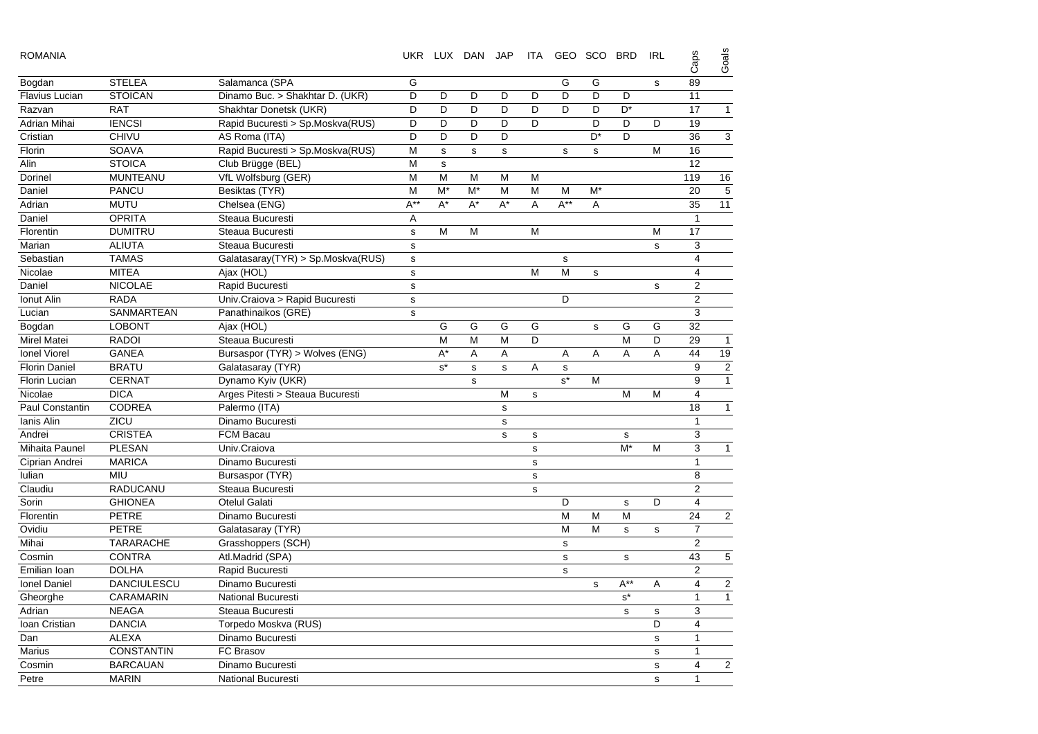| <b>ROMANIA</b>        |                    |                                   |              |       | UKR LUX DAN JAP |              | ITA         | GEO SCO BRD |             |                | <b>IRL</b>  | Caps                    | Goals          |
|-----------------------|--------------------|-----------------------------------|--------------|-------|-----------------|--------------|-------------|-------------|-------------|----------------|-------------|-------------------------|----------------|
| Bogdan                | <b>STELEA</b>      | Salamanca (SPA                    | G            |       |                 |              |             | G           | G           |                | $\mathbf s$ | 89                      |                |
| <b>Flavius Lucian</b> | <b>STOICAN</b>     | Dinamo Buc. > Shakhtar D. (UKR)   | D            | D     | D               | D            | D           | D           | D           | D              |             | 11                      |                |
| Razvan                | <b>RAT</b>         | Shakhtar Donetsk (UKR)            | D            | D     | D               | D            | D           | D           | D           | D <sup>*</sup> |             | 17                      | $\overline{1}$ |
| Adrian Mihai          | <b>IENCSI</b>      | Rapid Bucuresti > Sp.Moskva(RUS)  | D            | D     | D               | D            | D           |             | D           | D              | D           | 19                      |                |
| Cristian              | <b>CHIVU</b>       | AS Roma (ITA)                     | D            | D     | D               | D            |             |             | $D^*$       | D              |             | 36                      | 3              |
| Florin                | <b>SOAVA</b>       | Rapid Bucuresti > Sp.Moskva(RUS)  | M            | s     | s               | $\mathbf s$  |             | $\mathbf s$ | $\mathbf s$ |                | M           | 16                      |                |
| Alin                  | <b>STOICA</b>      | Club Brügge (BEL)                 | M            | s     |                 |              |             |             |             |                |             | 12                      |                |
| Dorinel               | <b>MUNTEANU</b>    | VfL Wolfsburg (GER)               | M            | M     | M               | M            | M           |             |             |                |             | 119                     | 16             |
| Daniel                | <b>PANCU</b>       | Besiktas (TYR)                    | M            | $M^*$ | $M^*$           | M            | M           | M           | $M^*$       |                |             | 20                      | 5              |
| Adrian                | <b>MUTU</b>        | Chelsea (ENG)                     | $A^{**}$     | $A^*$ | $A^*$           | $A^*$        | A           | $A^{**}$    | Α           |                |             | 35                      | 11             |
| Daniel                | <b>OPRITA</b>      | Steaua Bucuresti                  | A            |       |                 |              |             |             |             |                |             | $\mathbf{1}$            |                |
| Florentin             | <b>DUMITRU</b>     | Steaua Bucuresti                  | $\mathbf{s}$ | M     | M               |              | M           |             |             |                | M           | 17                      |                |
| Marian                | <b>ALIUTA</b>      | Steaua Bucuresti                  | $\mathbf s$  |       |                 |              |             |             |             |                | $\mathbf s$ | 3                       |                |
| Sebastian             | <b>TAMAS</b>       | Galatasaray(TYR) > Sp.Moskva(RUS) | $\mathbf s$  |       |                 |              |             | $\mathbf s$ |             |                |             | $\overline{4}$          |                |
| Nicolae               | <b>MITEA</b>       | Ajax (HOL)                        | $\mathbf{s}$ |       |                 |              | M           | M           | $\mathbf S$ |                |             | $\overline{4}$          |                |
| Daniel                | <b>NICOLAE</b>     | Rapid Bucuresti                   | $\mathbf s$  |       |                 |              |             |             |             |                | $\mathbf s$ | $\overline{2}$          |                |
| Ionut Alin            | <b>RADA</b>        | Univ.Craiova > Rapid Bucuresti    | $\mathbf s$  |       |                 |              |             | D           |             |                |             | $\overline{2}$          |                |
| Lucian                | SANMARTEAN         | Panathinaikos (GRE)               | $\mathbf s$  |       |                 |              |             |             |             |                |             | 3                       |                |
| Bogdan                | <b>LOBONT</b>      | Ajax (HOL)                        |              | G     | G               | G            | G           |             | $\mathbf s$ | G              | G           | 32                      |                |
| <b>Mirel Matei</b>    | <b>RADOI</b>       | Steaua Bucuresti                  |              | M     | M               | M            | D           |             |             | M              | D           | 29                      | $\mathbf{1}$   |
| <b>Ionel Viorel</b>   | <b>GANEA</b>       | Bursaspor (TYR) > Wolves (ENG)    |              | A*    | A               | Α            |             | Α           | Α           | A              | Α           | 44                      | 19             |
| <b>Florin Daniel</b>  | <b>BRATU</b>       | Galatasaray (TYR)                 |              | $s^*$ | s               | $\mathbf{s}$ | A           | $\mathbf s$ |             |                |             | 9                       | $\overline{2}$ |
| <b>Florin Lucian</b>  | <b>CERNAT</b>      | Dynamo Kyiv (UKR)                 |              |       | s               |              |             | $s^*$       | M           |                |             | 9                       | $\overline{1}$ |
| Nicolae               | <b>DICA</b>        | Arges Pitesti > Steaua Bucuresti  |              |       |                 | M            | s           |             |             | M              | M           | $\overline{4}$          |                |
| Paul Constantin       | <b>CODREA</b>      | Palermo (ITA)                     |              |       |                 | $\mathbf s$  |             |             |             |                |             | 18                      | $\mathbf{1}$   |
| Ianis Alin            | ZICU               | Dinamo Bucuresti                  |              |       |                 | $\mathbf s$  |             |             |             |                |             | $\mathbf{1}$            |                |
| Andrei                | <b>CRISTEA</b>     | FCM Bacau                         |              |       |                 | $\mathbf s$  | s           |             |             | s              |             | 3                       |                |
| Mihaita Paunel        | <b>PLESAN</b>      | Univ.Craiova                      |              |       |                 |              | $\mathbf s$ |             |             | $M^*$          | M           | 3                       | $\mathbf{1}$   |
| Ciprian Andrei        | <b>MARICA</b>      | Dinamo Bucuresti                  |              |       |                 |              | s           |             |             |                |             | $\mathbf{1}$            |                |
| lulian                | <b>MIU</b>         | Bursaspor (TYR)                   |              |       |                 |              | s           |             |             |                |             | 8                       |                |
| Claudiu               | RADUCANU           | Steaua Bucuresti                  |              |       |                 |              | s           |             |             |                |             | $\overline{2}$          |                |
| Sorin                 | <b>GHIONEA</b>     | <b>Otelul Galati</b>              |              |       |                 |              |             | D           |             | s              | D           | $\overline{4}$          |                |
| Florentin             | <b>PETRE</b>       | Dinamo Bucuresti                  |              |       |                 |              |             | M           | M           | M              |             | 24                      | $\overline{2}$ |
| Ovidiu                | <b>PETRE</b>       | Galatasaray (TYR)                 |              |       |                 |              |             | M           | M           | s              | $\mathbf s$ | $\overline{7}$          |                |
| Mihai                 | <b>TARARACHE</b>   | Grasshoppers (SCH)                |              |       |                 |              |             | s           |             |                |             | $\overline{2}$          |                |
| Cosmin                | <b>CONTRA</b>      | Atl.Madrid (SPA)                  |              |       |                 |              |             | $\mathbf s$ |             | $\mathbf s$    |             | 43                      | 5              |
| Emilian Ioan          | <b>DOLHA</b>       | Rapid Bucuresti                   |              |       |                 |              |             | $\mathbf s$ |             |                |             | $\overline{2}$          |                |
| Ionel Daniel          | <b>DANCIULESCU</b> | Dinamo Bucuresti                  |              |       |                 |              |             |             | s           | $A^{**}$       | A           | $\overline{4}$          | $\overline{c}$ |
| Gheorghe              | <b>CARAMARIN</b>   | <b>National Bucuresti</b>         |              |       |                 |              |             |             |             | $s^*$          |             | $\mathbf{1}$            | $\mathbf{1}$   |
| Adrian                | <b>NEAGA</b>       | Steaua Bucuresti                  |              |       |                 |              |             |             |             | $\mathbf s$    | s           | 3                       |                |
| Ioan Cristian         | <b>DANCIA</b>      | Torpedo Moskva (RUS)              |              |       |                 |              |             |             |             |                | D           | $\overline{\mathbf{4}}$ |                |
| Dan                   | <b>ALEXA</b>       | Dinamo Bucuresti                  |              |       |                 |              |             |             |             |                | $\mathbf s$ | $\mathbf{1}$            |                |
| <b>Marius</b>         | <b>CONSTANTIN</b>  | FC Brasov                         |              |       |                 |              |             |             |             |                | $\mathbf s$ | $\mathbf{1}$            |                |
| Cosmin                | <b>BARCAUAN</b>    | Dinamo Bucuresti                  |              |       |                 |              |             |             |             |                | $\sf s$     | $\overline{4}$          | $\overline{2}$ |
| Petre                 | <b>MARIN</b>       | <b>National Bucuresti</b>         |              |       |                 |              |             |             |             |                | s           | $\mathbf{1}$            |                |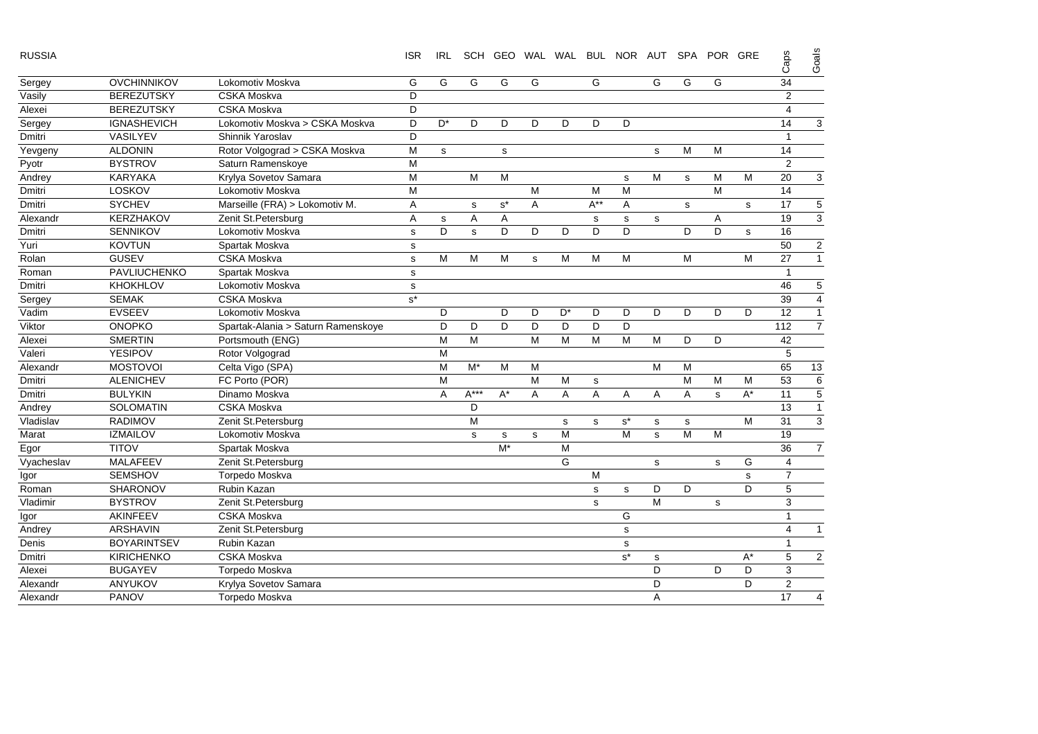| RUSSIA |
|--------|
|--------|

RUSSIA ISR IRL SCH GEO WAL WAL BUL NOR AUT SPA POR GRE

Goals Caps

|            |                    |                                    |       |             |        |                      |             |       |             |       |             |           |             |       | ඊ              | ଁ              |
|------------|--------------------|------------------------------------|-------|-------------|--------|----------------------|-------------|-------|-------------|-------|-------------|-----------|-------------|-------|----------------|----------------|
| Sergey     | <b>OVCHINNIKOV</b> | Lokomotiv Moskva                   | G     | G           | G      | G                    | G           |       | G           |       | G           | G         | G           |       | 34             |                |
| Vasily     | <b>BEREZUTSKY</b>  | <b>CSKA Moskva</b>                 | D     |             |        |                      |             |       |             |       |             |           |             |       | 2              |                |
| Alexei     | <b>BEREZUTSKY</b>  | <b>CSKA Moskva</b>                 | D     |             |        |                      |             |       |             |       |             |           |             |       | $\overline{4}$ |                |
| Sergey     | <b>IGNASHEVICH</b> | Lokomotiv Moskva > CSKA Moskva     | D     | $D^*$       | D      | D                    | D           | D     | D           | D     |             |           |             |       | 14             | 3              |
| Dmitri     | VASILYEV           | Shinnik Yaroslav                   | D     |             |        |                      |             |       |             |       |             |           |             |       | $\overline{1}$ |                |
| Yevgeny    | <b>ALDONIN</b>     | Rotor Volgograd > CSKA Moskva      | M     | $\mathbf s$ |        | $\mathbf S$          |             |       |             |       | $\mathbf s$ | M         | М           |       | 14             |                |
| Pyotr      | <b>BYSTROV</b>     | Saturn Ramenskove                  | M     |             |        |                      |             |       |             |       |             |           |             |       | $\overline{2}$ |                |
| Andrey     | <b>KARYAKA</b>     | Krylya Sovetov Samara              | M     |             | M      | M                    |             |       |             | s     | M           | s         | M           | M     | 20             | 3              |
| Dmitri     | LOSKOV             | Lokomotiv Moskva                   | M     |             |        |                      | M           |       | M           | M     |             |           | M           |       | 14             |                |
| Dmitri     | <b>SYCHEV</b>      | Marseille (FRA) > Lokomotiv M.     | Α     |             | s      | $\texttt{s}^{\star}$ | Α           |       | $A^{**}$    | Α     |             | s         |             | s     | 17             | 5              |
| Alexandr   | <b>KERZHAKOV</b>   | Zenit St.Petersburg                | Α     | $\mathbf s$ | Α      | Α                    |             |       | s           | s     | s           |           | A           |       | 19             | 3              |
| Dmitri     | <b>SENNIKOV</b>    | Lokomotiv Moskva                   | s     | D           | s      | D                    | D           | D     | D           | D     |             | D         | D           | s     | 16             |                |
| Yuri       | <b>KOVTUN</b>      | Spartak Moskva                     | s     |             |        |                      |             |       |             |       |             |           |             |       | 50             | $\overline{a}$ |
| Rolan      | <b>GUSEV</b>       | <b>CSKA Moskva</b>                 | s     | М           | M      | M                    | $\mathbf s$ | M     | M           | M     |             | ${\sf M}$ |             | M     | 27             | 1              |
| Roman      | PAVLIUCHENKO       | Spartak Moskva                     | s     |             |        |                      |             |       |             |       |             |           |             |       | $\overline{1}$ |                |
| Dmitri     | <b>KHOKHLOV</b>    | Lokomotiv Moskva                   | s     |             |        |                      |             |       |             |       |             |           |             |       | 46             | 5              |
| Sergey     | <b>SEMAK</b>       | <b>CSKA</b> Moskva                 | $s^*$ |             |        |                      |             |       |             |       |             |           |             |       | 39             | 4              |
| Vadim      | <b>EVSEEV</b>      | Lokomotiv Moskva                   |       | D           |        | D                    | D           | $D^*$ | D           | D     | D           | D         | D           | D     | 12             | 1              |
| Viktor     | <b>ONOPKO</b>      | Spartak-Alania > Saturn Ramenskoye |       | D           | D      | D                    | D           | D     | D           | D     |             |           |             |       | 112            | $\overline{7}$ |
| Alexei     | <b>SMERTIN</b>     | Portsmouth (ENG)                   |       | M           | M      |                      | M           | M     | M           | M     | M           | D         | D           |       | 42             |                |
| Valeri     | <b>YESIPOV</b>     | Rotor Volgograd                    |       | M           |        |                      |             |       |             |       |             |           |             |       | 5              |                |
| Alexandr   | <b>MOSTOVOI</b>    | Celta Vigo (SPA)                   |       | M           | $M^*$  | M                    | M           |       |             |       | M           | M         |             |       | 65             | 13             |
| Dmitri     | <b>ALENICHEV</b>   | FC Porto (POR)                     |       | M           |        |                      | M           | M     | s           |       |             | M         | M           | M     | 53             | 6              |
| Dmitri     | <b>BULYKIN</b>     | Dinamo Moskva                      |       | A           | $A***$ | $A^*$                | Α           | Α     | A           | Α     | Α           | Α         | $\mathbf s$ | $A^*$ | 11             | 5              |
| Andrey     | <b>SOLOMATIN</b>   | <b>CSKA Moskva</b>                 |       |             | D      |                      |             |       |             |       |             |           |             |       | 13             | 1              |
| Vladislav  | <b>RADIMOV</b>     | Zenit St.Petersburg                |       |             | M      |                      |             | s     | s           | $s^*$ | $\mathbf s$ | s         |             | M     | 31             | $\overline{3}$ |
| Marat      | <b>IZMAILOV</b>    | Lokomotiv Moskva                   |       |             | s      | s                    | s           | M     |             | M     | s           | M         | M           |       | 19             |                |
| Egor       | <b>TITOV</b>       | Spartak Moskva                     |       |             |        | $M^*$                |             | M     |             |       |             |           |             |       | 36             | $\overline{7}$ |
| Vyacheslav | <b>MALAFEEV</b>    | Zenit St.Petersburg                |       |             |        |                      |             | G     |             |       | $\mathbf s$ |           | $\mathbf s$ | G     | $\overline{4}$ |                |
| Igor       | <b>SEMSHOV</b>     | Torpedo Moskva                     |       |             |        |                      |             |       | M           |       |             |           |             | s     | $\overline{7}$ |                |
| Roman      | <b>SHARONOV</b>    | Rubin Kazan                        |       |             |        |                      |             |       | $\mathbf s$ | s     | D           | D         |             | D     | 5              |                |
| Vladimir   | <b>BYSTROV</b>     | Zenit St.Petersburg                |       |             |        |                      |             |       | s           |       | M           |           | s           |       | 3              |                |
| Igor       | <b>AKINFEEV</b>    | <b>CSKA Moskva</b>                 |       |             |        |                      |             |       |             | G     |             |           |             |       | $\overline{1}$ |                |
| Andrey     | <b>ARSHAVIN</b>    | Zenit St.Petersburg                |       |             |        |                      |             |       |             | s     |             |           |             |       | $\overline{4}$ | $\overline{1}$ |
| Denis      | <b>BOYARINTSEV</b> | <b>Rubin Kazan</b>                 |       |             |        |                      |             |       |             | s     |             |           |             |       | $\overline{1}$ |                |
| Dmitri     | <b>KIRICHENKO</b>  | <b>CSKA Moskva</b>                 |       |             |        |                      |             |       |             | $s^*$ | $\mathbf s$ |           |             | $A^*$ | 5              | $\overline{c}$ |
| Alexei     | <b>BUGAYEV</b>     | Torpedo Moskva                     |       |             |        |                      |             |       |             |       | D           |           | D           | D     | 3              |                |
| Alexandr   | <b>ANYUKOV</b>     | Krylya Sovetov Samara              |       |             |        |                      |             |       |             |       | D           |           |             | D     | 2              |                |
| Alexandr   | <b>PANOV</b>       | Torpedo Moskva                     |       |             |        |                      |             |       |             |       | Α           |           |             |       | 17             | 4              |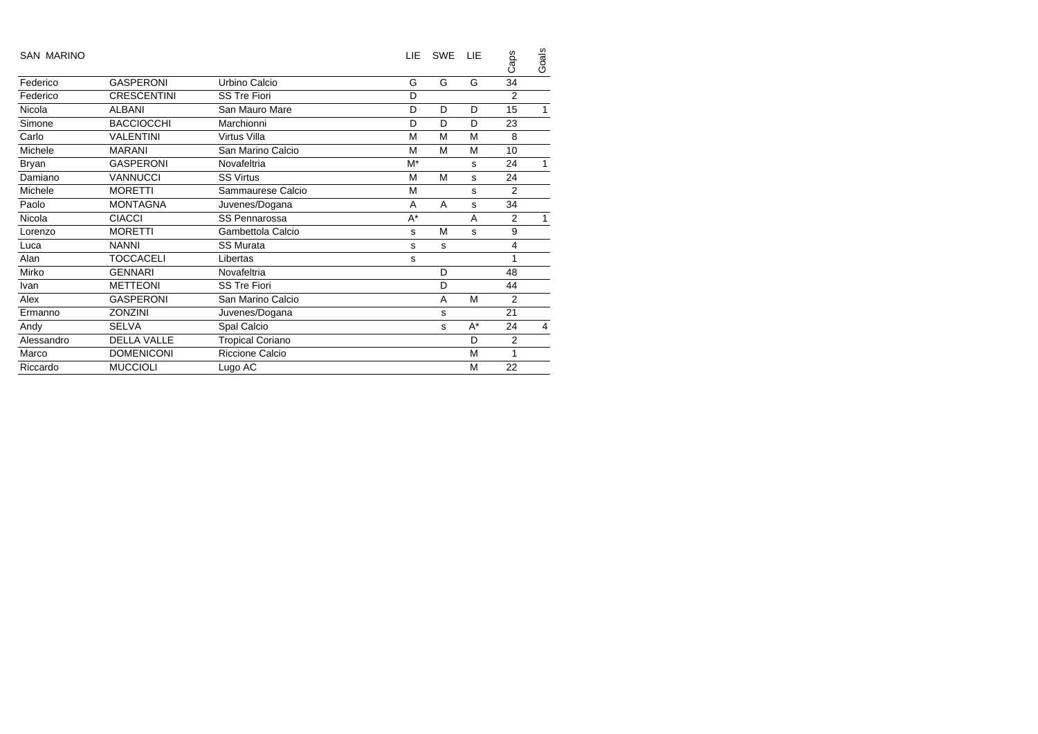| <b>SAN MARINO</b> |                    |                         | LIE   | <b>SWE</b> | 1 IF  | Caps           | Goals |
|-------------------|--------------------|-------------------------|-------|------------|-------|----------------|-------|
| Federico          | <b>GASPERONI</b>   | Urbino Calcio           | G     | G          | G     | 34             |       |
| Federico          | <b>CRESCENTINI</b> | <b>SS Tre Fiori</b>     | D     |            |       | 2              |       |
| Nicola            | <b>ALBANI</b>      | San Mauro Mare          | D     | D          | D     | 15             | 1     |
| Simone            | <b>BACCIOCCHI</b>  | Marchionni              | D     | D          | D     | 23             |       |
| Carlo             | <b>VALENTINI</b>   | Virtus Villa            | M     | M          | M     | 8              |       |
| Michele           | <b>MARANI</b>      | San Marino Calcio       | M     | M          | M     | 10             |       |
| Bryan             | <b>GASPERONI</b>   | Novafeltria             | M*    |            | S     | 24             |       |
| Damiano           | <b>VANNUCCI</b>    | <b>SS Virtus</b>        | M     | M          | s     | 24             |       |
| Michele           | <b>MORETTI</b>     | Sammaurese Calcio       | M     |            | s     | 2              |       |
| Paolo             | <b>MONTAGNA</b>    | Juvenes/Dogana          | A     | A          | s     | 34             |       |
| Nicola            | <b>CIACCI</b>      | <b>SS Pennarossa</b>    | $A^*$ |            | A     | 2              |       |
| Lorenzo           | <b>MORETTI</b>     | Gambettola Calcio       | s     | M          | s     | 9              |       |
| Luca              | <b>NANNI</b>       | <b>SS Murata</b>        | s     | s          |       | 4              |       |
| Alan              | TOCCACELI          | Libertas                | s     |            |       | 1              |       |
| Mirko             | <b>GENNARI</b>     | Novafeltria             |       | D          |       | 48             |       |
| Ivan              | <b>METTEONI</b>    | <b>SS Tre Fiori</b>     |       | D          |       | 44             |       |
| Alex              | <b>GASPERONI</b>   | San Marino Calcio       |       | A          | M     | $\overline{2}$ |       |
| Ermanno           | <b>ZONZINI</b>     | Juvenes/Dogana          |       | s          |       | 21             |       |
| Andy              | <b>SELVA</b>       | Spal Calcio             |       | s          | $A^*$ | 24             | 4     |
| Alessandro        | <b>DELLA VALLE</b> | <b>Tropical Coriano</b> |       |            | D     | $\overline{2}$ |       |
| Marco             | <b>DOMENICONI</b>  | Riccione Calcio         |       |            | M     | 1              |       |
| Riccardo          | <b>MUCCIOLI</b>    | Lugo AC                 |       |            | M     | 22             |       |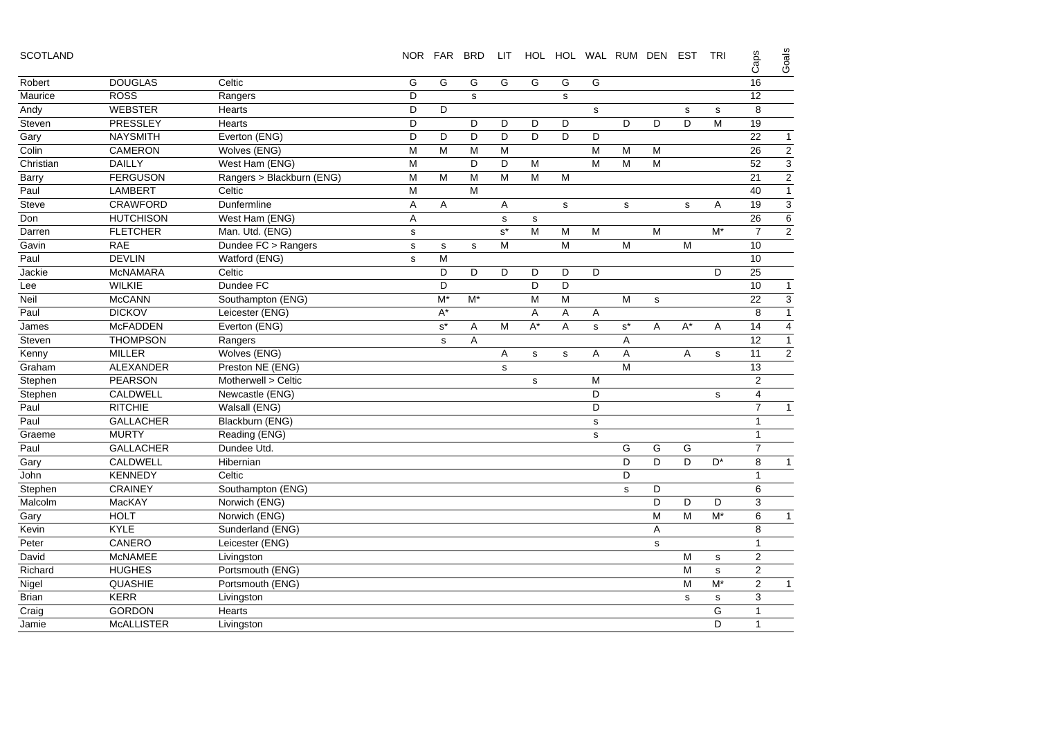| <b>SCOTLAND</b> |  |
|-----------------|--|
|-----------------|--|

| <b>SCOTLAND</b> |                   |                           |              | NOR FAR              | <b>BRD</b> | LIT.                 |              |             |                | HOL HOL WAL RUM DEN EST |             |             | <b>TRI</b>     | Caps           | Goals                     |
|-----------------|-------------------|---------------------------|--------------|----------------------|------------|----------------------|--------------|-------------|----------------|-------------------------|-------------|-------------|----------------|----------------|---------------------------|
| Robert          | <b>DOUGLAS</b>    | Celtic                    | G            | G                    | G          | G                    | G            | G           | G              |                         |             |             |                | 16             |                           |
| Maurice         | <b>ROSS</b>       | Rangers                   | D            |                      | s          |                      |              | $\mathbf s$ |                |                         |             |             |                | 12             |                           |
| Andy            | <b>WEBSTER</b>    | <b>Hearts</b>             | D            | D                    |            |                      |              |             | s              |                         |             | $\mathbf s$ | s              | 8              |                           |
| Steven          | <b>PRESSLEY</b>   | <b>Hearts</b>             | D            |                      | D          | D                    | D            | D           |                | D                       | D           | D           | M              | 19             |                           |
| Gary            | <b>NAYSMITH</b>   | Everton (ENG)             | D            | D                    | D          | D                    | D            | D           | D              |                         |             |             |                | 22             | $\mathbf{1}$              |
| Colin           | CAMERON           | Wolves (ENG)              | M            | M                    | M          | M                    |              |             | $\overline{M}$ | ${\sf M}$               | M           |             |                | 26             | $\overline{2}$            |
| Christian       | <b>DAILLY</b>     | West Ham (ENG)            | M            |                      | D          | D                    | M            |             | M              | M                       | M           |             |                | 52             | $\overline{3}$            |
| Barry           | <b>FERGUSON</b>   | Rangers > Blackburn (ENG) | M            | M                    | M          | M                    | M            | M           |                |                         |             |             |                | 21             | $\overline{2}$            |
| Paul            | <b>LAMBERT</b>    | Celtic                    | M            |                      | M          |                      |              |             |                |                         |             |             |                | 40             | $\mathbf{1}$              |
| Steve           | <b>CRAWFORD</b>   | Dunfermline               | Α            | A                    |            | A                    |              | s           |                | s                       |             | s           | A              | 19             | $\ensuremath{\mathsf{3}}$ |
| Don             | <b>HUTCHISON</b>  | West Ham (ENG)            | Α            |                      |            | $\mathbf s$          | $\mathsf{s}$ |             |                |                         |             |             |                | 26             | 6                         |
| Darren          | <b>FLETCHER</b>   | Man. Utd. (ENG)           | ${\tt S}$    |                      |            | $\texttt{s}^{\star}$ | M            | M           | M              |                         | M           |             | $M^*$          | $\overline{7}$ | $\overline{2}$            |
| Gavin           | <b>RAE</b>        | Dundee FC > Rangers       | s            | s                    | s          | M                    |              | M           |                | M                       |             | M           |                | 10             |                           |
| Paul            | <b>DEVLIN</b>     | Watford (ENG)             | $\mathbf{s}$ | M                    |            |                      |              |             |                |                         |             |             |                | 10             |                           |
| Jackie          | <b>McNAMARA</b>   | Celtic                    |              | D                    | D          | D                    | D            | D           | D              |                         |             |             | D              | 25             |                           |
| Lee             | <b>WILKIE</b>     | Dundee FC                 |              | D                    |            |                      | D            | D           |                |                         |             |             |                | 10             | $\mathbf{1}$              |
| Neil            | <b>McCANN</b>     | Southampton (ENG)         |              | $M^*$                | M*         |                      | M            | M           |                | ${\sf M}$               | $\mathbf s$ |             |                | 22             | 3                         |
| Paul            | <b>DICKOV</b>     | Leicester (ENG)           |              | $A^*$                |            |                      | Α            | Α           | Α              |                         |             |             |                | 8              | $\overline{1}$            |
| James           | <b>McFADDEN</b>   | Everton (ENG)             |              | $\texttt{s}^{\star}$ | Α          | M                    | $A^*$        | A           | s              | $\textbf{s}^{\star}$    | Α           | $A^*$       | Α              | 14             | $\overline{4}$            |
| Steven          | <b>THOMPSON</b>   | Rangers                   |              | s                    | Α          |                      |              |             |                | Α                       |             |             |                | 12             | $\mathbf{1}$              |
| Kenny           | <b>MILLER</b>     | Wolves (ENG)              |              |                      |            | A                    | s            | s           | Α              | Α                       |             | Α           | s              | 11             | $\overline{2}$            |
| Graham          | ALEXANDER         | Preston NE (ENG)          |              |                      |            | s                    |              |             |                | M                       |             |             |                | 13             |                           |
| Stephen         | <b>PEARSON</b>    | Motherwell > Celtic       |              |                      |            |                      | $\mathbf s$  |             | M              |                         |             |             |                | $\overline{2}$ |                           |
| Stephen         | <b>CALDWELL</b>   | Newcastle (ENG)           |              |                      |            |                      |              |             | D              |                         |             |             | s              | $\overline{4}$ |                           |
| Paul            | <b>RITCHIE</b>    | Walsall (ENG)             |              |                      |            |                      |              |             | D              |                         |             |             |                | $\overline{7}$ | $\mathbf{1}$              |
| Paul            | <b>GALLACHER</b>  | Blackburn (ENG)           |              |                      |            |                      |              |             | $\mathbf s$    |                         |             |             |                | $\mathbf{1}$   |                           |
| Graeme          | <b>MURTY</b>      | Reading (ENG)             |              |                      |            |                      |              |             | s              |                         |             |             |                | $\mathbf{1}$   |                           |
| Paul            | <b>GALLACHER</b>  | Dundee Utd.               |              |                      |            |                      |              |             |                | G                       | G           | G           |                | $\overline{7}$ |                           |
| Gary            | CALDWELL          | Hibernian                 |              |                      |            |                      |              |             |                | D                       | D           | D           | D <sup>*</sup> | 8              | $\mathbf{1}$              |
| John            | <b>KENNEDY</b>    | Celtic                    |              |                      |            |                      |              |             |                | D                       |             |             |                | 1              |                           |
| Stephen         | <b>CRAINEY</b>    | Southampton (ENG)         |              |                      |            |                      |              |             |                | s                       | D           |             |                | 6              |                           |
| Malcolm         | MacKAY            | Norwich (ENG)             |              |                      |            |                      |              |             |                |                         | D           | D           | D              | 3              |                           |
| Gary            | <b>HOLT</b>       | Norwich (ENG)             |              |                      |            |                      |              |             |                |                         | M           | M           | $M^*$          | 6              | $\mathbf{1}$              |
| Kevin           | <b>KYLE</b>       | Sunderland (ENG)          |              |                      |            |                      |              |             |                |                         | Α           |             |                | 8              |                           |
| Peter           | CANERO            | Leicester (ENG)           |              |                      |            |                      |              |             |                |                         | s           |             |                | $\mathbf{1}$   |                           |
| David           | <b>McNAMEE</b>    | Livingston                |              |                      |            |                      |              |             |                |                         |             | M           | s              | 2              |                           |
| Richard         | <b>HUGHES</b>     | Portsmouth (ENG)          |              |                      |            |                      |              |             |                |                         |             | M           | s              | $\overline{2}$ |                           |
| Nigel           | <b>QUASHIE</b>    | Portsmouth (ENG)          |              |                      |            |                      |              |             |                |                         |             | M           | $M^*$          | $\overline{2}$ | $\mathbf{1}$              |
| <b>Brian</b>    | <b>KERR</b>       | Livingston                |              |                      |            |                      |              |             |                |                         |             | $\mathbf s$ | s              | 3              |                           |
| Craig           | <b>GORDON</b>     | Hearts                    |              |                      |            |                      |              |             |                |                         |             |             | G              | 1              |                           |
| Jamie           | <b>McALLISTER</b> | Livingston                |              |                      |            |                      |              |             |                |                         |             |             | D              | $\mathbf{1}$   |                           |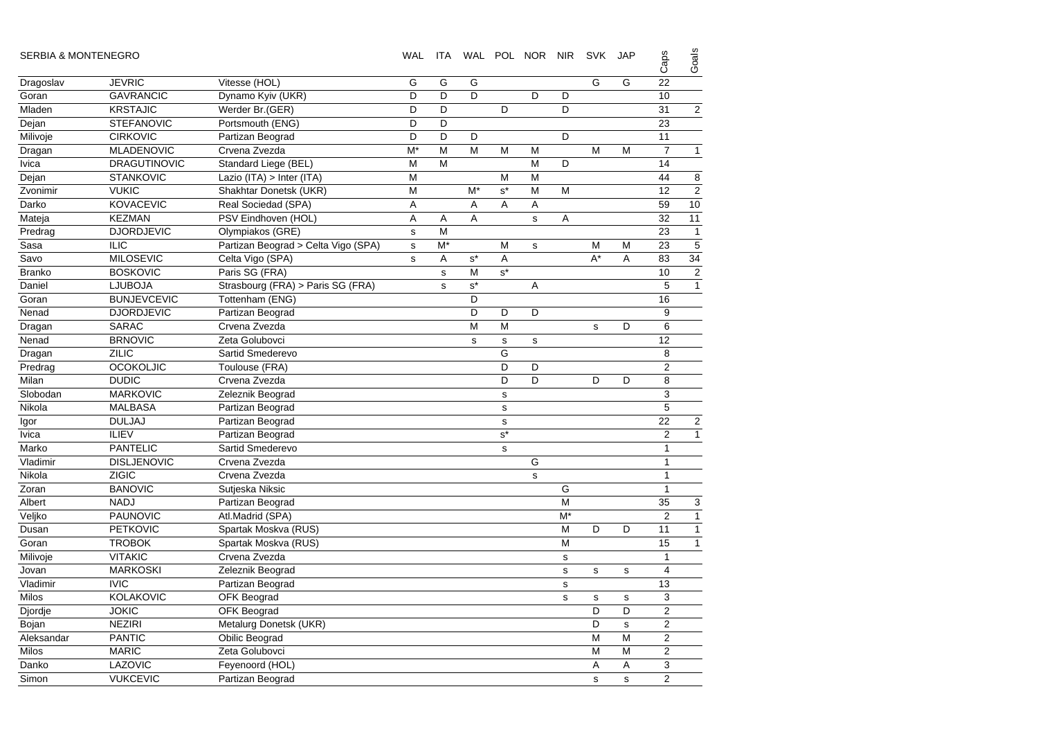| <b>SERBIA &amp; MONTENEGRO</b> |                     |                                     | WAL          | ITA         |                      |             | WAL POL NOR NIR |             | <b>SVK</b>  | <b>JAP</b>  | Caps            | Goals                   |
|--------------------------------|---------------------|-------------------------------------|--------------|-------------|----------------------|-------------|-----------------|-------------|-------------|-------------|-----------------|-------------------------|
| Dragoslav                      | <b>JEVRIC</b>       | Vitesse (HOL)                       | G            | G           | G                    |             |                 |             | G           | G           | 22              |                         |
| Goran                          | <b>GAVRANCIC</b>    | Dynamo Kyiv (UKR)                   | D            | D           | D                    |             | D               | D           |             |             | 10              |                         |
| Mladen                         | <b>KRSTAJIC</b>     | Werder Br.(GER)                     | D            | D           |                      | D           |                 | D           |             |             | 31              | $\overline{a}$          |
| Dejan                          | <b>STEFANOVIC</b>   | Portsmouth (ENG)                    | D            | D           |                      |             |                 |             |             |             | 23              |                         |
| Milivoje                       | <b>CIRKOVIC</b>     | Partizan Beograd                    | D            | D           | D                    |             |                 | D           |             |             | 11              |                         |
| Dragan                         | <b>MLADENOVIC</b>   | Crvena Zvezda                       | $M^*$        | M           | M                    | M           | M               |             | M           | M           | $\overline{7}$  | 1                       |
| <b>lvica</b>                   | <b>DRAGUTINOVIC</b> | Standard Liege (BEL)                | M            | M           |                      |             | M               | D           |             |             | 14              |                         |
| Dejan                          | <b>STANKOVIC</b>    | Lazio (ITA) > Inter (ITA)           | M            |             |                      | M           | M               |             |             |             | 44              | 8                       |
| Zvonimir                       | <b>VUKIC</b>        | Shakhtar Donetsk (UKR)              | M            |             | $M^*$                | $s^*$       | M               | M           |             |             | 12              | $\overline{c}$          |
| Darko                          | <b>KOVACEVIC</b>    | Real Sociedad (SPA)                 | Α            |             | Α                    | A           | Α               |             |             |             | 59              | 10                      |
| Mateja                         | <b>KEZMAN</b>       | PSV Eindhoven (HOL)                 | Α            | Α           | A                    |             | $\mathbf s$     | Α           |             |             | 32              | 11                      |
| Predrag                        | <b>DJORDJEVIC</b>   | Olympiakos (GRE)                    | $\mathbf s$  | M           |                      |             |                 |             |             |             | 23              | $\mathbf{1}$            |
| Sasa                           | <b>ILIC</b>         | Partizan Beograd > Celta Vigo (SPA) | $\mathbf{s}$ | $M^*$       |                      | M           | s               |             | M           | M           | 23              | 5                       |
| Savo                           | <b>MILOSEVIC</b>    | Celta Vigo (SPA)                    | s            | Α           | $\texttt{s}^{\star}$ | Α           |                 |             | $A^*$       | A           | 83              | 34                      |
| Branko                         | <b>BOSKOVIC</b>     | Paris SG (FRA)                      |              | $\mathbf s$ | M                    | $s^*$       |                 |             |             |             | 10              | $\overline{a}$          |
| Daniel                         | <b>LJUBOJA</b>      | Strasbourg (FRA) > Paris SG (FRA)   |              | $\mathbf s$ | $\mathbf{s}^*$       |             | Α               |             |             |             | $\sqrt{5}$      | $\overline{1}$          |
| Goran                          | <b>BUNJEVCEVIC</b>  | Tottenham (ENG)                     |              |             | D                    |             |                 |             |             |             | 16              |                         |
| Nenad                          | <b>DJORDJEVIC</b>   | Partizan Beograd                    |              |             | D                    | D           | D               |             |             |             | 9               |                         |
| Dragan                         | <b>SARAC</b>        | Crvena Zvezda                       |              |             | M                    | M           |                 |             | $\mathbf s$ | D           | 6               |                         |
| Nenad                          | <b>BRNOVIC</b>      | Zeta Golubovci                      |              |             | s                    | $\mathbf s$ | $\mathbf s$     |             |             |             | 12              |                         |
| Dragan                         | <b>ZILIC</b>        | Sartid Smederevo                    |              |             |                      | G           |                 |             |             |             | 8               |                         |
| Predrag                        | <b>OCOKOLJIC</b>    | Toulouse (FRA)                      |              |             |                      | D           | D               |             |             |             | $\overline{2}$  |                         |
| Milan                          | <b>DUDIC</b>        | Crvena Zvezda                       |              |             |                      | D           | D               |             | D           | D           | 8               |                         |
| Slobodan                       | <b>MARKOVIC</b>     | Zeleznik Beograd                    |              |             |                      | s           |                 |             |             |             | $\mathsf 3$     |                         |
| Nikola                         | <b>MALBASA</b>      | Partizan Beograd                    |              |             |                      | s           |                 |             |             |             | $\sqrt{5}$      |                         |
| Igor                           | <b>DULJAJ</b>       | Partizan Beograd                    |              |             |                      | s           |                 |             |             |             | 22              | $\overline{a}$          |
| <b>lvica</b>                   | <b>ILIEV</b>        | Partizan Beograd                    |              |             |                      | $s^*$       |                 |             |             |             | $\overline{2}$  | 1                       |
| Marko                          | <b>PANTELIC</b>     | Sartid Smederevo                    |              |             |                      | $\mathbf s$ |                 |             |             |             | $\mathbf{1}$    |                         |
| Vladimir                       | <b>DISLJENOVIC</b>  | Crvena Zvezda                       |              |             |                      |             | G               |             |             |             | $\mathbf{1}$    |                         |
| Nikola                         | <b>ZIGIC</b>        | Crvena Zvezda                       |              |             |                      |             | $\mathbf s$     |             |             |             | $\mathbf{1}$    |                         |
| Zoran                          | <b>BANOVIC</b>      | Sutjeska Niksic                     |              |             |                      |             |                 | G           |             |             | $\mathbf{1}$    |                         |
| Albert                         | <b>NADJ</b>         | Partizan Beograd                    |              |             |                      |             |                 | M           |             |             | $\overline{35}$ | 3                       |
| Veljko                         | <b>PAUNOVIC</b>     | Atl.Madrid (SPA)                    |              |             |                      |             |                 | $M^*$       |             |             | $\overline{2}$  | $\overline{\mathbf{1}}$ |
| Dusan                          | <b>PETKOVIC</b>     | Spartak Moskva (RUS)                |              |             |                      |             |                 | M           | D           | D           | 11              | 1                       |
| Goran                          | <b>TROBOK</b>       | Spartak Moskva (RUS)                |              |             |                      |             |                 | M           |             |             | 15              | 1                       |
| Milivoje                       | <b>VITAKIC</b>      | Crvena Zvezda                       |              |             |                      |             |                 | s           |             |             | $\mathbf{1}$    |                         |
| Jovan                          | <b>MARKOSKI</b>     | Zeleznik Beograd                    |              |             |                      |             |                 | s           | s           | $\mathbf S$ | $\overline{4}$  |                         |
| Vladimir                       | <b>IVIC</b>         | Partizan Beograd                    |              |             |                      |             |                 | $\mathbf s$ |             |             | 13              |                         |
| <b>Milos</b>                   | <b>KOLAKOVIC</b>    | OFK Beograd                         |              |             |                      |             |                 | s           | $\mathbf s$ | s           | 3               |                         |
| Djordje                        | <b>JOKIC</b>        | <b>OFK Beograd</b>                  |              |             |                      |             |                 |             | D           | D           | $\overline{2}$  |                         |
| Bojan                          | <b>NEZIRI</b>       | Metalurg Donetsk (UKR)              |              |             |                      |             |                 |             | D           | s           | $\overline{2}$  |                         |
| Aleksandar                     | <b>PANTIC</b>       | Obilic Beograd                      |              |             |                      |             |                 |             | M           | M           | $\overline{2}$  |                         |
| <b>Milos</b>                   | <b>MARIC</b>        | Zeta Golubovci                      |              |             |                      |             |                 |             | M           | M           | $\overline{2}$  |                         |
| Danko                          | LAZOVIC             | Feyenoord (HOL)                     |              |             |                      |             |                 |             | A           | A           | 3               |                         |
| Simon                          | <b>VUKCEVIC</b>     | Partizan Beograd                    |              |             |                      |             |                 |             | s           | s           | $\overline{2}$  |                         |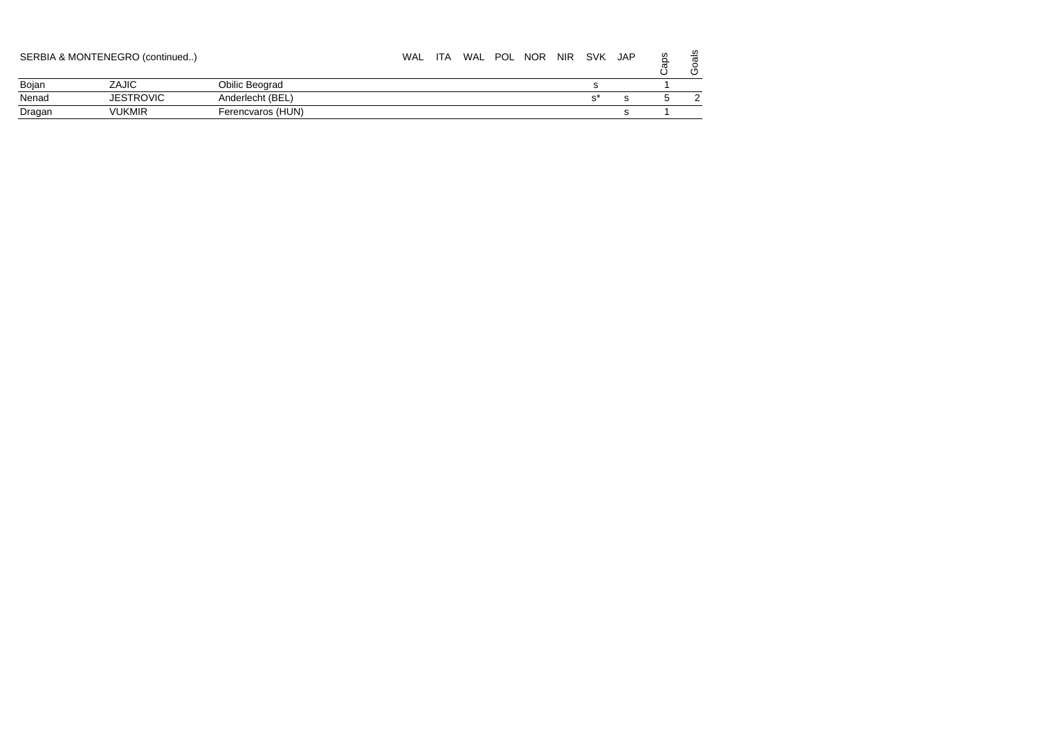|        | SERBIA & MONTENEGRO (continued) |                   | WAL | <b>ITA</b> | WAL | POL NOR | <b>NIR</b> | SVK | <b>JAP</b> | S | ഗ<br>ω |
|--------|---------------------------------|-------------------|-----|------------|-----|---------|------------|-----|------------|---|--------|
| Bojan  | ZAJIC                           | Obilic Beograd    |     |            |     |         |            |     |            |   |        |
| Nenad  | <b>JESTROVIC</b>                | Anderlecht (BEL)  |     |            |     |         |            |     |            |   |        |
| Dragan | <b>VUKMIR</b>                   | Ferencvaros (HUN) |     |            |     |         |            |     |            |   |        |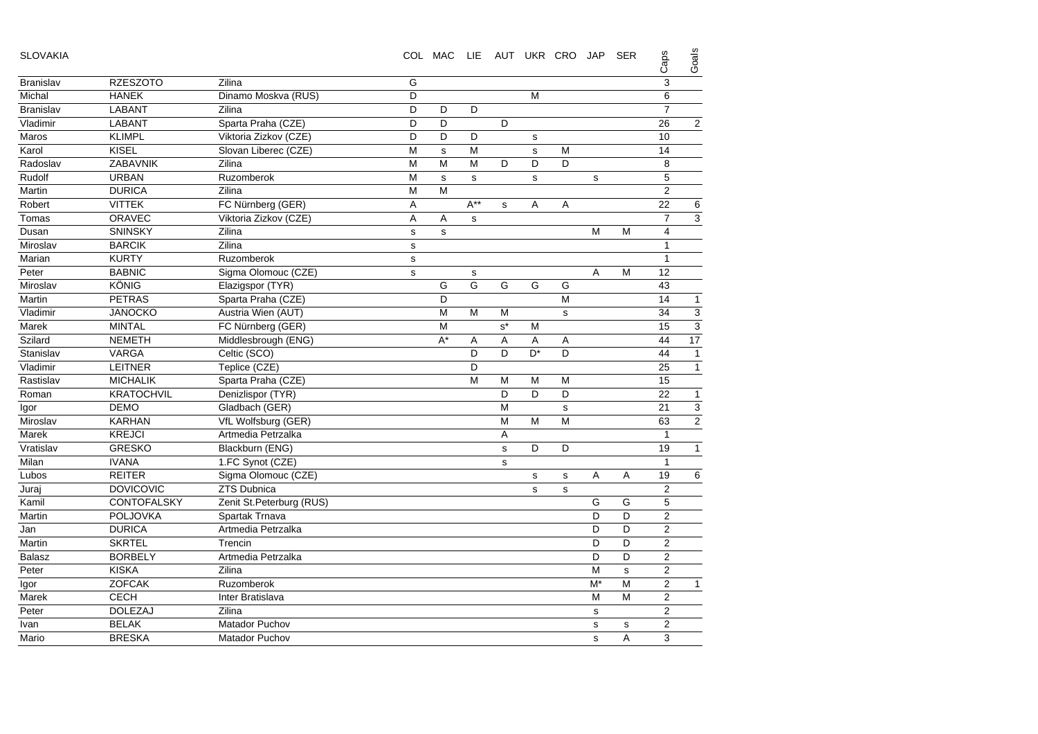| <b>SLOVAKIA</b>  |                    |                          |             | COL MAC     |             | LIE AUT UKR CRO JAP |                |             |       | <b>SER</b>  | Caps           | Goals                     |
|------------------|--------------------|--------------------------|-------------|-------------|-------------|---------------------|----------------|-------------|-------|-------------|----------------|---------------------------|
| <b>Branislav</b> | <b>RZESZOTO</b>    | Zilina                   | G           |             |             |                     |                |             |       |             | $\sqrt{3}$     |                           |
| Michal           | <b>HANEK</b>       | Dinamo Moskva (RUS)      | D           |             |             |                     | M              |             |       |             | 6              |                           |
| <b>Branislav</b> | <b>LABANT</b>      | Zilina                   | D           | D           | D           |                     |                |             |       |             | $\overline{7}$ |                           |
| Vladimir         | <b>LABANT</b>      | Sparta Praha (CZE)       | D           | D           |             | D                   |                |             |       |             | 26             | $\overline{2}$            |
| Maros            | <b>KLIMPL</b>      | Viktoria Zizkov (CZE)    | D           | D           | D           |                     | s              |             |       |             | 10             |                           |
| Karol            | <b>KISEL</b>       | Slovan Liberec (CZE)     | M           | $\mathbf s$ | M           |                     | s              | M           |       |             | 14             |                           |
| Radoslav         | ZABAVNIK           | Zilina                   | M           | M           | M           | D                   | D              | D           |       |             | 8              |                           |
| Rudolf           | <b>URBAN</b>       | Ruzomberok               | M           | $\mathbf s$ | $\mathbf s$ |                     | $\mathbf s$    |             | s     |             | 5              |                           |
| Martin           | <b>DURICA</b>      | Zilina                   | M           | M           |             |                     |                |             |       |             | $\overline{2}$ |                           |
| Robert           | <b>VITTEK</b>      | FC Nürnberg (GER)        | A           |             | $A^{**}$    | s                   | Α              | Α           |       |             | 22             | 6                         |
| Tomas            | <b>ORAVEC</b>      | Viktoria Zizkov (CZE)    | Α           | Α           | s           |                     |                |             |       |             | $\overline{7}$ | 3                         |
| Dusan            | <b>SNINSKY</b>     | Zilina                   | $\mathbf s$ | $\mathbf s$ |             |                     |                |             | M     | M           | $\overline{4}$ |                           |
| Miroslav         | <b>BARCIK</b>      | Zilina                   | s           |             |             |                     |                |             |       |             | $\mathbf{1}$   |                           |
| Marian           | <b>KURTY</b>       | Ruzomberok               | s           |             |             |                     |                |             |       |             | $\mathbf{1}$   |                           |
| Peter            | <b>BABNIC</b>      | Sigma Olomouc (CZE)      | $\mathbf s$ |             | s           |                     |                |             | A     | M           | 12             |                           |
| Miroslav         | KÖNIG              | Elazigspor (TYR)         |             | G           | G           | G                   | G              | G           |       |             | 43             |                           |
| Martin           | <b>PETRAS</b>      | Sparta Praha (CZE)       |             | D           |             |                     |                | M           |       |             | 14             | 1                         |
| Vladimir         | <b>JANOCKO</b>     | Austria Wien (AUT)       |             | M           | M           | M                   |                | s           |       |             | 34             | 3                         |
| Marek            | <b>MINTAL</b>      | FC Nürnberg (GER)        |             | M           |             | $s^*$               | M              |             |       |             | 15             | $\overline{3}$            |
| Szilard          | <b>NEMETH</b>      | Middlesbrough (ENG)      |             | $A^*$       | Α           | A                   | A              | Α           |       |             | 44             | 17                        |
| Stanislav        | <b>VARGA</b>       | Celtic (SCO)             |             |             | D           | D                   | D <sup>*</sup> | D           |       |             | 44             |                           |
| Vladimir         | <b>LEITNER</b>     | Teplice (CZE)            |             |             | D           |                     |                |             |       |             | 25             | $\mathbf{1}$              |
| Rastislav        | <b>MICHALIK</b>    | Sparta Praha (CZE)       |             |             | M           | M                   | M              | M           |       |             | 15             |                           |
| Roman            | <b>KRATOCHVIL</b>  | Denizlispor (TYR)        |             |             |             | D                   | D              | D           |       |             | 22             | 1                         |
| Igor             | <b>DEMO</b>        | Gladbach (GER)           |             |             |             | M                   |                | $\mathbf s$ |       |             | 21             | $\ensuremath{\mathsf{3}}$ |
| Miroslav         | <b>KARHAN</b>      | VfL Wolfsburg (GER)      |             |             |             | M                   | M              | M           |       |             | 63             | $\overline{2}$            |
| Marek            | <b>KREJCI</b>      | Artmedia Petrzalka       |             |             |             | Α                   |                |             |       |             | $\mathbf{1}$   |                           |
| Vratislav        | <b>GRESKO</b>      | Blackburn (ENG)          |             |             |             | s                   | D              | D           |       |             | 19             | $\mathbf{1}$              |
| Milan            | <b>IVANA</b>       | 1.FC Synot (CZE)         |             |             |             | s                   |                |             |       |             | $\mathbf{1}$   |                           |
| Lubos            | <b>REITER</b>      | Sigma Olomouc (CZE)      |             |             |             |                     | s              | s           | Α     | Α           | 19             | 6                         |
| Juraj            | <b>DOVICOVIC</b>   | ZTS Dubnica              |             |             |             |                     | s              | s           |       |             | $\overline{2}$ |                           |
| Kamil            | <b>CONTOFALSKY</b> | Zenit St.Peterburg (RUS) |             |             |             |                     |                |             | G     | G           | 5              |                           |
| Martin           | <b>POLJOVKA</b>    | Spartak Trnava           |             |             |             |                     |                |             | D     | D           | $\overline{2}$ |                           |
| Jan              | <b>DURICA</b>      | Artmedia Petrzalka       |             |             |             |                     |                |             | D     | D           | 2              |                           |
| Martin           | <b>SKRTEL</b>      | Trencin                  |             |             |             |                     |                |             | D     | D           | 2              |                           |
| <b>Balasz</b>    | <b>BORBELY</b>     | Artmedia Petrzalka       |             |             |             |                     |                |             | D     | D           | $\overline{2}$ |                           |
| Peter            | <b>KISKA</b>       | Zilina                   |             |             |             |                     |                |             | M     | $\mathbf s$ | 2              |                           |
| Igor             | <b>ZOFCAK</b>      | Ruzomberok               |             |             |             |                     |                |             | $M^*$ | M           | $\overline{2}$ |                           |
| Marek            | <b>CECH</b>        | Inter Bratislava         |             |             |             |                     |                |             | M     | M           | $\overline{2}$ |                           |
| Peter            | <b>DOLEZAJ</b>     | Zilina                   |             |             |             |                     |                |             | s     |             | $\overline{2}$ |                           |
| Ivan             | <b>BELAK</b>       | <b>Matador Puchov</b>    |             |             |             |                     |                |             | s     | $\mathbf s$ | $\overline{2}$ |                           |
| Mario            | <b>BRESKA</b>      | <b>Matador Puchov</b>    |             |             |             |                     |                |             | s     | A           | 3              |                           |
|                  |                    |                          |             |             |             |                     |                |             |       |             |                |                           |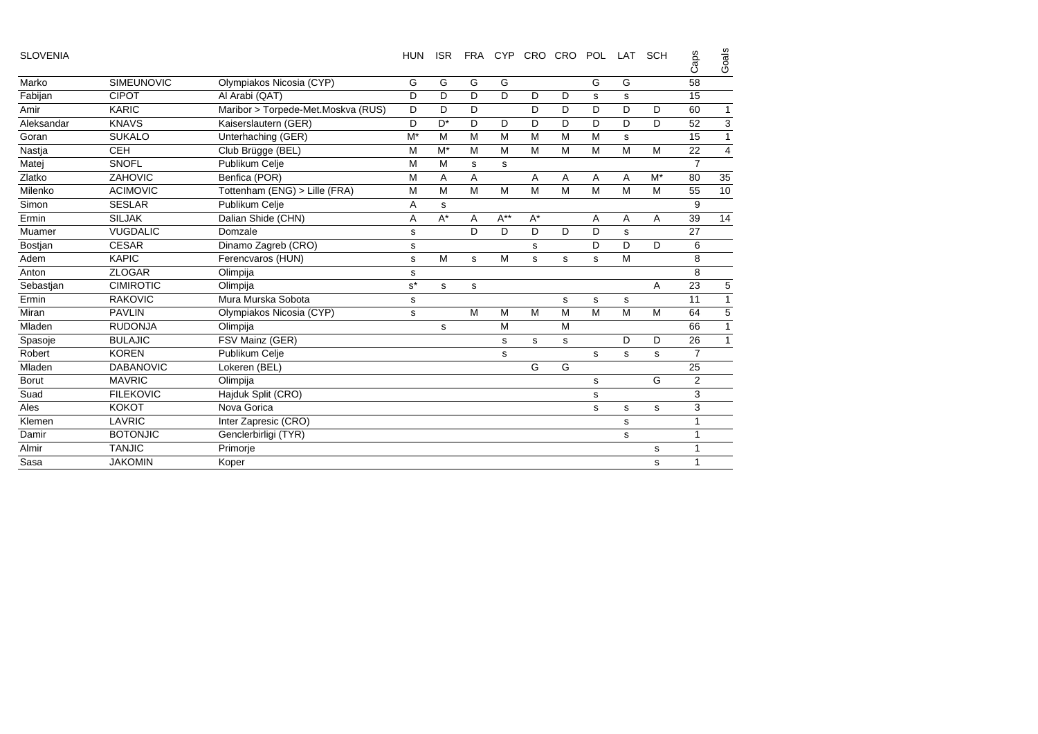| <b>SLOVENIA</b> |                   |                                    | <b>HUN</b> | <b>ISR</b> |   |          | FRA CYP CRO CRO |   | <b>POL</b> | LAT | SCH   | Caps           | Goals |
|-----------------|-------------------|------------------------------------|------------|------------|---|----------|-----------------|---|------------|-----|-------|----------------|-------|
| Marko           | <b>SIMEUNOVIC</b> | Olympiakos Nicosia (CYP)           | G          | G          | G | G        |                 |   | G          | G   |       | 58             |       |
| Fabijan         | <b>CIPOT</b>      | Al Arabi (QAT)                     | D          | D          | D | D        | D               | D | s          | s   |       | 15             |       |
| Amir            | <b>KARIC</b>      | Maribor > Torpede-Met.Moskva (RUS) | D          | D          | D |          | D               | D | D          | D   | D     | 60             | 1     |
| Aleksandar      | <b>KNAVS</b>      | Kaiserslautern (GER)               | D          | $D^*$      | D | D        | D               | D | D          | D   | D     | 52             | 3     |
| Goran           | <b>SUKALO</b>     | Unterhaching (GER)                 | $M^*$      | M          | M | M        | M               | M | M          | s   |       | 15             | 1     |
| Nastja          | <b>CEH</b>        | Club Brügge (BEL)                  | M          | $M^*$      | M | M        | M               | M | M          | M   | M     | 22             | 4     |
| Matei           | <b>SNOFL</b>      | Publikum Celie                     | M          | M          | s | s        |                 |   |            |     |       | $\overline{7}$ |       |
| Zlatko          | ZAHOVIC           | Benfica (POR)                      | M          | Α          | Α |          | A               | Α | Α          | A   | $M^*$ | 80             | 35    |
| Milenko         | <b>ACIMOVIC</b>   | Tottenham (ENG) > Lille (FRA)      | M          | M          | M | M        | M               | M | M          | M   | M     | 55             | 10    |
| Simon           | <b>SESLAR</b>     | Publikum Celje                     | Α          | s          |   |          |                 |   |            |     |       | 9              |       |
| Ermin           | <b>SILJAK</b>     | Dalian Shide (CHN)                 | Α          | $A^*$      | Α | $A^{**}$ | $A^*$           |   | Α          | Α   | Α     | 39             | 14    |
| Muamer          | <b>VUGDALIC</b>   | Domzale                            | s          |            | D | D        | D               | D | D          | s   |       | 27             |       |
| Bostjan         | <b>CESAR</b>      | Dinamo Zagreb (CRO)                | s          |            |   |          | s               |   | D          | D   | D     | 6              |       |
| Adem            | <b>KAPIC</b>      | Ferencvaros (HUN)                  | s          | M          | s | M        | s               | s | s          | M   |       | 8              |       |
| Anton           | <b>ZLOGAR</b>     | Olimpija                           | s          |            |   |          |                 |   |            |     |       | 8              |       |
| Sebastian       | <b>CIMIROTIC</b>  | Olimpija                           | $s^*$      | s          | s |          |                 |   |            |     | Α     | 23             | 5     |
| Ermin           | <b>RAKOVIC</b>    | Mura Murska Sobota                 | s          |            |   |          |                 | s | s          | s   |       | 11             |       |
| Miran           | <b>PAVLIN</b>     | Olympiakos Nicosia (CYP)           | s          |            | M | M        | M               | M | M          | M   | M     | 64             | 5     |
| Mladen          | <b>RUDONJA</b>    | Olimpija                           |            | s          |   | M        |                 | M |            |     |       | 66             |       |
| Spasoje         | <b>BULAJIC</b>    | FSV Mainz (GER)                    |            |            |   | s        | s               | s |            | D   | D     | 26             |       |
| Robert          | <b>KOREN</b>      | Publikum Celje                     |            |            |   | s        |                 |   | s          | s   | s     | $\overline{7}$ |       |
| Mladen          | <b>DABANOVIC</b>  | Lokeren (BEL)                      |            |            |   |          | G               | G |            |     |       | 25             |       |
| <b>Borut</b>    | <b>MAVRIC</b>     | Olimpija                           |            |            |   |          |                 |   | s          |     | G     | $\mathbf{2}$   |       |
| Suad            | <b>FILEKOVIC</b>  | Hajduk Split (CRO)                 |            |            |   |          |                 |   | s          |     |       | 3              |       |
| Ales            | <b>KOKOT</b>      | Nova Gorica                        |            |            |   |          |                 |   | s          | s   | s     | 3              |       |
| Klemen          | LAVRIC            | Inter Zapresic (CRO)               |            |            |   |          |                 |   |            | s   |       | 1              |       |
| Damir           | <b>BOTONJIC</b>   | Genclerbirligi (TYR)               |            |            |   |          |                 |   |            | s   |       | 1              |       |
| Almir           | <b>TANJIC</b>     | Primorje                           |            |            |   |          |                 |   |            |     | s     | 1              |       |
| Sasa            | <b>JAKOMIN</b>    | Koper                              |            |            |   |          |                 |   |            |     | s     | 1              |       |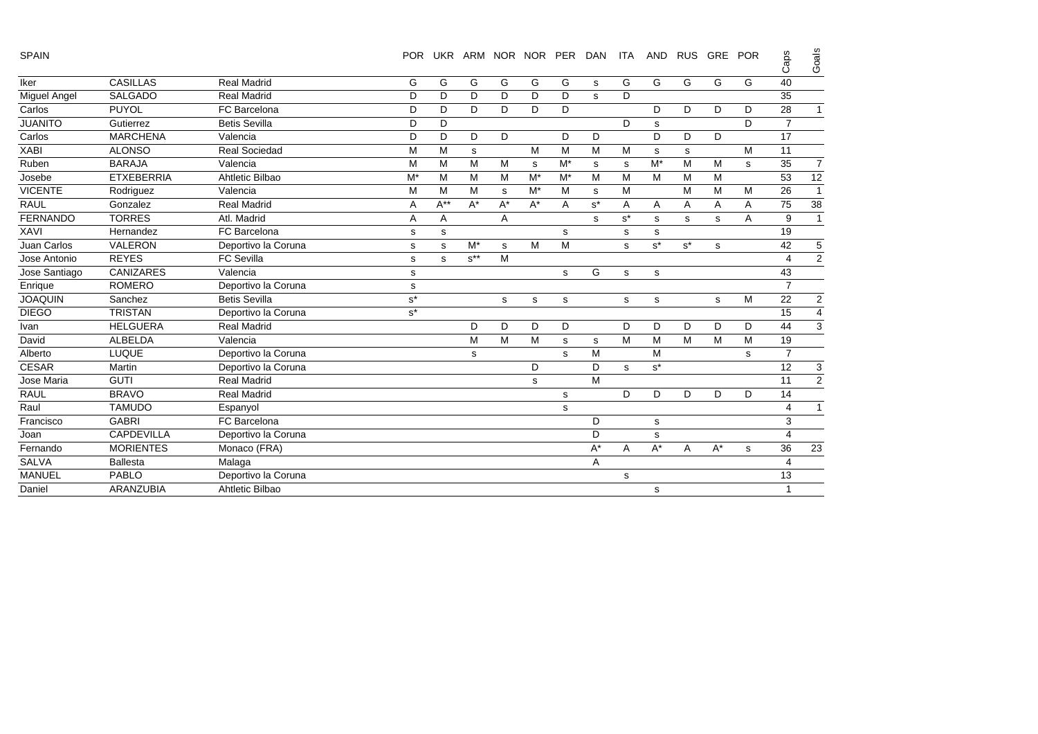| SPAIN |  |
|-------|--|
|       |  |

| <b>SPAIN</b>    |                   |                      | <b>POR</b>           |             |             |       | UKR ARM NOR NOR PER |             | <b>DAN</b> | <b>ITA</b> | <b>AND</b> | <b>RUS</b> | GRE                | <b>POR</b> | Caps           | Goals          |
|-----------------|-------------------|----------------------|----------------------|-------------|-------------|-------|---------------------|-------------|------------|------------|------------|------------|--------------------|------------|----------------|----------------|
| Iker            | <b>CASILLAS</b>   | <b>Real Madrid</b>   | G                    | G           | G           | G     | G                   | G           | s          | G          | G          | G          | G                  | G          | 40             |                |
| Miguel Angel    | <b>SALGADO</b>    | <b>Real Madrid</b>   | D                    | D           | D           | D     | D                   | D           | s          | D          |            |            |                    |            | 35             |                |
| Carlos          | <b>PUYOL</b>      | FC Barcelona         | D                    | D           | D           | D     | D                   | D           |            |            | D          | D          | D                  | D          | 28             | $\mathbf{1}$   |
| <b>JUANITO</b>  | Gutierrez         | <b>Betis Sevilla</b> | D                    | D           |             |       |                     |             |            | D          | s          |            |                    | D          | $\overline{7}$ |                |
| Carlos          | <b>MARCHENA</b>   | Valencia             | D                    | D           | D           | D     |                     | D           | D          |            | D          | D          | D                  |            | 17             |                |
| <b>XABI</b>     | <b>ALONSO</b>     | <b>Real Sociedad</b> | M                    | M           | $\mathbf s$ |       | M                   | M           | M          | M          | s          | s          |                    | M          | 11             |                |
| Ruben           | <b>BARAJA</b>     | Valencia             | M                    | M           | М           | M     | $\mathbf s$         | $M^*$       | s          | s          | $M^*$      | M          | M                  | s          | 35             | $\overline{7}$ |
| Josebe          | <b>ETXEBERRIA</b> | Ahtletic Bilbao      | $M^*$                | M           | М           | M     | $M^*$               | $M^*$       | M          | M          | M          | M          | M                  |            | 53             | 12             |
| <b>VICENTE</b>  | Rodriguez         | Valencia             | M                    | M           | М           | s     | $M^*$               | м           | s          | м          |            | м          | M                  | M          | 26             | $\mathbf{1}$   |
| <b>RAUL</b>     | Gonzalez          | <b>Real Madrid</b>   | Α                    | $A^{**}$    | $A^*$       | $A^*$ | $A^*$               | A           | $s^*$      | A          | A          | Α          | A                  | A          | 75             | 38             |
| <b>FERNANDO</b> | <b>TORRES</b>     | Atl. Madrid          | Α                    | A           |             | A     |                     |             | s          | $s^*$      | s.         | s          | s                  | A          | 9              | $\mathbf{1}$   |
| <b>XAVI</b>     | Hernandez         | FC Barcelona         | s                    | s           |             |       |                     | s           |            | s          | s          |            |                    |            | 19             |                |
| Juan Carlos     | <b>VALERON</b>    | Deportivo la Coruna  | s                    | $\mathbf s$ | $M^*$       | s     | M                   | M           |            | s          | $s^*$      | $s^*$      | s                  |            | 42             | 5              |
| Jose Antonio    | <b>REYES</b>      | <b>FC Sevilla</b>    | s                    | s           | $s^{**}$    | M     |                     |             |            |            |            |            |                    |            | 4              | $\overline{2}$ |
| Jose Santiago   | <b>CANIZARES</b>  | Valencia             | s                    |             |             |       |                     | s           | G          | s          | s          |            |                    |            | 43             |                |
| Enrique         | <b>ROMERO</b>     | Deportivo la Coruna  | s                    |             |             |       |                     |             |            |            |            |            |                    |            | $\overline{7}$ |                |
| <b>JOAQUIN</b>  | Sanchez           | <b>Betis Sevilla</b> | $\texttt{s}^{\star}$ |             |             | s     | s                   | s           |            | s          | s          |            | s                  | M          | 22             | 2              |
| <b>DIEGO</b>    | <b>TRISTAN</b>    | Deportivo la Coruna  | $s^*$                |             |             |       |                     |             |            |            |            |            |                    |            | 15             | $\overline{4}$ |
| Ivan            | <b>HELGUERA</b>   | <b>Real Madrid</b>   |                      |             | D           | D     | D                   | D           |            | D          | D          | D          | D                  | D          | 44             | 3              |
| David           | <b>ALBELDA</b>    | Valencia             |                      |             | M           | M     | M                   | $\mathbf s$ | s          | M          | M          | M          | M                  | M          | 19             |                |
| Alberto         | <b>LUQUE</b>      | Deportivo la Coruna  |                      |             | s           |       |                     | s           | M          |            | M          |            |                    | s          | $\overline{7}$ |                |
| <b>CESAR</b>    | Martin            | Deportivo la Coruna  |                      |             |             |       | D                   |             | D          | s          | $s^*$      |            |                    |            | 12             | 3              |
| Jose Maria      | <b>GUTI</b>       | <b>Real Madrid</b>   |                      |             |             |       | s                   |             | M          |            |            |            |                    |            | 11             | $\overline{2}$ |
| <b>RAUL</b>     | <b>BRAVO</b>      | <b>Real Madrid</b>   |                      |             |             |       |                     | s           |            | D          | D          | D          | D                  | D          | 14             |                |
| Raul            | <b>TAMUDO</b>     | Espanyol             |                      |             |             |       |                     | s           |            |            |            |            |                    |            | 4              | $\mathbf{1}$   |
| Francisco       | <b>GABRI</b>      | FC Barcelona         |                      |             |             |       |                     |             | D          |            | s          |            |                    |            | 3              |                |
| Joan            | <b>CAPDEVILLA</b> | Deportivo la Coruna  |                      |             |             |       |                     |             | D          |            | s          |            |                    |            | 4              |                |
| Fernando        | <b>MORIENTES</b>  | Monaco (FRA)         |                      |             |             |       |                     |             | $A^*$      | A          | $A^*$      | A          | $\mathsf{A}^\star$ | s          | 36             | 23             |
| <b>SALVA</b>    | <b>Ballesta</b>   | Malaga               |                      |             |             |       |                     |             | A          |            |            |            |                    |            | 4              |                |
| <b>MANUEL</b>   | <b>PABLO</b>      | Deportivo la Coruna  |                      |             |             |       |                     |             |            | s          |            |            |                    |            | 13             |                |
| Daniel          | <b>ARANZUBIA</b>  | Ahtletic Bilbao      |                      |             |             |       |                     |             |            |            | s          |            |                    |            |                |                |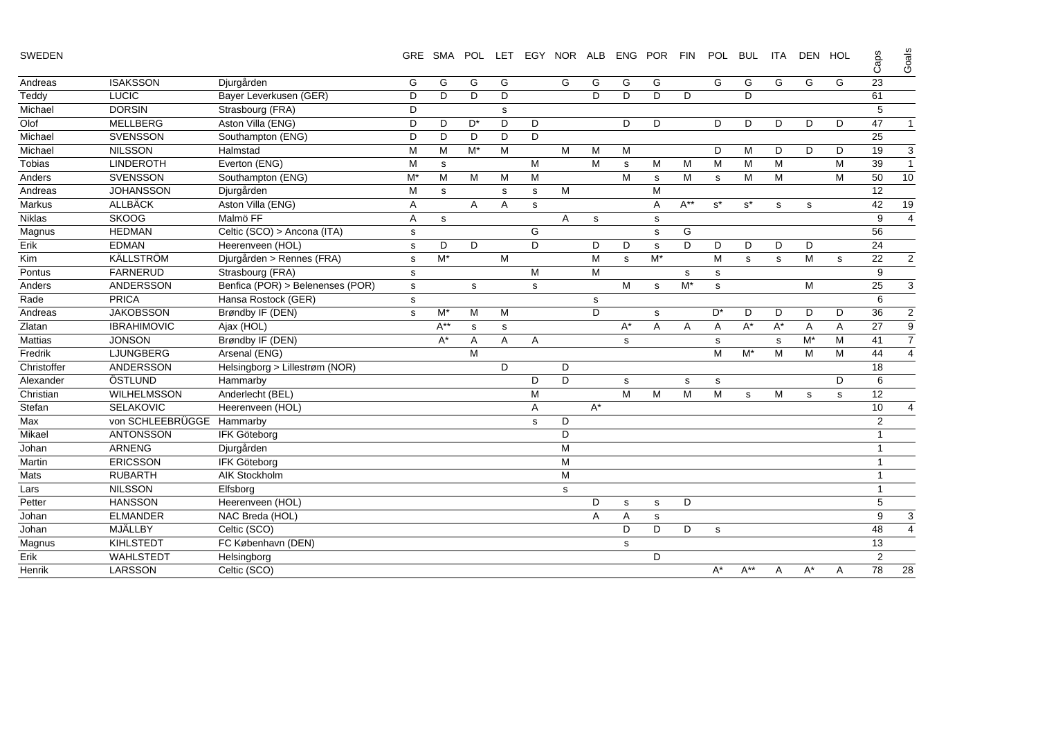| SWEDEN |  |  |  |  |  |  |
|--------|--|--|--|--|--|--|
|--------|--|--|--|--|--|--|

| u, |  |
|----|--|
|    |  |
|    |  |
| m  |  |
|    |  |

| SWEDEN         |                    |                                  |              | GRE SMA  |    | POL LET |   | EGY NOR ALB |       | ENG POR |       | <b>FIN</b> | POL         | <b>BUL</b> | <b>ITA</b>  | DEN HOL |             | Caps           | Goals          |
|----------------|--------------------|----------------------------------|--------------|----------|----|---------|---|-------------|-------|---------|-------|------------|-------------|------------|-------------|---------|-------------|----------------|----------------|
| Andreas        | <b>ISAKSSON</b>    | Djurgården                       | G            | G        | G  | G       |   | G           | G     | G       | G     |            | G           | G          | G           | G       | G           | 23             |                |
| Teddy          | LUCIC              | Bayer Leverkusen (GER)           | D            | D        | D  | D       |   |             | D     | D.      | D     | D          |             | D          |             |         |             | 61             |                |
| Michael        | <b>DORSIN</b>      | Strasbourg (FRA)                 | D            |          |    | s       |   |             |       |         |       |            |             |            |             |         |             | 5              |                |
| Olof           | <b>MELLBERG</b>    | Aston Villa (ENG)                | D            | D        | D* | D       | D |             |       | D       | D     |            | D           | D          | D           | D       | D           | 47             | $\mathbf{1}$   |
| Michael        | <b>SVENSSON</b>    | Southampton (ENG)                | D            | D        | D  | D       | D |             |       |         |       |            |             |            |             |         |             | 25             |                |
| Michael        | <b>NILSSON</b>     | Halmstad                         | M            | м        | M* | M       |   | M           | м     | м       |       |            | D           | м          | D           | D       | D           | 19             | 3              |
| Tobias         | LINDEROTH          | Everton (ENG)                    | M            | s        |    |         | M |             | M     | s       | M     | M          | M           | M          | M           |         | M           | 39             | $\mathbf{1}$   |
| Anders         | <b>SVENSSON</b>    | Southampton (ENG)                | $M^*$        | M        | M  | M       | M |             |       | M       | s     | M          | $\mathbf s$ | M          | M           |         | M           | 50             | 10             |
| Andreas        | <b>JOHANSSON</b>   | Djurgården                       | M            | s        |    | s       | s | M           |       |         | M     |            |             |            |             |         |             | 12             |                |
| Markus         | <b>ALLBÄCK</b>     | Aston Villa (ENG)                | A            |          | Α  | A       | s |             |       |         | Α     | $A^{**}$   | $s^*$       | $s^*$      | $\mathbf s$ | s       |             | 42             | 19             |
| Niklas         | <b>SKOOG</b>       | Malmö FF                         | Α            | s        |    |         |   | Α           | s     |         | s     |            |             |            |             |         |             | 9              | $\overline{4}$ |
| Magnus         | <b>HEDMAN</b>      | Celtic (SCO) > Ancona (ITA)      | s            |          |    |         | G |             |       |         | s     | G          |             |            |             |         |             | 56             |                |
| Erik           | <b>EDMAN</b>       | Heerenveen (HOL)                 | s            | D        | D  |         | D |             | D     | D       | s     | D          | D           | D          | D           | D       |             | 24             |                |
| Kim            | KÄLLSTRÖM          | Djurgården > Rennes (FRA)        | s            | $M^*$    |    | M       |   |             | M     | s       | $M^*$ |            | M           | s          | $\mathbf s$ | М       | s           | 22             | $\mathbf 2$    |
| Pontus         | <b>FARNERUD</b>    | Strasbourg (FRA)                 | $\mathsf{s}$ |          |    |         | M |             | M     |         |       | s          | $\mathbf s$ |            |             |         |             | 9              |                |
| Anders         | ANDERSSON          | Benfica (POR) > Belenenses (POR) | s            |          | s  |         | s |             |       | M       | s     | $M^*$      | s           |            |             | M       |             | 25             | 3              |
| Rade           | <b>PRICA</b>       | Hansa Rostock (GER)              | s            |          |    |         |   |             | s     |         |       |            |             |            |             |         |             | 6              |                |
| Andreas        | <b>JAKOBSSON</b>   | Brøndby IF (DEN)                 | $\mathbf s$  | M*       | М  | M       |   |             | D     |         | s     |            | $D^*$       | D          | D           | D       | D           | 36             | $\sqrt{2}$     |
| Zlatan         | <b>IBRAHIMOVIC</b> | Ajax (HOL)                       |              | $A^{**}$ | s  | s       |   |             |       | $A^*$   | A     | A          | Α           | $A^*$      | $A^*$       | A       | A           | 27             | 9              |
| <b>Mattias</b> | <b>JONSON</b>      | Brøndby IF (DEN)                 |              | A*       | Α  | A       | A |             |       | s       |       |            | s           |            | s           | $M^*$   | M           | 41             | $\overline{7}$ |
| Fredrik        | LJUNGBERG          | Arsenal (ENG)                    |              |          | M  |         |   |             |       |         |       |            | M           | $M^*$      | M           | M       | M           | 44             | $\overline{4}$ |
| Christoffer    | ANDERSSON          | Helsingborg > Lillestrøm (NOR)   |              |          |    | D       |   | D           |       |         |       |            |             |            |             |         |             | 18             |                |
| Alexander      | ÖSTLUND            | Hammarby                         |              |          |    |         | D | D           |       | s       |       | s          | s           |            |             |         | D           | 6              |                |
| Christian      | WILHELMSSON        | Anderlecht (BEL)                 |              |          |    |         | M |             |       | M       | M     | M          | M           | s          | M           | s       | $\mathbf s$ | 12             |                |
| Stefan         | <b>SELAKOVIC</b>   | Heerenveen (HOL)                 |              |          |    |         | A |             | $A^*$ |         |       |            |             |            |             |         |             | 10             | $\overline{4}$ |
| Max            | von SCHLEEBRÜGGE   | Hammarby                         |              |          |    |         | s | D           |       |         |       |            |             |            |             |         |             | 2              |                |
| Mikael         | <b>ANTONSSON</b>   | <b>IFK Göteborg</b>              |              |          |    |         |   | D           |       |         |       |            |             |            |             |         |             | $\mathbf{1}$   |                |
| Johan          | <b>ARNENG</b>      | Djurgården                       |              |          |    |         |   | M           |       |         |       |            |             |            |             |         |             | 1              |                |
| Martin         | <b>ERICSSON</b>    | <b>IFK Göteborg</b>              |              |          |    |         |   | M           |       |         |       |            |             |            |             |         |             | 1              |                |
| Mats           | <b>RUBARTH</b>     | <b>AIK Stockholm</b>             |              |          |    |         |   | M           |       |         |       |            |             |            |             |         |             | $\mathbf{1}$   |                |
| Lars           | <b>NILSSON</b>     | Elfsborg                         |              |          |    |         |   | s           |       |         |       |            |             |            |             |         |             | $\mathbf{1}$   |                |
| Petter         | <b>HANSSON</b>     | Heerenveen (HOL)                 |              |          |    |         |   |             | D     | s       | s     | D          |             |            |             |         |             | 5              |                |
| Johan          | <b>ELMANDER</b>    | NAC Breda (HOL)                  |              |          |    |         |   |             | A     | Α       | s     |            |             |            |             |         |             | 9              | 3              |
| Johan          | MJÄLLBY            | Celtic (SCO)                     |              |          |    |         |   |             |       | D       | D     | D          | s           |            |             |         |             | 48             | $\overline{4}$ |
| Magnus         | <b>KIHLSTEDT</b>   | FC København (DEN)               |              |          |    |         |   |             |       | s       |       |            |             |            |             |         |             | 13             |                |
| Erik           | <b>WAHLSTEDT</b>   | Helsingborg                      |              |          |    |         |   |             |       |         | D     |            |             |            |             |         |             | $\overline{2}$ |                |
| Henrik         | <b>LARSSON</b>     | Celtic (SCO)                     |              |          |    |         |   |             |       |         |       |            | $A^*$       | $A^{**}$   | Α           | $A^*$   | Α           | 78             | 28             |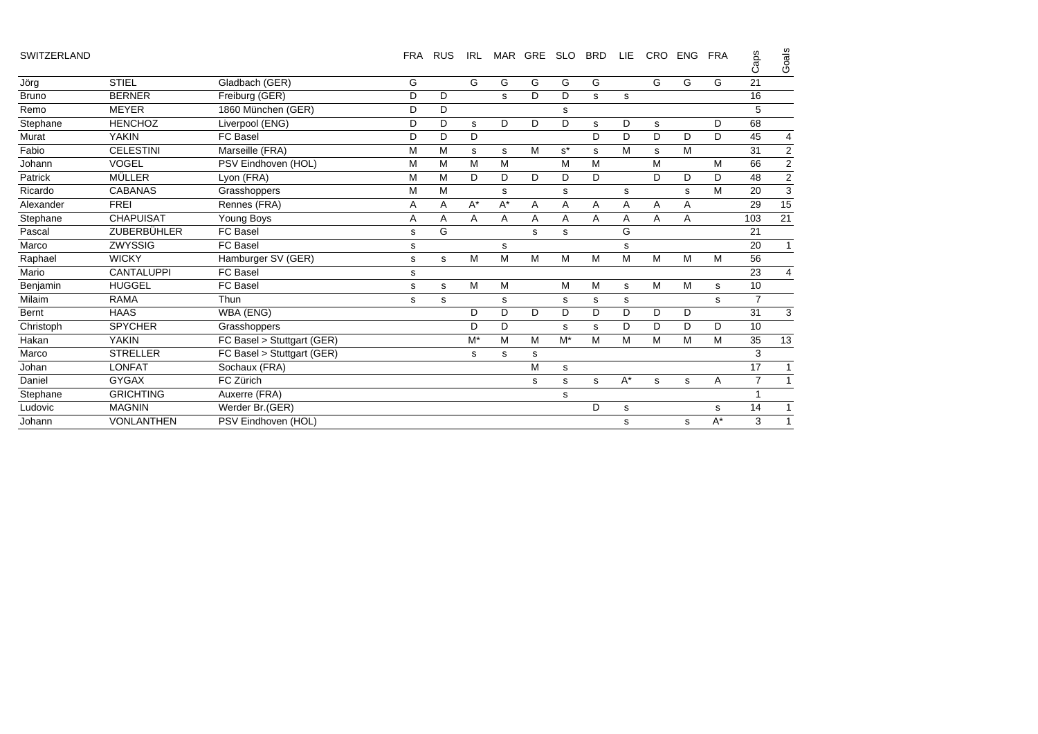| SWITZERLAND |                    |                            | <b>FRA</b> | <b>RUS</b> | IRL   |       | MAR GRE | <b>SLO</b> | <b>BRD</b> | LIE.  | <b>CRO</b>  | <b>ENG</b>  | <b>FRA</b> | Caps           | Goals          |
|-------------|--------------------|----------------------------|------------|------------|-------|-------|---------|------------|------------|-------|-------------|-------------|------------|----------------|----------------|
| Jöra        | <b>STIEL</b>       | Gladbach (GER)             | G          |            | G     | G     | G       | G          | G          |       | G           | G           | G          | 21             |                |
| Bruno       | <b>BERNER</b>      | Freiburg (GER)             | D          | D          |       | s     | D       | D          | s          | s     |             |             |            | 16             |                |
| Remo        | <b>MEYER</b>       | 1860 München (GER)         | D          | D          |       |       |         | s          |            |       |             |             |            | 5              |                |
| Stephane    | <b>HENCHOZ</b>     | Liverpool (ENG)            | D          | D          | s     | D     | D       | D          | s          | D     | s           |             | D          | 68             |                |
| Murat       | <b>YAKIN</b>       | <b>FC Basel</b>            | D          | D          | D     |       |         |            | D          | D     | D           | D           | D          | 45             | 4              |
| Fabio       | <b>CELESTINI</b>   | Marseille (FRA)            | M          | M          | s     | s     | M       | $s^*$      | s          | M     | s           | M           |            | 31             | $\overline{2}$ |
| Johann      | VOGEL              | PSV Eindhoven (HOL)        | М          | M          | M     | M     |         | M          | M          |       | M           |             | М          | 66             | $\overline{c}$ |
| Patrick     | MÜLLER             | Lyon (FRA)                 | M          | M          | D     | D     | D       | D          | D          |       | D           | D           | D          | 48             | $\mathbf 2$    |
| Ricardo     | <b>CABANAS</b>     | Grasshoppers               | M          | M          |       | s     |         | s          |            | s     |             | s           | M          | 20             | $\mathsf 3$    |
| Alexander   | <b>FREI</b>        | Rennes (FRA)               | A          | A          | $A^*$ | $A^*$ | Α       | Α          | Α          | Α     | Α           | Α           |            | 29             | 15             |
| Stephane    | <b>CHAPUISAT</b>   | Young Boys                 | Α          | Α          | Α     | A     | Α       | Α          | Α          | Α     | A           | Α           |            | 103            | 21             |
| Pascal      | <b>ZUBERBÜHLER</b> | <b>FC Basel</b>            | s          | G          |       |       | s       | s          |            | G     |             |             |            | 21             |                |
| Marco       | <b>ZWYSSIG</b>     | <b>FC Basel</b>            | s          |            |       | s     |         |            |            | s     |             |             |            | 20             | $\mathbf{1}$   |
| Raphael     | <b>WICKY</b>       | Hamburger SV (GER)         | s          | s          | M     | M     | M       | M          | M          | M     | M           | M           | М          | 56             |                |
| Mario       | <b>CANTALUPPI</b>  | FC Basel                   | s          |            |       |       |         |            |            |       |             |             |            | 23             | 4              |
| Benjamin    | <b>HUGGEL</b>      | FC Basel                   | s          | s          | M     | M     |         | M          | M          | s     | M           | M           | s          | 10             |                |
| Milaim      | <b>RAMA</b>        | Thun                       | s          | s          |       | s     |         | s          | s          | s     |             |             | s          | $\overline{7}$ |                |
| Bernt       | <b>HAAS</b>        | WBA (ENG)                  |            |            | D     | D     | D       | D          | D          | D     | D           | D           |            | 31             | 3              |
| Christoph   | <b>SPYCHER</b>     | Grasshoppers               |            |            | D     | D     |         | s          | s          | D     | D           | D           | D          | 10             |                |
| Hakan       | <b>YAKIN</b>       | FC Basel > Stuttgart (GER) |            |            | $M^*$ | M     | M       | $M^*$      | M          | M     | M           | M           | M          | 35             | 13             |
| Marco       | <b>STRELLER</b>    | FC Basel > Stuttgart (GER) |            |            | s     | s     | s       |            |            |       |             |             |            | 3              |                |
| Johan       | <b>LONFAT</b>      | Sochaux (FRA)              |            |            |       |       | M       | s          |            |       |             |             |            | 17             | 1              |
| Daniel      | <b>GYGAX</b>       | FC Zürich                  |            |            |       |       | s       | s          | s          | $A^*$ | $\mathbf s$ | $\mathbf s$ | A          | $\overline{7}$ | $\mathbf{1}$   |
| Stephane    | <b>GRICHTING</b>   | Auxerre (FRA)              |            |            |       |       |         | s          |            |       |             |             |            |                |                |
| Ludovic     | <b>MAGNIN</b>      | Werder Br.(GER)            |            |            |       |       |         |            | D          | s     |             |             | s          | 14             | $\mathbf{1}$   |
| Johann      | <b>VONLANTHEN</b>  | PSV Eindhoven (HOL)        |            |            |       |       |         |            |            | s     |             | s           | $A^*$      | 3              | $\mathbf{1}$   |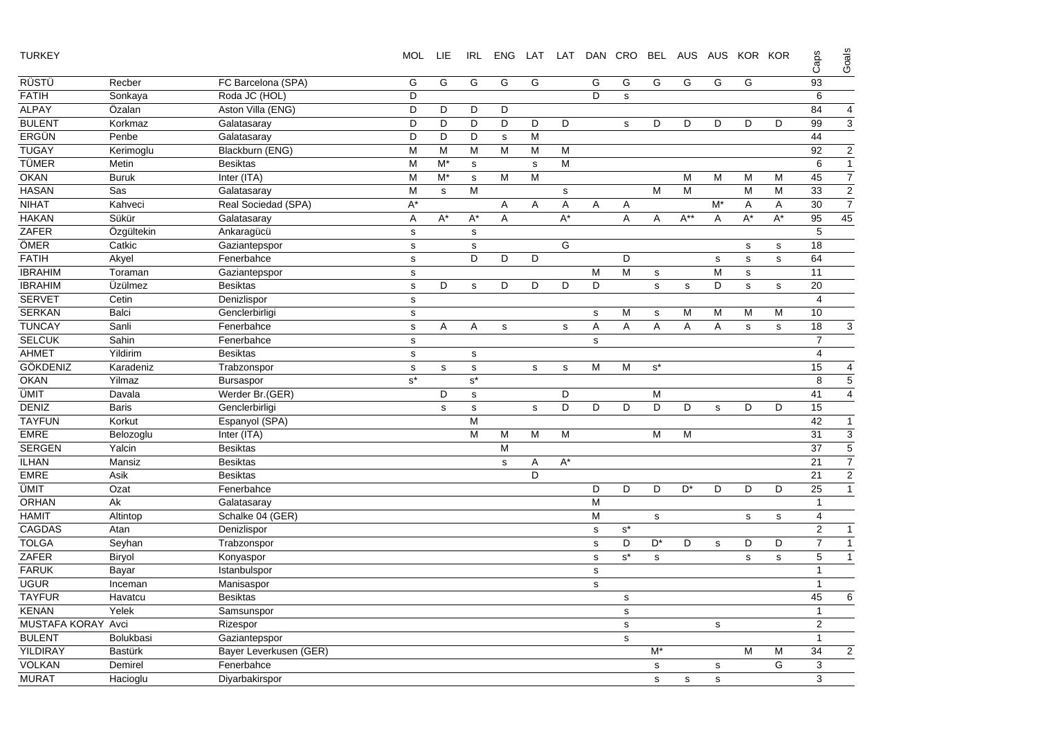| <b>TURKEY</b>      |                |                        | <b>MOL</b>     | LIE          | IRL                  | <b>ENG</b>     |              |             | LAT LAT DAN CRO |                         | <b>BEL</b>     | AUS         | AUS            | KOR KOR      |              | Caps            | Goals          |
|--------------------|----------------|------------------------|----------------|--------------|----------------------|----------------|--------------|-------------|-----------------|-------------------------|----------------|-------------|----------------|--------------|--------------|-----------------|----------------|
| RÜSTÜ              | Recber         | FC Barcelona (SPA)     | G              | G            | G                    | G              | G            |             | G               | G                       | G              | G           | G              | G            |              | 93              |                |
| <b>FATIH</b>       | Sonkaya        | Roda JC (HOL)          | D              |              |                      |                |              |             | D               | $\mathbf s$             |                |             |                |              |              | 6               |                |
| <b>ALPAY</b>       | Özalan         | Aston Villa (ENG)      | D              | D            | D                    | D              |              |             |                 |                         |                |             |                |              |              | 84              | $\overline{4}$ |
| <b>BULENT</b>      | Korkmaz        | Galatasaray            | D              | D            | D                    | D              | D            | D           |                 | $\mathbf s$             | D              | D           | D              | D            | D            | 99              | $\overline{3}$ |
| ERGÜN              | Penbe          | Galatasaray            | D              | D            | D                    | $\mathsf{s}$   | M            |             |                 |                         |                |             |                |              |              | 44              |                |
| <b>TUGAY</b>       | Kerimoglu      | Blackburn (ENG)        | M              | M            | M                    | M              | M            | M           |                 |                         |                |             |                |              |              | 92              | $\overline{2}$ |
| <b>TÜMER</b>       | Metin          | <b>Besiktas</b>        | M              | M*           | s                    |                | $\mathbf{s}$ | M           |                 |                         |                |             |                |              |              | $\,6$           | $\overline{1}$ |
| <b>OKAN</b>        | <b>Buruk</b>   | Inter (ITA)            | M              | M*           | s                    | M              | M            |             |                 |                         |                | M           | M              | M            | M            | 45              | $\overline{7}$ |
| <b>HASAN</b>       | Sas            | Galatasaray            | M              | $\mathsf{s}$ | M                    |                |              | s           |                 |                         | M              | M           |                | M            | M            | 33              | $\overline{2}$ |
| <b>NIHAT</b>       | Kahveci        | Real Sociedad (SPA)    | $A^*$          |              |                      | Α              | A            | Α           | Α               | Α                       |                |             | M*             | Α            | Α            | 30              | $\overline{7}$ |
| <b>HAKAN</b>       | Sükür          | Galatasaray            | A              | $A^*$        | $A^*$                | $\overline{A}$ |              | $A^*$       |                 | $\overline{A}$          | $\overline{A}$ | $A^{**}$    | $\mathsf{A}$   | $A^*$        | $A^*$        | 95              | 45             |
| ZAFER              | Özgültekin     | Ankaragücü             | $\mathbf s$    |              | s                    |                |              |             |                 |                         |                |             |                |              |              | $\sqrt{5}$      |                |
| ÖMER               | Catkic         | Gaziantepspor          | $\mathbf s$    |              | S                    |                |              | G           |                 |                         |                |             |                | $\mathsf{s}$ | s            | 18              |                |
| <b>FATIH</b>       | Akyel          | Fenerbahce             | $\mathbf s$    |              | D                    | D              | D            |             |                 | D                       |                |             | $\mathbf S$    | $\mathbf S$  | s            | 64              |                |
| <b>IBRAHIM</b>     | Toraman        | Gaziantepspor          | $\mathbf s$    |              |                      |                |              |             | M               | $\overline{\mathsf{M}}$ | $\mathbf s$    |             | $\overline{M}$ | $\mathbf s$  |              | $\overline{11}$ |                |
| <b>IBRAHIM</b>     | Üzülmez        | <b>Besiktas</b>        | $\mathbf s$    | D            | s                    | D              | D            | D           | D               |                         | $\mathbf s$    | $\mathbf s$ | D              | $\mathbf s$  | s            | 20              |                |
| <b>SERVET</b>      | Cetin          | Denizlispor            | $\mathbf s$    |              |                      |                |              |             |                 |                         |                |             |                |              |              | $\overline{4}$  |                |
| <b>SERKAN</b>      | Balci          | Genclerbirligi         | $\mathbf s$    |              |                      |                |              |             | $\mathbf s$     | M                       | $\mathbf s$    | M           | M              | M            | M            | 10              |                |
| <b>TUNCAY</b>      | Sanli          | Fenerbahce             | $\mathbf s$    | A            | Α                    | s              |              | $\mathbf s$ | $\overline{A}$  | A                       | A              | A           | A              | $\mathbf s$  | $\mathbf{s}$ | 18              | 3              |
| <b>SELCUK</b>      | Sahin          | Fenerbahce             | $\mathbf s$    |              |                      |                |              |             | s               |                         |                |             |                |              |              | $\overline{7}$  |                |
| AHMET              | Yildirim       | <b>Besiktas</b>        | $\mathbf s$    |              | s                    |                |              |             |                 |                         |                |             |                |              |              | $\overline{4}$  |                |
| GÖKDENIZ           | Karadeniz      | Trabzonspor            | $\mathbf s$    | s            | s                    |                | $\mathbf s$  | $\mathbf s$ | M               | M                       | $s^*$          |             |                |              |              | 15              | $\overline{4}$ |
| <b>OKAN</b>        | Yilmaz         | Bursaspor              | $\mathbf{s}^*$ |              | $\texttt{s}^{\star}$ |                |              |             |                 |                         |                |             |                |              |              | 8               | $\overline{5}$ |
| ÜMIT               | Davala         | Werder Br.(GER)        |                | D            | s                    |                |              | D           |                 |                         | M              |             |                |              |              | 41              | $\overline{4}$ |
| <b>DENIZ</b>       | <b>Baris</b>   | Genclerbirligi         |                | s            | s                    |                | $\mathbf s$  | D           | D               | D                       | D              | D           | s              | D            | D            | 15              |                |
| <b>TAYFUN</b>      | Korkut         | Espanyol (SPA)         |                |              | $\overline{M}$       |                |              |             |                 |                         |                |             |                |              |              | 42              | $\overline{1}$ |
| <b>EMRE</b>        | Belozoglu      | Inter (ITA)            |                |              | M                    | M              | M            | M           |                 |                         | M              | M           |                |              |              | 31              | $\overline{3}$ |
| <b>SERGEN</b>      | Yalcin         | <b>Besiktas</b>        |                |              |                      | M              |              |             |                 |                         |                |             |                |              |              | 37              | $\overline{5}$ |
| <b>ILHAN</b>       | Mansiz         | <b>Besiktas</b>        |                |              |                      | s              | Α            | $A^*$       |                 |                         |                |             |                |              |              | 21              | $\overline{7}$ |
| <b>EMRE</b>        | Asik           | <b>Besiktas</b>        |                |              |                      |                | D            |             |                 |                         |                |             |                |              |              | 21              | $\overline{2}$ |
| ÜMIT               | Ozat           | Fenerbahce             |                |              |                      |                |              |             | D               | D                       | D              | $D^*$       | D              | D            | D            | 25              | $\overline{1}$ |
| <b>ORHAN</b>       | Ak             | Galatasaray            |                |              |                      |                |              |             | M               |                         |                |             |                |              |              | $\mathbf{1}$    |                |
| <b>HAMIT</b>       | Altintop       | Schalke 04 (GER)       |                |              |                      |                |              |             | M               |                         | $\mathbf s$    |             |                | s            | s            | $\overline{4}$  |                |
| <b>CAGDAS</b>      | Atan           | Denizlispor            |                |              |                      |                |              |             | $\mathbf s$     | $s^*$                   |                |             |                |              |              | $\overline{2}$  | $\mathbf{1}$   |
| <b>TOLGA</b>       | Seyhan         | Trabzonspor            |                |              |                      |                |              |             | $\mathbf{s}$    | D                       | D*             | D           | $\mathbf s$    | D            | D            | $\overline{7}$  | $\mathbf{1}$   |
| ZAFER              | Biryol         | Konyaspor              |                |              |                      |                |              |             | $\mathbf s$     | $\texttt{s}^{\star}$    | $\mathbf s$    |             |                | $\mathbf s$  | ${\tt S}$    | $\sqrt{5}$      | $\mathbf{1}$   |
| <b>FARUK</b>       | Bayar          | Istanbulspor           |                |              |                      |                |              |             | $\mathbf s$     |                         |                |             |                |              |              | $\mathbf{1}$    |                |
| <b>UGUR</b>        | Inceman        | Manisaspor             |                |              |                      |                |              |             | $\mathbf s$     |                         |                |             |                |              |              | $\mathbf{1}$    |                |
| <b>TAYFUR</b>      | Havatcu        | <b>Besiktas</b>        |                |              |                      |                |              |             |                 | $\mathbf s$             |                |             |                |              |              | 45              | 6              |
| <b>KENAN</b>       | Yelek          | Samsunspor             |                |              |                      |                |              |             |                 | $\mathbf s$             |                |             |                |              |              | $\mathbf{1}$    |                |
| MUSTAFA KORAY Avci |                | Rizespor               |                |              |                      |                |              |             |                 | $\mathbf s$             |                |             | $\mathbf s$    |              |              | $\overline{2}$  |                |
| <b>BULENT</b>      | Bolukbasi      | Gaziantepspor          |                |              |                      |                |              |             |                 | $\mathbf s$             |                |             |                |              |              | $\mathbf{1}$    |                |
| <b>YILDIRAY</b>    | <b>Bastürk</b> | Bayer Leverkusen (GER) |                |              |                      |                |              |             |                 |                         | $M^*$          |             |                | M            | M            | 34              | $\mathbf{2}$   |
| <b>VOLKAN</b>      | Demirel        | Fenerbahce             |                |              |                      |                |              |             |                 |                         | $\mathbf s$    |             | s              |              | G            | 3               |                |
| <b>MURAT</b>       | Hacioglu       | Diyarbakirspor         |                |              |                      |                |              |             |                 |                         | s              | $\mathbf s$ | s              |              |              | 3               |                |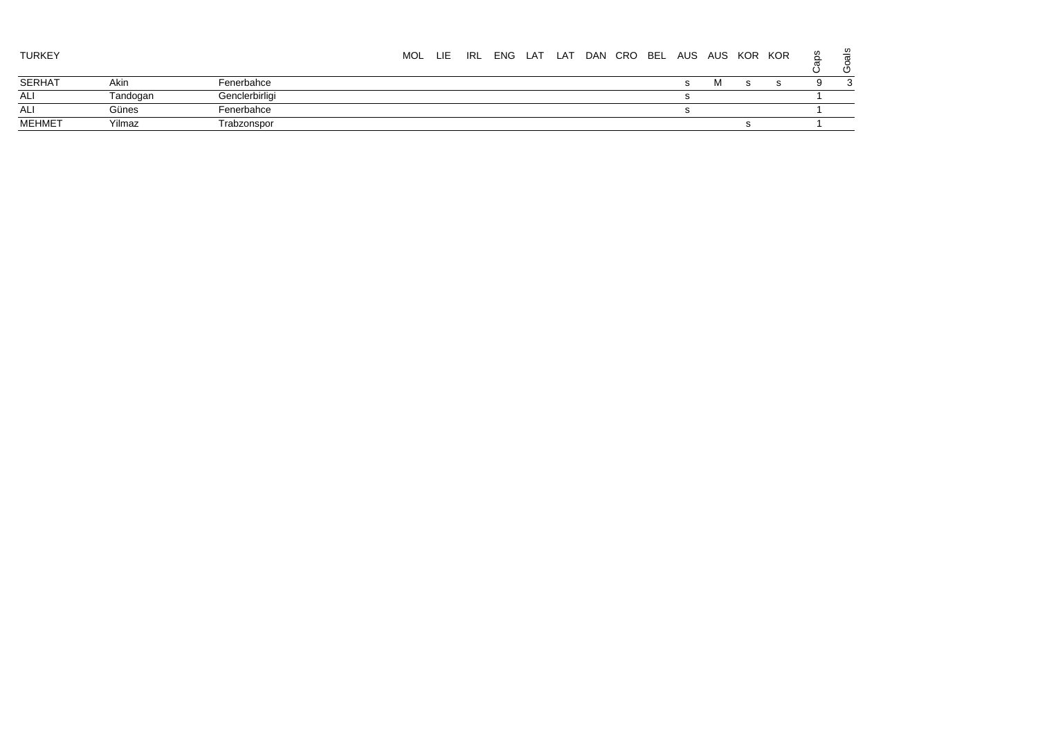| TURKEY |          |                | <b>MOL</b> | <b>LIE</b> | IRL | ENG LAT | LAT | DAN CRO | BEL | AUS | AUS | KOR KOR |  | ≌<br>ပ       |
|--------|----------|----------------|------------|------------|-----|---------|-----|---------|-----|-----|-----|---------|--|--------------|
| SERHAT | Akin     | Fenerbahce     |            |            |     |         |     |         |     |     | ΙVΙ |         |  | $\mathbf{r}$ |
| ALI    | Tandogan | Genclerbirligi |            |            |     |         |     |         |     |     |     |         |  |              |
| ALI    | Günes    | Fenerbahce     |            |            |     |         |     |         |     |     |     |         |  |              |
| MEHMET | Yilmaz   | Trabzonspor    |            |            |     |         |     |         |     |     |     |         |  |              |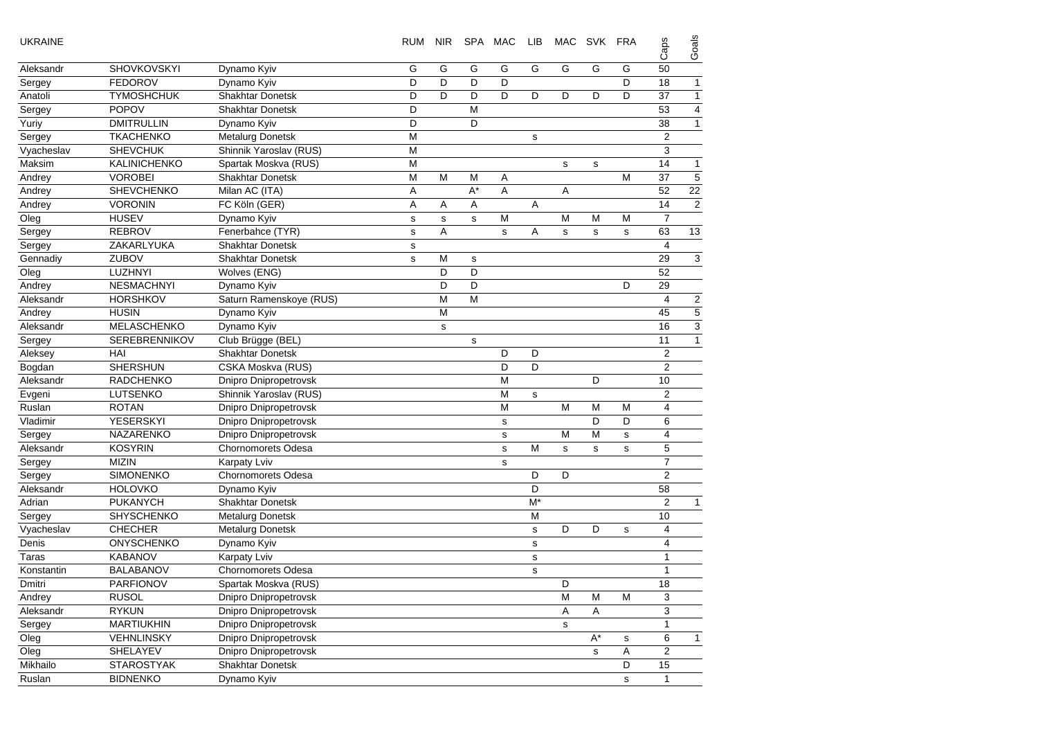| <b>UKRAINE</b> |                      |                              | <b>RUM</b>  | <b>NIR</b>  |       | SPA MAC     | LIB         |   | MAC SVK     | FRA         | Caps           | Goals          |
|----------------|----------------------|------------------------------|-------------|-------------|-------|-------------|-------------|---|-------------|-------------|----------------|----------------|
| Aleksandr      | SHOVKOVSKYI          | Dynamo Kyiv                  | G           | G           | G     | G           | G           | G | G           | G           | 50             |                |
| Sergey         | <b>FEDOROV</b>       | Dynamo Kyiv                  | D           | D           | D     | D           |             |   |             | D           | 18             | 1              |
| Anatoli        | <b>TYMOSHCHUK</b>    | Shakhtar Donetsk             | D           | D           | D     | D           | D           | D | D           | D           | 37             | $\mathbf{1}$   |
| Sergey         | <b>POPOV</b>         | <b>Shakhtar Donetsk</b>      | D           |             | М     |             |             |   |             |             | 53             | 4              |
| Yuriy          | <b>DMITRULLIN</b>    | Dynamo Kyiv                  | D           |             | D     |             |             |   |             |             | 38             | $\mathbf{1}$   |
| Sergey         | <b>TKACHENKO</b>     | <b>Metalurg Donetsk</b>      | M           |             |       |             | s           |   |             |             | $\overline{2}$ |                |
| Vyacheslav     | <b>SHEVCHUK</b>      | Shinnik Yaroslav (RUS)       | M           |             |       |             |             |   |             |             | 3              |                |
| Maksim         | KALINICHENKO         | Spartak Moskva (RUS)         | M           |             |       |             |             | s | $\mathbf s$ |             | 14             | $\mathbf{1}$   |
| Andrey         | <b>VOROBEI</b>       | <b>Shakhtar Donetsk</b>      | M           | м           | М     | Α           |             |   |             | M           | 37             | 5              |
| Andrey         | SHEVCHENKO           | Milan AC (ITA)               | Α           |             | $A^*$ | A           |             | Α |             |             | 52             | 22             |
| Andrey         | <b>VORONIN</b>       | FC Köln (GER)                | Α           | Α           | Α     |             | Α           |   |             |             | 14             | $\overline{2}$ |
| Oleg           | <b>HUSEV</b>         | Dynamo Kyiv                  | s           | $\mathbf s$ | s     | м           |             | M | M           | M           | $\overline{7}$ |                |
| Sergey         | <b>REBROV</b>        | Fenerbahce (TYR)             | $\mathbf s$ | Α           |       | s           | Α           | s | $\mathbf s$ | $\mathbf s$ | 63             | 13             |
| Sergey         | ZAKARLYUKA           | Shakhtar Donetsk             | s           |             |       |             |             |   |             |             | 4              |                |
| Gennadiy       | <b>ZUBOV</b>         | <b>Shakhtar Donetsk</b>      | s           | М           | s     |             |             |   |             |             | 29             | 3              |
| Oleg           | LUZHNYI              | Wolves (ENG)                 |             | D           | D     |             |             |   |             |             | 52             |                |
| Andrey         | <b>NESMACHNYI</b>    | Dynamo Kyiv                  |             | D           | D     |             |             |   |             | D           | 29             |                |
| Aleksandr      | <b>HORSHKOV</b>      | Saturn Ramenskoye (RUS)      |             | M           | M     |             |             |   |             |             | 4              | 2              |
| Andrey         | <b>HUSIN</b>         | Dynamo Kyiv                  |             | M           |       |             |             |   |             |             | 45             | 5              |
| Aleksandr      | MELASCHENKO          | Dynamo Kyiv                  |             | s           |       |             |             |   |             |             | 16             | 3              |
| Sergey         | <b>SEREBRENNIKOV</b> | Club Brügge (BEL)            |             |             | s     |             |             |   |             |             | 11             | $\mathbf{1}$   |
| Aleksey        | HAI                  | <b>Shakhtar Donetsk</b>      |             |             |       | D           | D           |   |             |             | $\overline{2}$ |                |
| Bogdan         | <b>SHERSHUN</b>      | CSKA Moskva (RUS)            |             |             |       | D           | D           |   |             |             | $\overline{2}$ |                |
| Aleksandr      | <b>RADCHENKO</b>     | <b>Dnipro Dnipropetrovsk</b> |             |             |       | M           |             |   | D           |             | 10             |                |
| Evgeni         | <b>LUTSENKO</b>      | Shinnik Yaroslav (RUS)       |             |             |       | M           | s           |   |             |             | $\overline{2}$ |                |
| Ruslan         | <b>ROTAN</b>         | Dnipro Dnipropetrovsk        |             |             |       | M           |             | M | M           | M           | $\overline{4}$ |                |
| Vladimir       | <b>YESERSKYI</b>     | Dnipro Dnipropetrovsk        |             |             |       | $\mathbf s$ |             |   | D           | D           | 6              |                |
| Sergey         | NAZARENKO            | <b>Dnipro Dnipropetrovsk</b> |             |             |       | $\mathbf S$ |             | M | M           | s           | 4              |                |
| Aleksandr      | <b>KOSYRIN</b>       | <b>Chornomorets Odesa</b>    |             |             |       | $\mathbf s$ | M           | s | s           | $\mathbf s$ | 5              |                |
| Sergey         | <b>MIZIN</b>         | Karpaty Lviv                 |             |             |       | s           |             |   |             |             | $\overline{7}$ |                |
| Sergey         | <b>SIMONENKO</b>     | <b>Chornomorets Odesa</b>    |             |             |       |             | D           | D |             |             | 2              |                |
| Aleksandr      | <b>HOLOVKO</b>       | Dynamo Kyiv                  |             |             |       |             | D           |   |             |             | 58             |                |
| Adrian         | <b>PUKANYCH</b>      | <b>Shakhtar Donetsk</b>      |             |             |       |             | $M^*$       |   |             |             | 2              | 1              |
| Sergey         | <b>SHYSCHENKO</b>    | <b>Metalurg Donetsk</b>      |             |             |       |             | M           |   |             |             | 10             |                |
| Vyacheslav     | <b>CHECHER</b>       | <b>Metalurg Donetsk</b>      |             |             |       |             | s           | D | D           | s           | 4              |                |
| Denis          | ONYSCHENKO           | Dynamo Kyiv                  |             |             |       |             | s           |   |             |             | $\overline{4}$ |                |
| Taras          | <b>KABANOV</b>       | <b>Karpaty Lviv</b>          |             |             |       |             | $\mathbf s$ |   |             |             | $\mathbf{1}$   |                |
| Konstantin     | <b>BALABANOV</b>     | <b>Chornomorets Odesa</b>    |             |             |       |             | s           |   |             |             | $\mathbf{1}$   |                |
| Dmitri         | PARFIONOV            | Spartak Moskva (RUS)         |             |             |       |             |             | D |             |             | 18             |                |
| Andrey         | <b>RUSOL</b>         | Dnipro Dnipropetrovsk        |             |             |       |             |             | M | M           | M           | 3              |                |
| Aleksandr      | <b>RYKUN</b>         | Dnipro Dnipropetrovsk        |             |             |       |             |             | Α | Α           |             | 3              |                |
| Sergey         | <b>MARTIUKHIN</b>    | Dnipro Dnipropetrovsk        |             |             |       |             |             | s |             |             | $\mathbf{1}$   |                |
| Oleg           | VEHNLINSKY           | Dnipro Dnipropetrovsk        |             |             |       |             |             |   | $A^*$       | s           | 6              |                |
| Oleg           | SHELAYEV             | Dnipro Dnipropetrovsk        |             |             |       |             |             |   | $\mathbf s$ | Α           | $\overline{c}$ |                |
| Mikhailo       | <b>STAROSTYAK</b>    | Shakhtar Donetsk             |             |             |       |             |             |   |             | D           | 15             |                |
| Ruslan         | <b>BIDNENKO</b>      | Dynamo Kyiv                  |             |             |       |             |             |   |             | $\mathbf s$ | 1              |                |
|                |                      |                              |             |             |       |             |             |   |             |             |                |                |